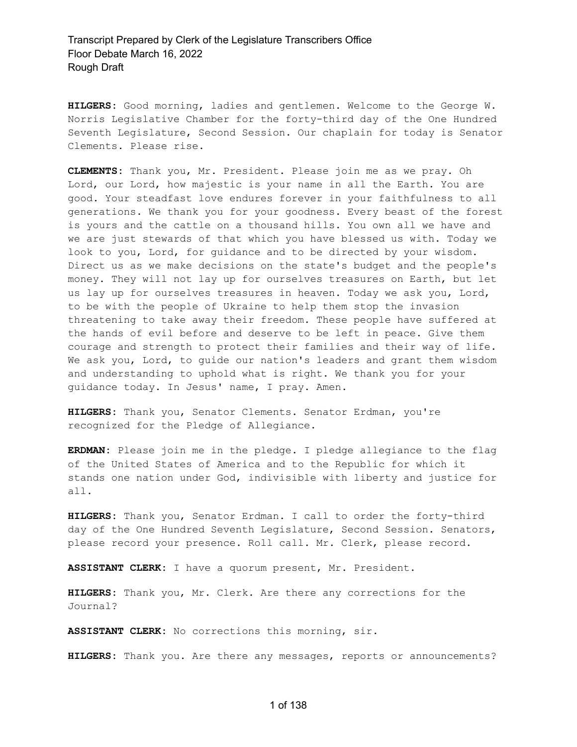**HILGERS:** Good morning, ladies and gentlemen. Welcome to the George W. Norris Legislative Chamber for the forty-third day of the One Hundred Seventh Legislature, Second Session. Our chaplain for today is Senator Clements. Please rise.

**CLEMENTS:** Thank you, Mr. President. Please join me as we pray. Oh Lord, our Lord, how majestic is your name in all the Earth. You are good. Your steadfast love endures forever in your faithfulness to all generations. We thank you for your goodness. Every beast of the forest is yours and the cattle on a thousand hills. You own all we have and we are just stewards of that which you have blessed us with. Today we look to you, Lord, for guidance and to be directed by your wisdom. Direct us as we make decisions on the state's budget and the people's money. They will not lay up for ourselves treasures on Earth, but let us lay up for ourselves treasures in heaven. Today we ask you, Lord, to be with the people of Ukraine to help them stop the invasion threatening to take away their freedom. These people have suffered at the hands of evil before and deserve to be left in peace. Give them courage and strength to protect their families and their way of life. We ask you, Lord, to guide our nation's leaders and grant them wisdom and understanding to uphold what is right. We thank you for your guidance today. In Jesus' name, I pray. Amen.

**HILGERS:** Thank you, Senator Clements. Senator Erdman, you're recognized for the Pledge of Allegiance.

**ERDMAN:** Please join me in the pledge. I pledge allegiance to the flag of the United States of America and to the Republic for which it stands one nation under God, indivisible with liberty and justice for all.

**HILGERS:** Thank you, Senator Erdman. I call to order the forty-third day of the One Hundred Seventh Legislature, Second Session. Senators, please record your presence. Roll call. Mr. Clerk, please record.

**ASSISTANT CLERK:** I have a quorum present, Mr. President.

**HILGERS:** Thank you, Mr. Clerk. Are there any corrections for the Journal?

**ASSISTANT CLERK:** No corrections this morning, sir.

**HILGERS:** Thank you. Are there any messages, reports or announcements?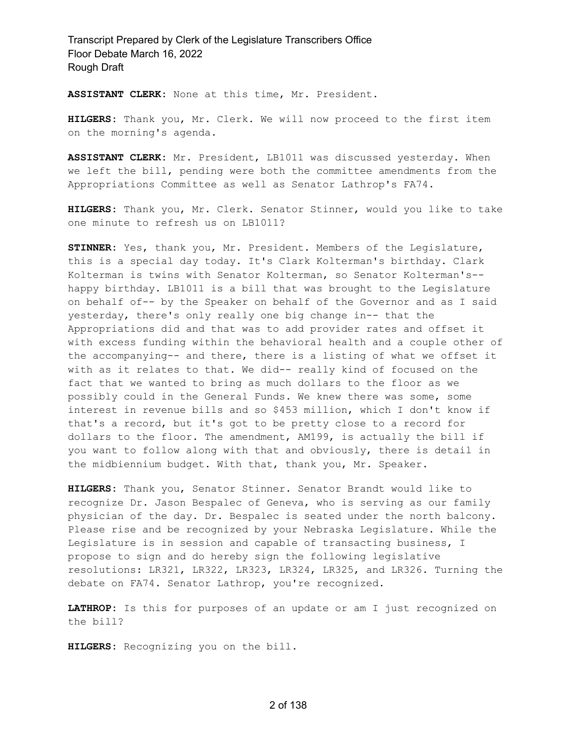**ASSISTANT CLERK:** None at this time, Mr. President.

**HILGERS:** Thank you, Mr. Clerk. We will now proceed to the first item on the morning's agenda.

**ASSISTANT CLERK:** Mr. President, LB1011 was discussed yesterday. When we left the bill, pending were both the committee amendments from the Appropriations Committee as well as Senator Lathrop's FA74.

**HILGERS:** Thank you, Mr. Clerk. Senator Stinner, would you like to take one minute to refresh us on LB1011?

**STINNER:** Yes, thank you, Mr. President. Members of the Legislature, this is a special day today. It's Clark Kolterman's birthday. Clark Kolterman is twins with Senator Kolterman, so Senator Kolterman's- happy birthday. LB1011 is a bill that was brought to the Legislature on behalf of-- by the Speaker on behalf of the Governor and as I said yesterday, there's only really one big change in-- that the Appropriations did and that was to add provider rates and offset it with excess funding within the behavioral health and a couple other of the accompanying-- and there, there is a listing of what we offset it with as it relates to that. We did-- really kind of focused on the fact that we wanted to bring as much dollars to the floor as we possibly could in the General Funds. We knew there was some, some interest in revenue bills and so \$453 million, which I don't know if that's a record, but it's got to be pretty close to a record for dollars to the floor. The amendment, AM199, is actually the bill if you want to follow along with that and obviously, there is detail in the midbiennium budget. With that, thank you, Mr. Speaker.

**HILGERS:** Thank you, Senator Stinner. Senator Brandt would like to recognize Dr. Jason Bespalec of Geneva, who is serving as our family physician of the day. Dr. Bespalec is seated under the north balcony. Please rise and be recognized by your Nebraska Legislature. While the Legislature is in session and capable of transacting business, I propose to sign and do hereby sign the following legislative resolutions: LR321, LR322, LR323, LR324, LR325, and LR326. Turning the debate on FA74. Senator Lathrop, you're recognized.

**LATHROP:** Is this for purposes of an update or am I just recognized on the bill?

**HILGERS:** Recognizing you on the bill.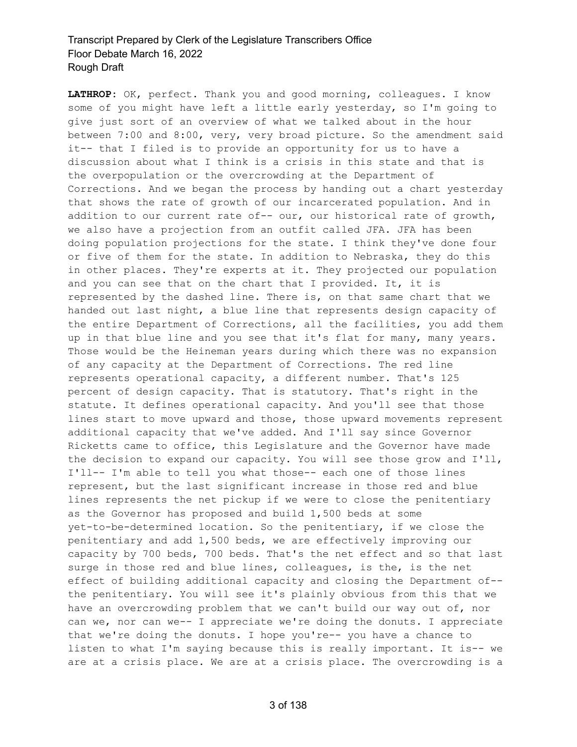**LATHROP:** OK, perfect. Thank you and good morning, colleagues. I know some of you might have left a little early yesterday, so I'm going to give just sort of an overview of what we talked about in the hour between 7:00 and 8:00, very, very broad picture. So the amendment said it-- that I filed is to provide an opportunity for us to have a discussion about what I think is a crisis in this state and that is the overpopulation or the overcrowding at the Department of Corrections. And we began the process by handing out a chart yesterday that shows the rate of growth of our incarcerated population. And in addition to our current rate of-- our, our historical rate of growth, we also have a projection from an outfit called JFA. JFA has been doing population projections for the state. I think they've done four or five of them for the state. In addition to Nebraska, they do this in other places. They're experts at it. They projected our population and you can see that on the chart that I provided. It, it is represented by the dashed line. There is, on that same chart that we handed out last night, a blue line that represents design capacity of the entire Department of Corrections, all the facilities, you add them up in that blue line and you see that it's flat for many, many years. Those would be the Heineman years during which there was no expansion of any capacity at the Department of Corrections. The red line represents operational capacity, a different number. That's 125 percent of design capacity. That is statutory. That's right in the statute. It defines operational capacity. And you'll see that those lines start to move upward and those, those upward movements represent additional capacity that we've added. And I'll say since Governor Ricketts came to office, this Legislature and the Governor have made the decision to expand our capacity. You will see those grow and I'll, I'll-- I'm able to tell you what those-- each one of those lines represent, but the last significant increase in those red and blue lines represents the net pickup if we were to close the penitentiary as the Governor has proposed and build 1,500 beds at some yet-to-be-determined location. So the penitentiary, if we close the penitentiary and add 1,500 beds, we are effectively improving our capacity by 700 beds, 700 beds. That's the net effect and so that last surge in those red and blue lines, colleagues, is the, is the net effect of building additional capacity and closing the Department of- the penitentiary. You will see it's plainly obvious from this that we have an overcrowding problem that we can't build our way out of, nor can we, nor can we-- I appreciate we're doing the donuts. I appreciate that we're doing the donuts. I hope you're-- you have a chance to listen to what I'm saying because this is really important. It is-- we are at a crisis place. We are at a crisis place. The overcrowding is a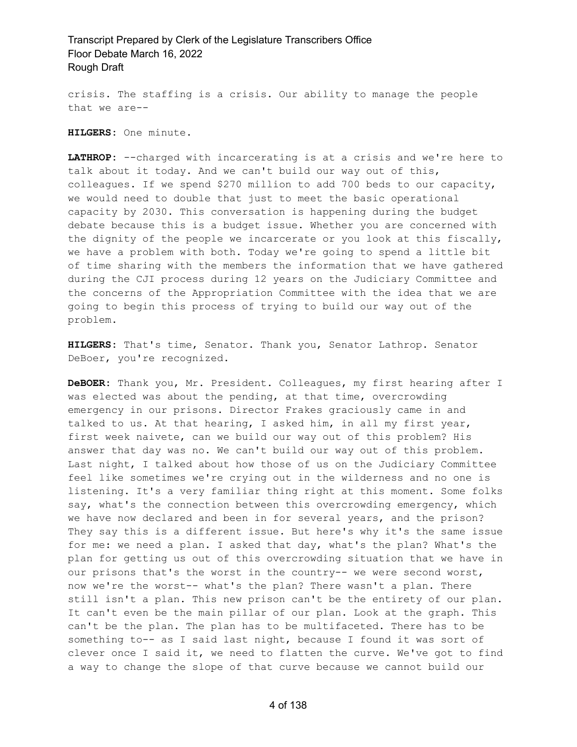crisis. The staffing is a crisis. Our ability to manage the people that we are--

**HILGERS:** One minute.

**LATHROP:** --charged with incarcerating is at a crisis and we're here to talk about it today. And we can't build our way out of this, colleagues. If we spend \$270 million to add 700 beds to our capacity, we would need to double that just to meet the basic operational capacity by 2030. This conversation is happening during the budget debate because this is a budget issue. Whether you are concerned with the dignity of the people we incarcerate or you look at this fiscally, we have a problem with both. Today we're going to spend a little bit of time sharing with the members the information that we have gathered during the CJI process during 12 years on the Judiciary Committee and the concerns of the Appropriation Committee with the idea that we are going to begin this process of trying to build our way out of the problem.

**HILGERS:** That's time, Senator. Thank you, Senator Lathrop. Senator DeBoer, you're recognized.

**DeBOER:** Thank you, Mr. President. Colleagues, my first hearing after I was elected was about the pending, at that time, overcrowding emergency in our prisons. Director Frakes graciously came in and talked to us. At that hearing, I asked him, in all my first year, first week naivete, can we build our way out of this problem? His answer that day was no. We can't build our way out of this problem. Last night, I talked about how those of us on the Judiciary Committee feel like sometimes we're crying out in the wilderness and no one is listening. It's a very familiar thing right at this moment. Some folks say, what's the connection between this overcrowding emergency, which we have now declared and been in for several years, and the prison? They say this is a different issue. But here's why it's the same issue for me: we need a plan. I asked that day, what's the plan? What's the plan for getting us out of this overcrowding situation that we have in our prisons that's the worst in the country-- we were second worst, now we're the worst-- what's the plan? There wasn't a plan. There still isn't a plan. This new prison can't be the entirety of our plan. It can't even be the main pillar of our plan. Look at the graph. This can't be the plan. The plan has to be multifaceted. There has to be something to-- as I said last night, because I found it was sort of clever once I said it, we need to flatten the curve. We've got to find a way to change the slope of that curve because we cannot build our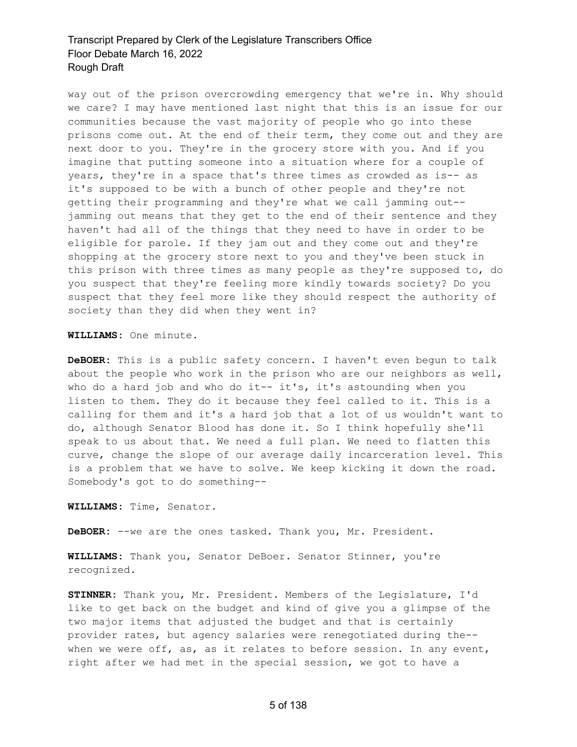way out of the prison overcrowding emergency that we're in. Why should we care? I may have mentioned last night that this is an issue for our communities because the vast majority of people who go into these prisons come out. At the end of their term, they come out and they are next door to you. They're in the grocery store with you. And if you imagine that putting someone into a situation where for a couple of years, they're in a space that's three times as crowded as is-- as it's supposed to be with a bunch of other people and they're not getting their programming and they're what we call jamming out- jamming out means that they get to the end of their sentence and they haven't had all of the things that they need to have in order to be eligible for parole. If they jam out and they come out and they're shopping at the grocery store next to you and they've been stuck in this prison with three times as many people as they're supposed to, do you suspect that they're feeling more kindly towards society? Do you suspect that they feel more like they should respect the authority of society than they did when they went in?

**WILLIAMS:** One minute.

**DeBOER:** This is a public safety concern. I haven't even begun to talk about the people who work in the prison who are our neighbors as well, who do a hard job and who do it -- it's, it's astounding when you listen to them. They do it because they feel called to it. This is a calling for them and it's a hard job that a lot of us wouldn't want to do, although Senator Blood has done it. So I think hopefully she'll speak to us about that. We need a full plan. We need to flatten this curve, change the slope of our average daily incarceration level. This is a problem that we have to solve. We keep kicking it down the road. Somebody's got to do something--

**WILLIAMS:** Time, Senator.

**DeBOER:** --we are the ones tasked. Thank you, Mr. President.

**WILLIAMS:** Thank you, Senator DeBoer. Senator Stinner, you're recognized.

**STINNER:** Thank you, Mr. President. Members of the Legislature, I'd like to get back on the budget and kind of give you a glimpse of the two major items that adjusted the budget and that is certainly provider rates, but agency salaries were renegotiated during the- when we were off, as, as it relates to before session. In any event, right after we had met in the special session, we got to have a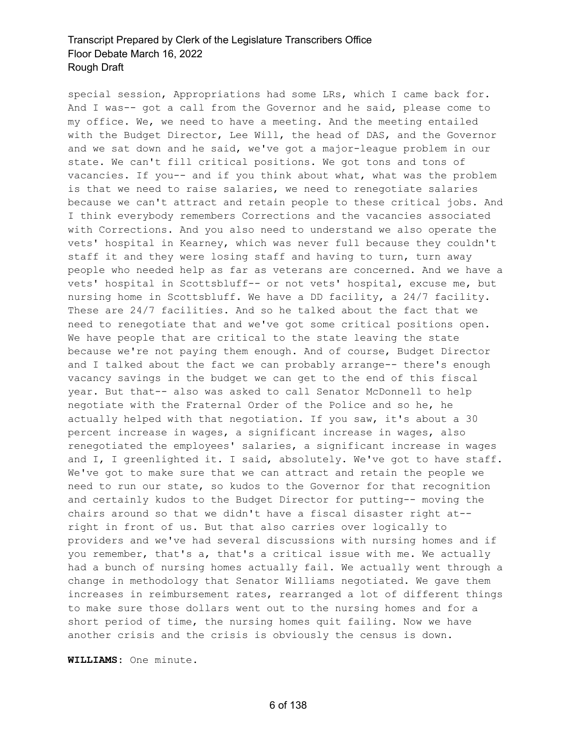special session, Appropriations had some LRs, which I came back for. And I was-- got a call from the Governor and he said, please come to my office. We, we need to have a meeting. And the meeting entailed with the Budget Director, Lee Will, the head of DAS, and the Governor and we sat down and he said, we've got a major-league problem in our state. We can't fill critical positions. We got tons and tons of vacancies. If you-- and if you think about what, what was the problem is that we need to raise salaries, we need to renegotiate salaries because we can't attract and retain people to these critical jobs. And I think everybody remembers Corrections and the vacancies associated with Corrections. And you also need to understand we also operate the vets' hospital in Kearney, which was never full because they couldn't staff it and they were losing staff and having to turn, turn away people who needed help as far as veterans are concerned. And we have a vets' hospital in Scottsbluff-- or not vets' hospital, excuse me, but nursing home in Scottsbluff. We have a DD facility, a 24/7 facility. These are 24/7 facilities. And so he talked about the fact that we need to renegotiate that and we've got some critical positions open. We have people that are critical to the state leaving the state because we're not paying them enough. And of course, Budget Director and I talked about the fact we can probably arrange-- there's enough vacancy savings in the budget we can get to the end of this fiscal year. But that-- also was asked to call Senator McDonnell to help negotiate with the Fraternal Order of the Police and so he, he actually helped with that negotiation. If you saw, it's about a 30 percent increase in wages, a significant increase in wages, also renegotiated the employees' salaries, a significant increase in wages and I, I greenlighted it. I said, absolutely. We've got to have staff. We've got to make sure that we can attract and retain the people we need to run our state, so kudos to the Governor for that recognition and certainly kudos to the Budget Director for putting-- moving the chairs around so that we didn't have a fiscal disaster right at- right in front of us. But that also carries over logically to providers and we've had several discussions with nursing homes and if you remember, that's a, that's a critical issue with me. We actually had a bunch of nursing homes actually fail. We actually went through a change in methodology that Senator Williams negotiated. We gave them increases in reimbursement rates, rearranged a lot of different things to make sure those dollars went out to the nursing homes and for a short period of time, the nursing homes quit failing. Now we have another crisis and the crisis is obviously the census is down.

**WILLIAMS:** One minute.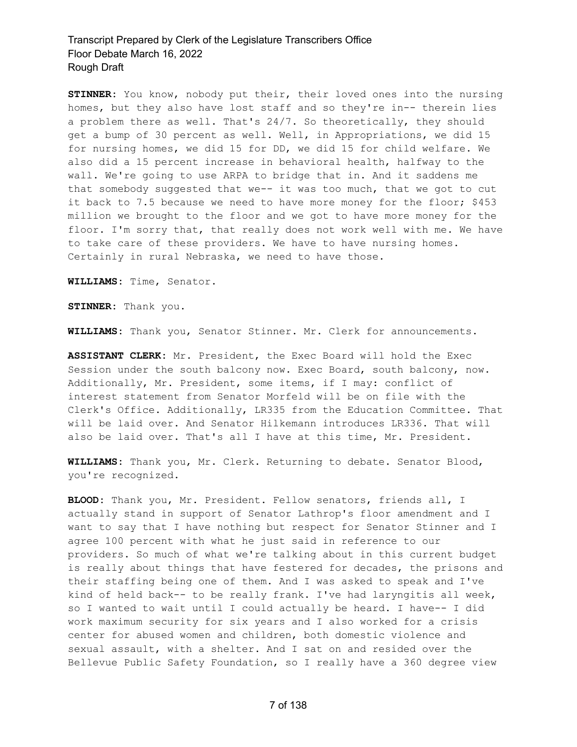**STINNER:** You know, nobody put their, their loved ones into the nursing homes, but they also have lost staff and so they're in-- therein lies a problem there as well. That's 24/7. So theoretically, they should get a bump of 30 percent as well. Well, in Appropriations, we did 15 for nursing homes, we did 15 for DD, we did 15 for child welfare. We also did a 15 percent increase in behavioral health, halfway to the wall. We're going to use ARPA to bridge that in. And it saddens me that somebody suggested that we-- it was too much, that we got to cut it back to 7.5 because we need to have more money for the floor; \$453 million we brought to the floor and we got to have more money for the floor. I'm sorry that, that really does not work well with me. We have to take care of these providers. We have to have nursing homes. Certainly in rural Nebraska, we need to have those.

**WILLIAMS:** Time, Senator.

**STINNER:** Thank you.

**WILLIAMS:** Thank you, Senator Stinner. Mr. Clerk for announcements.

**ASSISTANT CLERK:** Mr. President, the Exec Board will hold the Exec Session under the south balcony now. Exec Board, south balcony, now. Additionally, Mr. President, some items, if I may: conflict of interest statement from Senator Morfeld will be on file with the Clerk's Office. Additionally, LR335 from the Education Committee. That will be laid over. And Senator Hilkemann introduces LR336. That will also be laid over. That's all I have at this time, Mr. President.

**WILLIAMS:** Thank you, Mr. Clerk. Returning to debate. Senator Blood, you're recognized.

**BLOOD:** Thank you, Mr. President. Fellow senators, friends all, I actually stand in support of Senator Lathrop's floor amendment and I want to say that I have nothing but respect for Senator Stinner and I agree 100 percent with what he just said in reference to our providers. So much of what we're talking about in this current budget is really about things that have festered for decades, the prisons and their staffing being one of them. And I was asked to speak and I've kind of held back-- to be really frank. I've had laryngitis all week, so I wanted to wait until I could actually be heard. I have-- I did work maximum security for six years and I also worked for a crisis center for abused women and children, both domestic violence and sexual assault, with a shelter. And I sat on and resided over the Bellevue Public Safety Foundation, so I really have a 360 degree view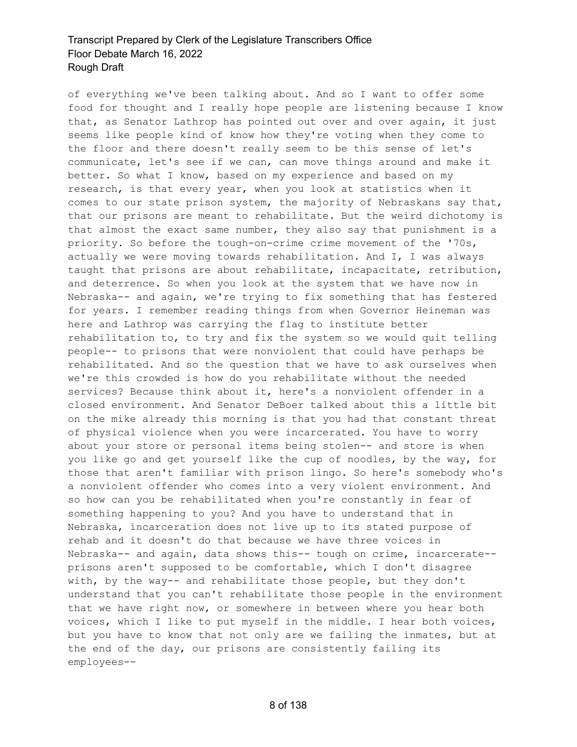of everything we've been talking about. And so I want to offer some food for thought and I really hope people are listening because I know that, as Senator Lathrop has pointed out over and over again, it just seems like people kind of know how they're voting when they come to the floor and there doesn't really seem to be this sense of let's communicate, let's see if we can, can move things around and make it better. So what I know, based on my experience and based on my research, is that every year, when you look at statistics when it comes to our state prison system, the majority of Nebraskans say that, that our prisons are meant to rehabilitate. But the weird dichotomy is that almost the exact same number, they also say that punishment is a priority. So before the tough-on-crime crime movement of the '70s, actually we were moving towards rehabilitation. And I, I was always taught that prisons are about rehabilitate, incapacitate, retribution, and deterrence. So when you look at the system that we have now in Nebraska-- and again, we're trying to fix something that has festered for years. I remember reading things from when Governor Heineman was here and Lathrop was carrying the flag to institute better rehabilitation to, to try and fix the system so we would quit telling people-- to prisons that were nonviolent that could have perhaps be rehabilitated. And so the question that we have to ask ourselves when we're this crowded is how do you rehabilitate without the needed services? Because think about it, here's a nonviolent offender in a closed environment. And Senator DeBoer talked about this a little bit on the mike already this morning is that you had that constant threat of physical violence when you were incarcerated. You have to worry about your store or personal items being stolen-- and store is when you like go and get yourself like the cup of noodles, by the way, for those that aren't familiar with prison lingo. So here's somebody who's a nonviolent offender who comes into a very violent environment. And so how can you be rehabilitated when you're constantly in fear of something happening to you? And you have to understand that in Nebraska, incarceration does not live up to its stated purpose of rehab and it doesn't do that because we have three voices in Nebraska-- and again, data shows this-- tough on crime, incarcerate- prisons aren't supposed to be comfortable, which I don't disagree with, by the way-- and rehabilitate those people, but they don't understand that you can't rehabilitate those people in the environment that we have right now, or somewhere in between where you hear both voices, which I like to put myself in the middle. I hear both voices, but you have to know that not only are we failing the inmates, but at the end of the day, our prisons are consistently failing its employees--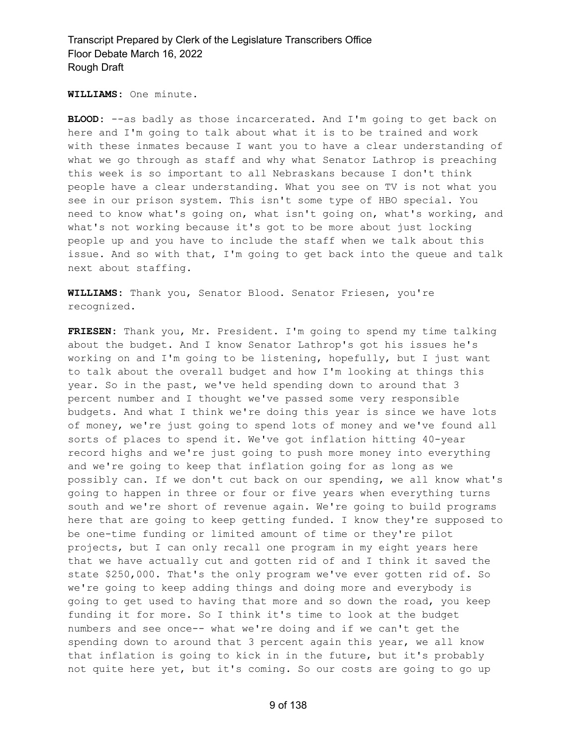**WILLIAMS:** One minute.

BLOOD: --as badly as those incarcerated. And I'm going to get back on here and I'm going to talk about what it is to be trained and work with these inmates because I want you to have a clear understanding of what we go through as staff and why what Senator Lathrop is preaching this week is so important to all Nebraskans because I don't think people have a clear understanding. What you see on TV is not what you see in our prison system. This isn't some type of HBO special. You need to know what's going on, what isn't going on, what's working, and what's not working because it's got to be more about just locking people up and you have to include the staff when we talk about this issue. And so with that, I'm going to get back into the queue and talk next about staffing.

**WILLIAMS:** Thank you, Senator Blood. Senator Friesen, you're recognized.

**FRIESEN:** Thank you, Mr. President. I'm going to spend my time talking about the budget. And I know Senator Lathrop's got his issues he's working on and I'm going to be listening, hopefully, but I just want to talk about the overall budget and how I'm looking at things this year. So in the past, we've held spending down to around that 3 percent number and I thought we've passed some very responsible budgets. And what I think we're doing this year is since we have lots of money, we're just going to spend lots of money and we've found all sorts of places to spend it. We've got inflation hitting 40-year record highs and we're just going to push more money into everything and we're going to keep that inflation going for as long as we possibly can. If we don't cut back on our spending, we all know what's going to happen in three or four or five years when everything turns south and we're short of revenue again. We're going to build programs here that are going to keep getting funded. I know they're supposed to be one-time funding or limited amount of time or they're pilot projects, but I can only recall one program in my eight years here that we have actually cut and gotten rid of and I think it saved the state \$250,000. That's the only program we've ever gotten rid of. So we're going to keep adding things and doing more and everybody is going to get used to having that more and so down the road, you keep funding it for more. So I think it's time to look at the budget numbers and see once-- what we're doing and if we can't get the spending down to around that 3 percent again this year, we all know that inflation is going to kick in in the future, but it's probably not quite here yet, but it's coming. So our costs are going to go up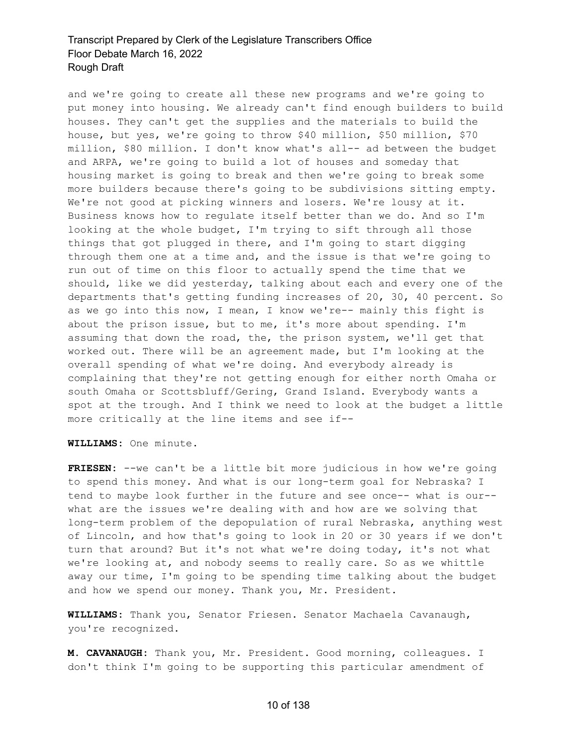and we're going to create all these new programs and we're going to put money into housing. We already can't find enough builders to build houses. They can't get the supplies and the materials to build the house, but yes, we're going to throw \$40 million, \$50 million, \$70 million, \$80 million. I don't know what's all-- ad between the budget and ARPA, we're going to build a lot of houses and someday that housing market is going to break and then we're going to break some more builders because there's going to be subdivisions sitting empty. We're not good at picking winners and losers. We're lousy at it. Business knows how to regulate itself better than we do. And so I'm looking at the whole budget, I'm trying to sift through all those things that got plugged in there, and I'm going to start digging through them one at a time and, and the issue is that we're going to run out of time on this floor to actually spend the time that we should, like we did yesterday, talking about each and every one of the departments that's getting funding increases of 20, 30, 40 percent. So as we go into this now, I mean, I know we're-- mainly this fight is about the prison issue, but to me, it's more about spending. I'm assuming that down the road, the, the prison system, we'll get that worked out. There will be an agreement made, but I'm looking at the overall spending of what we're doing. And everybody already is complaining that they're not getting enough for either north Omaha or south Omaha or Scottsbluff/Gering, Grand Island. Everybody wants a spot at the trough. And I think we need to look at the budget a little more critically at the line items and see if--

**WILLIAMS:** One minute.

**FRIESEN:** --we can't be a little bit more judicious in how we're going to spend this money. And what is our long-term goal for Nebraska? I tend to maybe look further in the future and see once-- what is our- what are the issues we're dealing with and how are we solving that long-term problem of the depopulation of rural Nebraska, anything west of Lincoln, and how that's going to look in 20 or 30 years if we don't turn that around? But it's not what we're doing today, it's not what we're looking at, and nobody seems to really care. So as we whittle away our time, I'm going to be spending time talking about the budget and how we spend our money. Thank you, Mr. President.

**WILLIAMS:** Thank you, Senator Friesen. Senator Machaela Cavanaugh, you're recognized.

**M. CAVANAUGH:** Thank you, Mr. President. Good morning, colleagues. I don't think I'm going to be supporting this particular amendment of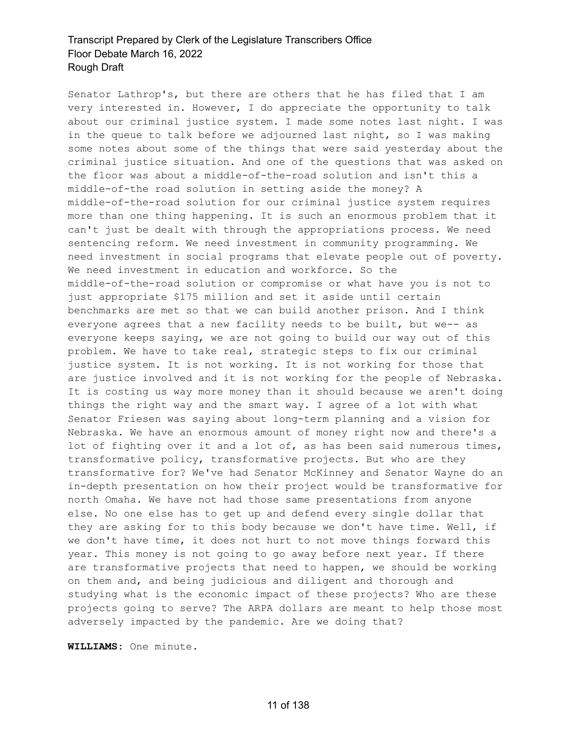Senator Lathrop's, but there are others that he has filed that I am very interested in. However, I do appreciate the opportunity to talk about our criminal justice system. I made some notes last night. I was in the queue to talk before we adjourned last night, so I was making some notes about some of the things that were said yesterday about the criminal justice situation. And one of the questions that was asked on the floor was about a middle-of-the-road solution and isn't this a middle-of-the road solution in setting aside the money? A middle-of-the-road solution for our criminal justice system requires more than one thing happening. It is such an enormous problem that it can't just be dealt with through the appropriations process. We need sentencing reform. We need investment in community programming. We need investment in social programs that elevate people out of poverty. We need investment in education and workforce. So the middle-of-the-road solution or compromise or what have you is not to just appropriate \$175 million and set it aside until certain benchmarks are met so that we can build another prison. And I think everyone agrees that a new facility needs to be built, but we-- as everyone keeps saying, we are not going to build our way out of this problem. We have to take real, strategic steps to fix our criminal justice system. It is not working. It is not working for those that are justice involved and it is not working for the people of Nebraska. It is costing us way more money than it should because we aren't doing things the right way and the smart way. I agree of a lot with what Senator Friesen was saying about long-term planning and a vision for Nebraska. We have an enormous amount of money right now and there's a lot of fighting over it and a lot of, as has been said numerous times, transformative policy, transformative projects. But who are they transformative for? We've had Senator McKinney and Senator Wayne do an in-depth presentation on how their project would be transformative for north Omaha. We have not had those same presentations from anyone else. No one else has to get up and defend every single dollar that they are asking for to this body because we don't have time. Well, if we don't have time, it does not hurt to not move things forward this year. This money is not going to go away before next year. If there are transformative projects that need to happen, we should be working on them and, and being judicious and diligent and thorough and studying what is the economic impact of these projects? Who are these projects going to serve? The ARPA dollars are meant to help those most adversely impacted by the pandemic. Are we doing that?

**WILLIAMS:** One minute.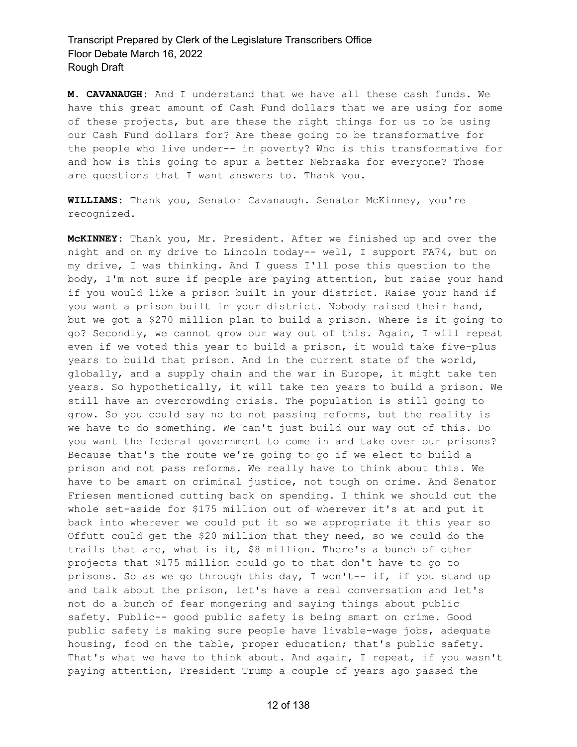**M. CAVANAUGH:** And I understand that we have all these cash funds. We have this great amount of Cash Fund dollars that we are using for some of these projects, but are these the right things for us to be using our Cash Fund dollars for? Are these going to be transformative for the people who live under-- in poverty? Who is this transformative for and how is this going to spur a better Nebraska for everyone? Those are questions that I want answers to. Thank you.

**WILLIAMS:** Thank you, Senator Cavanaugh. Senator McKinney, you're recognized.

**McKINNEY:** Thank you, Mr. President. After we finished up and over the night and on my drive to Lincoln today-- well, I support FA74, but on my drive, I was thinking. And I guess I'll pose this question to the body, I'm not sure if people are paying attention, but raise your hand if you would like a prison built in your district. Raise your hand if you want a prison built in your district. Nobody raised their hand, but we got a \$270 million plan to build a prison. Where is it going to go? Secondly, we cannot grow our way out of this. Again, I will repeat even if we voted this year to build a prison, it would take five-plus years to build that prison. And in the current state of the world, globally, and a supply chain and the war in Europe, it might take ten years. So hypothetically, it will take ten years to build a prison. We still have an overcrowding crisis. The population is still going to grow. So you could say no to not passing reforms, but the reality is we have to do something. We can't just build our way out of this. Do you want the federal government to come in and take over our prisons? Because that's the route we're going to go if we elect to build a prison and not pass reforms. We really have to think about this. We have to be smart on criminal justice, not tough on crime. And Senator Friesen mentioned cutting back on spending. I think we should cut the whole set-aside for \$175 million out of wherever it's at and put it back into wherever we could put it so we appropriate it this year so Offutt could get the \$20 million that they need, so we could do the trails that are, what is it, \$8 million. There's a bunch of other projects that \$175 million could go to that don't have to go to prisons. So as we go through this day, I won't-- if, if you stand up and talk about the prison, let's have a real conversation and let's not do a bunch of fear mongering and saying things about public safety. Public-- good public safety is being smart on crime. Good public safety is making sure people have livable-wage jobs, adequate housing, food on the table, proper education; that's public safety. That's what we have to think about. And again, I repeat, if you wasn't paying attention, President Trump a couple of years ago passed the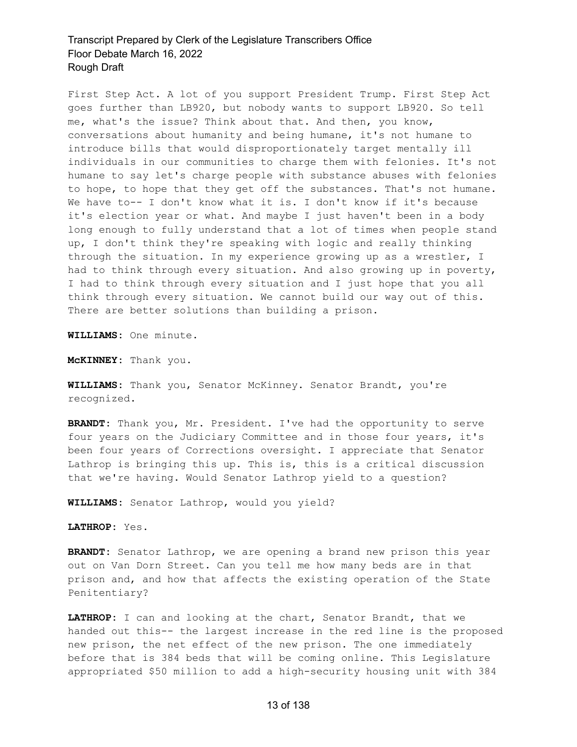First Step Act. A lot of you support President Trump. First Step Act goes further than LB920, but nobody wants to support LB920. So tell me, what's the issue? Think about that. And then, you know, conversations about humanity and being humane, it's not humane to introduce bills that would disproportionately target mentally ill individuals in our communities to charge them with felonies. It's not humane to say let's charge people with substance abuses with felonies to hope, to hope that they get off the substances. That's not humane. We have to-- I don't know what it is. I don't know if it's because it's election year or what. And maybe I just haven't been in a body long enough to fully understand that a lot of times when people stand up, I don't think they're speaking with logic and really thinking through the situation. In my experience growing up as a wrestler, I had to think through every situation. And also growing up in poverty, I had to think through every situation and I just hope that you all think through every situation. We cannot build our way out of this. There are better solutions than building a prison.

**WILLIAMS:** One minute.

**McKINNEY:** Thank you.

**WILLIAMS:** Thank you, Senator McKinney. Senator Brandt, you're recognized.

**BRANDT:** Thank you, Mr. President. I've had the opportunity to serve four years on the Judiciary Committee and in those four years, it's been four years of Corrections oversight. I appreciate that Senator Lathrop is bringing this up. This is, this is a critical discussion that we're having. Would Senator Lathrop yield to a question?

**WILLIAMS:** Senator Lathrop, would you yield?

**LATHROP:** Yes.

**BRANDT:** Senator Lathrop, we are opening a brand new prison this year out on Van Dorn Street. Can you tell me how many beds are in that prison and, and how that affects the existing operation of the State Penitentiary?

**LATHROP:** I can and looking at the chart, Senator Brandt, that we handed out this-- the largest increase in the red line is the proposed new prison, the net effect of the new prison. The one immediately before that is 384 beds that will be coming online. This Legislature appropriated \$50 million to add a high-security housing unit with 384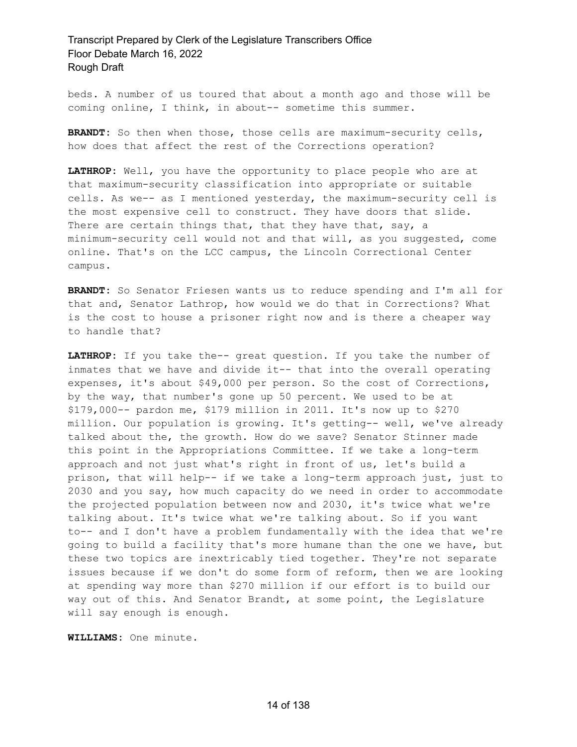beds. A number of us toured that about a month ago and those will be coming online, I think, in about-- sometime this summer.

**BRANDT:** So then when those, those cells are maximum-security cells, how does that affect the rest of the Corrections operation?

**LATHROP:** Well, you have the opportunity to place people who are at that maximum-security classification into appropriate or suitable cells. As we-- as I mentioned yesterday, the maximum-security cell is the most expensive cell to construct. They have doors that slide. There are certain things that, that they have that, say, a minimum-security cell would not and that will, as you suggested, come online. That's on the LCC campus, the Lincoln Correctional Center campus.

**BRANDT:** So Senator Friesen wants us to reduce spending and I'm all for that and, Senator Lathrop, how would we do that in Corrections? What is the cost to house a prisoner right now and is there a cheaper way to handle that?

**LATHROP:** If you take the-- great question. If you take the number of inmates that we have and divide it-- that into the overall operating expenses, it's about \$49,000 per person. So the cost of Corrections, by the way, that number's gone up 50 percent. We used to be at \$179,000-- pardon me, \$179 million in 2011. It's now up to \$270 million. Our population is growing. It's getting-- well, we've already talked about the, the growth. How do we save? Senator Stinner made this point in the Appropriations Committee. If we take a long-term approach and not just what's right in front of us, let's build a prison, that will help-- if we take a long-term approach just, just to 2030 and you say, how much capacity do we need in order to accommodate the projected population between now and 2030, it's twice what we're talking about. It's twice what we're talking about. So if you want to-- and I don't have a problem fundamentally with the idea that we're going to build a facility that's more humane than the one we have, but these two topics are inextricably tied together. They're not separate issues because if we don't do some form of reform, then we are looking at spending way more than \$270 million if our effort is to build our way out of this. And Senator Brandt, at some point, the Legislature will say enough is enough.

**WILLIAMS:** One minute.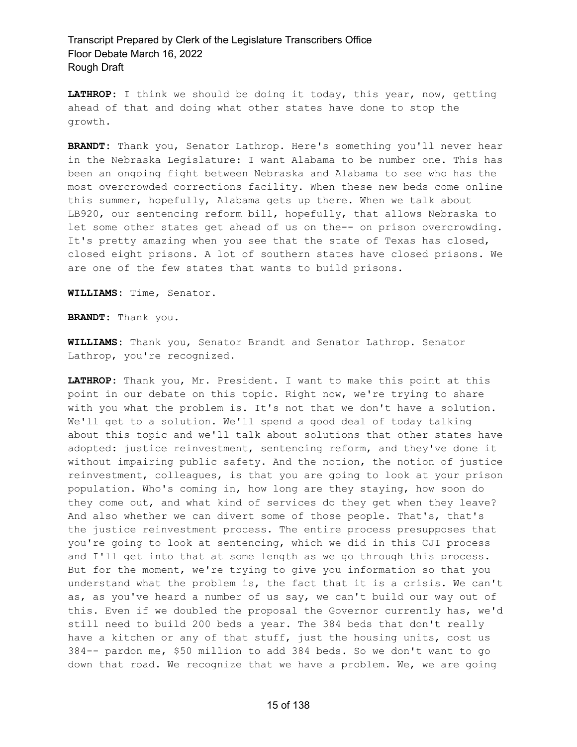**LATHROP:** I think we should be doing it today, this year, now, getting ahead of that and doing what other states have done to stop the growth.

**BRANDT:** Thank you, Senator Lathrop. Here's something you'll never hear in the Nebraska Legislature: I want Alabama to be number one. This has been an ongoing fight between Nebraska and Alabama to see who has the most overcrowded corrections facility. When these new beds come online this summer, hopefully, Alabama gets up there. When we talk about LB920, our sentencing reform bill, hopefully, that allows Nebraska to let some other states get ahead of us on the-- on prison overcrowding. It's pretty amazing when you see that the state of Texas has closed, closed eight prisons. A lot of southern states have closed prisons. We are one of the few states that wants to build prisons.

**WILLIAMS:** Time, Senator.

**BRANDT:** Thank you.

**WILLIAMS:** Thank you, Senator Brandt and Senator Lathrop. Senator Lathrop, you're recognized.

**LATHROP:** Thank you, Mr. President. I want to make this point at this point in our debate on this topic. Right now, we're trying to share with you what the problem is. It's not that we don't have a solution. We'll get to a solution. We'll spend a good deal of today talking about this topic and we'll talk about solutions that other states have adopted: justice reinvestment, sentencing reform, and they've done it without impairing public safety. And the notion, the notion of justice reinvestment, colleagues, is that you are going to look at your prison population. Who's coming in, how long are they staying, how soon do they come out, and what kind of services do they get when they leave? And also whether we can divert some of those people. That's, that's the justice reinvestment process. The entire process presupposes that you're going to look at sentencing, which we did in this CJI process and I'll get into that at some length as we go through this process. But for the moment, we're trying to give you information so that you understand what the problem is, the fact that it is a crisis. We can't as, as you've heard a number of us say, we can't build our way out of this. Even if we doubled the proposal the Governor currently has, we'd still need to build 200 beds a year. The 384 beds that don't really have a kitchen or any of that stuff, just the housing units, cost us 384-- pardon me, \$50 million to add 384 beds. So we don't want to go down that road. We recognize that we have a problem. We, we are going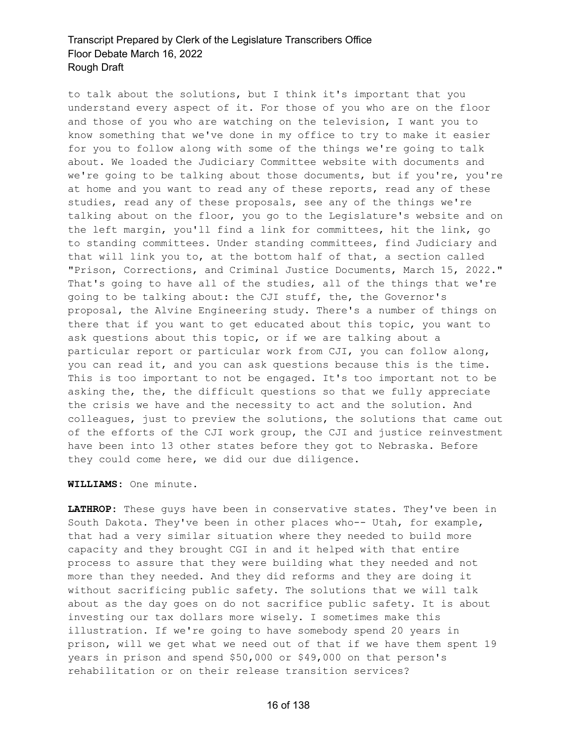to talk about the solutions, but I think it's important that you understand every aspect of it. For those of you who are on the floor and those of you who are watching on the television, I want you to know something that we've done in my office to try to make it easier for you to follow along with some of the things we're going to talk about. We loaded the Judiciary Committee website with documents and we're going to be talking about those documents, but if you're, you're at home and you want to read any of these reports, read any of these studies, read any of these proposals, see any of the things we're talking about on the floor, you go to the Legislature's website and on the left margin, you'll find a link for committees, hit the link, go to standing committees. Under standing committees, find Judiciary and that will link you to, at the bottom half of that, a section called "Prison, Corrections, and Criminal Justice Documents, March 15, 2022." That's going to have all of the studies, all of the things that we're going to be talking about: the CJI stuff, the, the Governor's proposal, the Alvine Engineering study. There's a number of things on there that if you want to get educated about this topic, you want to ask questions about this topic, or if we are talking about a particular report or particular work from CJI, you can follow along, you can read it, and you can ask questions because this is the time. This is too important to not be engaged. It's too important not to be asking the, the, the difficult questions so that we fully appreciate the crisis we have and the necessity to act and the solution. And colleagues, just to preview the solutions, the solutions that came out of the efforts of the CJI work group, the CJI and justice reinvestment have been into 13 other states before they got to Nebraska. Before they could come here, we did our due diligence.

#### **WILLIAMS:** One minute.

**LATHROP:** These guys have been in conservative states. They've been in South Dakota. They've been in other places who-- Utah, for example, that had a very similar situation where they needed to build more capacity and they brought CGI in and it helped with that entire process to assure that they were building what they needed and not more than they needed. And they did reforms and they are doing it without sacrificing public safety. The solutions that we will talk about as the day goes on do not sacrifice public safety. It is about investing our tax dollars more wisely. I sometimes make this illustration. If we're going to have somebody spend 20 years in prison, will we get what we need out of that if we have them spent 19 years in prison and spend \$50,000 or \$49,000 on that person's rehabilitation or on their release transition services?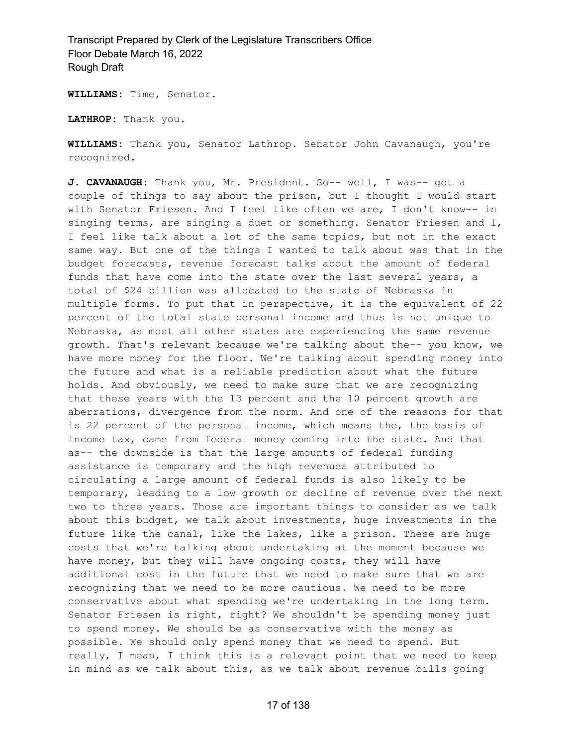**WILLIAMS:** Time, Senator.

**LATHROP:** Thank you.

**WILLIAMS:** Thank you, Senator Lathrop. Senator John Cavanaugh, you're recognized.

**J. CAVANAUGH:** Thank you, Mr. President. So-- well, I was-- got a couple of things to say about the prison, but I thought I would start with Senator Friesen. And I feel like often we are, I don't know-- in singing terms, are singing a duet or something. Senator Friesen and I, I feel like talk about a lot of the same topics, but not in the exact same way. But one of the things I wanted to talk about was that in the budget forecasts, revenue forecast talks about the amount of federal funds that have come into the state over the last several years, a total of \$24 billion was allocated to the state of Nebraska in multiple forms. To put that in perspective, it is the equivalent of 22 percent of the total state personal income and thus is not unique to Nebraska, as most all other states are experiencing the same revenue growth. That's relevant because we're talking about the-- you know, we have more money for the floor. We're talking about spending money into the future and what is a reliable prediction about what the future holds. And obviously, we need to make sure that we are recognizing that these years with the 13 percent and the 10 percent growth are aberrations, divergence from the norm. And one of the reasons for that is 22 percent of the personal income, which means the, the basis of income tax, came from federal money coming into the state. And that as-- the downside is that the large amounts of federal funding assistance is temporary and the high revenues attributed to circulating a large amount of federal funds is also likely to be temporary, leading to a low growth or decline of revenue over the next two to three years. Those are important things to consider as we talk about this budget, we talk about investments, huge investments in the future like the canal, like the lakes, like a prison. These are huge costs that we're talking about undertaking at the moment because we have money, but they will have ongoing costs, they will have additional cost in the future that we need to make sure that we are recognizing that we need to be more cautious. We need to be more conservative about what spending we're undertaking in the long term. Senator Friesen is right, right? We shouldn't be spending money just to spend money. We should be as conservative with the money as possible. We should only spend money that we need to spend. But really, I mean, I think this is a relevant point that we need to keep in mind as we talk about this, as we talk about revenue bills going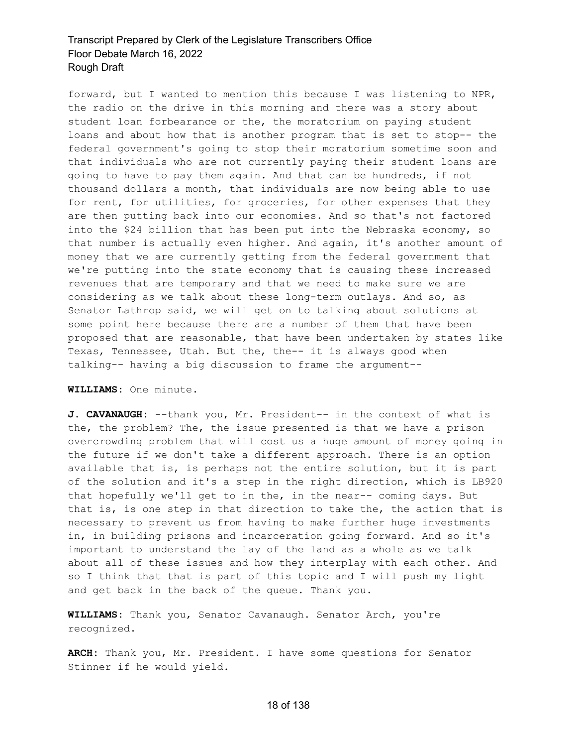forward, but I wanted to mention this because I was listening to NPR, the radio on the drive in this morning and there was a story about student loan forbearance or the, the moratorium on paying student loans and about how that is another program that is set to stop-- the federal government's going to stop their moratorium sometime soon and that individuals who are not currently paying their student loans are going to have to pay them again. And that can be hundreds, if not thousand dollars a month, that individuals are now being able to use for rent, for utilities, for groceries, for other expenses that they are then putting back into our economies. And so that's not factored into the \$24 billion that has been put into the Nebraska economy, so that number is actually even higher. And again, it's another amount of money that we are currently getting from the federal government that we're putting into the state economy that is causing these increased revenues that are temporary and that we need to make sure we are considering as we talk about these long-term outlays. And so, as Senator Lathrop said, we will get on to talking about solutions at some point here because there are a number of them that have been proposed that are reasonable, that have been undertaken by states like Texas, Tennessee, Utah. But the, the-- it is always good when talking-- having a big discussion to frame the argument--

#### **WILLIAMS:** One minute.

**J. CAVANAUGH:** --thank you, Mr. President-- in the context of what is the, the problem? The, the issue presented is that we have a prison overcrowding problem that will cost us a huge amount of money going in the future if we don't take a different approach. There is an option available that is, is perhaps not the entire solution, but it is part of the solution and it's a step in the right direction, which is LB920 that hopefully we'll get to in the, in the near-- coming days. But that is, is one step in that direction to take the, the action that is necessary to prevent us from having to make further huge investments in, in building prisons and incarceration going forward. And so it's important to understand the lay of the land as a whole as we talk about all of these issues and how they interplay with each other. And so I think that that is part of this topic and I will push my light and get back in the back of the queue. Thank you.

**WILLIAMS:** Thank you, Senator Cavanaugh. Senator Arch, you're recognized.

**ARCH:** Thank you, Mr. President. I have some questions for Senator Stinner if he would yield.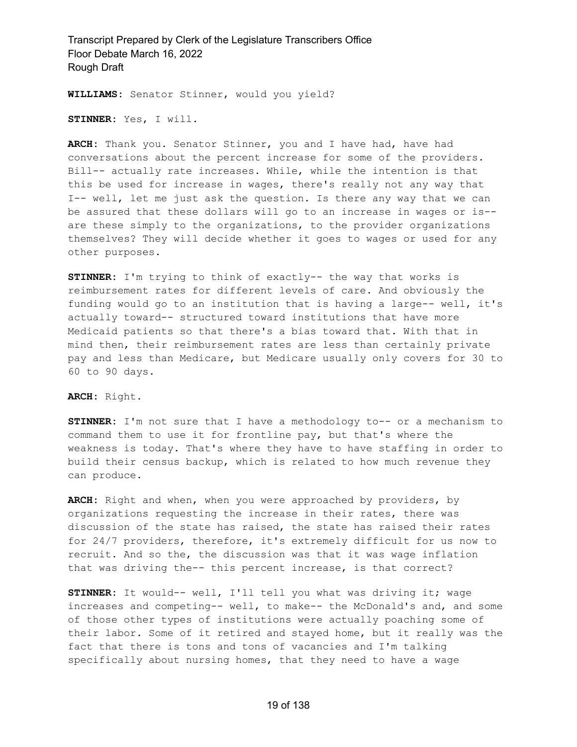**WILLIAMS:** Senator Stinner, would you yield?

**STINNER:** Yes, I will.

**ARCH:** Thank you. Senator Stinner, you and I have had, have had conversations about the percent increase for some of the providers. Bill-- actually rate increases. While, while the intention is that this be used for increase in wages, there's really not any way that I-- well, let me just ask the question. Is there any way that we can be assured that these dollars will go to an increase in wages or is- are these simply to the organizations, to the provider organizations themselves? They will decide whether it goes to wages or used for any other purposes.

**STINNER:** I'm trying to think of exactly-- the way that works is reimbursement rates for different levels of care. And obviously the funding would go to an institution that is having a large-- well, it's actually toward-- structured toward institutions that have more Medicaid patients so that there's a bias toward that. With that in mind then, their reimbursement rates are less than certainly private pay and less than Medicare, but Medicare usually only covers for 30 to 60 to 90 days.

#### **ARCH:** Right.

**STINNER:** I'm not sure that I have a methodology to-- or a mechanism to command them to use it for frontline pay, but that's where the weakness is today. That's where they have to have staffing in order to build their census backup, which is related to how much revenue they can produce.

**ARCH:** Right and when, when you were approached by providers, by organizations requesting the increase in their rates, there was discussion of the state has raised, the state has raised their rates for 24/7 providers, therefore, it's extremely difficult for us now to recruit. And so the, the discussion was that it was wage inflation that was driving the-- this percent increase, is that correct?

**STINNER:** It would-- well, I'll tell you what was driving it; wage increases and competing-- well, to make-- the McDonald's and, and some of those other types of institutions were actually poaching some of their labor. Some of it retired and stayed home, but it really was the fact that there is tons and tons of vacancies and I'm talking specifically about nursing homes, that they need to have a wage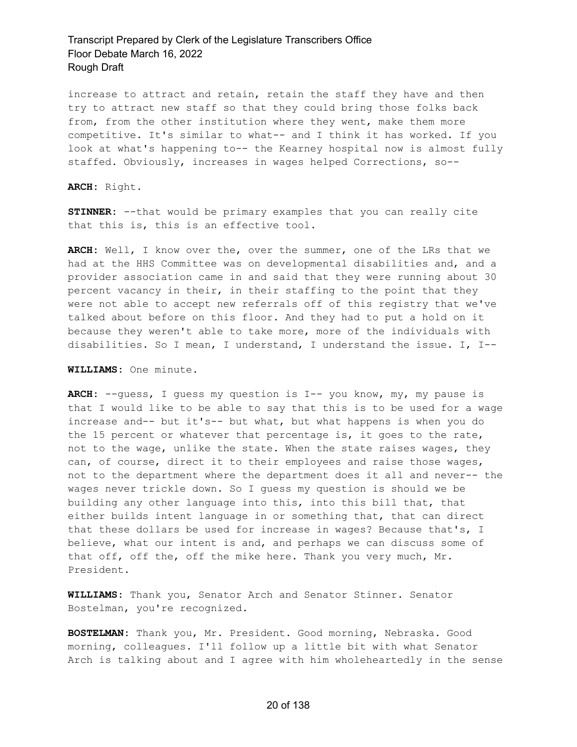increase to attract and retain, retain the staff they have and then try to attract new staff so that they could bring those folks back from, from the other institution where they went, make them more competitive. It's similar to what-- and I think it has worked. If you look at what's happening to-- the Kearney hospital now is almost fully staffed. Obviously, increases in wages helped Corrections, so--

**ARCH:** Right.

**STINNER:** --that would be primary examples that you can really cite that this is, this is an effective tool.

**ARCH:** Well, I know over the, over the summer, one of the LRs that we had at the HHS Committee was on developmental disabilities and, and a provider association came in and said that they were running about 30 percent vacancy in their, in their staffing to the point that they were not able to accept new referrals off of this registry that we've talked about before on this floor. And they had to put a hold on it because they weren't able to take more, more of the individuals with disabilities. So I mean, I understand, I understand the issue. I, I--

**WILLIAMS:** One minute.

**ARCH:** --guess, I guess my question is I-- you know, my, my pause is that I would like to be able to say that this is to be used for a wage increase and-- but it's-- but what, but what happens is when you do the 15 percent or whatever that percentage is, it goes to the rate, not to the wage, unlike the state. When the state raises wages, they can, of course, direct it to their employees and raise those wages, not to the department where the department does it all and never-- the wages never trickle down. So I guess my question is should we be building any other language into this, into this bill that, that either builds intent language in or something that, that can direct that these dollars be used for increase in wages? Because that's, I believe, what our intent is and, and perhaps we can discuss some of that off, off the, off the mike here. Thank you very much, Mr. President.

**WILLIAMS:** Thank you, Senator Arch and Senator Stinner. Senator Bostelman, you're recognized.

**BOSTELMAN:** Thank you, Mr. President. Good morning, Nebraska. Good morning, colleagues. I'll follow up a little bit with what Senator Arch is talking about and I agree with him wholeheartedly in the sense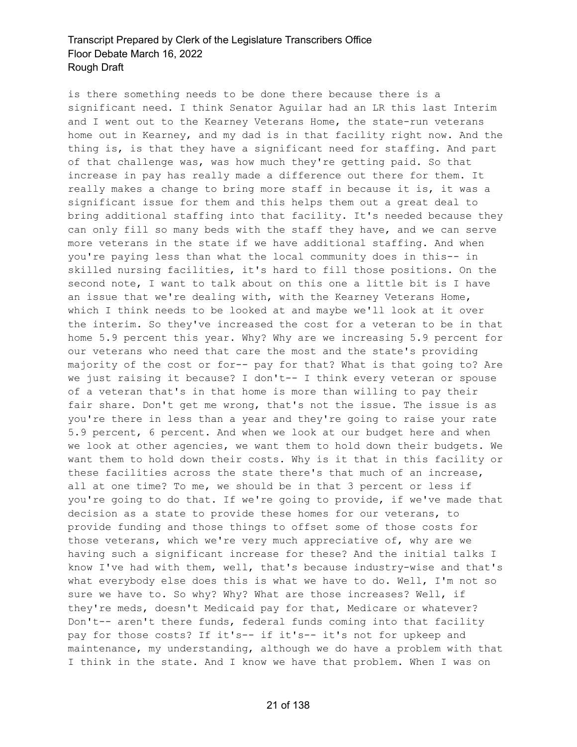is there something needs to be done there because there is a significant need. I think Senator Aguilar had an LR this last Interim and I went out to the Kearney Veterans Home, the state-run veterans home out in Kearney, and my dad is in that facility right now. And the thing is, is that they have a significant need for staffing. And part of that challenge was, was how much they're getting paid. So that increase in pay has really made a difference out there for them. It really makes a change to bring more staff in because it is, it was a significant issue for them and this helps them out a great deal to bring additional staffing into that facility. It's needed because they can only fill so many beds with the staff they have, and we can serve more veterans in the state if we have additional staffing. And when you're paying less than what the local community does in this-- in skilled nursing facilities, it's hard to fill those positions. On the second note, I want to talk about on this one a little bit is I have an issue that we're dealing with, with the Kearney Veterans Home, which I think needs to be looked at and maybe we'll look at it over the interim. So they've increased the cost for a veteran to be in that home 5.9 percent this year. Why? Why are we increasing 5.9 percent for our veterans who need that care the most and the state's providing majority of the cost or for-- pay for that? What is that going to? Are we just raising it because? I don't-- I think every veteran or spouse of a veteran that's in that home is more than willing to pay their fair share. Don't get me wrong, that's not the issue. The issue is as you're there in less than a year and they're going to raise your rate 5.9 percent, 6 percent. And when we look at our budget here and when we look at other agencies, we want them to hold down their budgets. We want them to hold down their costs. Why is it that in this facility or these facilities across the state there's that much of an increase, all at one time? To me, we should be in that 3 percent or less if you're going to do that. If we're going to provide, if we've made that decision as a state to provide these homes for our veterans, to provide funding and those things to offset some of those costs for those veterans, which we're very much appreciative of, why are we having such a significant increase for these? And the initial talks I know I've had with them, well, that's because industry-wise and that's what everybody else does this is what we have to do. Well, I'm not so sure we have to. So why? Why? What are those increases? Well, if they're meds, doesn't Medicaid pay for that, Medicare or whatever? Don't-- aren't there funds, federal funds coming into that facility pay for those costs? If it's-- if it's-- it's not for upkeep and maintenance, my understanding, although we do have a problem with that I think in the state. And I know we have that problem. When I was on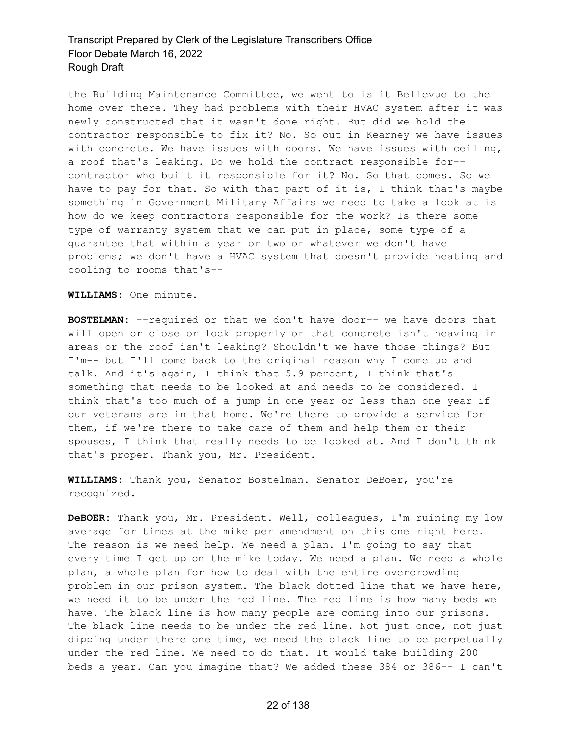the Building Maintenance Committee, we went to is it Bellevue to the home over there. They had problems with their HVAC system after it was newly constructed that it wasn't done right. But did we hold the contractor responsible to fix it? No. So out in Kearney we have issues with concrete. We have issues with doors. We have issues with ceiling, a roof that's leaking. Do we hold the contract responsible for- contractor who built it responsible for it? No. So that comes. So we have to pay for that. So with that part of it is, I think that's maybe something in Government Military Affairs we need to take a look at is how do we keep contractors responsible for the work? Is there some type of warranty system that we can put in place, some type of a guarantee that within a year or two or whatever we don't have problems; we don't have a HVAC system that doesn't provide heating and cooling to rooms that's--

**WILLIAMS:** One minute.

**BOSTELMAN:** --required or that we don't have door-- we have doors that will open or close or lock properly or that concrete isn't heaving in areas or the roof isn't leaking? Shouldn't we have those things? But I'm-- but I'll come back to the original reason why I come up and talk. And it's again, I think that 5.9 percent, I think that's something that needs to be looked at and needs to be considered. I think that's too much of a jump in one year or less than one year if our veterans are in that home. We're there to provide a service for them, if we're there to take care of them and help them or their spouses, I think that really needs to be looked at. And I don't think that's proper. Thank you, Mr. President.

**WILLIAMS:** Thank you, Senator Bostelman. Senator DeBoer, you're recognized.

**DeBOER:** Thank you, Mr. President. Well, colleagues, I'm ruining my low average for times at the mike per amendment on this one right here. The reason is we need help. We need a plan. I'm going to say that every time I get up on the mike today. We need a plan. We need a whole plan, a whole plan for how to deal with the entire overcrowding problem in our prison system. The black dotted line that we have here, we need it to be under the red line. The red line is how many beds we have. The black line is how many people are coming into our prisons. The black line needs to be under the red line. Not just once, not just dipping under there one time, we need the black line to be perpetually under the red line. We need to do that. It would take building 200 beds a year. Can you imagine that? We added these 384 or 386-- I can't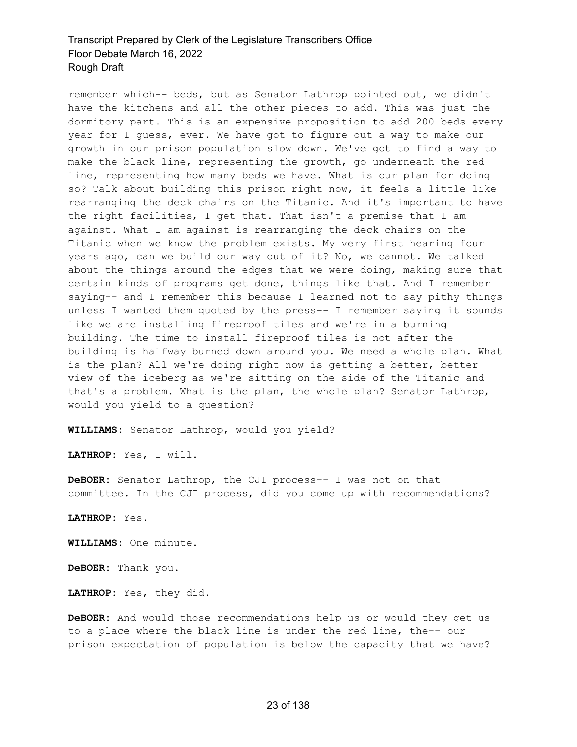remember which-- beds, but as Senator Lathrop pointed out, we didn't have the kitchens and all the other pieces to add. This was just the dormitory part. This is an expensive proposition to add 200 beds every year for I guess, ever. We have got to figure out a way to make our growth in our prison population slow down. We've got to find a way to make the black line, representing the growth, go underneath the red line, representing how many beds we have. What is our plan for doing so? Talk about building this prison right now, it feels a little like rearranging the deck chairs on the Titanic. And it's important to have the right facilities, I get that. That isn't a premise that I am against. What I am against is rearranging the deck chairs on the Titanic when we know the problem exists. My very first hearing four years ago, can we build our way out of it? No, we cannot. We talked about the things around the edges that we were doing, making sure that certain kinds of programs get done, things like that. And I remember saying-- and I remember this because I learned not to say pithy things unless I wanted them quoted by the press-- I remember saying it sounds like we are installing fireproof tiles and we're in a burning building. The time to install fireproof tiles is not after the building is halfway burned down around you. We need a whole plan. What is the plan? All we're doing right now is getting a better, better view of the iceberg as we're sitting on the side of the Titanic and that's a problem. What is the plan, the whole plan? Senator Lathrop, would you yield to a question?

**WILLIAMS:** Senator Lathrop, would you yield?

**LATHROP:** Yes, I will.

**DeBOER:** Senator Lathrop, the CJI process-- I was not on that committee. In the CJI process, did you come up with recommendations?

**LATHROP:** Yes.

**WILLIAMS:** One minute.

**DeBOER:** Thank you.

**LATHROP:** Yes, they did.

**DeBOER:** And would those recommendations help us or would they get us to a place where the black line is under the red line, the-- our prison expectation of population is below the capacity that we have?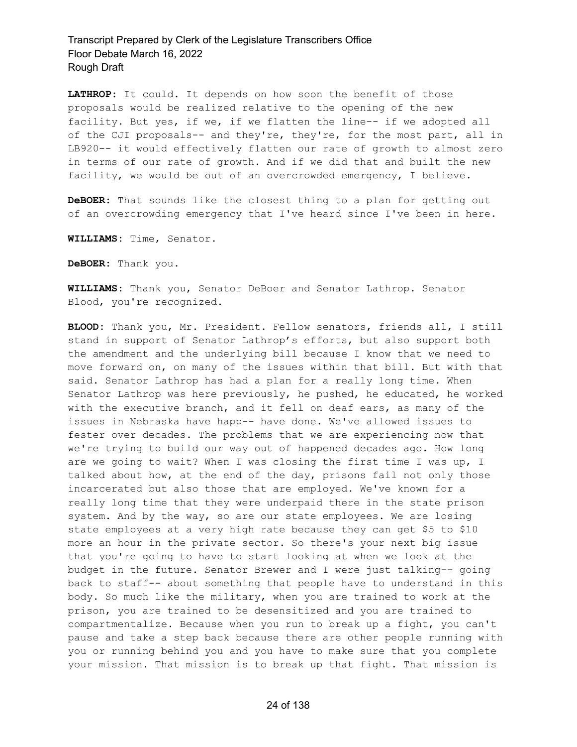**LATHROP:** It could. It depends on how soon the benefit of those proposals would be realized relative to the opening of the new facility. But yes, if we, if we flatten the line-- if we adopted all of the CJI proposals-- and they're, they're, for the most part, all in LB920-- it would effectively flatten our rate of growth to almost zero in terms of our rate of growth. And if we did that and built the new facility, we would be out of an overcrowded emergency, I believe.

**DeBOER:** That sounds like the closest thing to a plan for getting out of an overcrowding emergency that I've heard since I've been in here.

**WILLIAMS:** Time, Senator.

**DeBOER:** Thank you.

**WILLIAMS:** Thank you, Senator DeBoer and Senator Lathrop. Senator Blood, you're recognized.

**BLOOD:** Thank you, Mr. President. Fellow senators, friends all, I still stand in support of Senator Lathrop's efforts, but also support both the amendment and the underlying bill because I know that we need to move forward on, on many of the issues within that bill. But with that said. Senator Lathrop has had a plan for a really long time. When Senator Lathrop was here previously, he pushed, he educated, he worked with the executive branch, and it fell on deaf ears, as many of the issues in Nebraska have happ-- have done. We've allowed issues to fester over decades. The problems that we are experiencing now that we're trying to build our way out of happened decades ago. How long are we going to wait? When I was closing the first time I was up, I talked about how, at the end of the day, prisons fail not only those incarcerated but also those that are employed. We've known for a really long time that they were underpaid there in the state prison system. And by the way, so are our state employees. We are losing state employees at a very high rate because they can get \$5 to \$10 more an hour in the private sector. So there's your next big issue that you're going to have to start looking at when we look at the budget in the future. Senator Brewer and I were just talking-- going back to staff-- about something that people have to understand in this body. So much like the military, when you are trained to work at the prison, you are trained to be desensitized and you are trained to compartmentalize. Because when you run to break up a fight, you can't pause and take a step back because there are other people running with you or running behind you and you have to make sure that you complete your mission. That mission is to break up that fight. That mission is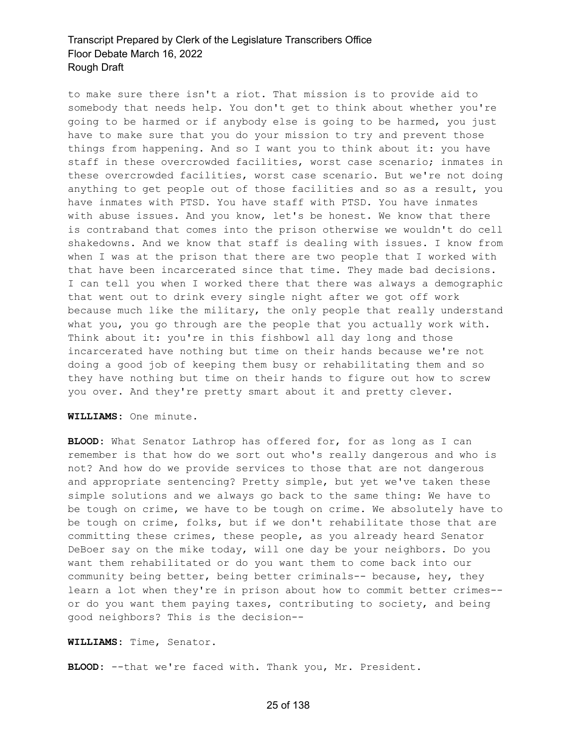to make sure there isn't a riot. That mission is to provide aid to somebody that needs help. You don't get to think about whether you're going to be harmed or if anybody else is going to be harmed, you just have to make sure that you do your mission to try and prevent those things from happening. And so I want you to think about it: you have staff in these overcrowded facilities, worst case scenario; inmates in these overcrowded facilities, worst case scenario. But we're not doing anything to get people out of those facilities and so as a result, you have inmates with PTSD. You have staff with PTSD. You have inmates with abuse issues. And you know, let's be honest. We know that there is contraband that comes into the prison otherwise we wouldn't do cell shakedowns. And we know that staff is dealing with issues. I know from when I was at the prison that there are two people that I worked with that have been incarcerated since that time. They made bad decisions. I can tell you when I worked there that there was always a demographic that went out to drink every single night after we got off work because much like the military, the only people that really understand what you, you go through are the people that you actually work with. Think about it: you're in this fishbowl all day long and those incarcerated have nothing but time on their hands because we're not doing a good job of keeping them busy or rehabilitating them and so they have nothing but time on their hands to figure out how to screw you over. And they're pretty smart about it and pretty clever.

#### **WILLIAMS:** One minute.

**BLOOD:** What Senator Lathrop has offered for, for as long as I can remember is that how do we sort out who's really dangerous and who is not? And how do we provide services to those that are not dangerous and appropriate sentencing? Pretty simple, but yet we've taken these simple solutions and we always go back to the same thing: We have to be tough on crime, we have to be tough on crime. We absolutely have to be tough on crime, folks, but if we don't rehabilitate those that are committing these crimes, these people, as you already heard Senator DeBoer say on the mike today, will one day be your neighbors. Do you want them rehabilitated or do you want them to come back into our community being better, being better criminals-- because, hey, they learn a lot when they're in prison about how to commit better crimes- or do you want them paying taxes, contributing to society, and being good neighbors? This is the decision--

#### **WILLIAMS:** Time, Senator.

**BLOOD:** --that we're faced with. Thank you, Mr. President.

#### 25 of 138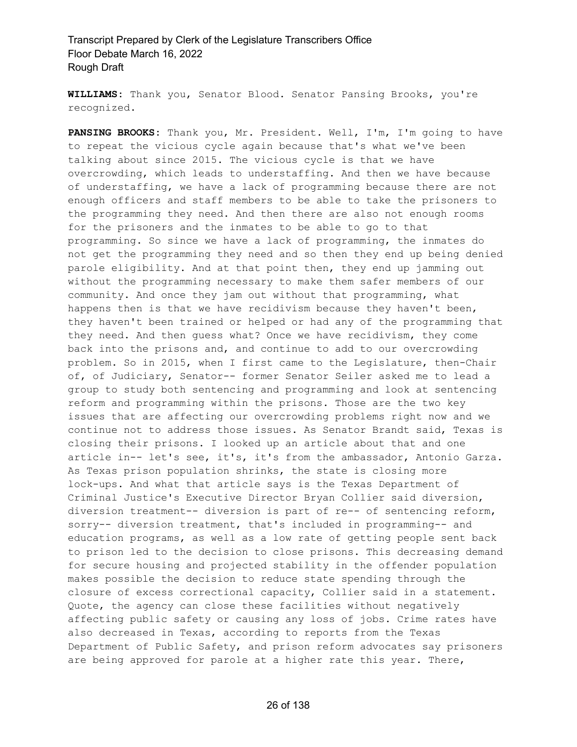**WILLIAMS:** Thank you, Senator Blood. Senator Pansing Brooks, you're recognized.

**PANSING BROOKS:** Thank you, Mr. President. Well, I'm, I'm going to have to repeat the vicious cycle again because that's what we've been talking about since 2015. The vicious cycle is that we have overcrowding, which leads to understaffing. And then we have because of understaffing, we have a lack of programming because there are not enough officers and staff members to be able to take the prisoners to the programming they need. And then there are also not enough rooms for the prisoners and the inmates to be able to go to that programming. So since we have a lack of programming, the inmates do not get the programming they need and so then they end up being denied parole eligibility. And at that point then, they end up jamming out without the programming necessary to make them safer members of our community. And once they jam out without that programming, what happens then is that we have recidivism because they haven't been, they haven't been trained or helped or had any of the programming that they need. And then guess what? Once we have recidivism, they come back into the prisons and, and continue to add to our overcrowding problem. So in 2015, when I first came to the Legislature, then-Chair of, of Judiciary, Senator-- former Senator Seiler asked me to lead a group to study both sentencing and programming and look at sentencing reform and programming within the prisons. Those are the two key issues that are affecting our overcrowding problems right now and we continue not to address those issues. As Senator Brandt said, Texas is closing their prisons. I looked up an article about that and one article in-- let's see, it's, it's from the ambassador, Antonio Garza. As Texas prison population shrinks, the state is closing more lock-ups. And what that article says is the Texas Department of Criminal Justice's Executive Director Bryan Collier said diversion, diversion treatment-- diversion is part of re-- of sentencing reform, sorry-- diversion treatment, that's included in programming-- and education programs, as well as a low rate of getting people sent back to prison led to the decision to close prisons. This decreasing demand for secure housing and projected stability in the offender population makes possible the decision to reduce state spending through the closure of excess correctional capacity, Collier said in a statement. Quote, the agency can close these facilities without negatively affecting public safety or causing any loss of jobs. Crime rates have also decreased in Texas, according to reports from the Texas Department of Public Safety, and prison reform advocates say prisoners are being approved for parole at a higher rate this year. There,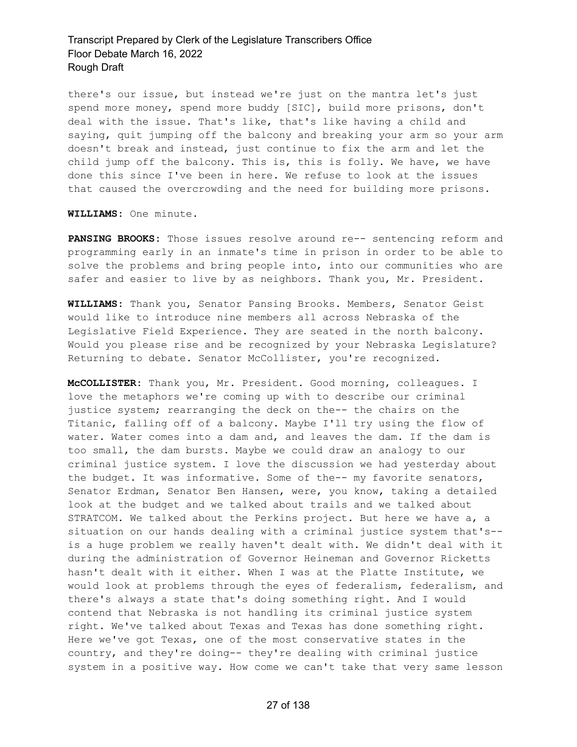there's our issue, but instead we're just on the mantra let's just spend more money, spend more buddy [SIC], build more prisons, don't deal with the issue. That's like, that's like having a child and saying, quit jumping off the balcony and breaking your arm so your arm doesn't break and instead, just continue to fix the arm and let the child jump off the balcony. This is, this is folly. We have, we have done this since I've been in here. We refuse to look at the issues that caused the overcrowding and the need for building more prisons.

**WILLIAMS:** One minute.

**PANSING BROOKS:** Those issues resolve around re-- sentencing reform and programming early in an inmate's time in prison in order to be able to solve the problems and bring people into, into our communities who are safer and easier to live by as neighbors. Thank you, Mr. President.

**WILLIAMS:** Thank you, Senator Pansing Brooks. Members, Senator Geist would like to introduce nine members all across Nebraska of the Legislative Field Experience. They are seated in the north balcony. Would you please rise and be recognized by your Nebraska Legislature? Returning to debate. Senator McCollister, you're recognized.

**McCOLLISTER:** Thank you, Mr. President. Good morning, colleagues. I love the metaphors we're coming up with to describe our criminal justice system; rearranging the deck on the-- the chairs on the Titanic, falling off of a balcony. Maybe I'll try using the flow of water. Water comes into a dam and, and leaves the dam. If the dam is too small, the dam bursts. Maybe we could draw an analogy to our criminal justice system. I love the discussion we had yesterday about the budget. It was informative. Some of the-- my favorite senators, Senator Erdman, Senator Ben Hansen, were, you know, taking a detailed look at the budget and we talked about trails and we talked about STRATCOM. We talked about the Perkins project. But here we have a, a situation on our hands dealing with a criminal justice system that's- is a huge problem we really haven't dealt with. We didn't deal with it during the administration of Governor Heineman and Governor Ricketts hasn't dealt with it either. When I was at the Platte Institute, we would look at problems through the eyes of federalism, federalism, and there's always a state that's doing something right. And I would contend that Nebraska is not handling its criminal justice system right. We've talked about Texas and Texas has done something right. Here we've got Texas, one of the most conservative states in the country, and they're doing-- they're dealing with criminal justice system in a positive way. How come we can't take that very same lesson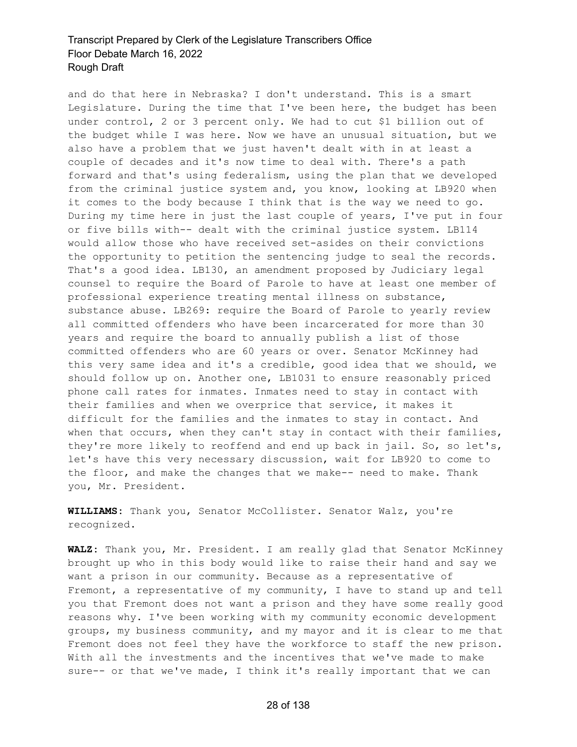and do that here in Nebraska? I don't understand. This is a smart Legislature. During the time that I've been here, the budget has been under control, 2 or 3 percent only. We had to cut \$1 billion out of the budget while I was here. Now we have an unusual situation, but we also have a problem that we just haven't dealt with in at least a couple of decades and it's now time to deal with. There's a path forward and that's using federalism, using the plan that we developed from the criminal justice system and, you know, looking at LB920 when it comes to the body because I think that is the way we need to go. During my time here in just the last couple of years, I've put in four or five bills with-- dealt with the criminal justice system. LB114 would allow those who have received set-asides on their convictions the opportunity to petition the sentencing judge to seal the records. That's a good idea. LB130, an amendment proposed by Judiciary legal counsel to require the Board of Parole to have at least one member of professional experience treating mental illness on substance, substance abuse. LB269: require the Board of Parole to yearly review all committed offenders who have been incarcerated for more than 30 years and require the board to annually publish a list of those committed offenders who are 60 years or over. Senator McKinney had this very same idea and it's a credible, good idea that we should, we should follow up on. Another one, LB1031 to ensure reasonably priced phone call rates for inmates. Inmates need to stay in contact with their families and when we overprice that service, it makes it difficult for the families and the inmates to stay in contact. And when that occurs, when they can't stay in contact with their families, they're more likely to reoffend and end up back in jail. So, so let's, let's have this very necessary discussion, wait for LB920 to come to the floor, and make the changes that we make-- need to make. Thank you, Mr. President.

**WILLIAMS:** Thank you, Senator McCollister. Senator Walz, you're recognized.

**WALZ:** Thank you, Mr. President. I am really glad that Senator McKinney brought up who in this body would like to raise their hand and say we want a prison in our community. Because as a representative of Fremont, a representative of my community, I have to stand up and tell you that Fremont does not want a prison and they have some really good reasons why. I've been working with my community economic development groups, my business community, and my mayor and it is clear to me that Fremont does not feel they have the workforce to staff the new prison. With all the investments and the incentives that we've made to make sure-- or that we've made, I think it's really important that we can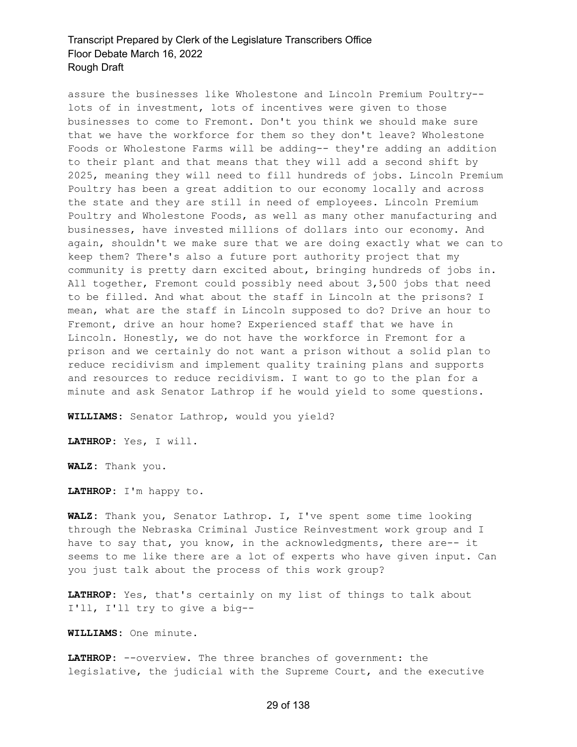assure the businesses like Wholestone and Lincoln Premium Poultry- lots of in investment, lots of incentives were given to those businesses to come to Fremont. Don't you think we should make sure that we have the workforce for them so they don't leave? Wholestone Foods or Wholestone Farms will be adding-- they're adding an addition to their plant and that means that they will add a second shift by 2025, meaning they will need to fill hundreds of jobs. Lincoln Premium Poultry has been a great addition to our economy locally and across the state and they are still in need of employees. Lincoln Premium Poultry and Wholestone Foods, as well as many other manufacturing and businesses, have invested millions of dollars into our economy. And again, shouldn't we make sure that we are doing exactly what we can to keep them? There's also a future port authority project that my community is pretty darn excited about, bringing hundreds of jobs in. All together, Fremont could possibly need about 3,500 jobs that need to be filled. And what about the staff in Lincoln at the prisons? I mean, what are the staff in Lincoln supposed to do? Drive an hour to Fremont, drive an hour home? Experienced staff that we have in Lincoln. Honestly, we do not have the workforce in Fremont for a prison and we certainly do not want a prison without a solid plan to reduce recidivism and implement quality training plans and supports and resources to reduce recidivism. I want to go to the plan for a minute and ask Senator Lathrop if he would yield to some questions.

**WILLIAMS:** Senator Lathrop, would you yield?

**LATHROP:** Yes, I will.

**WALZ:** Thank you.

**LATHROP:** I'm happy to.

**WALZ:** Thank you, Senator Lathrop. I, I've spent some time looking through the Nebraska Criminal Justice Reinvestment work group and I have to say that, you know, in the acknowledgments, there are-- it seems to me like there are a lot of experts who have given input. Can you just talk about the process of this work group?

**LATHROP:** Yes, that's certainly on my list of things to talk about I'll, I'll try to give a big--

**WILLIAMS:** One minute.

**LATHROP:** --overview. The three branches of government: the legislative, the judicial with the Supreme Court, and the executive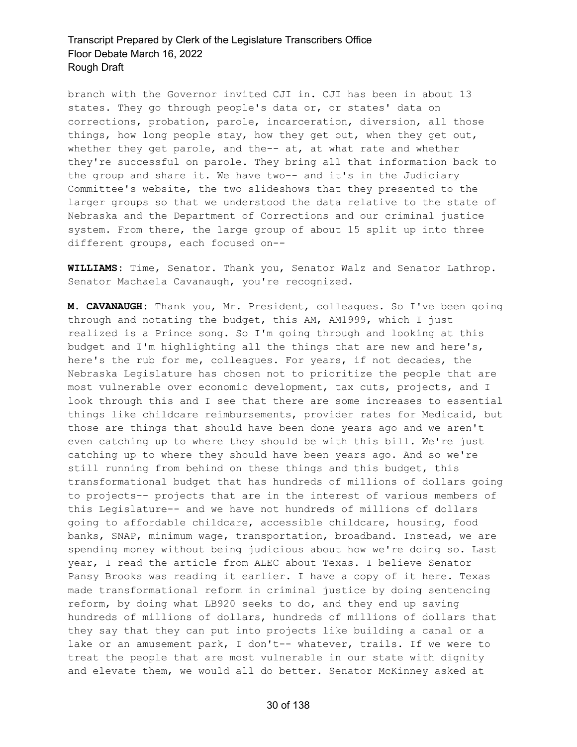branch with the Governor invited CJI in. CJI has been in about 13 states. They go through people's data or, or states' data on corrections, probation, parole, incarceration, diversion, all those things, how long people stay, how they get out, when they get out, whether they get parole, and the-- at, at what rate and whether they're successful on parole. They bring all that information back to the group and share it. We have two-- and it's in the Judiciary Committee's website, the two slideshows that they presented to the larger groups so that we understood the data relative to the state of Nebraska and the Department of Corrections and our criminal justice system. From there, the large group of about 15 split up into three different groups, each focused on--

**WILLIAMS:** Time, Senator. Thank you, Senator Walz and Senator Lathrop. Senator Machaela Cavanaugh, you're recognized.

**M. CAVANAUGH:** Thank you, Mr. President, colleagues. So I've been going through and notating the budget, this AM, AM1999, which I just realized is a Prince song. So I'm going through and looking at this budget and I'm highlighting all the things that are new and here's, here's the rub for me, colleagues. For years, if not decades, the Nebraska Legislature has chosen not to prioritize the people that are most vulnerable over economic development, tax cuts, projects, and I look through this and I see that there are some increases to essential things like childcare reimbursements, provider rates for Medicaid, but those are things that should have been done years ago and we aren't even catching up to where they should be with this bill. We're just catching up to where they should have been years ago. And so we're still running from behind on these things and this budget, this transformational budget that has hundreds of millions of dollars going to projects-- projects that are in the interest of various members of this Legislature-- and we have not hundreds of millions of dollars going to affordable childcare, accessible childcare, housing, food banks, SNAP, minimum wage, transportation, broadband. Instead, we are spending money without being judicious about how we're doing so. Last year, I read the article from ALEC about Texas. I believe Senator Pansy Brooks was reading it earlier. I have a copy of it here. Texas made transformational reform in criminal justice by doing sentencing reform, by doing what LB920 seeks to do, and they end up saving hundreds of millions of dollars, hundreds of millions of dollars that they say that they can put into projects like building a canal or a lake or an amusement park, I don't-- whatever, trails. If we were to treat the people that are most vulnerable in our state with dignity and elevate them, we would all do better. Senator McKinney asked at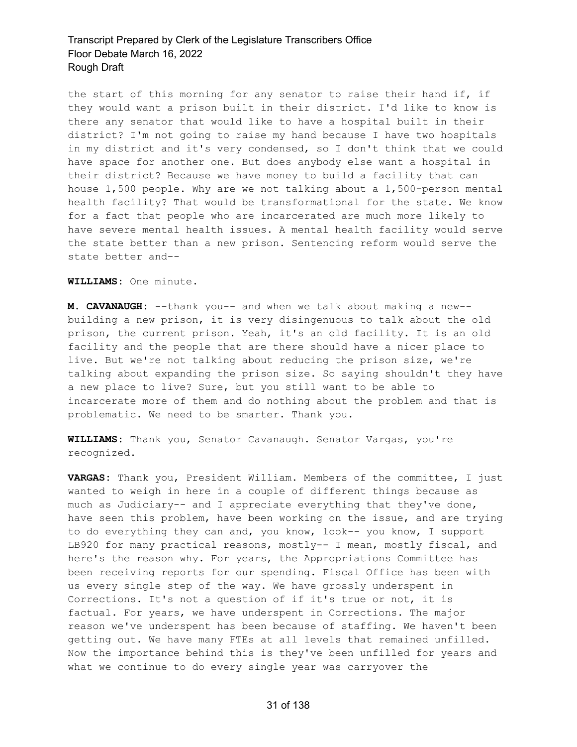the start of this morning for any senator to raise their hand if, if they would want a prison built in their district. I'd like to know is there any senator that would like to have a hospital built in their district? I'm not going to raise my hand because I have two hospitals in my district and it's very condensed, so I don't think that we could have space for another one. But does anybody else want a hospital in their district? Because we have money to build a facility that can house 1,500 people. Why are we not talking about a 1,500-person mental health facility? That would be transformational for the state. We know for a fact that people who are incarcerated are much more likely to have severe mental health issues. A mental health facility would serve the state better than a new prison. Sentencing reform would serve the state better and--

**WILLIAMS:** One minute.

**M. CAVANAUGH:** --thank you-- and when we talk about making a new- building a new prison, it is very disingenuous to talk about the old prison, the current prison. Yeah, it's an old facility. It is an old facility and the people that are there should have a nicer place to live. But we're not talking about reducing the prison size, we're talking about expanding the prison size. So saying shouldn't they have a new place to live? Sure, but you still want to be able to incarcerate more of them and do nothing about the problem and that is problematic. We need to be smarter. Thank you.

**WILLIAMS:** Thank you, Senator Cavanaugh. Senator Vargas, you're recognized.

**VARGAS:** Thank you, President William. Members of the committee, I just wanted to weigh in here in a couple of different things because as much as Judiciary-- and I appreciate everything that they've done, have seen this problem, have been working on the issue, and are trying to do everything they can and, you know, look-- you know, I support LB920 for many practical reasons, mostly-- I mean, mostly fiscal, and here's the reason why. For years, the Appropriations Committee has been receiving reports for our spending. Fiscal Office has been with us every single step of the way. We have grossly underspent in Corrections. It's not a question of if it's true or not, it is factual. For years, we have underspent in Corrections. The major reason we've underspent has been because of staffing. We haven't been getting out. We have many FTEs at all levels that remained unfilled. Now the importance behind this is they've been unfilled for years and what we continue to do every single year was carryover the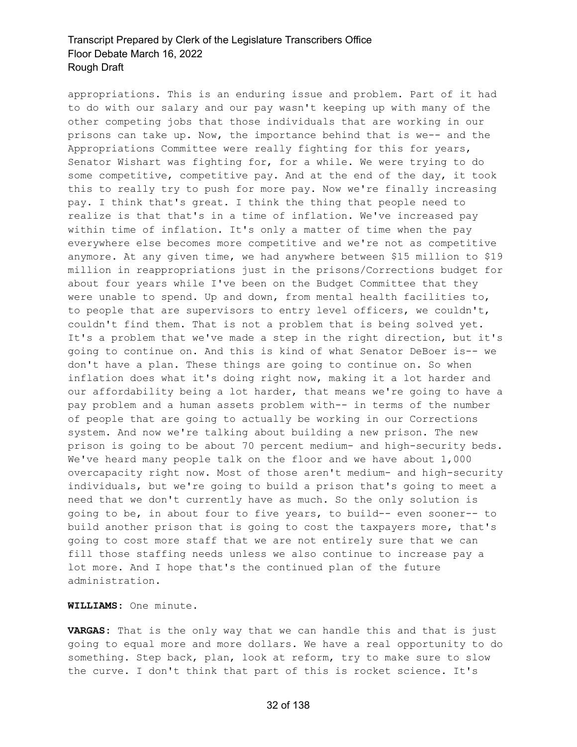appropriations. This is an enduring issue and problem. Part of it had to do with our salary and our pay wasn't keeping up with many of the other competing jobs that those individuals that are working in our prisons can take up. Now, the importance behind that is we-- and the Appropriations Committee were really fighting for this for years, Senator Wishart was fighting for, for a while. We were trying to do some competitive, competitive pay. And at the end of the day, it took this to really try to push for more pay. Now we're finally increasing pay. I think that's great. I think the thing that people need to realize is that that's in a time of inflation. We've increased pay within time of inflation. It's only a matter of time when the pay everywhere else becomes more competitive and we're not as competitive anymore. At any given time, we had anywhere between \$15 million to \$19 million in reappropriations just in the prisons/Corrections budget for about four years while I've been on the Budget Committee that they were unable to spend. Up and down, from mental health facilities to, to people that are supervisors to entry level officers, we couldn't, couldn't find them. That is not a problem that is being solved yet. It's a problem that we've made a step in the right direction, but it's going to continue on. And this is kind of what Senator DeBoer is-- we don't have a plan. These things are going to continue on. So when inflation does what it's doing right now, making it a lot harder and our affordability being a lot harder, that means we're going to have a pay problem and a human assets problem with-- in terms of the number of people that are going to actually be working in our Corrections system. And now we're talking about building a new prison. The new prison is going to be about 70 percent medium- and high-security beds. We've heard many people talk on the floor and we have about 1,000 overcapacity right now. Most of those aren't medium- and high-security individuals, but we're going to build a prison that's going to meet a need that we don't currently have as much. So the only solution is going to be, in about four to five years, to build-- even sooner-- to build another prison that is going to cost the taxpayers more, that's going to cost more staff that we are not entirely sure that we can fill those staffing needs unless we also continue to increase pay a lot more. And I hope that's the continued plan of the future administration.

**WILLIAMS:** One minute.

**VARGAS:** That is the only way that we can handle this and that is just going to equal more and more dollars. We have a real opportunity to do something. Step back, plan, look at reform, try to make sure to slow the curve. I don't think that part of this is rocket science. It's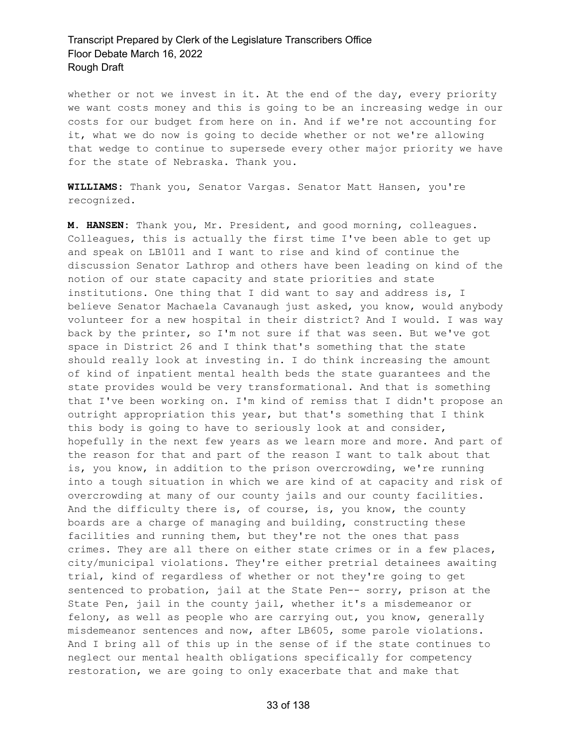whether or not we invest in it. At the end of the day, every priority we want costs money and this is going to be an increasing wedge in our costs for our budget from here on in. And if we're not accounting for it, what we do now is going to decide whether or not we're allowing that wedge to continue to supersede every other major priority we have for the state of Nebraska. Thank you.

**WILLIAMS:** Thank you, Senator Vargas. Senator Matt Hansen, you're recognized.

**M. HANSEN:** Thank you, Mr. President, and good morning, colleagues. Colleagues, this is actually the first time I've been able to get up and speak on LB1011 and I want to rise and kind of continue the discussion Senator Lathrop and others have been leading on kind of the notion of our state capacity and state priorities and state institutions. One thing that I did want to say and address is, I believe Senator Machaela Cavanaugh just asked, you know, would anybody volunteer for a new hospital in their district? And I would. I was way back by the printer, so I'm not sure if that was seen. But we've got space in District 26 and I think that's something that the state should really look at investing in. I do think increasing the amount of kind of inpatient mental health beds the state guarantees and the state provides would be very transformational. And that is something that I've been working on. I'm kind of remiss that I didn't propose an outright appropriation this year, but that's something that I think this body is going to have to seriously look at and consider, hopefully in the next few years as we learn more and more. And part of the reason for that and part of the reason I want to talk about that is, you know, in addition to the prison overcrowding, we're running into a tough situation in which we are kind of at capacity and risk of overcrowding at many of our county jails and our county facilities. And the difficulty there is, of course, is, you know, the county boards are a charge of managing and building, constructing these facilities and running them, but they're not the ones that pass crimes. They are all there on either state crimes or in a few places, city/municipal violations. They're either pretrial detainees awaiting trial, kind of regardless of whether or not they're going to get sentenced to probation, jail at the State Pen-- sorry, prison at the State Pen, jail in the county jail, whether it's a misdemeanor or felony, as well as people who are carrying out, you know, generally misdemeanor sentences and now, after LB605, some parole violations. And I bring all of this up in the sense of if the state continues to neglect our mental health obligations specifically for competency restoration, we are going to only exacerbate that and make that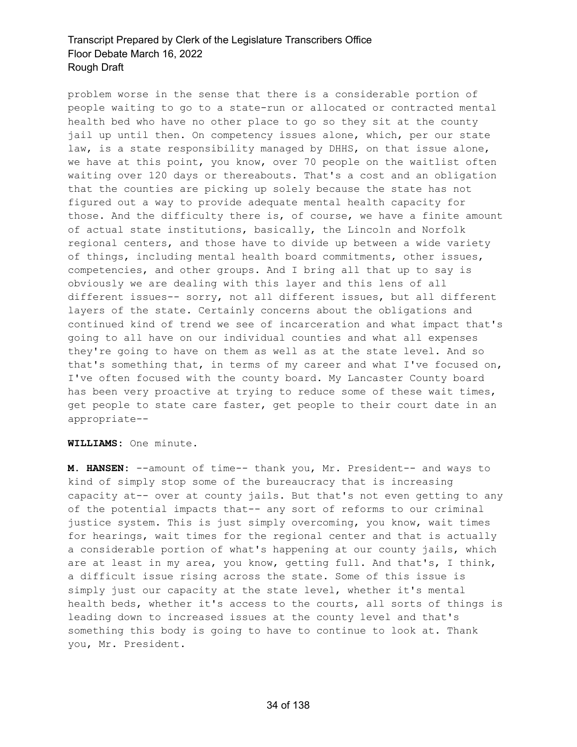problem worse in the sense that there is a considerable portion of people waiting to go to a state-run or allocated or contracted mental health bed who have no other place to go so they sit at the county jail up until then. On competency issues alone, which, per our state law, is a state responsibility managed by DHHS, on that issue alone, we have at this point, you know, over 70 people on the waitlist often waiting over 120 days or thereabouts. That's a cost and an obligation that the counties are picking up solely because the state has not figured out a way to provide adequate mental health capacity for those. And the difficulty there is, of course, we have a finite amount of actual state institutions, basically, the Lincoln and Norfolk regional centers, and those have to divide up between a wide variety of things, including mental health board commitments, other issues, competencies, and other groups. And I bring all that up to say is obviously we are dealing with this layer and this lens of all different issues-- sorry, not all different issues, but all different layers of the state. Certainly concerns about the obligations and continued kind of trend we see of incarceration and what impact that's going to all have on our individual counties and what all expenses they're going to have on them as well as at the state level. And so that's something that, in terms of my career and what I've focused on, I've often focused with the county board. My Lancaster County board has been very proactive at trying to reduce some of these wait times, get people to state care faster, get people to their court date in an appropriate--

#### **WILLIAMS:** One minute.

**M. HANSEN:** --amount of time-- thank you, Mr. President-- and ways to kind of simply stop some of the bureaucracy that is increasing capacity at-- over at county jails. But that's not even getting to any of the potential impacts that-- any sort of reforms to our criminal justice system. This is just simply overcoming, you know, wait times for hearings, wait times for the regional center and that is actually a considerable portion of what's happening at our county jails, which are at least in my area, you know, getting full. And that's, I think, a difficult issue rising across the state. Some of this issue is simply just our capacity at the state level, whether it's mental health beds, whether it's access to the courts, all sorts of things is leading down to increased issues at the county level and that's something this body is going to have to continue to look at. Thank you, Mr. President.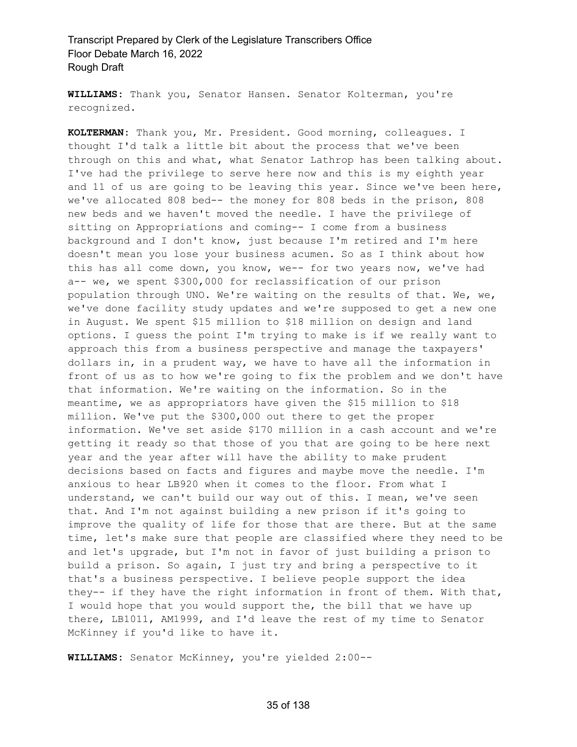**WILLIAMS:** Thank you, Senator Hansen. Senator Kolterman, you're recognized.

**KOLTERMAN:** Thank you, Mr. President. Good morning, colleagues. I thought I'd talk a little bit about the process that we've been through on this and what, what Senator Lathrop has been talking about. I've had the privilege to serve here now and this is my eighth year and 11 of us are going to be leaving this year. Since we've been here, we've allocated 808 bed-- the money for 808 beds in the prison, 808 new beds and we haven't moved the needle. I have the privilege of sitting on Appropriations and coming-- I come from a business background and I don't know, just because I'm retired and I'm here doesn't mean you lose your business acumen. So as I think about how this has all come down, you know, we-- for two years now, we've had a-- we, we spent \$300,000 for reclassification of our prison population through UNO. We're waiting on the results of that. We, we, we've done facility study updates and we're supposed to get a new one in August. We spent \$15 million to \$18 million on design and land options. I guess the point I'm trying to make is if we really want to approach this from a business perspective and manage the taxpayers' dollars in, in a prudent way, we have to have all the information in front of us as to how we're going to fix the problem and we don't have that information. We're waiting on the information. So in the meantime, we as appropriators have given the \$15 million to \$18 million. We've put the \$300,000 out there to get the proper information. We've set aside \$170 million in a cash account and we're getting it ready so that those of you that are going to be here next year and the year after will have the ability to make prudent decisions based on facts and figures and maybe move the needle. I'm anxious to hear LB920 when it comes to the floor. From what I understand, we can't build our way out of this. I mean, we've seen that. And I'm not against building a new prison if it's going to improve the quality of life for those that are there. But at the same time, let's make sure that people are classified where they need to be and let's upgrade, but I'm not in favor of just building a prison to build a prison. So again, I just try and bring a perspective to it that's a business perspective. I believe people support the idea they-- if they have the right information in front of them. With that, I would hope that you would support the, the bill that we have up there, LB1011, AM1999, and I'd leave the rest of my time to Senator McKinney if you'd like to have it.

**WILLIAMS:** Senator McKinney, you're yielded 2:00--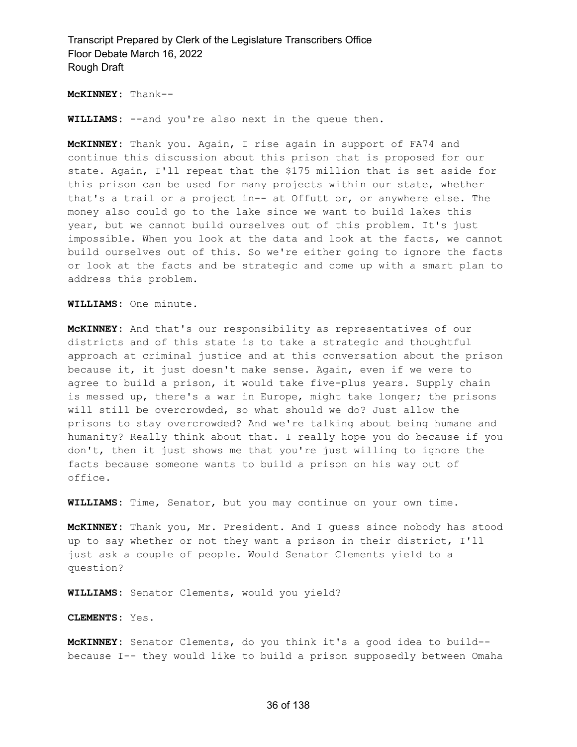**McKINNEY:** Thank--

**WILLIAMS:** --and you're also next in the queue then.

**McKINNEY:** Thank you. Again, I rise again in support of FA74 and continue this discussion about this prison that is proposed for our state. Again, I'll repeat that the \$175 million that is set aside for this prison can be used for many projects within our state, whether that's a trail or a project in-- at Offutt or, or anywhere else. The money also could go to the lake since we want to build lakes this year, but we cannot build ourselves out of this problem. It's just impossible. When you look at the data and look at the facts, we cannot build ourselves out of this. So we're either going to ignore the facts or look at the facts and be strategic and come up with a smart plan to address this problem.

**WILLIAMS:** One minute.

**McKINNEY:** And that's our responsibility as representatives of our districts and of this state is to take a strategic and thoughtful approach at criminal justice and at this conversation about the prison because it, it just doesn't make sense. Again, even if we were to agree to build a prison, it would take five-plus years. Supply chain is messed up, there's a war in Europe, might take longer; the prisons will still be overcrowded, so what should we do? Just allow the prisons to stay overcrowded? And we're talking about being humane and humanity? Really think about that. I really hope you do because if you don't, then it just shows me that you're just willing to ignore the facts because someone wants to build a prison on his way out of office.

**WILLIAMS:** Time, Senator, but you may continue on your own time.

**McKINNEY:** Thank you, Mr. President. And I guess since nobody has stood up to say whether or not they want a prison in their district, I'll just ask a couple of people. Would Senator Clements yield to a question?

**WILLIAMS:** Senator Clements, would you yield?

**CLEMENTS:** Yes.

**McKINNEY:** Senator Clements, do you think it's a good idea to build- because I-- they would like to build a prison supposedly between Omaha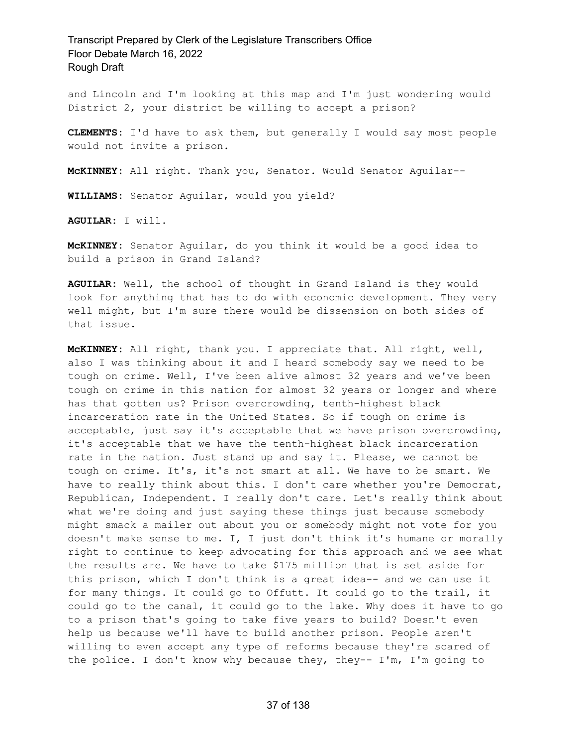and Lincoln and I'm looking at this map and I'm just wondering would District 2, your district be willing to accept a prison?

**CLEMENTS:** I'd have to ask them, but generally I would say most people would not invite a prison.

**McKINNEY:** All right. Thank you, Senator. Would Senator Aguilar--

**WILLIAMS:** Senator Aguilar, would you yield?

**AGUILAR:** I will.

**McKINNEY:** Senator Aguilar, do you think it would be a good idea to build a prison in Grand Island?

**AGUILAR:** Well, the school of thought in Grand Island is they would look for anything that has to do with economic development. They very well might, but I'm sure there would be dissension on both sides of that issue.

**McKINNEY:** All right, thank you. I appreciate that. All right, well, also I was thinking about it and I heard somebody say we need to be tough on crime. Well, I've been alive almost 32 years and we've been tough on crime in this nation for almost 32 years or longer and where has that gotten us? Prison overcrowding, tenth-highest black incarceration rate in the United States. So if tough on crime is acceptable, just say it's acceptable that we have prison overcrowding, it's acceptable that we have the tenth-highest black incarceration rate in the nation. Just stand up and say it. Please, we cannot be tough on crime. It's, it's not smart at all. We have to be smart. We have to really think about this. I don't care whether you're Democrat, Republican, Independent. I really don't care. Let's really think about what we're doing and just saying these things just because somebody might smack a mailer out about you or somebody might not vote for you doesn't make sense to me. I, I just don't think it's humane or morally right to continue to keep advocating for this approach and we see what the results are. We have to take \$175 million that is set aside for this prison, which I don't think is a great idea-- and we can use it for many things. It could go to Offutt. It could go to the trail, it could go to the canal, it could go to the lake. Why does it have to go to a prison that's going to take five years to build? Doesn't even help us because we'll have to build another prison. People aren't willing to even accept any type of reforms because they're scared of the police. I don't know why because they, they-- I'm, I'm going to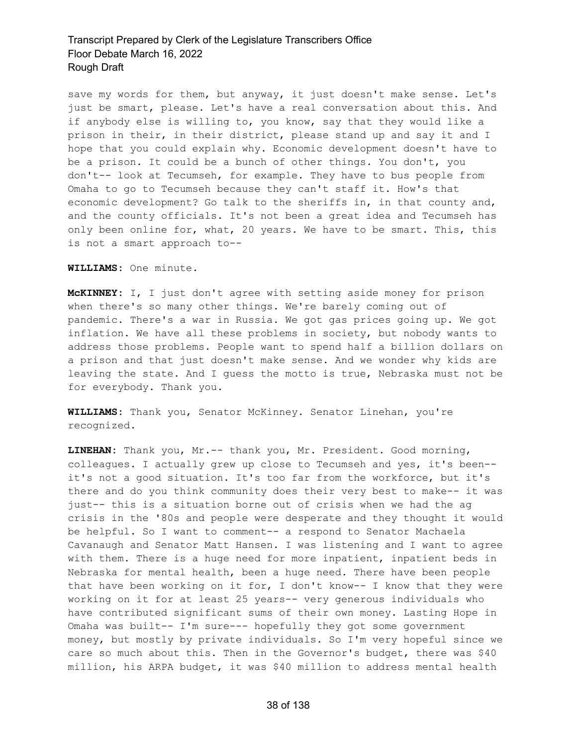save my words for them, but anyway, it just doesn't make sense. Let's just be smart, please. Let's have a real conversation about this. And if anybody else is willing to, you know, say that they would like a prison in their, in their district, please stand up and say it and I hope that you could explain why. Economic development doesn't have to be a prison. It could be a bunch of other things. You don't, you don't-- look at Tecumseh, for example. They have to bus people from Omaha to go to Tecumseh because they can't staff it. How's that economic development? Go talk to the sheriffs in, in that county and, and the county officials. It's not been a great idea and Tecumseh has only been online for, what, 20 years. We have to be smart. This, this is not a smart approach to--

**WILLIAMS:** One minute.

**McKINNEY:** I, I just don't agree with setting aside money for prison when there's so many other things. We're barely coming out of pandemic. There's a war in Russia. We got gas prices going up. We got inflation. We have all these problems in society, but nobody wants to address those problems. People want to spend half a billion dollars on a prison and that just doesn't make sense. And we wonder why kids are leaving the state. And I guess the motto is true, Nebraska must not be for everybody. Thank you.

**WILLIAMS:** Thank you, Senator McKinney. Senator Linehan, you're recognized.

**LINEHAN:** Thank you, Mr.-- thank you, Mr. President. Good morning, colleagues. I actually grew up close to Tecumseh and yes, it's been- it's not a good situation. It's too far from the workforce, but it's there and do you think community does their very best to make-- it was just-- this is a situation borne out of crisis when we had the ag crisis in the '80s and people were desperate and they thought it would be helpful. So I want to comment-- a respond to Senator Machaela Cavanaugh and Senator Matt Hansen. I was listening and I want to agree with them. There is a huge need for more inpatient, inpatient beds in Nebraska for mental health, been a huge need. There have been people that have been working on it for, I don't know-- I know that they were working on it for at least 25 years-- very generous individuals who have contributed significant sums of their own money. Lasting Hope in Omaha was built-- I'm sure--- hopefully they got some government money, but mostly by private individuals. So I'm very hopeful since we care so much about this. Then in the Governor's budget, there was \$40 million, his ARPA budget, it was \$40 million to address mental health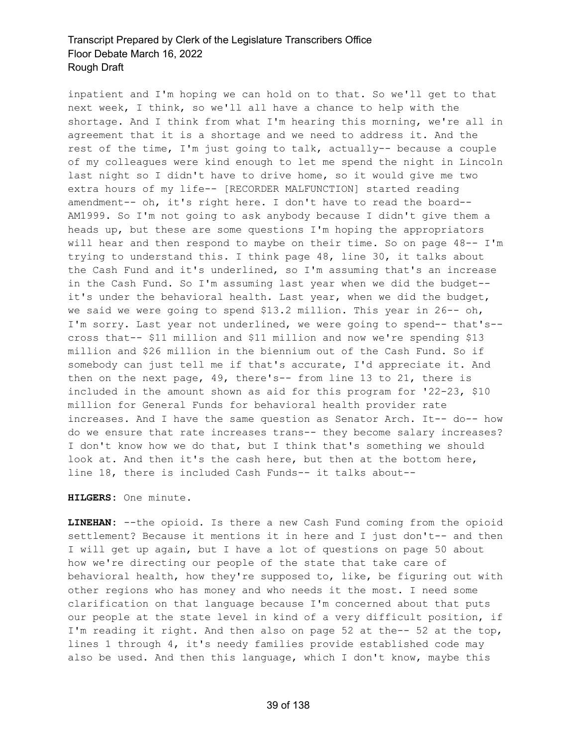inpatient and I'm hoping we can hold on to that. So we'll get to that next week, I think, so we'll all have a chance to help with the shortage. And I think from what I'm hearing this morning, we're all in agreement that it is a shortage and we need to address it. And the rest of the time, I'm just going to talk, actually-- because a couple of my colleagues were kind enough to let me spend the night in Lincoln last night so I didn't have to drive home, so it would give me two extra hours of my life-- [RECORDER MALFUNCTION] started reading amendment-- oh, it's right here. I don't have to read the board-- AM1999. So I'm not going to ask anybody because I didn't give them a heads up, but these are some questions I'm hoping the appropriators will hear and then respond to maybe on their time. So on page 48-- I'm trying to understand this. I think page 48, line 30, it talks about the Cash Fund and it's underlined, so I'm assuming that's an increase in the Cash Fund. So I'm assuming last year when we did the budget- it's under the behavioral health. Last year, when we did the budget, we said we were going to spend \$13.2 million. This year in 26-- oh, I'm sorry. Last year not underlined, we were going to spend-- that's- cross that-- \$11 million and \$11 million and now we're spending \$13 million and \$26 million in the biennium out of the Cash Fund. So if somebody can just tell me if that's accurate, I'd appreciate it. And then on the next page, 49, there's-- from line 13 to 21, there is included in the amount shown as aid for this program for '22-23, \$10 million for General Funds for behavioral health provider rate increases. And I have the same question as Senator Arch. It-- do-- how do we ensure that rate increases trans-- they become salary increases? I don't know how we do that, but I think that's something we should look at. And then it's the cash here, but then at the bottom here, line 18, there is included Cash Funds-- it talks about--

**HILGERS:** One minute.

**LINEHAN:** --the opioid. Is there a new Cash Fund coming from the opioid settlement? Because it mentions it in here and I just don't-- and then I will get up again, but I have a lot of questions on page 50 about how we're directing our people of the state that take care of behavioral health, how they're supposed to, like, be figuring out with other regions who has money and who needs it the most. I need some clarification on that language because I'm concerned about that puts our people at the state level in kind of a very difficult position, if I'm reading it right. And then also on page 52 at the-- 52 at the top, lines 1 through 4, it's needy families provide established code may also be used. And then this language, which I don't know, maybe this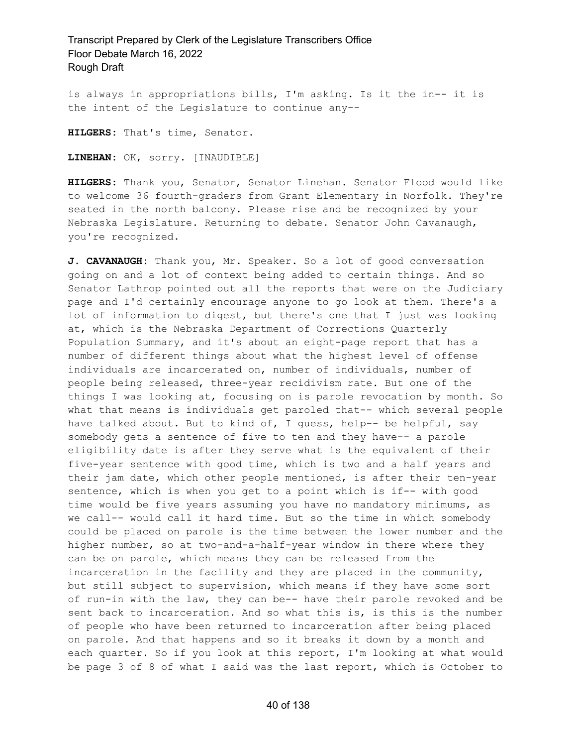is always in appropriations bills, I'm asking. Is it the in-- it is the intent of the Legislature to continue any--

**HILGERS:** That's time, Senator.

**LINEHAN:** OK, sorry. [INAUDIBLE]

**HILGERS:** Thank you, Senator, Senator Linehan. Senator Flood would like to welcome 36 fourth-graders from Grant Elementary in Norfolk. They're seated in the north balcony. Please rise and be recognized by your Nebraska Legislature. Returning to debate. Senator John Cavanaugh, you're recognized.

**J. CAVANAUGH:** Thank you, Mr. Speaker. So a lot of good conversation going on and a lot of context being added to certain things. And so Senator Lathrop pointed out all the reports that were on the Judiciary page and I'd certainly encourage anyone to go look at them. There's a lot of information to digest, but there's one that I just was looking at, which is the Nebraska Department of Corrections Quarterly Population Summary, and it's about an eight-page report that has a number of different things about what the highest level of offense individuals are incarcerated on, number of individuals, number of people being released, three-year recidivism rate. But one of the things I was looking at, focusing on is parole revocation by month. So what that means is individuals get paroled that-- which several people have talked about. But to kind of, I guess, help-- be helpful, say somebody gets a sentence of five to ten and they have-- a parole eligibility date is after they serve what is the equivalent of their five-year sentence with good time, which is two and a half years and their jam date, which other people mentioned, is after their ten-year sentence, which is when you get to a point which is if-- with good time would be five years assuming you have no mandatory minimums, as we call-- would call it hard time. But so the time in which somebody could be placed on parole is the time between the lower number and the higher number, so at two-and-a-half-year window in there where they can be on parole, which means they can be released from the incarceration in the facility and they are placed in the community, but still subject to supervision, which means if they have some sort of run-in with the law, they can be-- have their parole revoked and be sent back to incarceration. And so what this is, is this is the number of people who have been returned to incarceration after being placed on parole. And that happens and so it breaks it down by a month and each quarter. So if you look at this report, I'm looking at what would be page 3 of 8 of what I said was the last report, which is October to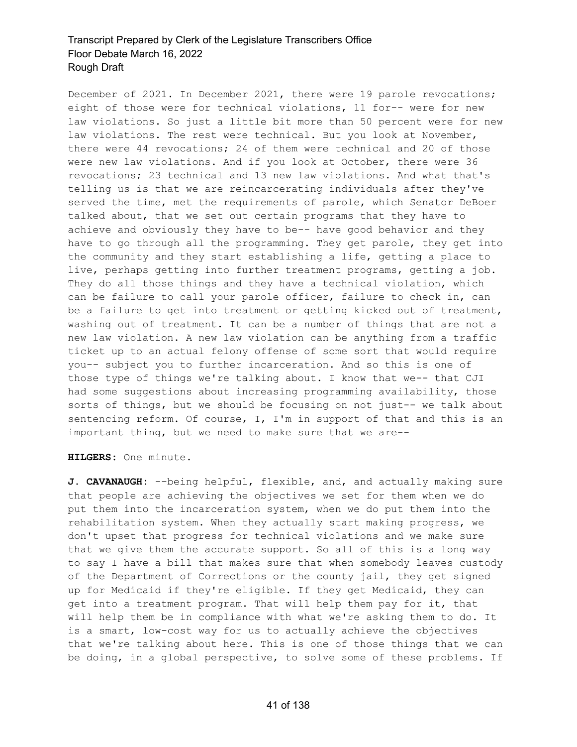December of 2021. In December 2021, there were 19 parole revocations; eight of those were for technical violations, 11 for-- were for new law violations. So just a little bit more than 50 percent were for new law violations. The rest were technical. But you look at November, there were 44 revocations; 24 of them were technical and 20 of those were new law violations. And if you look at October, there were 36 revocations; 23 technical and 13 new law violations. And what that's telling us is that we are reincarcerating individuals after they've served the time, met the requirements of parole, which Senator DeBoer talked about, that we set out certain programs that they have to achieve and obviously they have to be-- have good behavior and they have to go through all the programming. They get parole, they get into the community and they start establishing a life, getting a place to live, perhaps getting into further treatment programs, getting a job. They do all those things and they have a technical violation, which can be failure to call your parole officer, failure to check in, can be a failure to get into treatment or getting kicked out of treatment, washing out of treatment. It can be a number of things that are not a new law violation. A new law violation can be anything from a traffic ticket up to an actual felony offense of some sort that would require you-- subject you to further incarceration. And so this is one of those type of things we're talking about. I know that we-- that CJI had some suggestions about increasing programming availability, those sorts of things, but we should be focusing on not just-- we talk about sentencing reform. Of course, I, I'm in support of that and this is an important thing, but we need to make sure that we are--

**HILGERS:** One minute.

**J. CAVANAUGH:** --being helpful, flexible, and, and actually making sure that people are achieving the objectives we set for them when we do put them into the incarceration system, when we do put them into the rehabilitation system. When they actually start making progress, we don't upset that progress for technical violations and we make sure that we give them the accurate support. So all of this is a long way to say I have a bill that makes sure that when somebody leaves custody of the Department of Corrections or the county jail, they get signed up for Medicaid if they're eligible. If they get Medicaid, they can get into a treatment program. That will help them pay for it, that will help them be in compliance with what we're asking them to do. It is a smart, low-cost way for us to actually achieve the objectives that we're talking about here. This is one of those things that we can be doing, in a global perspective, to solve some of these problems. If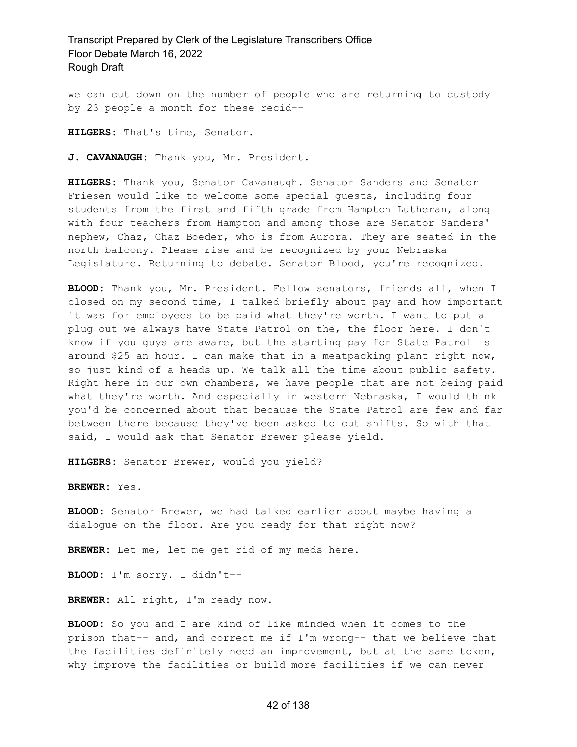we can cut down on the number of people who are returning to custody by 23 people a month for these recid--

**HILGERS:** That's time, Senator.

**J. CAVANAUGH:** Thank you, Mr. President.

**HILGERS:** Thank you, Senator Cavanaugh. Senator Sanders and Senator Friesen would like to welcome some special guests, including four students from the first and fifth grade from Hampton Lutheran, along with four teachers from Hampton and among those are Senator Sanders' nephew, Chaz, Chaz Boeder, who is from Aurora. They are seated in the north balcony. Please rise and be recognized by your Nebraska Legislature. Returning to debate. Senator Blood, you're recognized.

**BLOOD:** Thank you, Mr. President. Fellow senators, friends all, when I closed on my second time, I talked briefly about pay and how important it was for employees to be paid what they're worth. I want to put a plug out we always have State Patrol on the, the floor here. I don't know if you guys are aware, but the starting pay for State Patrol is around \$25 an hour. I can make that in a meatpacking plant right now, so just kind of a heads up. We talk all the time about public safety. Right here in our own chambers, we have people that are not being paid what they're worth. And especially in western Nebraska, I would think you'd be concerned about that because the State Patrol are few and far between there because they've been asked to cut shifts. So with that said, I would ask that Senator Brewer please yield.

**HILGERS:** Senator Brewer, would you yield?

**BREWER:** Yes.

**BLOOD:** Senator Brewer, we had talked earlier about maybe having a dialogue on the floor. Are you ready for that right now?

**BREWER:** Let me, let me get rid of my meds here.

**BLOOD:** I'm sorry. I didn't--

**BREWER:** All right, I'm ready now.

**BLOOD:** So you and I are kind of like minded when it comes to the prison that-- and, and correct me if I'm wrong-- that we believe that the facilities definitely need an improvement, but at the same token, why improve the facilities or build more facilities if we can never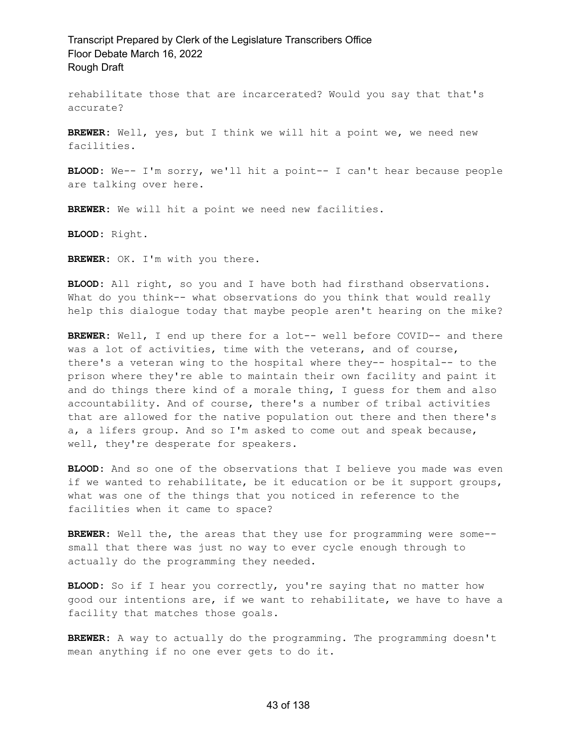rehabilitate those that are incarcerated? Would you say that that's accurate?

**BREWER:** Well, yes, but I think we will hit a point we, we need new facilities.

**BLOOD:** We-- I'm sorry, we'll hit a point-- I can't hear because people are talking over here.

**BREWER:** We will hit a point we need new facilities.

**BLOOD:** Right.

**BREWER:** OK. I'm with you there.

**BLOOD:** All right, so you and I have both had firsthand observations. What do you think-- what observations do you think that would really help this dialogue today that maybe people aren't hearing on the mike?

**BREWER:** Well, I end up there for a lot-- well before COVID-- and there was a lot of activities, time with the veterans, and of course, there's a veteran wing to the hospital where they-- hospital-- to the prison where they're able to maintain their own facility and paint it and do things there kind of a morale thing, I guess for them and also accountability. And of course, there's a number of tribal activities that are allowed for the native population out there and then there's a, a lifers group. And so I'm asked to come out and speak because, well, they're desperate for speakers.

**BLOOD:** And so one of the observations that I believe you made was even if we wanted to rehabilitate, be it education or be it support groups, what was one of the things that you noticed in reference to the facilities when it came to space?

**BREWER:** Well the, the areas that they use for programming were some- small that there was just no way to ever cycle enough through to actually do the programming they needed.

BLOOD: So if I hear you correctly, you're saying that no matter how good our intentions are, if we want to rehabilitate, we have to have a facility that matches those goals.

**BREWER:** A way to actually do the programming. The programming doesn't mean anything if no one ever gets to do it.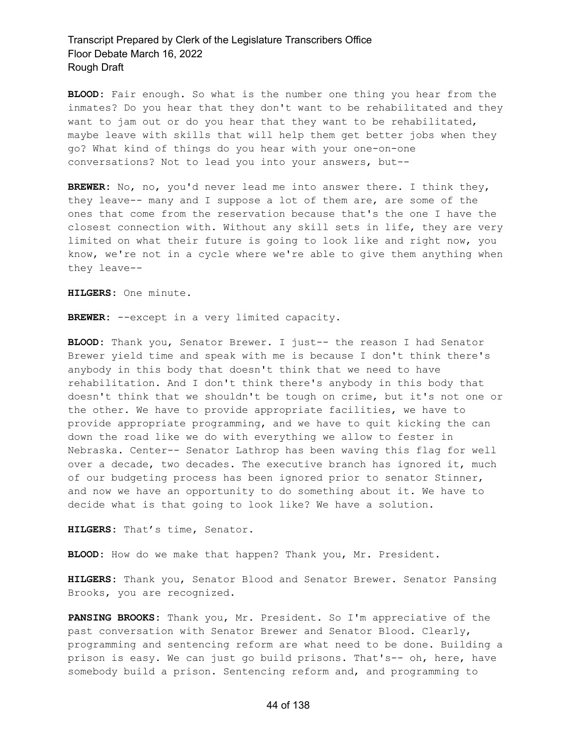**BLOOD:** Fair enough. So what is the number one thing you hear from the inmates? Do you hear that they don't want to be rehabilitated and they want to jam out or do you hear that they want to be rehabilitated, maybe leave with skills that will help them get better jobs when they go? What kind of things do you hear with your one-on-one conversations? Not to lead you into your answers, but--

**BREWER:** No, no, you'd never lead me into answer there. I think they, they leave-- many and I suppose a lot of them are, are some of the ones that come from the reservation because that's the one I have the closest connection with. Without any skill sets in life, they are very limited on what their future is going to look like and right now, you know, we're not in a cycle where we're able to give them anything when they leave--

**HILGERS:** One minute.

**BREWER:** --except in a very limited capacity.

**BLOOD:** Thank you, Senator Brewer. I just-- the reason I had Senator Brewer yield time and speak with me is because I don't think there's anybody in this body that doesn't think that we need to have rehabilitation. And I don't think there's anybody in this body that doesn't think that we shouldn't be tough on crime, but it's not one or the other. We have to provide appropriate facilities, we have to provide appropriate programming, and we have to quit kicking the can down the road like we do with everything we allow to fester in Nebraska. Center-- Senator Lathrop has been waving this flag for well over a decade, two decades. The executive branch has ignored it, much of our budgeting process has been ignored prior to senator Stinner, and now we have an opportunity to do something about it. We have to decide what is that going to look like? We have a solution.

**HILGERS:** That's time, Senator.

**BLOOD:** How do we make that happen? Thank you, Mr. President.

**HILGERS:** Thank you, Senator Blood and Senator Brewer. Senator Pansing Brooks, you are recognized.

**PANSING BROOKS:** Thank you, Mr. President. So I'm appreciative of the past conversation with Senator Brewer and Senator Blood. Clearly, programming and sentencing reform are what need to be done. Building a prison is easy. We can just go build prisons. That's-- oh, here, have somebody build a prison. Sentencing reform and, and programming to

#### 44 of 138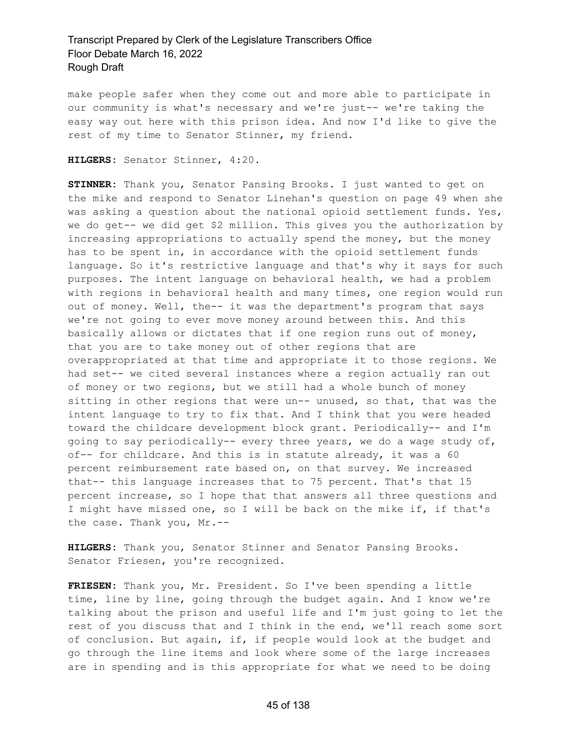make people safer when they come out and more able to participate in our community is what's necessary and we're just-- we're taking the easy way out here with this prison idea. And now I'd like to give the rest of my time to Senator Stinner, my friend.

**HILGERS:** Senator Stinner, 4:20.

**STINNER:** Thank you, Senator Pansing Brooks. I just wanted to get on the mike and respond to Senator Linehan's question on page 49 when she was asking a question about the national opioid settlement funds. Yes, we do get-- we did get \$2 million. This gives you the authorization by increasing appropriations to actually spend the money, but the money has to be spent in, in accordance with the opioid settlement funds language. So it's restrictive language and that's why it says for such purposes. The intent language on behavioral health, we had a problem with regions in behavioral health and many times, one region would run out of money. Well, the-- it was the department's program that says we're not going to ever move money around between this. And this basically allows or dictates that if one region runs out of money, that you are to take money out of other regions that are overappropriated at that time and appropriate it to those regions. We had set-- we cited several instances where a region actually ran out of money or two regions, but we still had a whole bunch of money sitting in other regions that were un-- unused, so that, that was the intent language to try to fix that. And I think that you were headed toward the childcare development block grant. Periodically-- and I'm going to say periodically-- every three years, we do a wage study of, of-- for childcare. And this is in statute already, it was a 60 percent reimbursement rate based on, on that survey. We increased that-- this language increases that to 75 percent. That's that 15 percent increase, so I hope that that answers all three questions and I might have missed one, so I will be back on the mike if, if that's the case. Thank you, Mr.--

**HILGERS:** Thank you, Senator Stinner and Senator Pansing Brooks. Senator Friesen, you're recognized.

**FRIESEN:** Thank you, Mr. President. So I've been spending a little time, line by line, going through the budget again. And I know we're talking about the prison and useful life and I'm just going to let the rest of you discuss that and I think in the end, we'll reach some sort of conclusion. But again, if, if people would look at the budget and go through the line items and look where some of the large increases are in spending and is this appropriate for what we need to be doing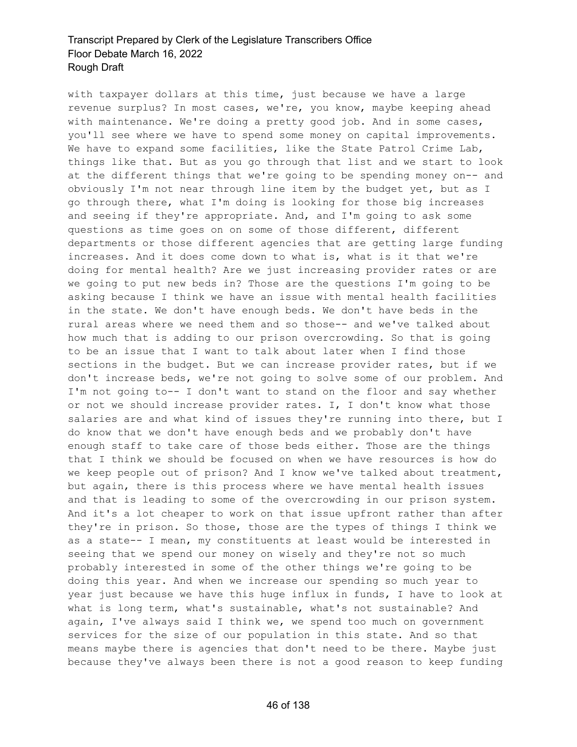with taxpayer dollars at this time, just because we have a large revenue surplus? In most cases, we're, you know, maybe keeping ahead with maintenance. We're doing a pretty good job. And in some cases, you'll see where we have to spend some money on capital improvements. We have to expand some facilities, like the State Patrol Crime Lab, things like that. But as you go through that list and we start to look at the different things that we're going to be spending money on-- and obviously I'm not near through line item by the budget yet, but as I go through there, what I'm doing is looking for those big increases and seeing if they're appropriate. And, and I'm going to ask some questions as time goes on on some of those different, different departments or those different agencies that are getting large funding increases. And it does come down to what is, what is it that we're doing for mental health? Are we just increasing provider rates or are we going to put new beds in? Those are the questions I'm going to be asking because I think we have an issue with mental health facilities in the state. We don't have enough beds. We don't have beds in the rural areas where we need them and so those-- and we've talked about how much that is adding to our prison overcrowding. So that is going to be an issue that I want to talk about later when I find those sections in the budget. But we can increase provider rates, but if we don't increase beds, we're not going to solve some of our problem. And I'm not going to-- I don't want to stand on the floor and say whether or not we should increase provider rates. I, I don't know what those salaries are and what kind of issues they're running into there, but I do know that we don't have enough beds and we probably don't have enough staff to take care of those beds either. Those are the things that I think we should be focused on when we have resources is how do we keep people out of prison? And I know we've talked about treatment, but again, there is this process where we have mental health issues and that is leading to some of the overcrowding in our prison system. And it's a lot cheaper to work on that issue upfront rather than after they're in prison. So those, those are the types of things I think we as a state-- I mean, my constituents at least would be interested in seeing that we spend our money on wisely and they're not so much probably interested in some of the other things we're going to be doing this year. And when we increase our spending so much year to year just because we have this huge influx in funds, I have to look at what is long term, what's sustainable, what's not sustainable? And again, I've always said I think we, we spend too much on government services for the size of our population in this state. And so that means maybe there is agencies that don't need to be there. Maybe just because they've always been there is not a good reason to keep funding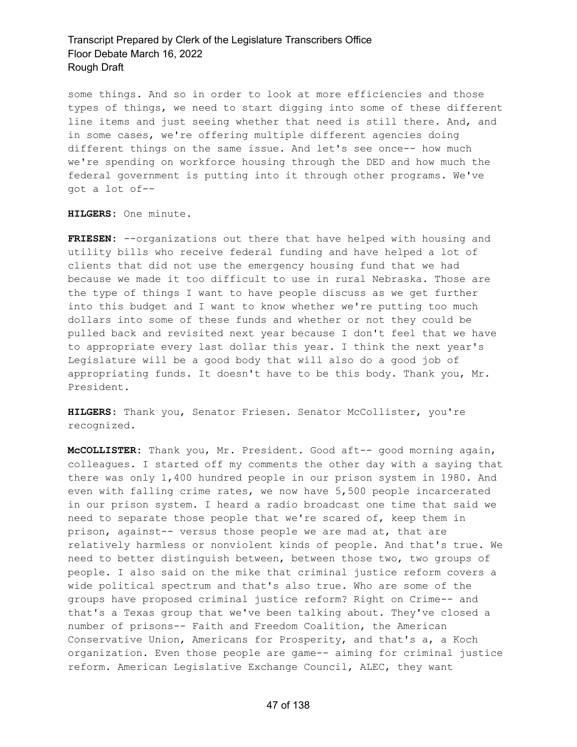some things. And so in order to look at more efficiencies and those types of things, we need to start digging into some of these different line items and just seeing whether that need is still there. And, and in some cases, we're offering multiple different agencies doing different things on the same issue. And let's see once-- how much we're spending on workforce housing through the DED and how much the federal government is putting into it through other programs. We've got a lot of--

**HILGERS:** One minute.

**FRIESEN:** --organizations out there that have helped with housing and utility bills who receive federal funding and have helped a lot of clients that did not use the emergency housing fund that we had because we made it too difficult to use in rural Nebraska. Those are the type of things I want to have people discuss as we get further into this budget and I want to know whether we're putting too much dollars into some of these funds and whether or not they could be pulled back and revisited next year because I don't feel that we have to appropriate every last dollar this year. I think the next year's Legislature will be a good body that will also do a good job of appropriating funds. It doesn't have to be this body. Thank you, Mr. President.

**HILGERS:** Thank you, Senator Friesen. Senator McCollister, you're recognized.

**McCOLLISTER:** Thank you, Mr. President. Good aft-- good morning again, colleagues. I started off my comments the other day with a saying that there was only 1,400 hundred people in our prison system in 1980. And even with falling crime rates, we now have 5,500 people incarcerated in our prison system. I heard a radio broadcast one time that said we need to separate those people that we're scared of, keep them in prison, against-- versus those people we are mad at, that are relatively harmless or nonviolent kinds of people. And that's true. We need to better distinguish between, between those two, two groups of people. I also said on the mike that criminal justice reform covers a wide political spectrum and that's also true. Who are some of the groups have proposed criminal justice reform? Right on Crime-- and that's a Texas group that we've been talking about. They've closed a number of prisons-- Faith and Freedom Coalition, the American Conservative Union, Americans for Prosperity, and that's a, a Koch organization. Even those people are game-- aiming for criminal justice reform. American Legislative Exchange Council, ALEC, they want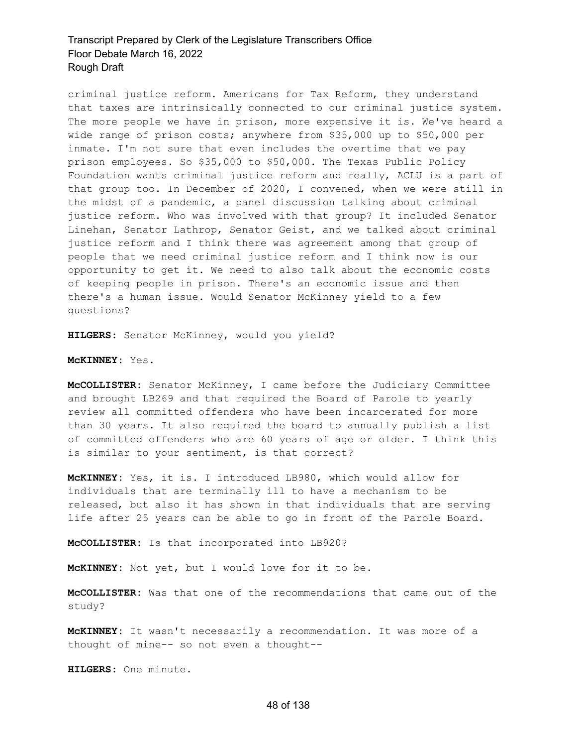criminal justice reform. Americans for Tax Reform, they understand that taxes are intrinsically connected to our criminal justice system. The more people we have in prison, more expensive it is. We've heard a wide range of prison costs; anywhere from \$35,000 up to \$50,000 per inmate. I'm not sure that even includes the overtime that we pay prison employees. So \$35,000 to \$50,000. The Texas Public Policy Foundation wants criminal justice reform and really, ACLU is a part of that group too. In December of 2020, I convened, when we were still in the midst of a pandemic, a panel discussion talking about criminal justice reform. Who was involved with that group? It included Senator Linehan, Senator Lathrop, Senator Geist, and we talked about criminal justice reform and I think there was agreement among that group of people that we need criminal justice reform and I think now is our opportunity to get it. We need to also talk about the economic costs of keeping people in prison. There's an economic issue and then there's a human issue. Would Senator McKinney yield to a few questions?

**HILGERS:** Senator McKinney, would you yield?

#### **McKINNEY:** Yes.

**McCOLLISTER:** Senator McKinney, I came before the Judiciary Committee and brought LB269 and that required the Board of Parole to yearly review all committed offenders who have been incarcerated for more than 30 years. It also required the board to annually publish a list of committed offenders who are 60 years of age or older. I think this is similar to your sentiment, is that correct?

**McKINNEY:** Yes, it is. I introduced LB980, which would allow for individuals that are terminally ill to have a mechanism to be released, but also it has shown in that individuals that are serving life after 25 years can be able to go in front of the Parole Board.

**McCOLLISTER:** Is that incorporated into LB920?

**McKINNEY:** Not yet, but I would love for it to be.

**McCOLLISTER:** Was that one of the recommendations that came out of the study?

**McKINNEY:** It wasn't necessarily a recommendation. It was more of a thought of mine-- so not even a thought--

**HILGERS:** One minute.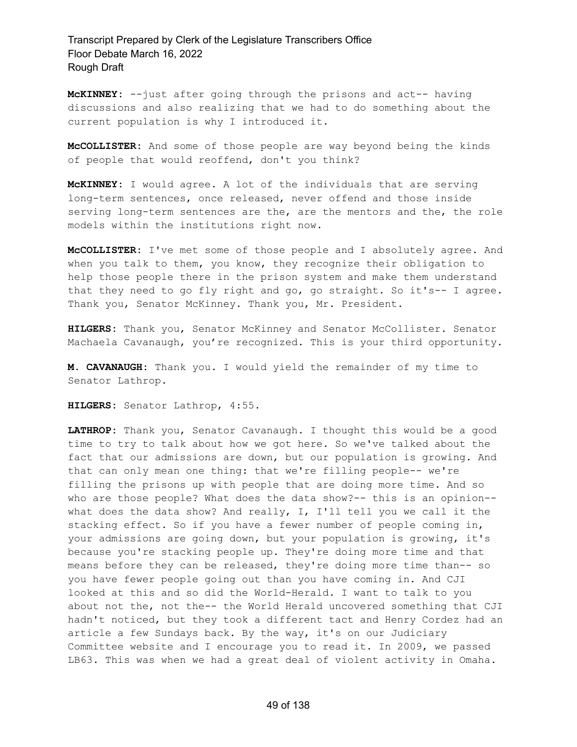**McKINNEY:** --just after going through the prisons and act-- having discussions and also realizing that we had to do something about the current population is why I introduced it.

**McCOLLISTER:** And some of those people are way beyond being the kinds of people that would reoffend, don't you think?

**McKINNEY:** I would agree. A lot of the individuals that are serving long-term sentences, once released, never offend and those inside serving long-term sentences are the, are the mentors and the, the role models within the institutions right now.

**McCOLLISTER:** I've met some of those people and I absolutely agree. And when you talk to them, you know, they recognize their obligation to help those people there in the prison system and make them understand that they need to go fly right and go, go straight. So it's-- I agree. Thank you, Senator McKinney. Thank you, Mr. President.

**HILGERS:** Thank you, Senator McKinney and Senator McCollister. Senator Machaela Cavanaugh, you're recognized. This is your third opportunity.

**M. CAVANAUGH:** Thank you. I would yield the remainder of my time to Senator Lathrop.

**HILGERS:** Senator Lathrop, 4:55.

**LATHROP:** Thank you, Senator Cavanaugh. I thought this would be a good time to try to talk about how we got here. So we've talked about the fact that our admissions are down, but our population is growing. And that can only mean one thing: that we're filling people-- we're filling the prisons up with people that are doing more time. And so who are those people? What does the data show?-- this is an opinion- what does the data show? And really, I, I'll tell you we call it the stacking effect. So if you have a fewer number of people coming in, your admissions are going down, but your population is growing, it's because you're stacking people up. They're doing more time and that means before they can be released, they're doing more time than-- so you have fewer people going out than you have coming in. And CJI looked at this and so did the World-Herald. I want to talk to you about not the, not the-- the World Herald uncovered something that CJI hadn't noticed, but they took a different tact and Henry Cordez had an article a few Sundays back. By the way, it's on our Judiciary Committee website and I encourage you to read it. In 2009, we passed LB63. This was when we had a great deal of violent activity in Omaha.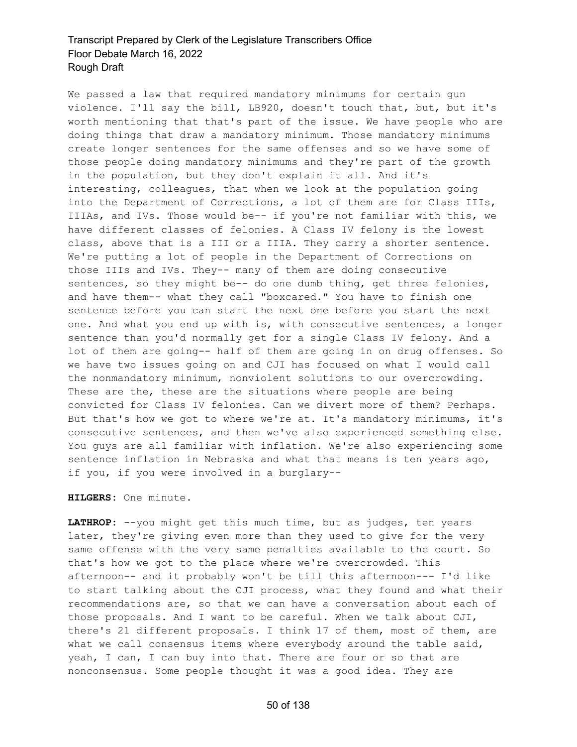We passed a law that required mandatory minimums for certain gun violence. I'll say the bill, LB920, doesn't touch that, but, but it's worth mentioning that that's part of the issue. We have people who are doing things that draw a mandatory minimum. Those mandatory minimums create longer sentences for the same offenses and so we have some of those people doing mandatory minimums and they're part of the growth in the population, but they don't explain it all. And it's interesting, colleagues, that when we look at the population going into the Department of Corrections, a lot of them are for Class IIIs, IIIAs, and IVs. Those would be-- if you're not familiar with this, we have different classes of felonies. A Class IV felony is the lowest class, above that is a III or a IIIA. They carry a shorter sentence. We're putting a lot of people in the Department of Corrections on those IIIs and IVs. They-- many of them are doing consecutive sentences, so they might be-- do one dumb thing, get three felonies, and have them-- what they call "boxcared." You have to finish one sentence before you can start the next one before you start the next one. And what you end up with is, with consecutive sentences, a longer sentence than you'd normally get for a single Class IV felony. And a lot of them are going-- half of them are going in on drug offenses. So we have two issues going on and CJI has focused on what I would call the nonmandatory minimum, nonviolent solutions to our overcrowding. These are the, these are the situations where people are being convicted for Class IV felonies. Can we divert more of them? Perhaps. But that's how we got to where we're at. It's mandatory minimums, it's consecutive sentences, and then we've also experienced something else. You guys are all familiar with inflation. We're also experiencing some sentence inflation in Nebraska and what that means is ten years ago, if you, if you were involved in a burglary--

#### **HILGERS:** One minute.

**LATHROP:** --you might get this much time, but as judges, ten years later, they're giving even more than they used to give for the very same offense with the very same penalties available to the court. So that's how we got to the place where we're overcrowded. This afternoon-- and it probably won't be till this afternoon--- I'd like to start talking about the CJI process, what they found and what their recommendations are, so that we can have a conversation about each of those proposals. And I want to be careful. When we talk about CJI, there's 21 different proposals. I think 17 of them, most of them, are what we call consensus items where everybody around the table said, yeah, I can, I can buy into that. There are four or so that are nonconsensus. Some people thought it was a good idea. They are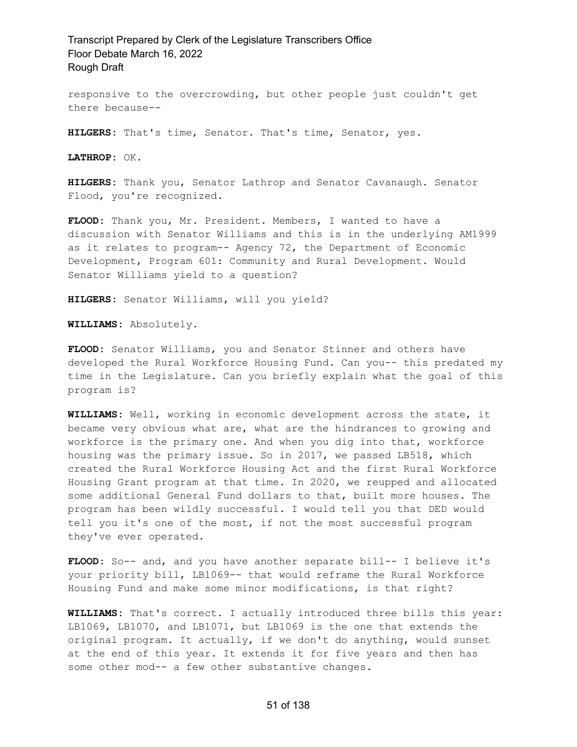responsive to the overcrowding, but other people just couldn't get there because--

**HILGERS:** That's time, Senator. That's time, Senator, yes.

**LATHROP:** OK.

**HILGERS:** Thank you, Senator Lathrop and Senator Cavanaugh. Senator Flood, you're recognized.

**FLOOD:** Thank you, Mr. President. Members, I wanted to have a discussion with Senator Williams and this is in the underlying AM1999 as it relates to program-- Agency 72, the Department of Economic Development, Program 601: Community and Rural Development. Would Senator Williams yield to a question?

**HILGERS:** Senator Williams, will you yield?

**WILLIAMS:** Absolutely.

**FLOOD:** Senator Williams, you and Senator Stinner and others have developed the Rural Workforce Housing Fund. Can you-- this predated my time in the Legislature. Can you briefly explain what the goal of this program is?

**WILLIAMS:** Well, working in economic development across the state, it became very obvious what are, what are the hindrances to growing and workforce is the primary one. And when you dig into that, workforce housing was the primary issue. So in 2017, we passed LB518, which created the Rural Workforce Housing Act and the first Rural Workforce Housing Grant program at that time. In 2020, we reupped and allocated some additional General Fund dollars to that, built more houses. The program has been wildly successful. I would tell you that DED would tell you it's one of the most, if not the most successful program they've ever operated.

**FLOOD:** So-- and, and you have another separate bill-- I believe it's your priority bill, LB1069-- that would reframe the Rural Workforce Housing Fund and make some minor modifications, is that right?

**WILLIAMS:** That's correct. I actually introduced three bills this year: LB1069, LB1070, and LB1071, but LB1069 is the one that extends the original program. It actually, if we don't do anything, would sunset at the end of this year. It extends it for five years and then has some other mod-- a few other substantive changes.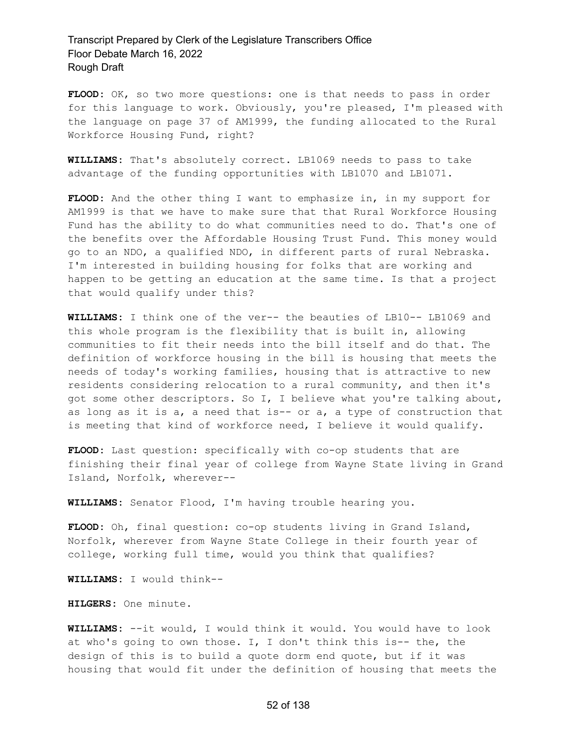**FLOOD:** OK, so two more questions: one is that needs to pass in order for this language to work. Obviously, you're pleased, I'm pleased with the language on page 37 of AM1999, the funding allocated to the Rural Workforce Housing Fund, right?

**WILLIAMS:** That's absolutely correct. LB1069 needs to pass to take advantage of the funding opportunities with LB1070 and LB1071.

**FLOOD:** And the other thing I want to emphasize in, in my support for AM1999 is that we have to make sure that that Rural Workforce Housing Fund has the ability to do what communities need to do. That's one of the benefits over the Affordable Housing Trust Fund. This money would go to an NDO, a qualified NDO, in different parts of rural Nebraska. I'm interested in building housing for folks that are working and happen to be getting an education at the same time. Is that a project that would qualify under this?

**WILLIAMS:** I think one of the ver-- the beauties of LB10-- LB1069 and this whole program is the flexibility that is built in, allowing communities to fit their needs into the bill itself and do that. The definition of workforce housing in the bill is housing that meets the needs of today's working families, housing that is attractive to new residents considering relocation to a rural community, and then it's got some other descriptors. So I, I believe what you're talking about, as long as it is  $a$ , a need that is-- or  $a$ , a type of construction that is meeting that kind of workforce need, I believe it would qualify.

**FLOOD:** Last question: specifically with co-op students that are finishing their final year of college from Wayne State living in Grand Island, Norfolk, wherever--

**WILLIAMS:** Senator Flood, I'm having trouble hearing you.

**FLOOD:** Oh, final question: co-op students living in Grand Island, Norfolk, wherever from Wayne State College in their fourth year of college, working full time, would you think that qualifies?

**WILLIAMS:** I would think--

**HILGERS:** One minute.

**WILLIAMS:** --it would, I would think it would. You would have to look at who's going to own those. I, I don't think this is-- the, the design of this is to build a quote dorm end quote, but if it was housing that would fit under the definition of housing that meets the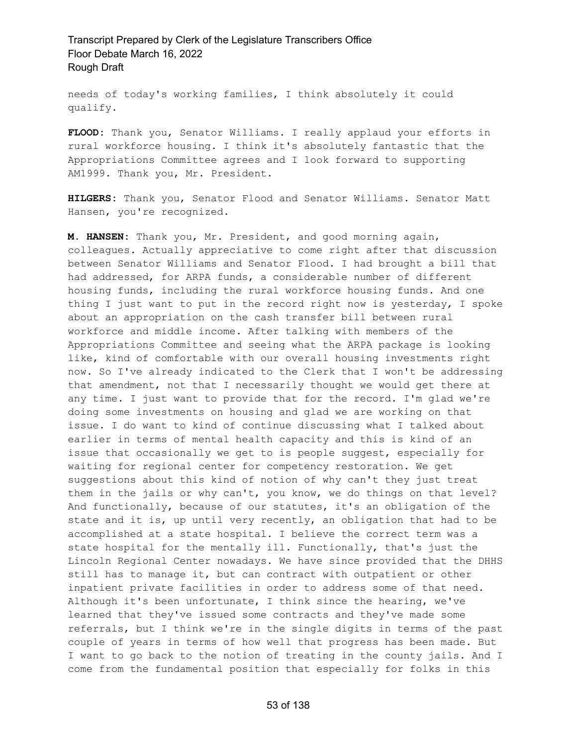needs of today's working families, I think absolutely it could qualify.

**FLOOD:** Thank you, Senator Williams. I really applaud your efforts in rural workforce housing. I think it's absolutely fantastic that the Appropriations Committee agrees and I look forward to supporting AM1999. Thank you, Mr. President.

**HILGERS:** Thank you, Senator Flood and Senator Williams. Senator Matt Hansen, you're recognized.

**M. HANSEN:** Thank you, Mr. President, and good morning again, colleagues. Actually appreciative to come right after that discussion between Senator Williams and Senator Flood. I had brought a bill that had addressed, for ARPA funds, a considerable number of different housing funds, including the rural workforce housing funds. And one thing I just want to put in the record right now is yesterday, I spoke about an appropriation on the cash transfer bill between rural workforce and middle income. After talking with members of the Appropriations Committee and seeing what the ARPA package is looking like, kind of comfortable with our overall housing investments right now. So I've already indicated to the Clerk that I won't be addressing that amendment, not that I necessarily thought we would get there at any time. I just want to provide that for the record. I'm glad we're doing some investments on housing and glad we are working on that issue. I do want to kind of continue discussing what I talked about earlier in terms of mental health capacity and this is kind of an issue that occasionally we get to is people suggest, especially for waiting for regional center for competency restoration. We get suggestions about this kind of notion of why can't they just treat them in the jails or why can't, you know, we do things on that level? And functionally, because of our statutes, it's an obligation of the state and it is, up until very recently, an obligation that had to be accomplished at a state hospital. I believe the correct term was a state hospital for the mentally ill. Functionally, that's just the Lincoln Regional Center nowadays. We have since provided that the DHHS still has to manage it, but can contract with outpatient or other inpatient private facilities in order to address some of that need. Although it's been unfortunate, I think since the hearing, we've learned that they've issued some contracts and they've made some referrals, but I think we're in the single digits in terms of the past couple of years in terms of how well that progress has been made. But I want to go back to the notion of treating in the county jails. And I come from the fundamental position that especially for folks in this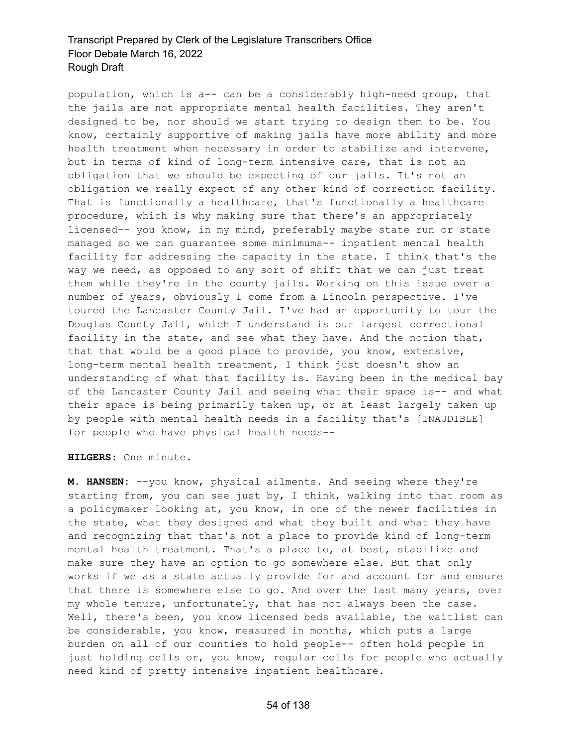population, which is a-- can be a considerably high-need group, that the jails are not appropriate mental health facilities. They aren't designed to be, nor should we start trying to design them to be. You know, certainly supportive of making jails have more ability and more health treatment when necessary in order to stabilize and intervene, but in terms of kind of long-term intensive care, that is not an obligation that we should be expecting of our jails. It's not an obligation we really expect of any other kind of correction facility. That is functionally a healthcare, that's functionally a healthcare procedure, which is why making sure that there's an appropriately licensed-- you know, in my mind, preferably maybe state run or state managed so we can guarantee some minimums-- inpatient mental health facility for addressing the capacity in the state. I think that's the way we need, as opposed to any sort of shift that we can just treat them while they're in the county jails. Working on this issue over a number of years, obviously I come from a Lincoln perspective. I've toured the Lancaster County Jail. I've had an opportunity to tour the Douglas County Jail, which I understand is our largest correctional facility in the state, and see what they have. And the notion that, that that would be a good place to provide, you know, extensive, long-term mental health treatment, I think just doesn't show an understanding of what that facility is. Having been in the medical bay of the Lancaster County Jail and seeing what their space is-- and what their space is being primarily taken up, or at least largely taken up by people with mental health needs in a facility that's [INAUDIBLE] for people who have physical health needs--

**HILGERS:** One minute.

**M. HANSEN:** --you know, physical ailments. And seeing where they're starting from, you can see just by, I think, walking into that room as a policymaker looking at, you know, in one of the newer facilities in the state, what they designed and what they built and what they have and recognizing that that's not a place to provide kind of long-term mental health treatment. That's a place to, at best, stabilize and make sure they have an option to go somewhere else. But that only works if we as a state actually provide for and account for and ensure that there is somewhere else to go. And over the last many years, over my whole tenure, unfortunately, that has not always been the case. Well, there's been, you know licensed beds available, the waitlist can be considerable, you know, measured in months, which puts a large burden on all of our counties to hold people-- often hold people in just holding cells or, you know, regular cells for people who actually need kind of pretty intensive inpatient healthcare.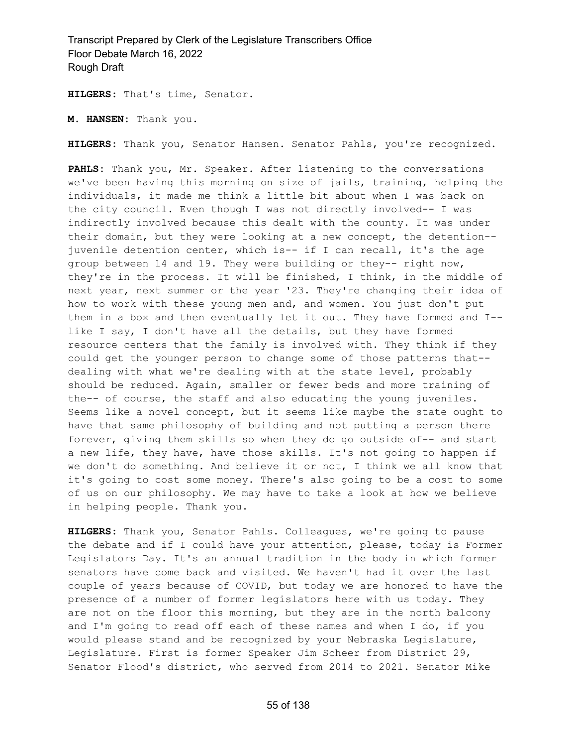**HILGERS:** That's time, Senator.

**M. HANSEN:** Thank you.

**HILGERS:** Thank you, Senator Hansen. Senator Pahls, you're recognized.

**PAHLS:** Thank you, Mr. Speaker. After listening to the conversations we've been having this morning on size of jails, training, helping the individuals, it made me think a little bit about when I was back on the city council. Even though I was not directly involved-- I was indirectly involved because this dealt with the county. It was under their domain, but they were looking at a new concept, the detention- juvenile detention center, which is-- if I can recall, it's the age group between 14 and 19. They were building or they-- right now, they're in the process. It will be finished, I think, in the middle of next year, next summer or the year '23. They're changing their idea of how to work with these young men and, and women. You just don't put them in a box and then eventually let it out. They have formed and I- like I say, I don't have all the details, but they have formed resource centers that the family is involved with. They think if they could get the younger person to change some of those patterns that- dealing with what we're dealing with at the state level, probably should be reduced. Again, smaller or fewer beds and more training of the-- of course, the staff and also educating the young juveniles. Seems like a novel concept, but it seems like maybe the state ought to have that same philosophy of building and not putting a person there forever, giving them skills so when they do go outside of-- and start a new life, they have, have those skills. It's not going to happen if we don't do something. And believe it or not, I think we all know that it's going to cost some money. There's also going to be a cost to some of us on our philosophy. We may have to take a look at how we believe in helping people. Thank you.

**HILGERS:** Thank you, Senator Pahls. Colleagues, we're going to pause the debate and if I could have your attention, please, today is Former Legislators Day. It's an annual tradition in the body in which former senators have come back and visited. We haven't had it over the last couple of years because of COVID, but today we are honored to have the presence of a number of former legislators here with us today. They are not on the floor this morning, but they are in the north balcony and I'm going to read off each of these names and when I do, if you would please stand and be recognized by your Nebraska Legislature, Legislature. First is former Speaker Jim Scheer from District 29, Senator Flood's district, who served from 2014 to 2021. Senator Mike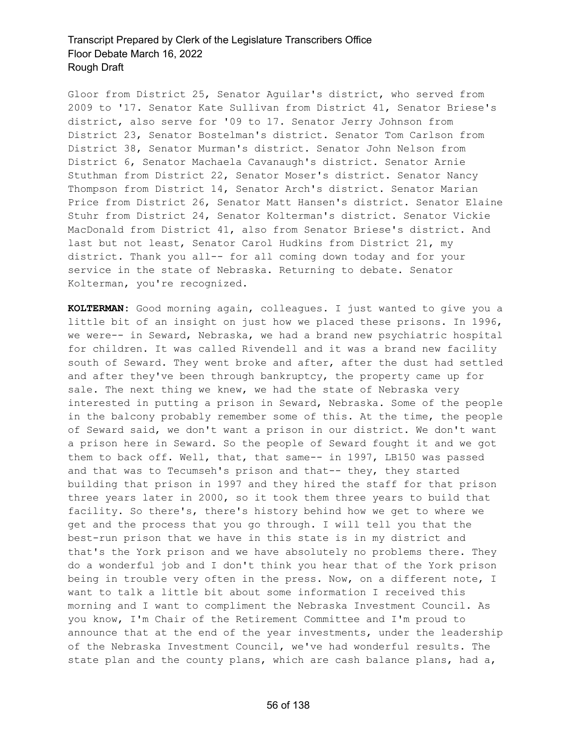Gloor from District 25, Senator Aguilar's district, who served from 2009 to '17. Senator Kate Sullivan from District 41, Senator Briese's district, also serve for '09 to 17. Senator Jerry Johnson from District 23, Senator Bostelman's district. Senator Tom Carlson from District 38, Senator Murman's district. Senator John Nelson from District 6, Senator Machaela Cavanaugh's district. Senator Arnie Stuthman from District 22, Senator Moser's district. Senator Nancy Thompson from District 14, Senator Arch's district. Senator Marian Price from District 26, Senator Matt Hansen's district. Senator Elaine Stuhr from District 24, Senator Kolterman's district. Senator Vickie MacDonald from District 41, also from Senator Briese's district. And last but not least, Senator Carol Hudkins from District 21, my district. Thank you all-- for all coming down today and for your service in the state of Nebraska. Returning to debate. Senator Kolterman, you're recognized.

**KOLTERMAN:** Good morning again, colleagues. I just wanted to give you a little bit of an insight on just how we placed these prisons. In 1996, we were-- in Seward, Nebraska, we had a brand new psychiatric hospital for children. It was called Rivendell and it was a brand new facility south of Seward. They went broke and after, after the dust had settled and after they've been through bankruptcy, the property came up for sale. The next thing we knew, we had the state of Nebraska very interested in putting a prison in Seward, Nebraska. Some of the people in the balcony probably remember some of this. At the time, the people of Seward said, we don't want a prison in our district. We don't want a prison here in Seward. So the people of Seward fought it and we got them to back off. Well, that, that same-- in 1997, LB150 was passed and that was to Tecumseh's prison and that-- they, they started building that prison in 1997 and they hired the staff for that prison three years later in 2000, so it took them three years to build that facility. So there's, there's history behind how we get to where we get and the process that you go through. I will tell you that the best-run prison that we have in this state is in my district and that's the York prison and we have absolutely no problems there. They do a wonderful job and I don't think you hear that of the York prison being in trouble very often in the press. Now, on a different note, I want to talk a little bit about some information I received this morning and I want to compliment the Nebraska Investment Council. As you know, I'm Chair of the Retirement Committee and I'm proud to announce that at the end of the year investments, under the leadership of the Nebraska Investment Council, we've had wonderful results. The state plan and the county plans, which are cash balance plans, had a,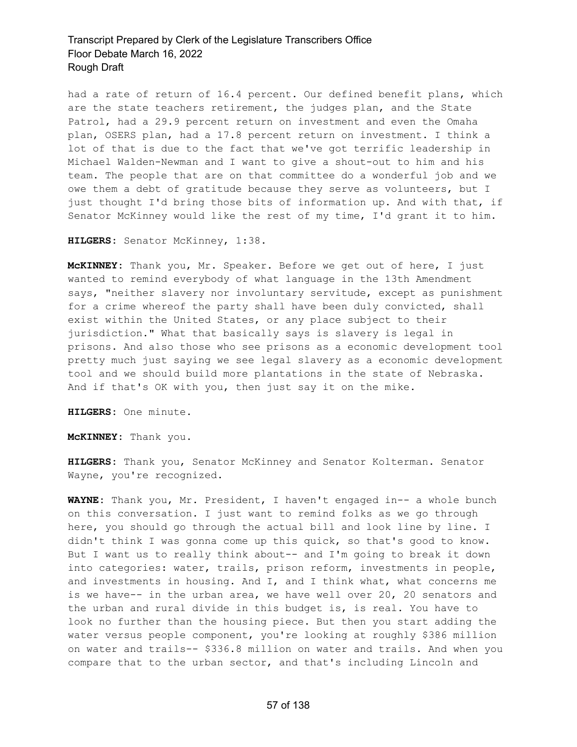had a rate of return of 16.4 percent. Our defined benefit plans, which are the state teachers retirement, the judges plan, and the State Patrol, had a 29.9 percent return on investment and even the Omaha plan, OSERS plan, had a 17.8 percent return on investment. I think a lot of that is due to the fact that we've got terrific leadership in Michael Walden-Newman and I want to give a shout-out to him and his team. The people that are on that committee do a wonderful job and we owe them a debt of gratitude because they serve as volunteers, but I just thought I'd bring those bits of information up. And with that, if Senator McKinney would like the rest of my time, I'd grant it to him.

**HILGERS:** Senator McKinney, 1:38.

**McKINNEY:** Thank you, Mr. Speaker. Before we get out of here, I just wanted to remind everybody of what language in the 13th Amendment says, "neither slavery nor involuntary servitude, except as punishment for a crime whereof the party shall have been duly convicted, shall exist within the United States, or any place subject to their jurisdiction." What that basically says is slavery is legal in prisons. And also those who see prisons as a economic development tool pretty much just saying we see legal slavery as a economic development tool and we should build more plantations in the state of Nebraska. And if that's OK with you, then just say it on the mike.

**HILGERS:** One minute.

**McKINNEY:** Thank you.

**HILGERS:** Thank you, Senator McKinney and Senator Kolterman. Senator Wayne, you're recognized.

**WAYNE:** Thank you, Mr. President, I haven't engaged in-- a whole bunch on this conversation. I just want to remind folks as we go through here, you should go through the actual bill and look line by line. I didn't think I was gonna come up this quick, so that's good to know. But I want us to really think about-- and I'm going to break it down into categories: water, trails, prison reform, investments in people, and investments in housing. And I, and I think what, what concerns me is we have-- in the urban area, we have well over 20, 20 senators and the urban and rural divide in this budget is, is real. You have to look no further than the housing piece. But then you start adding the water versus people component, you're looking at roughly \$386 million on water and trails-- \$336.8 million on water and trails. And when you compare that to the urban sector, and that's including Lincoln and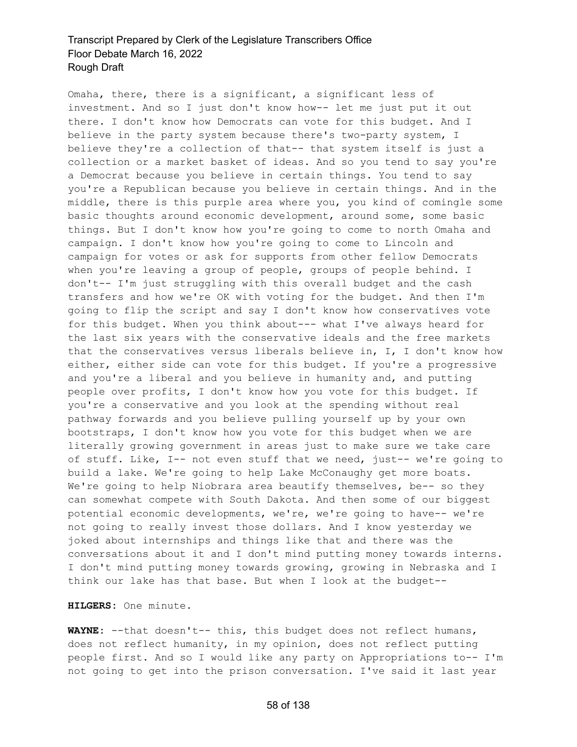Omaha, there, there is a significant, a significant less of investment. And so I just don't know how-- let me just put it out there. I don't know how Democrats can vote for this budget. And I believe in the party system because there's two-party system, I believe they're a collection of that-- that system itself is just a collection or a market basket of ideas. And so you tend to say you're a Democrat because you believe in certain things. You tend to say you're a Republican because you believe in certain things. And in the middle, there is this purple area where you, you kind of comingle some basic thoughts around economic development, around some, some basic things. But I don't know how you're going to come to north Omaha and campaign. I don't know how you're going to come to Lincoln and campaign for votes or ask for supports from other fellow Democrats when you're leaving a group of people, groups of people behind. I don't-- I'm just struggling with this overall budget and the cash transfers and how we're OK with voting for the budget. And then I'm going to flip the script and say I don't know how conservatives vote for this budget. When you think about--- what I've always heard for the last six years with the conservative ideals and the free markets that the conservatives versus liberals believe in, I, I don't know how either, either side can vote for this budget. If you're a progressive and you're a liberal and you believe in humanity and, and putting people over profits, I don't know how you vote for this budget. If you're a conservative and you look at the spending without real pathway forwards and you believe pulling yourself up by your own bootstraps, I don't know how you vote for this budget when we are literally growing government in areas just to make sure we take care of stuff. Like, I-- not even stuff that we need, just-- we're going to build a lake. We're going to help Lake McConaughy get more boats. We're going to help Niobrara area beautify themselves, be-- so they can somewhat compete with South Dakota. And then some of our biggest potential economic developments, we're, we're going to have-- we're not going to really invest those dollars. And I know yesterday we joked about internships and things like that and there was the conversations about it and I don't mind putting money towards interns. I don't mind putting money towards growing, growing in Nebraska and I think our lake has that base. But when I look at the budget--

**HILGERS:** One minute.

**WAYNE:** --that doesn't-- this, this budget does not reflect humans, does not reflect humanity, in my opinion, does not reflect putting people first. And so I would like any party on Appropriations to-- I'm not going to get into the prison conversation. I've said it last year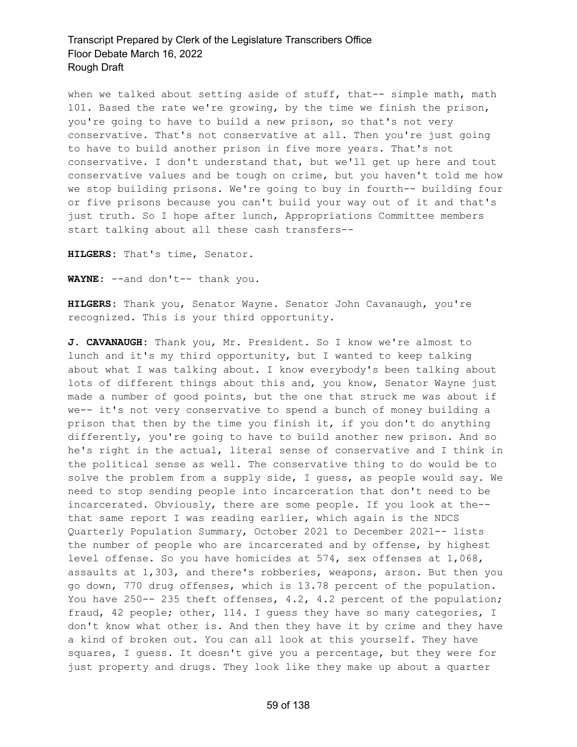when we talked about setting aside of stuff, that-- simple math, math 101. Based the rate we're growing, by the time we finish the prison, you're going to have to build a new prison, so that's not very conservative. That's not conservative at all. Then you're just going to have to build another prison in five more years. That's not conservative. I don't understand that, but we'll get up here and tout conservative values and be tough on crime, but you haven't told me how we stop building prisons. We're going to buy in fourth-- building four or five prisons because you can't build your way out of it and that's just truth. So I hope after lunch, Appropriations Committee members start talking about all these cash transfers--

**HILGERS:** That's time, Senator.

**WAYNE:** --and don't-- thank you.

**HILGERS:** Thank you, Senator Wayne. Senator John Cavanaugh, you're recognized. This is your third opportunity.

**J. CAVANAUGH:** Thank you, Mr. President. So I know we're almost to lunch and it's my third opportunity, but I wanted to keep talking about what I was talking about. I know everybody's been talking about lots of different things about this and, you know, Senator Wayne just made a number of good points, but the one that struck me was about if we-- it's not very conservative to spend a bunch of money building a prison that then by the time you finish it, if you don't do anything differently, you're going to have to build another new prison. And so he's right in the actual, literal sense of conservative and I think in the political sense as well. The conservative thing to do would be to solve the problem from a supply side, I guess, as people would say. We need to stop sending people into incarceration that don't need to be incarcerated. Obviously, there are some people. If you look at the- that same report I was reading earlier, which again is the NDCS Quarterly Population Summary, October 2021 to December 2021-- lists the number of people who are incarcerated and by offense, by highest level offense. So you have homicides at 574, sex offenses at 1,068, assaults at 1,303, and there's robberies, weapons, arson. But then you go down, 770 drug offenses, which is 13.78 percent of the population. You have 250 -- 235 theft offenses, 4.2, 4.2 percent of the population; fraud, 42 people; other, 114. I guess they have so many categories, I don't know what other is. And then they have it by crime and they have a kind of broken out. You can all look at this yourself. They have squares, I guess. It doesn't give you a percentage, but they were for just property and drugs. They look like they make up about a quarter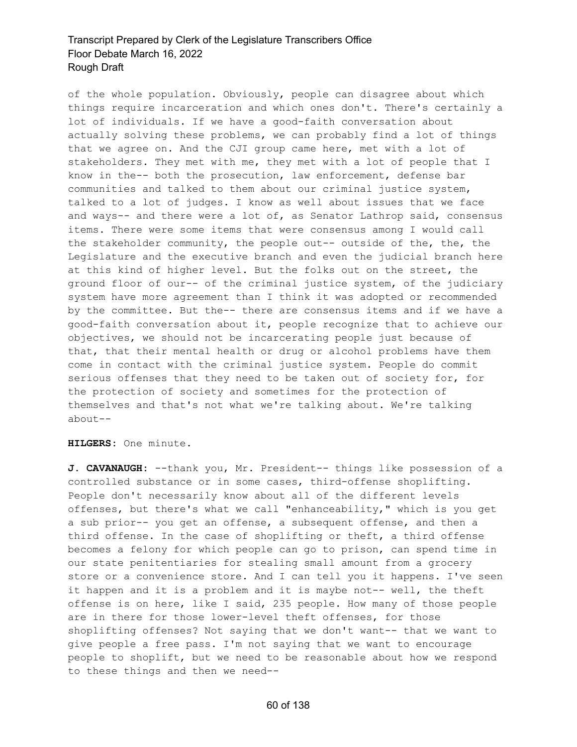of the whole population. Obviously, people can disagree about which things require incarceration and which ones don't. There's certainly a lot of individuals. If we have a good-faith conversation about actually solving these problems, we can probably find a lot of things that we agree on. And the CJI group came here, met with a lot of stakeholders. They met with me, they met with a lot of people that I know in the-- both the prosecution, law enforcement, defense bar communities and talked to them about our criminal justice system, talked to a lot of judges. I know as well about issues that we face and ways-- and there were a lot of, as Senator Lathrop said, consensus items. There were some items that were consensus among I would call the stakeholder community, the people out-- outside of the, the, the Legislature and the executive branch and even the judicial branch here at this kind of higher level. But the folks out on the street, the ground floor of our-- of the criminal justice system, of the judiciary system have more agreement than I think it was adopted or recommended by the committee. But the-- there are consensus items and if we have a good-faith conversation about it, people recognize that to achieve our objectives, we should not be incarcerating people just because of that, that their mental health or drug or alcohol problems have them come in contact with the criminal justice system. People do commit serious offenses that they need to be taken out of society for, for the protection of society and sometimes for the protection of themselves and that's not what we're talking about. We're talking about--

**HILGERS:** One minute.

**J. CAVANAUGH:** --thank you, Mr. President-- things like possession of a controlled substance or in some cases, third-offense shoplifting. People don't necessarily know about all of the different levels offenses, but there's what we call "enhanceability," which is you get a sub prior-- you get an offense, a subsequent offense, and then a third offense. In the case of shoplifting or theft, a third offense becomes a felony for which people can go to prison, can spend time in our state penitentiaries for stealing small amount from a grocery store or a convenience store. And I can tell you it happens. I've seen it happen and it is a problem and it is maybe not-- well, the theft offense is on here, like I said, 235 people. How many of those people are in there for those lower-level theft offenses, for those shoplifting offenses? Not saying that we don't want-- that we want to give people a free pass. I'm not saying that we want to encourage people to shoplift, but we need to be reasonable about how we respond to these things and then we need--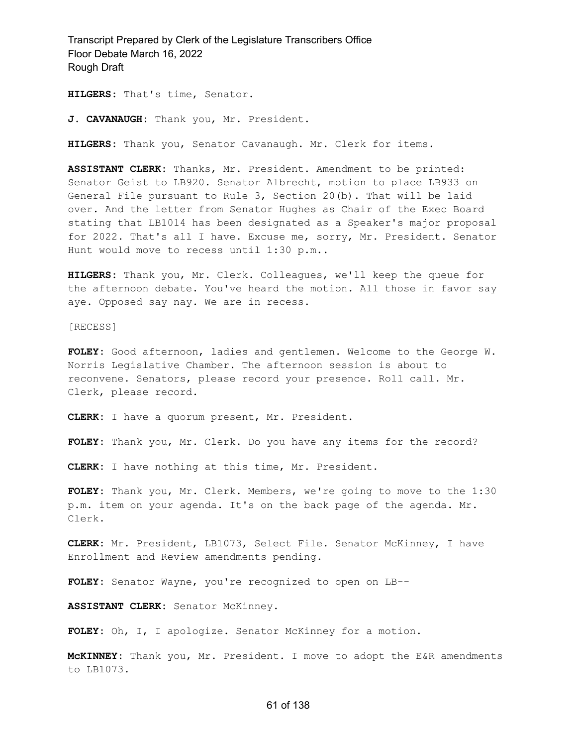**HILGERS:** That's time, Senator.

**J. CAVANAUGH:** Thank you, Mr. President.

**HILGERS:** Thank you, Senator Cavanaugh. Mr. Clerk for items.

**ASSISTANT CLERK:** Thanks, Mr. President. Amendment to be printed: Senator Geist to LB920. Senator Albrecht, motion to place LB933 on General File pursuant to Rule 3, Section 20(b). That will be laid over. And the letter from Senator Hughes as Chair of the Exec Board stating that LB1014 has been designated as a Speaker's major proposal for 2022. That's all I have. Excuse me, sorry, Mr. President. Senator Hunt would move to recess until 1:30 p.m..

**HILGERS:** Thank you, Mr. Clerk. Colleagues, we'll keep the queue for the afternoon debate. You've heard the motion. All those in favor say aye. Opposed say nay. We are in recess.

[RECESS]

**FOLEY:** Good afternoon, ladies and gentlemen. Welcome to the George W. Norris Legislative Chamber. The afternoon session is about to reconvene. Senators, please record your presence. Roll call. Mr. Clerk, please record.

**CLERK:** I have a quorum present, Mr. President.

**FOLEY:** Thank you, Mr. Clerk. Do you have any items for the record?

**CLERK:** I have nothing at this time, Mr. President.

**FOLEY:** Thank you, Mr. Clerk. Members, we're going to move to the 1:30 p.m. item on your agenda. It's on the back page of the agenda. Mr. Clerk.

**CLERK:** Mr. President, LB1073, Select File. Senator McKinney, I have Enrollment and Review amendments pending.

**FOLEY:** Senator Wayne, you're recognized to open on LB--

**ASSISTANT CLERK:** Senator McKinney.

**FOLEY:** Oh, I, I apologize. Senator McKinney for a motion.

**McKINNEY:** Thank you, Mr. President. I move to adopt the E&R amendments to LB1073.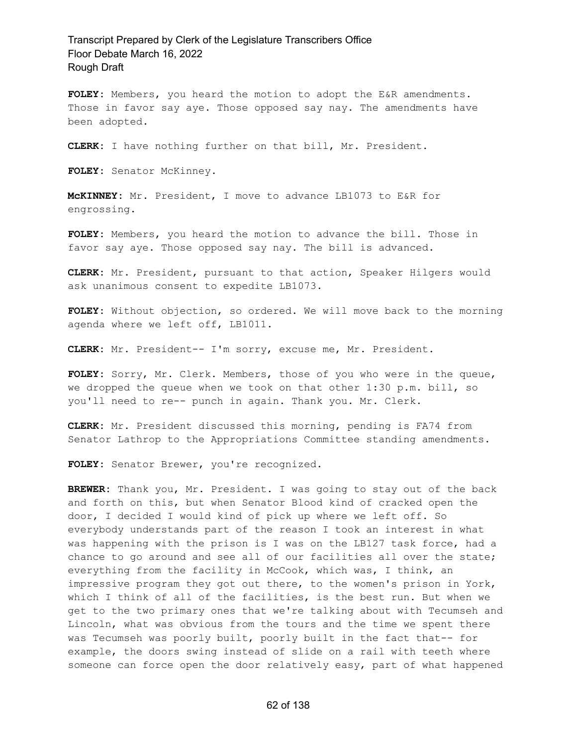**FOLEY:** Members, you heard the motion to adopt the E&R amendments. Those in favor say aye. Those opposed say nay. The amendments have been adopted.

**CLERK:** I have nothing further on that bill, Mr. President.

**FOLEY:** Senator McKinney.

**McKINNEY:** Mr. President, I move to advance LB1073 to E&R for engrossing.

**FOLEY:** Members, you heard the motion to advance the bill. Those in favor say aye. Those opposed say nay. The bill is advanced.

**CLERK:** Mr. President, pursuant to that action, Speaker Hilgers would ask unanimous consent to expedite LB1073.

**FOLEY:** Without objection, so ordered. We will move back to the morning agenda where we left off, LB1011.

**CLERK:** Mr. President-- I'm sorry, excuse me, Mr. President.

**FOLEY:** Sorry, Mr. Clerk. Members, those of you who were in the queue, we dropped the queue when we took on that other 1:30 p.m. bill, so you'll need to re-- punch in again. Thank you. Mr. Clerk.

**CLERK:** Mr. President discussed this morning, pending is FA74 from Senator Lathrop to the Appropriations Committee standing amendments.

**FOLEY:** Senator Brewer, you're recognized.

**BREWER:** Thank you, Mr. President. I was going to stay out of the back and forth on this, but when Senator Blood kind of cracked open the door, I decided I would kind of pick up where we left off. So everybody understands part of the reason I took an interest in what was happening with the prison is I was on the LB127 task force, had a chance to go around and see all of our facilities all over the state; everything from the facility in McCook, which was, I think, an impressive program they got out there, to the women's prison in York, which I think of all of the facilities, is the best run. But when we get to the two primary ones that we're talking about with Tecumseh and Lincoln, what was obvious from the tours and the time we spent there was Tecumseh was poorly built, poorly built in the fact that-- for example, the doors swing instead of slide on a rail with teeth where someone can force open the door relatively easy, part of what happened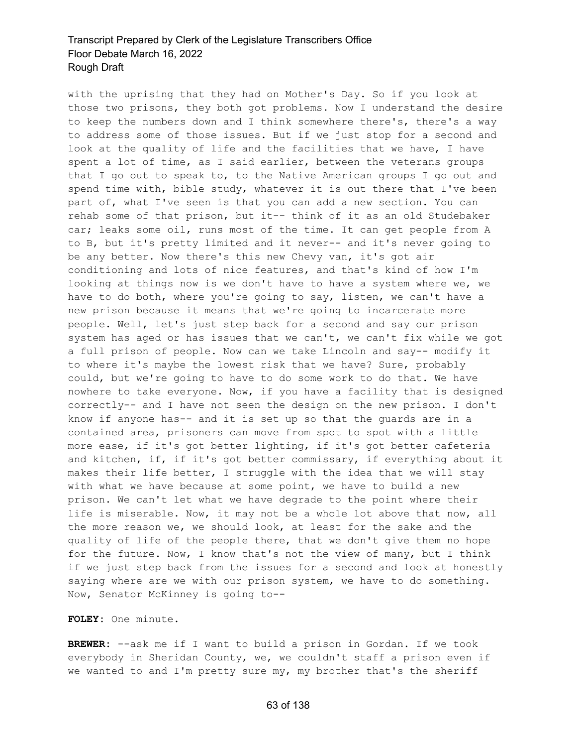with the uprising that they had on Mother's Day. So if you look at those two prisons, they both got problems. Now I understand the desire to keep the numbers down and I think somewhere there's, there's a way to address some of those issues. But if we just stop for a second and look at the quality of life and the facilities that we have, I have spent a lot of time, as I said earlier, between the veterans groups that I go out to speak to, to the Native American groups I go out and spend time with, bible study, whatever it is out there that I've been part of, what I've seen is that you can add a new section. You can rehab some of that prison, but it-- think of it as an old Studebaker car; leaks some oil, runs most of the time. It can get people from A to B, but it's pretty limited and it never-- and it's never going to be any better. Now there's this new Chevy van, it's got air conditioning and lots of nice features, and that's kind of how I'm looking at things now is we don't have to have a system where we, we have to do both, where you're going to say, listen, we can't have a new prison because it means that we're going to incarcerate more people. Well, let's just step back for a second and say our prison system has aged or has issues that we can't, we can't fix while we got a full prison of people. Now can we take Lincoln and say-- modify it to where it's maybe the lowest risk that we have? Sure, probably could, but we're going to have to do some work to do that. We have nowhere to take everyone. Now, if you have a facility that is designed correctly-- and I have not seen the design on the new prison. I don't know if anyone has-- and it is set up so that the guards are in a contained area, prisoners can move from spot to spot with a little more ease, if it's got better lighting, if it's got better cafeteria and kitchen, if, if it's got better commissary, if everything about it makes their life better, I struggle with the idea that we will stay with what we have because at some point, we have to build a new prison. We can't let what we have degrade to the point where their life is miserable. Now, it may not be a whole lot above that now, all the more reason we, we should look, at least for the sake and the quality of life of the people there, that we don't give them no hope for the future. Now, I know that's not the view of many, but I think if we just step back from the issues for a second and look at honestly saying where are we with our prison system, we have to do something. Now, Senator McKinney is going to--

#### **FOLEY:** One minute.

**BREWER:** --ask me if I want to build a prison in Gordan. If we took everybody in Sheridan County, we, we couldn't staff a prison even if we wanted to and I'm pretty sure my, my brother that's the sheriff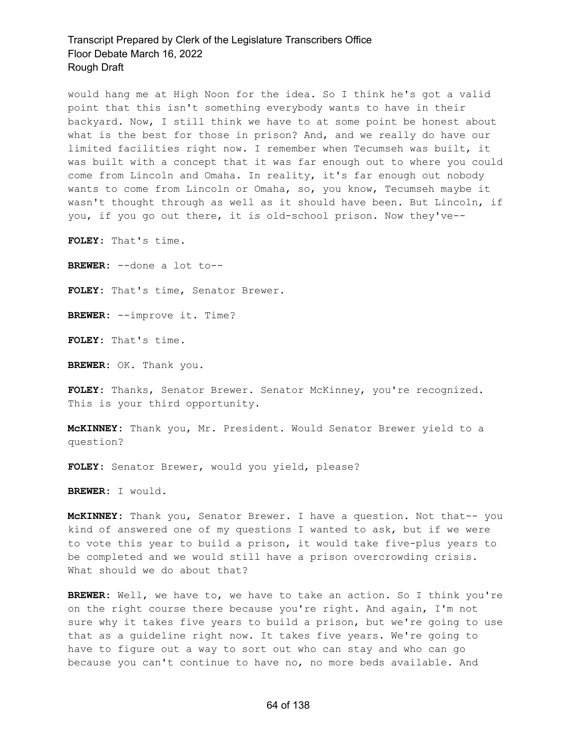would hang me at High Noon for the idea. So I think he's got a valid point that this isn't something everybody wants to have in their backyard. Now, I still think we have to at some point be honest about what is the best for those in prison? And, and we really do have our limited facilities right now. I remember when Tecumseh was built, it was built with a concept that it was far enough out to where you could come from Lincoln and Omaha. In reality, it's far enough out nobody wants to come from Lincoln or Omaha, so, you know, Tecumseh maybe it wasn't thought through as well as it should have been. But Lincoln, if you, if you go out there, it is old-school prison. Now they've--

**FOLEY:** That's time.

**BREWER:** --done a lot to--

**FOLEY:** That's time, Senator Brewer.

**BREWER:** --improve it. Time?

**FOLEY:** That's time.

**BREWER:** OK. Thank you.

**FOLEY:** Thanks, Senator Brewer. Senator McKinney, you're recognized. This is your third opportunity.

**McKINNEY:** Thank you, Mr. President. Would Senator Brewer yield to a question?

**FOLEY:** Senator Brewer, would you yield, please?

**BREWER:** I would.

**McKINNEY:** Thank you, Senator Brewer. I have a question. Not that-- you kind of answered one of my questions I wanted to ask, but if we were to vote this year to build a prison, it would take five-plus years to be completed and we would still have a prison overcrowding crisis. What should we do about that?

**BREWER:** Well, we have to, we have to take an action. So I think you're on the right course there because you're right. And again, I'm not sure why it takes five years to build a prison, but we're going to use that as a guideline right now. It takes five years. We're going to have to figure out a way to sort out who can stay and who can go because you can't continue to have no, no more beds available. And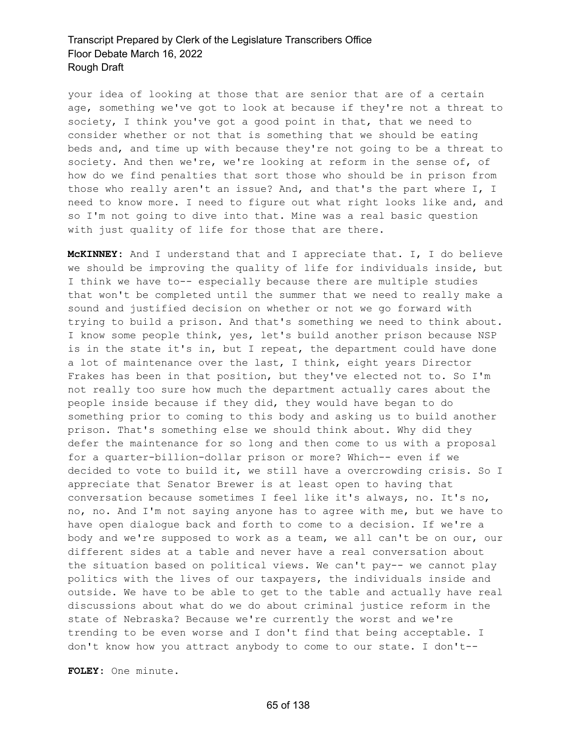your idea of looking at those that are senior that are of a certain age, something we've got to look at because if they're not a threat to society, I think you've got a good point in that, that we need to consider whether or not that is something that we should be eating beds and, and time up with because they're not going to be a threat to society. And then we're, we're looking at reform in the sense of, of how do we find penalties that sort those who should be in prison from those who really aren't an issue? And, and that's the part where I, I need to know more. I need to figure out what right looks like and, and so I'm not going to dive into that. Mine was a real basic question with just quality of life for those that are there.

**McKINNEY:** And I understand that and I appreciate that. I, I do believe we should be improving the quality of life for individuals inside, but I think we have to-- especially because there are multiple studies that won't be completed until the summer that we need to really make a sound and justified decision on whether or not we go forward with trying to build a prison. And that's something we need to think about. I know some people think, yes, let's build another prison because NSP is in the state it's in, but I repeat, the department could have done a lot of maintenance over the last, I think, eight years Director Frakes has been in that position, but they've elected not to. So I'm not really too sure how much the department actually cares about the people inside because if they did, they would have began to do something prior to coming to this body and asking us to build another prison. That's something else we should think about. Why did they defer the maintenance for so long and then come to us with a proposal for a quarter-billion-dollar prison or more? Which-- even if we decided to vote to build it, we still have a overcrowding crisis. So I appreciate that Senator Brewer is at least open to having that conversation because sometimes I feel like it's always, no. It's no, no, no. And I'm not saying anyone has to agree with me, but we have to have open dialogue back and forth to come to a decision. If we're a body and we're supposed to work as a team, we all can't be on our, our different sides at a table and never have a real conversation about the situation based on political views. We can't pay-- we cannot play politics with the lives of our taxpayers, the individuals inside and outside. We have to be able to get to the table and actually have real discussions about what do we do about criminal justice reform in the state of Nebraska? Because we're currently the worst and we're trending to be even worse and I don't find that being acceptable. I don't know how you attract anybody to come to our state. I don't--

**FOLEY:** One minute.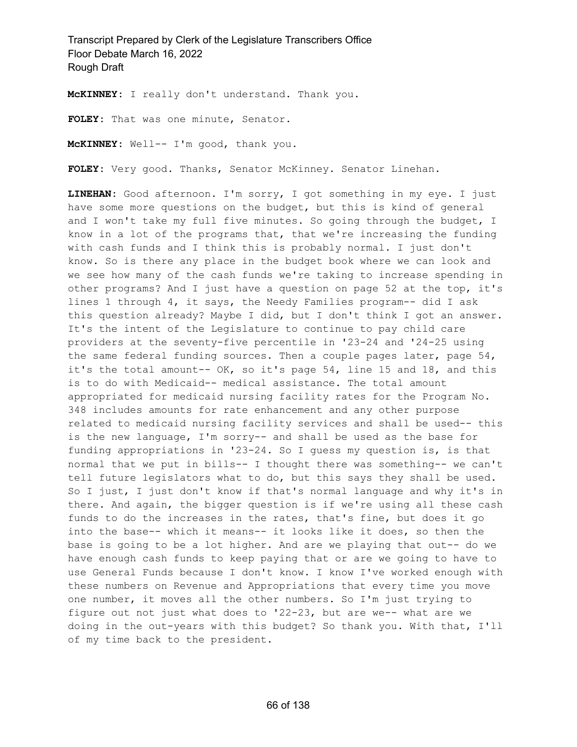**McKINNEY:** I really don't understand. Thank you.

**FOLEY:** That was one minute, Senator.

**McKINNEY:** Well-- I'm good, thank you.

**FOLEY:** Very good. Thanks, Senator McKinney. Senator Linehan.

**LINEHAN:** Good afternoon. I'm sorry, I got something in my eye. I just have some more questions on the budget, but this is kind of general and I won't take my full five minutes. So going through the budget, I know in a lot of the programs that, that we're increasing the funding with cash funds and I think this is probably normal. I just don't know. So is there any place in the budget book where we can look and we see how many of the cash funds we're taking to increase spending in other programs? And I just have a question on page 52 at the top, it's lines 1 through 4, it says, the Needy Families program-- did I ask this question already? Maybe I did, but I don't think I got an answer. It's the intent of the Legislature to continue to pay child care providers at the seventy-five percentile in '23-24 and '24-25 using the same federal funding sources. Then a couple pages later, page 54, it's the total amount-- OK, so it's page 54, line 15 and 18, and this is to do with Medicaid-- medical assistance. The total amount appropriated for medicaid nursing facility rates for the Program No. 348 includes amounts for rate enhancement and any other purpose related to medicaid nursing facility services and shall be used-- this is the new language, I'm sorry-- and shall be used as the base for funding appropriations in '23-24. So I guess my question is, is that normal that we put in bills-- I thought there was something-- we can't tell future legislators what to do, but this says they shall be used. So I just, I just don't know if that's normal language and why it's in there. And again, the bigger question is if we're using all these cash funds to do the increases in the rates, that's fine, but does it go into the base-- which it means-- it looks like it does, so then the base is going to be a lot higher. And are we playing that out-- do we have enough cash funds to keep paying that or are we going to have to use General Funds because I don't know. I know I've worked enough with these numbers on Revenue and Appropriations that every time you move one number, it moves all the other numbers. So I'm just trying to figure out not just what does to '22-23, but are we-- what are we doing in the out-years with this budget? So thank you. With that, I'll of my time back to the president.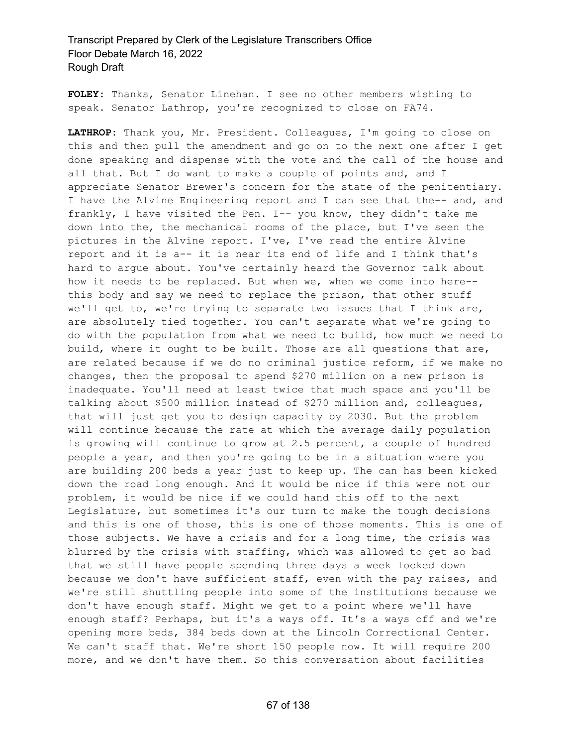**FOLEY:** Thanks, Senator Linehan. I see no other members wishing to speak. Senator Lathrop, you're recognized to close on FA74.

**LATHROP:** Thank you, Mr. President. Colleagues, I'm going to close on this and then pull the amendment and go on to the next one after I get done speaking and dispense with the vote and the call of the house and all that. But I do want to make a couple of points and, and I appreciate Senator Brewer's concern for the state of the penitentiary. I have the Alvine Engineering report and I can see that the-- and, and frankly, I have visited the Pen. I-- you know, they didn't take me down into the, the mechanical rooms of the place, but I've seen the pictures in the Alvine report. I've, I've read the entire Alvine report and it is a-- it is near its end of life and I think that's hard to argue about. You've certainly heard the Governor talk about how it needs to be replaced. But when we, when we come into here- this body and say we need to replace the prison, that other stuff we'll get to, we're trying to separate two issues that I think are, are absolutely tied together. You can't separate what we're going to do with the population from what we need to build, how much we need to build, where it ought to be built. Those are all questions that are, are related because if we do no criminal justice reform, if we make no changes, then the proposal to spend \$270 million on a new prison is inadequate. You'll need at least twice that much space and you'll be talking about \$500 million instead of \$270 million and, colleagues, that will just get you to design capacity by 2030. But the problem will continue because the rate at which the average daily population is growing will continue to grow at 2.5 percent, a couple of hundred people a year, and then you're going to be in a situation where you are building 200 beds a year just to keep up. The can has been kicked down the road long enough. And it would be nice if this were not our problem, it would be nice if we could hand this off to the next Legislature, but sometimes it's our turn to make the tough decisions and this is one of those, this is one of those moments. This is one of those subjects. We have a crisis and for a long time, the crisis was blurred by the crisis with staffing, which was allowed to get so bad that we still have people spending three days a week locked down because we don't have sufficient staff, even with the pay raises, and we're still shuttling people into some of the institutions because we don't have enough staff. Might we get to a point where we'll have enough staff? Perhaps, but it's a ways off. It's a ways off and we're opening more beds, 384 beds down at the Lincoln Correctional Center. We can't staff that. We're short 150 people now. It will require 200 more, and we don't have them. So this conversation about facilities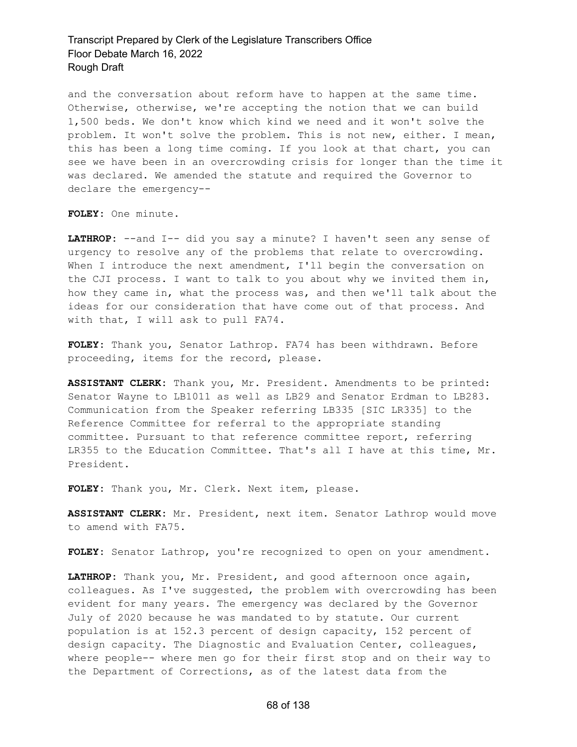and the conversation about reform have to happen at the same time. Otherwise, otherwise, we're accepting the notion that we can build 1,500 beds. We don't know which kind we need and it won't solve the problem. It won't solve the problem. This is not new, either. I mean, this has been a long time coming. If you look at that chart, you can see we have been in an overcrowding crisis for longer than the time it was declared. We amended the statute and required the Governor to declare the emergency--

**FOLEY:** One minute.

LATHROP: --and I-- did you say a minute? I haven't seen any sense of urgency to resolve any of the problems that relate to overcrowding. When I introduce the next amendment, I'll begin the conversation on the CJI process. I want to talk to you about why we invited them in, how they came in, what the process was, and then we'll talk about the ideas for our consideration that have come out of that process. And with that, I will ask to pull FA74.

**FOLEY:** Thank you, Senator Lathrop. FA74 has been withdrawn. Before proceeding, items for the record, please.

**ASSISTANT CLERK:** Thank you, Mr. President. Amendments to be printed: Senator Wayne to LB1011 as well as LB29 and Senator Erdman to LB283. Communication from the Speaker referring LB335 [SIC LR335] to the Reference Committee for referral to the appropriate standing committee. Pursuant to that reference committee report, referring LR355 to the Education Committee. That's all I have at this time, Mr. President.

**FOLEY:** Thank you, Mr. Clerk. Next item, please.

**ASSISTANT CLERK:** Mr. President, next item. Senator Lathrop would move to amend with FA75.

FOLEY: Senator Lathrop, you're recognized to open on your amendment.

**LATHROP:** Thank you, Mr. President, and good afternoon once again, colleagues. As I've suggested, the problem with overcrowding has been evident for many years. The emergency was declared by the Governor July of 2020 because he was mandated to by statute. Our current population is at 152.3 percent of design capacity, 152 percent of design capacity. The Diagnostic and Evaluation Center, colleagues, where people-- where men go for their first stop and on their way to the Department of Corrections, as of the latest data from the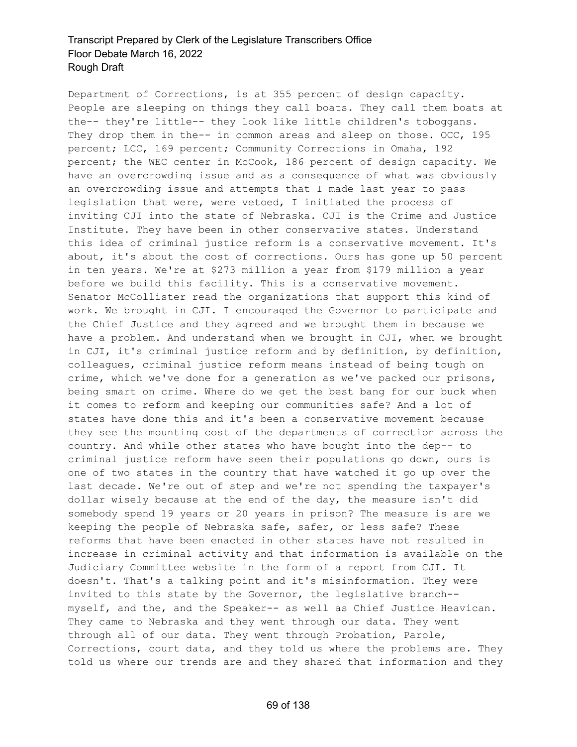Department of Corrections, is at 355 percent of design capacity. People are sleeping on things they call boats. They call them boats at the-- they're little-- they look like little children's toboggans. They drop them in the-- in common areas and sleep on those. OCC, 195 percent; LCC, 169 percent; Community Corrections in Omaha, 192 percent; the WEC center in McCook, 186 percent of design capacity. We have an overcrowding issue and as a consequence of what was obviously an overcrowding issue and attempts that I made last year to pass legislation that were, were vetoed, I initiated the process of inviting CJI into the state of Nebraska. CJI is the Crime and Justice Institute. They have been in other conservative states. Understand this idea of criminal justice reform is a conservative movement. It's about, it's about the cost of corrections. Ours has gone up 50 percent in ten years. We're at \$273 million a year from \$179 million a year before we build this facility. This is a conservative movement. Senator McCollister read the organizations that support this kind of work. We brought in CJI. I encouraged the Governor to participate and the Chief Justice and they agreed and we brought them in because we have a problem. And understand when we brought in CJI, when we brought in CJI, it's criminal justice reform and by definition, by definition, colleagues, criminal justice reform means instead of being tough on crime, which we've done for a generation as we've packed our prisons, being smart on crime. Where do we get the best bang for our buck when it comes to reform and keeping our communities safe? And a lot of states have done this and it's been a conservative movement because they see the mounting cost of the departments of correction across the country. And while other states who have bought into the dep-- to criminal justice reform have seen their populations go down, ours is one of two states in the country that have watched it go up over the last decade. We're out of step and we're not spending the taxpayer's dollar wisely because at the end of the day, the measure isn't did somebody spend 19 years or 20 years in prison? The measure is are we keeping the people of Nebraska safe, safer, or less safe? These reforms that have been enacted in other states have not resulted in increase in criminal activity and that information is available on the Judiciary Committee website in the form of a report from CJI. It doesn't. That's a talking point and it's misinformation. They were invited to this state by the Governor, the legislative branch- myself, and the, and the Speaker-- as well as Chief Justice Heavican. They came to Nebraska and they went through our data. They went through all of our data. They went through Probation, Parole, Corrections, court data, and they told us where the problems are. They told us where our trends are and they shared that information and they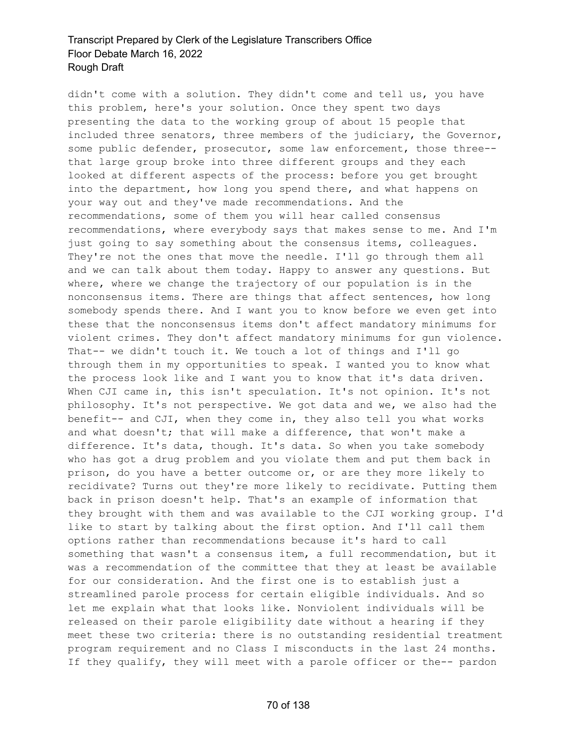didn't come with a solution. They didn't come and tell us, you have this problem, here's your solution. Once they spent two days presenting the data to the working group of about 15 people that included three senators, three members of the judiciary, the Governor, some public defender, prosecutor, some law enforcement, those three- that large group broke into three different groups and they each looked at different aspects of the process: before you get brought into the department, how long you spend there, and what happens on your way out and they've made recommendations. And the recommendations, some of them you will hear called consensus recommendations, where everybody says that makes sense to me. And I'm just going to say something about the consensus items, colleagues. They're not the ones that move the needle. I'll go through them all and we can talk about them today. Happy to answer any questions. But where, where we change the trajectory of our population is in the nonconsensus items. There are things that affect sentences, how long somebody spends there. And I want you to know before we even get into these that the nonconsensus items don't affect mandatory minimums for violent crimes. They don't affect mandatory minimums for gun violence. That-- we didn't touch it. We touch a lot of things and I'll go through them in my opportunities to speak. I wanted you to know what the process look like and I want you to know that it's data driven. When CJI came in, this isn't speculation. It's not opinion. It's not philosophy. It's not perspective. We got data and we, we also had the benefit-- and CJI, when they come in, they also tell you what works and what doesn't; that will make a difference, that won't make a difference. It's data, though. It's data. So when you take somebody who has got a drug problem and you violate them and put them back in prison, do you have a better outcome or, or are they more likely to recidivate? Turns out they're more likely to recidivate. Putting them back in prison doesn't help. That's an example of information that they brought with them and was available to the CJI working group. I'd like to start by talking about the first option. And I'll call them options rather than recommendations because it's hard to call something that wasn't a consensus item, a full recommendation, but it was a recommendation of the committee that they at least be available for our consideration. And the first one is to establish just a streamlined parole process for certain eligible individuals. And so let me explain what that looks like. Nonviolent individuals will be released on their parole eligibility date without a hearing if they meet these two criteria: there is no outstanding residential treatment program requirement and no Class I misconducts in the last 24 months. If they qualify, they will meet with a parole officer or the-- pardon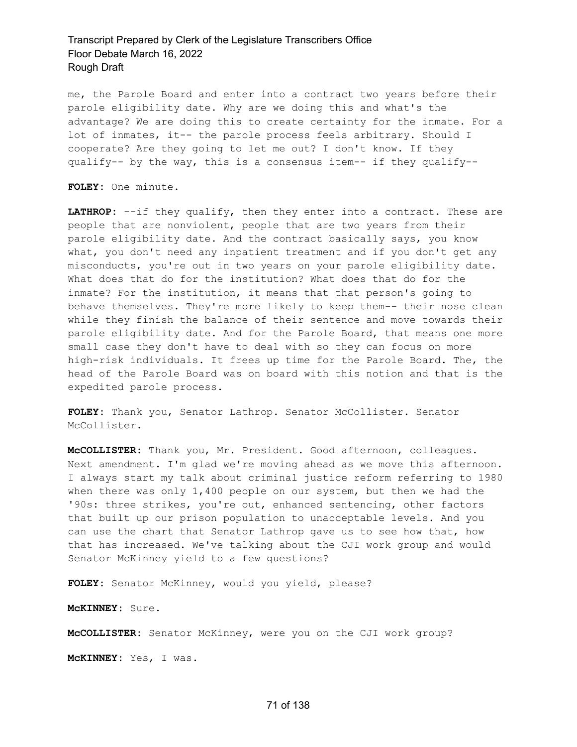me, the Parole Board and enter into a contract two years before their parole eligibility date. Why are we doing this and what's the advantage? We are doing this to create certainty for the inmate. For a lot of inmates, it-- the parole process feels arbitrary. Should I cooperate? Are they going to let me out? I don't know. If they qualify-- by the way, this is a consensus item-- if they qualify--

**FOLEY:** One minute.

**LATHROP:** --if they qualify, then they enter into a contract. These are people that are nonviolent, people that are two years from their parole eligibility date. And the contract basically says, you know what, you don't need any inpatient treatment and if you don't get any misconducts, you're out in two years on your parole eligibility date. What does that do for the institution? What does that do for the inmate? For the institution, it means that that person's going to behave themselves. They're more likely to keep them-- their nose clean while they finish the balance of their sentence and move towards their parole eligibility date. And for the Parole Board, that means one more small case they don't have to deal with so they can focus on more high-risk individuals. It frees up time for the Parole Board. The, the head of the Parole Board was on board with this notion and that is the expedited parole process.

**FOLEY:** Thank you, Senator Lathrop. Senator McCollister. Senator McCollister.

**McCOLLISTER:** Thank you, Mr. President. Good afternoon, colleagues. Next amendment. I'm glad we're moving ahead as we move this afternoon. I always start my talk about criminal justice reform referring to 1980 when there was only 1,400 people on our system, but then we had the '90s: three strikes, you're out, enhanced sentencing, other factors that built up our prison population to unacceptable levels. And you can use the chart that Senator Lathrop gave us to see how that, how that has increased. We've talking about the CJI work group and would Senator McKinney yield to a few questions?

**FOLEY:** Senator McKinney, would you yield, please?

**McKINNEY:** Sure.

**McCOLLISTER:** Senator McKinney, were you on the CJI work group?

**McKINNEY:** Yes, I was.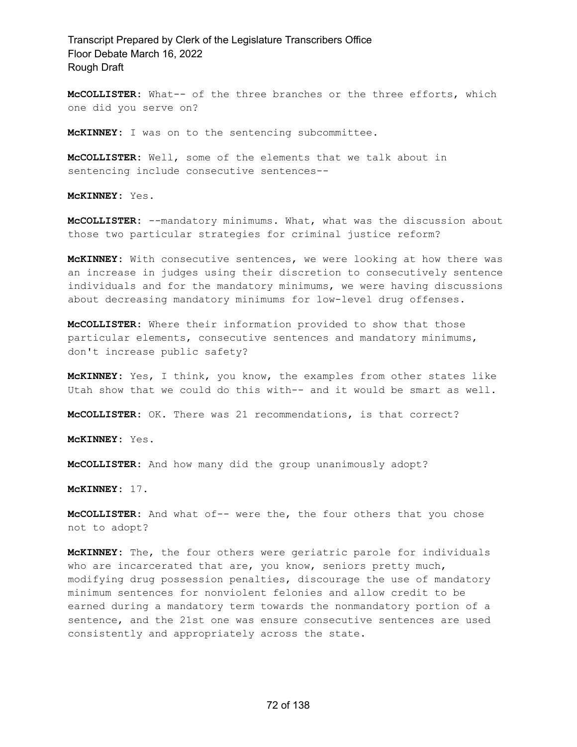**McCOLLISTER:** What-- of the three branches or the three efforts, which one did you serve on?

**McKINNEY:** I was on to the sentencing subcommittee.

**McCOLLISTER:** Well, some of the elements that we talk about in sentencing include consecutive sentences--

**McKINNEY:** Yes.

**McCOLLISTER:** --mandatory minimums. What, what was the discussion about those two particular strategies for criminal justice reform?

**McKINNEY:** With consecutive sentences, we were looking at how there was an increase in judges using their discretion to consecutively sentence individuals and for the mandatory minimums, we were having discussions about decreasing mandatory minimums for low-level drug offenses.

**McCOLLISTER:** Where their information provided to show that those particular elements, consecutive sentences and mandatory minimums, don't increase public safety?

**McKINNEY:** Yes, I think, you know, the examples from other states like Utah show that we could do this with-- and it would be smart as well.

**McCOLLISTER:** OK. There was 21 recommendations, is that correct?

**McKINNEY:** Yes.

**McCOLLISTER:** And how many did the group unanimously adopt?

**McKINNEY:** 17.

**McCOLLISTER:** And what of-- were the, the four others that you chose not to adopt?

**McKINNEY:** The, the four others were geriatric parole for individuals who are incarcerated that are, you know, seniors pretty much, modifying drug possession penalties, discourage the use of mandatory minimum sentences for nonviolent felonies and allow credit to be earned during a mandatory term towards the nonmandatory portion of a sentence, and the 21st one was ensure consecutive sentences are used consistently and appropriately across the state.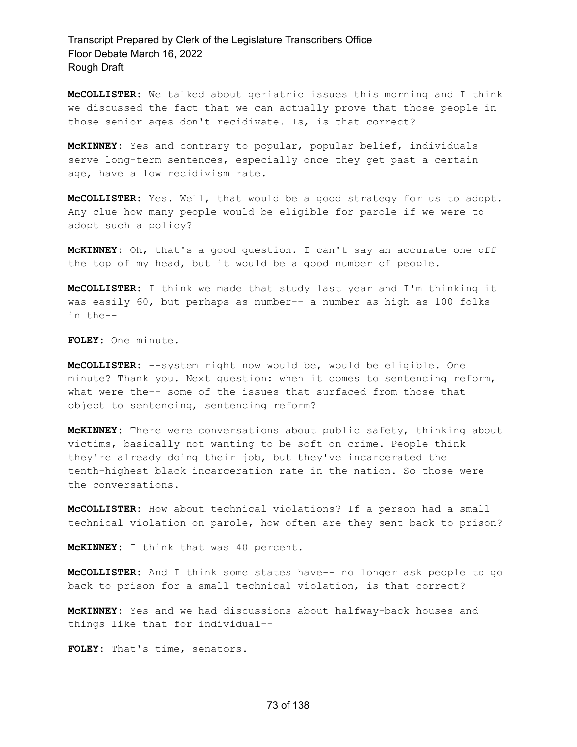**McCOLLISTER:** We talked about geriatric issues this morning and I think we discussed the fact that we can actually prove that those people in those senior ages don't recidivate. Is, is that correct?

**McKINNEY:** Yes and contrary to popular, popular belief, individuals serve long-term sentences, especially once they get past a certain age, have a low recidivism rate.

**McCOLLISTER:** Yes. Well, that would be a good strategy for us to adopt. Any clue how many people would be eligible for parole if we were to adopt such a policy?

**McKINNEY:** Oh, that's a good question. I can't say an accurate one off the top of my head, but it would be a good number of people.

**McCOLLISTER:** I think we made that study last year and I'm thinking it was easily 60, but perhaps as number-- a number as high as 100 folks in the--

**FOLEY:** One minute.

**McCOLLISTER:** --system right now would be, would be eligible. One minute? Thank you. Next question: when it comes to sentencing reform, what were the-- some of the issues that surfaced from those that object to sentencing, sentencing reform?

**McKINNEY:** There were conversations about public safety, thinking about victims, basically not wanting to be soft on crime. People think they're already doing their job, but they've incarcerated the tenth-highest black incarceration rate in the nation. So those were the conversations.

**McCOLLISTER:** How about technical violations? If a person had a small technical violation on parole, how often are they sent back to prison?

**McKINNEY:** I think that was 40 percent.

**McCOLLISTER:** And I think some states have-- no longer ask people to go back to prison for a small technical violation, is that correct?

**McKINNEY:** Yes and we had discussions about halfway-back houses and things like that for individual--

**FOLEY:** That's time, senators.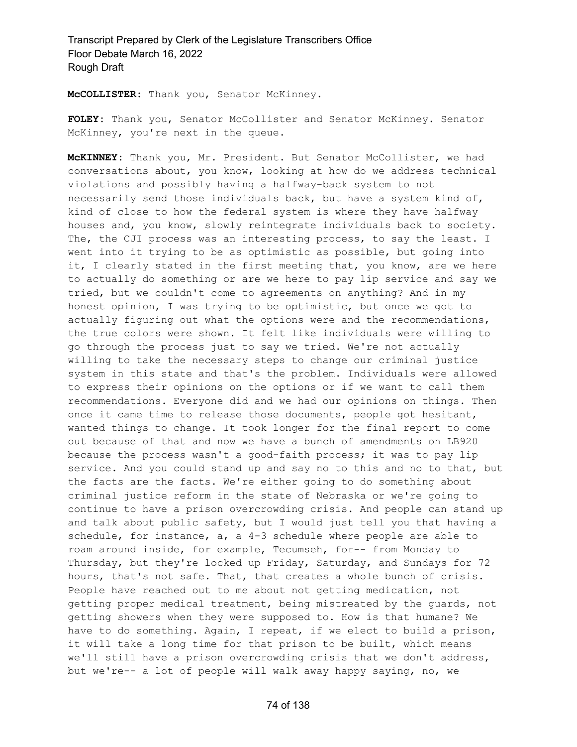**McCOLLISTER:** Thank you, Senator McKinney.

**FOLEY:** Thank you, Senator McCollister and Senator McKinney. Senator McKinney, you're next in the queue.

**McKINNEY:** Thank you, Mr. President. But Senator McCollister, we had conversations about, you know, looking at how do we address technical violations and possibly having a halfway-back system to not necessarily send those individuals back, but have a system kind of, kind of close to how the federal system is where they have halfway houses and, you know, slowly reintegrate individuals back to society. The, the CJI process was an interesting process, to say the least. I went into it trying to be as optimistic as possible, but going into it, I clearly stated in the first meeting that, you know, are we here to actually do something or are we here to pay lip service and say we tried, but we couldn't come to agreements on anything? And in my honest opinion, I was trying to be optimistic, but once we got to actually figuring out what the options were and the recommendations, the true colors were shown. It felt like individuals were willing to go through the process just to say we tried. We're not actually willing to take the necessary steps to change our criminal justice system in this state and that's the problem. Individuals were allowed to express their opinions on the options or if we want to call them recommendations. Everyone did and we had our opinions on things. Then once it came time to release those documents, people got hesitant, wanted things to change. It took longer for the final report to come out because of that and now we have a bunch of amendments on LB920 because the process wasn't a good-faith process; it was to pay lip service. And you could stand up and say no to this and no to that, but the facts are the facts. We're either going to do something about criminal justice reform in the state of Nebraska or we're going to continue to have a prison overcrowding crisis. And people can stand up and talk about public safety, but I would just tell you that having a schedule, for instance, a, a 4-3 schedule where people are able to roam around inside, for example, Tecumseh, for-- from Monday to Thursday, but they're locked up Friday, Saturday, and Sundays for 72 hours, that's not safe. That, that creates a whole bunch of crisis. People have reached out to me about not getting medication, not getting proper medical treatment, being mistreated by the guards, not getting showers when they were supposed to. How is that humane? We have to do something. Again, I repeat, if we elect to build a prison, it will take a long time for that prison to be built, which means we'll still have a prison overcrowding crisis that we don't address, but we're-- a lot of people will walk away happy saying, no, we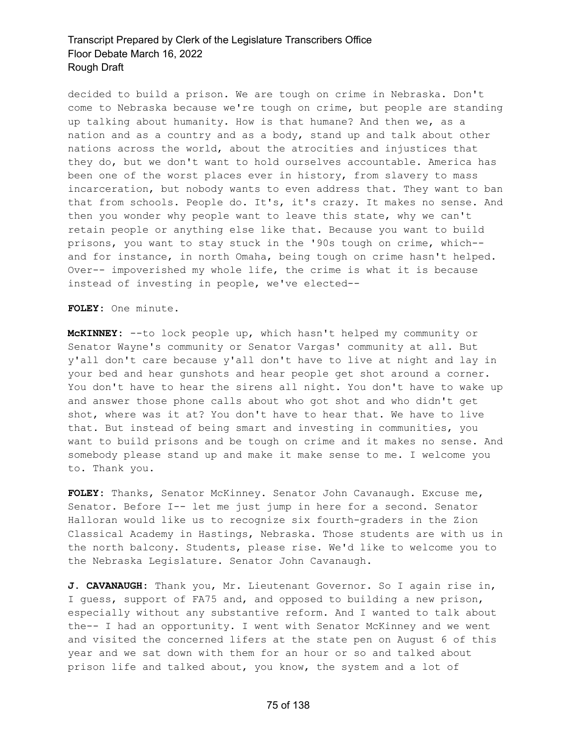decided to build a prison. We are tough on crime in Nebraska. Don't come to Nebraska because we're tough on crime, but people are standing up talking about humanity. How is that humane? And then we, as a nation and as a country and as a body, stand up and talk about other nations across the world, about the atrocities and injustices that they do, but we don't want to hold ourselves accountable. America has been one of the worst places ever in history, from slavery to mass incarceration, but nobody wants to even address that. They want to ban that from schools. People do. It's, it's crazy. It makes no sense. And then you wonder why people want to leave this state, why we can't retain people or anything else like that. Because you want to build prisons, you want to stay stuck in the '90s tough on crime, which- and for instance, in north Omaha, being tough on crime hasn't helped. Over-- impoverished my whole life, the crime is what it is because instead of investing in people, we've elected--

**FOLEY:** One minute.

**McKINNEY:** --to lock people up, which hasn't helped my community or Senator Wayne's community or Senator Vargas' community at all. But y'all don't care because y'all don't have to live at night and lay in your bed and hear gunshots and hear people get shot around a corner. You don't have to hear the sirens all night. You don't have to wake up and answer those phone calls about who got shot and who didn't get shot, where was it at? You don't have to hear that. We have to live that. But instead of being smart and investing in communities, you want to build prisons and be tough on crime and it makes no sense. And somebody please stand up and make it make sense to me. I welcome you to. Thank you.

**FOLEY:** Thanks, Senator McKinney. Senator John Cavanaugh. Excuse me, Senator. Before I-- let me just jump in here for a second. Senator Halloran would like us to recognize six fourth-graders in the Zion Classical Academy in Hastings, Nebraska. Those students are with us in the north balcony. Students, please rise. We'd like to welcome you to the Nebraska Legislature. Senator John Cavanaugh.

**J. CAVANAUGH:** Thank you, Mr. Lieutenant Governor. So I again rise in, I guess, support of FA75 and, and opposed to building a new prison, especially without any substantive reform. And I wanted to talk about the-- I had an opportunity. I went with Senator McKinney and we went and visited the concerned lifers at the state pen on August 6 of this year and we sat down with them for an hour or so and talked about prison life and talked about, you know, the system and a lot of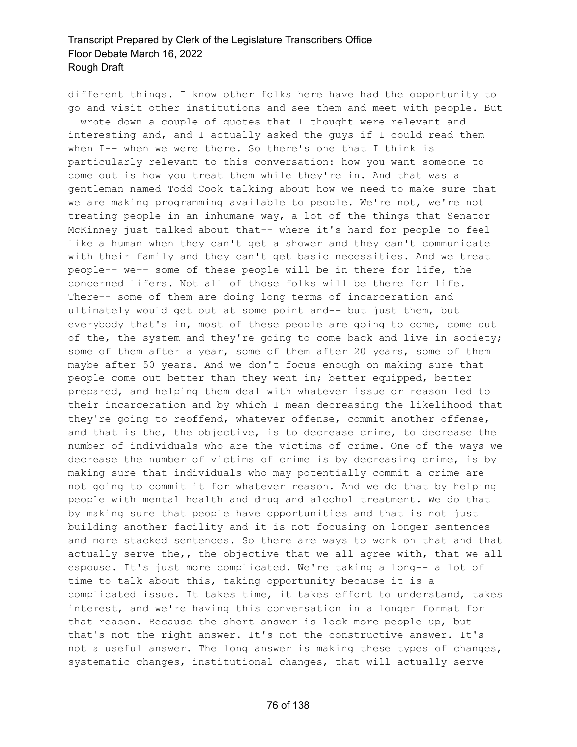different things. I know other folks here have had the opportunity to go and visit other institutions and see them and meet with people. But I wrote down a couple of quotes that I thought were relevant and interesting and, and I actually asked the guys if I could read them when I-- when we were there. So there's one that I think is particularly relevant to this conversation: how you want someone to come out is how you treat them while they're in. And that was a gentleman named Todd Cook talking about how we need to make sure that we are making programming available to people. We're not, we're not treating people in an inhumane way, a lot of the things that Senator McKinney just talked about that-- where it's hard for people to feel like a human when they can't get a shower and they can't communicate with their family and they can't get basic necessities. And we treat people-- we-- some of these people will be in there for life, the concerned lifers. Not all of those folks will be there for life. There-- some of them are doing long terms of incarceration and ultimately would get out at some point and-- but just them, but everybody that's in, most of these people are going to come, come out of the, the system and they're going to come back and live in society; some of them after a year, some of them after 20 years, some of them maybe after 50 years. And we don't focus enough on making sure that people come out better than they went in; better equipped, better prepared, and helping them deal with whatever issue or reason led to their incarceration and by which I mean decreasing the likelihood that they're going to reoffend, whatever offense, commit another offense, and that is the, the objective, is to decrease crime, to decrease the number of individuals who are the victims of crime. One of the ways we decrease the number of victims of crime is by decreasing crime, is by making sure that individuals who may potentially commit a crime are not going to commit it for whatever reason. And we do that by helping people with mental health and drug and alcohol treatment. We do that by making sure that people have opportunities and that is not just building another facility and it is not focusing on longer sentences and more stacked sentences. So there are ways to work on that and that actually serve the,, the objective that we all agree with, that we all espouse. It's just more complicated. We're taking a long-- a lot of time to talk about this, taking opportunity because it is a complicated issue. It takes time, it takes effort to understand, takes interest, and we're having this conversation in a longer format for that reason. Because the short answer is lock more people up, but that's not the right answer. It's not the constructive answer. It's not a useful answer. The long answer is making these types of changes, systematic changes, institutional changes, that will actually serve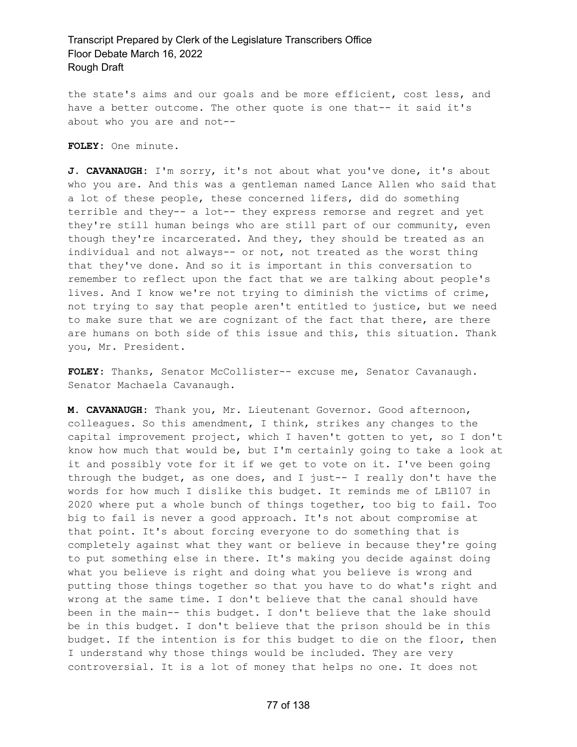the state's aims and our goals and be more efficient, cost less, and have a better outcome. The other quote is one that-- it said it's about who you are and not--

**FOLEY:** One minute.

**J. CAVANAUGH:** I'm sorry, it's not about what you've done, it's about who you are. And this was a gentleman named Lance Allen who said that a lot of these people, these concerned lifers, did do something terrible and they-- a lot-- they express remorse and regret and yet they're still human beings who are still part of our community, even though they're incarcerated. And they, they should be treated as an individual and not always-- or not, not treated as the worst thing that they've done. And so it is important in this conversation to remember to reflect upon the fact that we are talking about people's lives. And I know we're not trying to diminish the victims of crime, not trying to say that people aren't entitled to justice, but we need to make sure that we are cognizant of the fact that there, are there are humans on both side of this issue and this, this situation. Thank you, Mr. President.

**FOLEY:** Thanks, Senator McCollister-- excuse me, Senator Cavanaugh. Senator Machaela Cavanaugh.

**M. CAVANAUGH:** Thank you, Mr. Lieutenant Governor. Good afternoon, colleagues. So this amendment, I think, strikes any changes to the capital improvement project, which I haven't gotten to yet, so I don't know how much that would be, but I'm certainly going to take a look at it and possibly vote for it if we get to vote on it. I've been going through the budget, as one does, and I just-- I really don't have the words for how much I dislike this budget. It reminds me of LB1107 in 2020 where put a whole bunch of things together, too big to fail. Too big to fail is never a good approach. It's not about compromise at that point. It's about forcing everyone to do something that is completely against what they want or believe in because they're going to put something else in there. It's making you decide against doing what you believe is right and doing what you believe is wrong and putting those things together so that you have to do what's right and wrong at the same time. I don't believe that the canal should have been in the main-- this budget. I don't believe that the lake should be in this budget. I don't believe that the prison should be in this budget. If the intention is for this budget to die on the floor, then I understand why those things would be included. They are very controversial. It is a lot of money that helps no one. It does not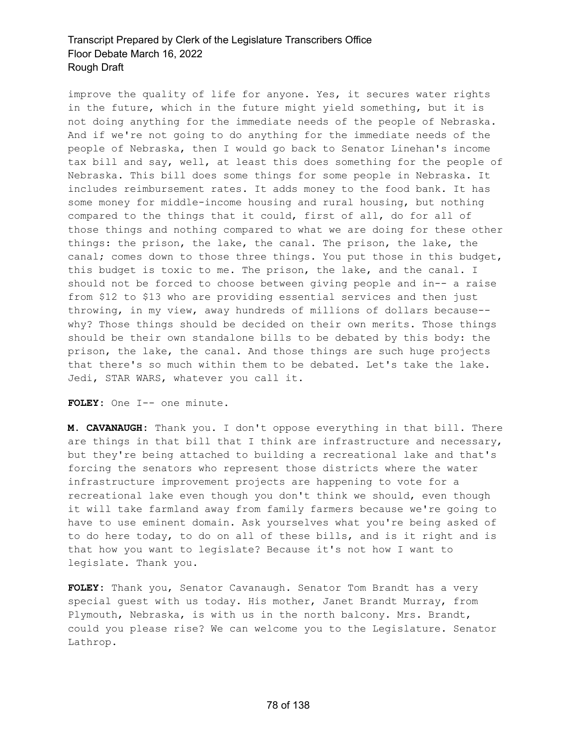improve the quality of life for anyone. Yes, it secures water rights in the future, which in the future might yield something, but it is not doing anything for the immediate needs of the people of Nebraska. And if we're not going to do anything for the immediate needs of the people of Nebraska, then I would go back to Senator Linehan's income tax bill and say, well, at least this does something for the people of Nebraska. This bill does some things for some people in Nebraska. It includes reimbursement rates. It adds money to the food bank. It has some money for middle-income housing and rural housing, but nothing compared to the things that it could, first of all, do for all of those things and nothing compared to what we are doing for these other things: the prison, the lake, the canal. The prison, the lake, the canal; comes down to those three things. You put those in this budget, this budget is toxic to me. The prison, the lake, and the canal. I should not be forced to choose between giving people and in-- a raise from \$12 to \$13 who are providing essential services and then just throwing, in my view, away hundreds of millions of dollars because- why? Those things should be decided on their own merits. Those things should be their own standalone bills to be debated by this body: the prison, the lake, the canal. And those things are such huge projects that there's so much within them to be debated. Let's take the lake. Jedi, STAR WARS, whatever you call it.

**FOLEY:** One I-- one minute.

**M. CAVANAUGH:** Thank you. I don't oppose everything in that bill. There are things in that bill that I think are infrastructure and necessary, but they're being attached to building a recreational lake and that's forcing the senators who represent those districts where the water infrastructure improvement projects are happening to vote for a recreational lake even though you don't think we should, even though it will take farmland away from family farmers because we're going to have to use eminent domain. Ask yourselves what you're being asked of to do here today, to do on all of these bills, and is it right and is that how you want to legislate? Because it's not how I want to legislate. Thank you.

**FOLEY:** Thank you, Senator Cavanaugh. Senator Tom Brandt has a very special guest with us today. His mother, Janet Brandt Murray, from Plymouth, Nebraska, is with us in the north balcony. Mrs. Brandt, could you please rise? We can welcome you to the Legislature. Senator Lathrop.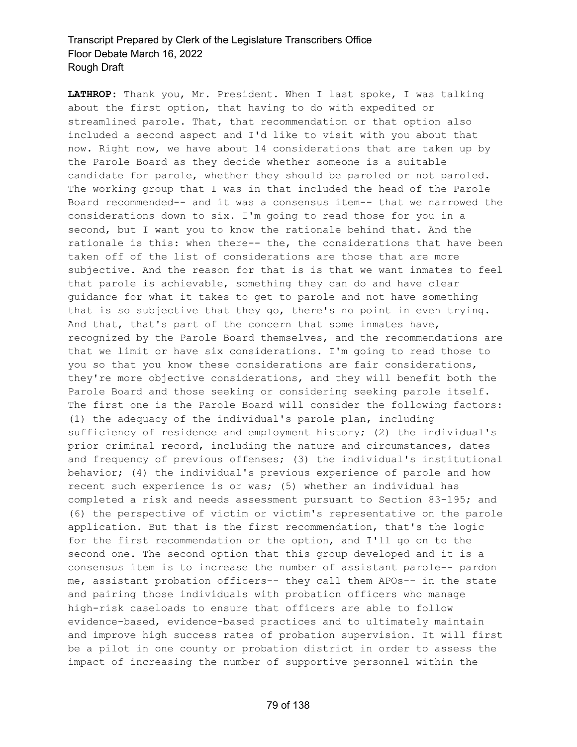**LATHROP:** Thank you, Mr. President. When I last spoke, I was talking about the first option, that having to do with expedited or streamlined parole. That, that recommendation or that option also included a second aspect and I'd like to visit with you about that now. Right now, we have about 14 considerations that are taken up by the Parole Board as they decide whether someone is a suitable candidate for parole, whether they should be paroled or not paroled. The working group that I was in that included the head of the Parole Board recommended-- and it was a consensus item-- that we narrowed the considerations down to six. I'm going to read those for you in a second, but I want you to know the rationale behind that. And the rationale is this: when there-- the, the considerations that have been taken off of the list of considerations are those that are more subjective. And the reason for that is is that we want inmates to feel that parole is achievable, something they can do and have clear guidance for what it takes to get to parole and not have something that is so subjective that they go, there's no point in even trying. And that, that's part of the concern that some inmates have, recognized by the Parole Board themselves, and the recommendations are that we limit or have six considerations. I'm going to read those to you so that you know these considerations are fair considerations, they're more objective considerations, and they will benefit both the Parole Board and those seeking or considering seeking parole itself. The first one is the Parole Board will consider the following factors: (1) the adequacy of the individual's parole plan, including sufficiency of residence and employment history; (2) the individual's prior criminal record, including the nature and circumstances, dates and frequency of previous offenses; (3) the individual's institutional behavior; (4) the individual's previous experience of parole and how recent such experience is or was; (5) whether an individual has completed a risk and needs assessment pursuant to Section 83-195; and (6) the perspective of victim or victim's representative on the parole application. But that is the first recommendation, that's the logic for the first recommendation or the option, and I'll go on to the second one. The second option that this group developed and it is a consensus item is to increase the number of assistant parole-- pardon me, assistant probation officers-- they call them APOs-- in the state and pairing those individuals with probation officers who manage high-risk caseloads to ensure that officers are able to follow evidence-based, evidence-based practices and to ultimately maintain and improve high success rates of probation supervision. It will first be a pilot in one county or probation district in order to assess the impact of increasing the number of supportive personnel within the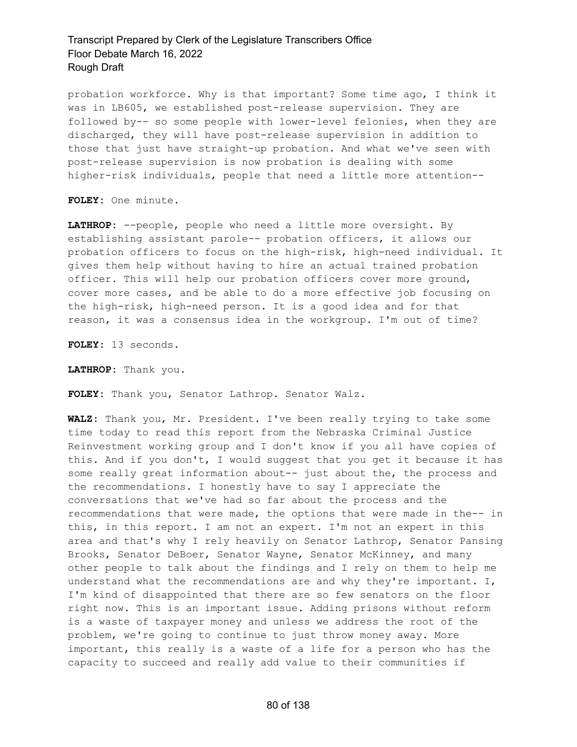probation workforce. Why is that important? Some time ago, I think it was in LB605, we established post-release supervision. They are followed by-- so some people with lower-level felonies, when they are discharged, they will have post-release supervision in addition to those that just have straight-up probation. And what we've seen with post-release supervision is now probation is dealing with some higher-risk individuals, people that need a little more attention--

**FOLEY:** One minute.

**LATHROP:** --people, people who need a little more oversight. By establishing assistant parole-- probation officers, it allows our probation officers to focus on the high-risk, high-need individual. It gives them help without having to hire an actual trained probation officer. This will help our probation officers cover more ground, cover more cases, and be able to do a more effective job focusing on the high-risk, high-need person. It is a good idea and for that reason, it was a consensus idea in the workgroup. I'm out of time?

**FOLEY:** 13 seconds.

**LATHROP:** Thank you.

**FOLEY:** Thank you, Senator Lathrop. Senator Walz.

**WALZ:** Thank you, Mr. President. I've been really trying to take some time today to read this report from the Nebraska Criminal Justice Reinvestment working group and I don't know if you all have copies of this. And if you don't, I would suggest that you get it because it has some really great information about-- just about the, the process and the recommendations. I honestly have to say I appreciate the conversations that we've had so far about the process and the recommendations that were made, the options that were made in the-- in this, in this report. I am not an expert. I'm not an expert in this area and that's why I rely heavily on Senator Lathrop, Senator Pansing Brooks, Senator DeBoer, Senator Wayne, Senator McKinney, and many other people to talk about the findings and I rely on them to help me understand what the recommendations are and why they're important. I, I'm kind of disappointed that there are so few senators on the floor right now. This is an important issue. Adding prisons without reform is a waste of taxpayer money and unless we address the root of the problem, we're going to continue to just throw money away. More important, this really is a waste of a life for a person who has the capacity to succeed and really add value to their communities if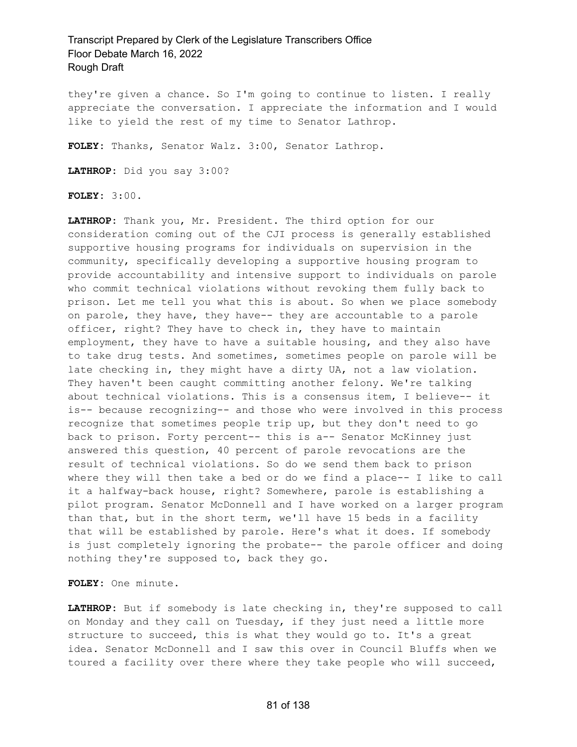they're given a chance. So I'm going to continue to listen. I really appreciate the conversation. I appreciate the information and I would like to yield the rest of my time to Senator Lathrop.

**FOLEY:** Thanks, Senator Walz. 3:00, Senator Lathrop.

**LATHROP:** Did you say 3:00?

**FOLEY:** 3:00.

**LATHROP:** Thank you, Mr. President. The third option for our consideration coming out of the CJI process is generally established supportive housing programs for individuals on supervision in the community, specifically developing a supportive housing program to provide accountability and intensive support to individuals on parole who commit technical violations without revoking them fully back to prison. Let me tell you what this is about. So when we place somebody on parole, they have, they have-- they are accountable to a parole officer, right? They have to check in, they have to maintain employment, they have to have a suitable housing, and they also have to take drug tests. And sometimes, sometimes people on parole will be late checking in, they might have a dirty UA, not a law violation. They haven't been caught committing another felony. We're talking about technical violations. This is a consensus item, I believe-- it is-- because recognizing-- and those who were involved in this process recognize that sometimes people trip up, but they don't need to go back to prison. Forty percent-- this is a-- Senator McKinney just answered this question, 40 percent of parole revocations are the result of technical violations. So do we send them back to prison where they will then take a bed or do we find a place-- I like to call it a halfway-back house, right? Somewhere, parole is establishing a pilot program. Senator McDonnell and I have worked on a larger program than that, but in the short term, we'll have 15 beds in a facility that will be established by parole. Here's what it does. If somebody is just completely ignoring the probate-- the parole officer and doing nothing they're supposed to, back they go.

**FOLEY:** One minute.

**LATHROP:** But if somebody is late checking in, they're supposed to call on Monday and they call on Tuesday, if they just need a little more structure to succeed, this is what they would go to. It's a great idea. Senator McDonnell and I saw this over in Council Bluffs when we toured a facility over there where they take people who will succeed,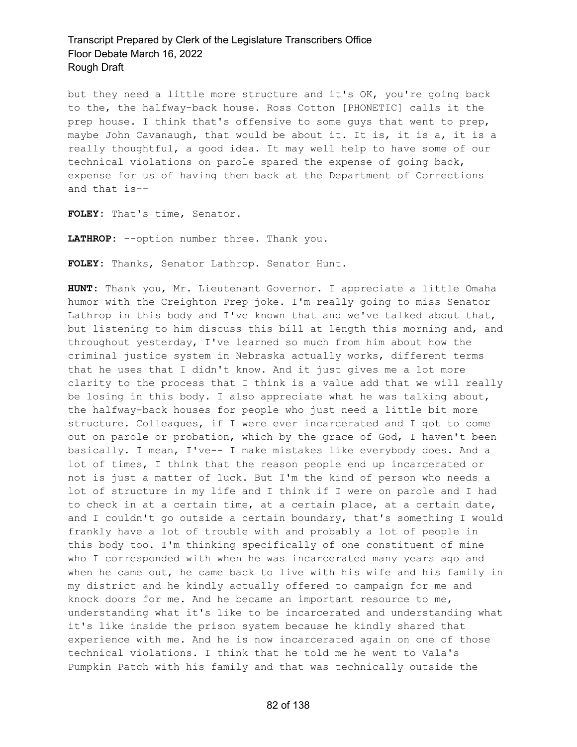but they need a little more structure and it's OK, you're going back to the, the halfway-back house. Ross Cotton [PHONETIC] calls it the prep house. I think that's offensive to some guys that went to prep, maybe John Cavanaugh, that would be about it. It is, it is a, it is a really thoughtful, a good idea. It may well help to have some of our technical violations on parole spared the expense of going back, expense for us of having them back at the Department of Corrections and that is--

**FOLEY:** That's time, Senator.

**LATHROP:** --option number three. Thank you.

**FOLEY:** Thanks, Senator Lathrop. Senator Hunt.

**HUNT:** Thank you, Mr. Lieutenant Governor. I appreciate a little Omaha humor with the Creighton Prep joke. I'm really going to miss Senator Lathrop in this body and I've known that and we've talked about that, but listening to him discuss this bill at length this morning and, and throughout yesterday, I've learned so much from him about how the criminal justice system in Nebraska actually works, different terms that he uses that I didn't know. And it just gives me a lot more clarity to the process that I think is a value add that we will really be losing in this body. I also appreciate what he was talking about, the halfway-back houses for people who just need a little bit more structure. Colleagues, if I were ever incarcerated and I got to come out on parole or probation, which by the grace of God, I haven't been basically. I mean, I've-- I make mistakes like everybody does. And a lot of times, I think that the reason people end up incarcerated or not is just a matter of luck. But I'm the kind of person who needs a lot of structure in my life and I think if I were on parole and I had to check in at a certain time, at a certain place, at a certain date, and I couldn't go outside a certain boundary, that's something I would frankly have a lot of trouble with and probably a lot of people in this body too. I'm thinking specifically of one constituent of mine who I corresponded with when he was incarcerated many years ago and when he came out, he came back to live with his wife and his family in my district and he kindly actually offered to campaign for me and knock doors for me. And he became an important resource to me, understanding what it's like to be incarcerated and understanding what it's like inside the prison system because he kindly shared that experience with me. And he is now incarcerated again on one of those technical violations. I think that he told me he went to Vala's Pumpkin Patch with his family and that was technically outside the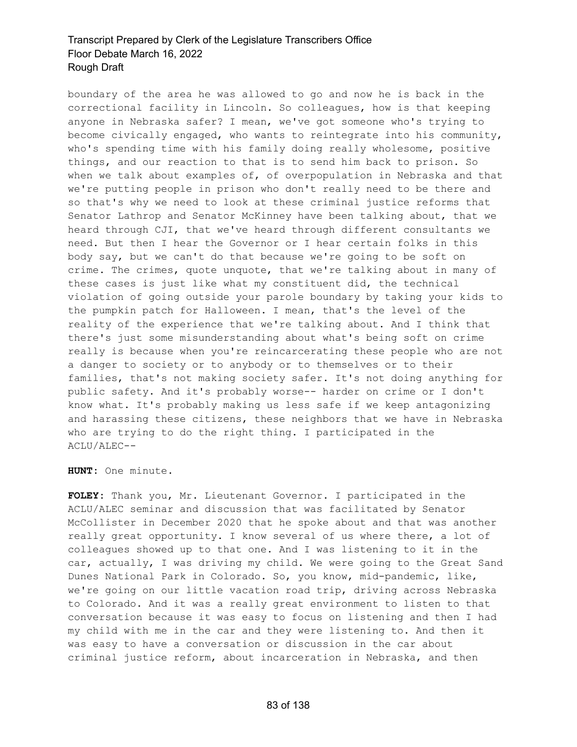boundary of the area he was allowed to go and now he is back in the correctional facility in Lincoln. So colleagues, how is that keeping anyone in Nebraska safer? I mean, we've got someone who's trying to become civically engaged, who wants to reintegrate into his community, who's spending time with his family doing really wholesome, positive things, and our reaction to that is to send him back to prison. So when we talk about examples of, of overpopulation in Nebraska and that we're putting people in prison who don't really need to be there and so that's why we need to look at these criminal justice reforms that Senator Lathrop and Senator McKinney have been talking about, that we heard through CJI, that we've heard through different consultants we need. But then I hear the Governor or I hear certain folks in this body say, but we can't do that because we're going to be soft on crime. The crimes, quote unquote, that we're talking about in many of these cases is just like what my constituent did, the technical violation of going outside your parole boundary by taking your kids to the pumpkin patch for Halloween. I mean, that's the level of the reality of the experience that we're talking about. And I think that there's just some misunderstanding about what's being soft on crime really is because when you're reincarcerating these people who are not a danger to society or to anybody or to themselves or to their families, that's not making society safer. It's not doing anything for public safety. And it's probably worse-- harder on crime or I don't know what. It's probably making us less safe if we keep antagonizing and harassing these citizens, these neighbors that we have in Nebraska who are trying to do the right thing. I participated in the ACLU/ALEC--

**HUNT:** One minute.

**FOLEY:** Thank you, Mr. Lieutenant Governor. I participated in the ACLU/ALEC seminar and discussion that was facilitated by Senator McCollister in December 2020 that he spoke about and that was another really great opportunity. I know several of us where there, a lot of colleagues showed up to that one. And I was listening to it in the car, actually, I was driving my child. We were going to the Great Sand Dunes National Park in Colorado. So, you know, mid-pandemic, like, we're going on our little vacation road trip, driving across Nebraska to Colorado. And it was a really great environment to listen to that conversation because it was easy to focus on listening and then I had my child with me in the car and they were listening to. And then it was easy to have a conversation or discussion in the car about criminal justice reform, about incarceration in Nebraska, and then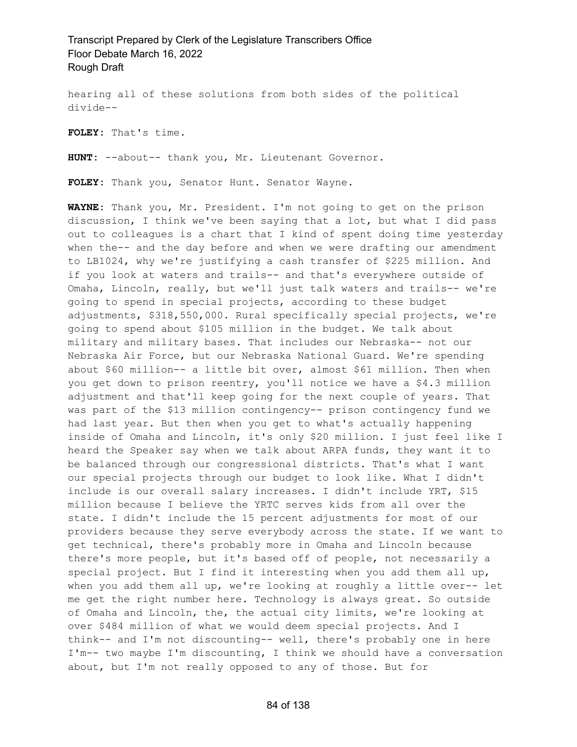hearing all of these solutions from both sides of the political divide--

**FOLEY:** That's time.

**HUNT:** --about-- thank you, Mr. Lieutenant Governor.

**FOLEY:** Thank you, Senator Hunt. Senator Wayne.

**WAYNE:** Thank you, Mr. President. I'm not going to get on the prison discussion, I think we've been saying that a lot, but what I did pass out to colleagues is a chart that I kind of spent doing time yesterday when the-- and the day before and when we were drafting our amendment to LB1024, why we're justifying a cash transfer of \$225 million. And if you look at waters and trails-- and that's everywhere outside of Omaha, Lincoln, really, but we'll just talk waters and trails-- we're going to spend in special projects, according to these budget adjustments, \$318,550,000. Rural specifically special projects, we're going to spend about \$105 million in the budget. We talk about military and military bases. That includes our Nebraska-- not our Nebraska Air Force, but our Nebraska National Guard. We're spending about \$60 million-- a little bit over, almost \$61 million. Then when you get down to prison reentry, you'll notice we have a \$4.3 million adjustment and that'll keep going for the next couple of years. That was part of the \$13 million contingency-- prison contingency fund we had last year. But then when you get to what's actually happening inside of Omaha and Lincoln, it's only \$20 million. I just feel like I heard the Speaker say when we talk about ARPA funds, they want it to be balanced through our congressional districts. That's what I want our special projects through our budget to look like. What I didn't include is our overall salary increases. I didn't include YRT, \$15 million because I believe the YRTC serves kids from all over the state. I didn't include the 15 percent adjustments for most of our providers because they serve everybody across the state. If we want to get technical, there's probably more in Omaha and Lincoln because there's more people, but it's based off of people, not necessarily a special project. But I find it interesting when you add them all up, when you add them all up, we're looking at roughly a little over-- let me get the right number here. Technology is always great. So outside of Omaha and Lincoln, the, the actual city limits, we're looking at over \$484 million of what we would deem special projects. And I think-- and I'm not discounting-- well, there's probably one in here I'm-- two maybe I'm discounting, I think we should have a conversation about, but I'm not really opposed to any of those. But for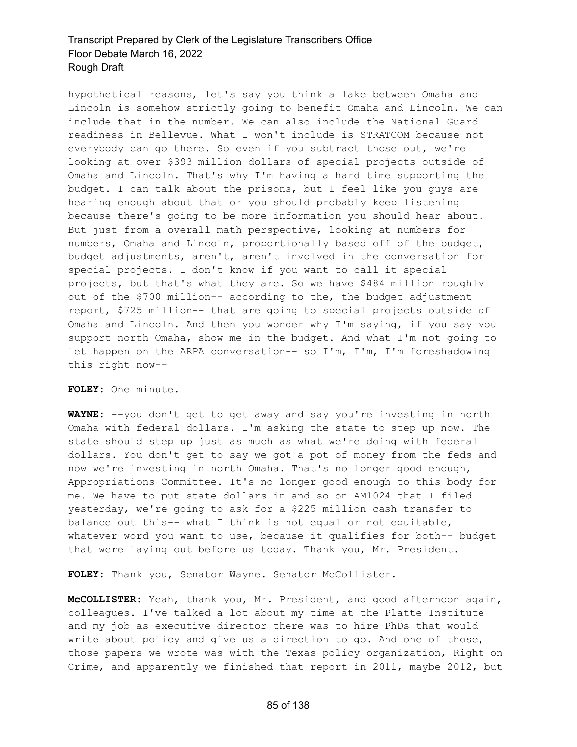hypothetical reasons, let's say you think a lake between Omaha and Lincoln is somehow strictly going to benefit Omaha and Lincoln. We can include that in the number. We can also include the National Guard readiness in Bellevue. What I won't include is STRATCOM because not everybody can go there. So even if you subtract those out, we're looking at over \$393 million dollars of special projects outside of Omaha and Lincoln. That's why I'm having a hard time supporting the budget. I can talk about the prisons, but I feel like you guys are hearing enough about that or you should probably keep listening because there's going to be more information you should hear about. But just from a overall math perspective, looking at numbers for numbers, Omaha and Lincoln, proportionally based off of the budget, budget adjustments, aren't, aren't involved in the conversation for special projects. I don't know if you want to call it special projects, but that's what they are. So we have \$484 million roughly out of the \$700 million-- according to the, the budget adjustment report, \$725 million-- that are going to special projects outside of Omaha and Lincoln. And then you wonder why I'm saying, if you say you support north Omaha, show me in the budget. And what I'm not going to let happen on the ARPA conversation-- so I'm, I'm, I'm foreshadowing this right now--

**FOLEY:** One minute.

**WAYNE:** --you don't get to get away and say you're investing in north Omaha with federal dollars. I'm asking the state to step up now. The state should step up just as much as what we're doing with federal dollars. You don't get to say we got a pot of money from the feds and now we're investing in north Omaha. That's no longer good enough, Appropriations Committee. It's no longer good enough to this body for me. We have to put state dollars in and so on AM1024 that I filed yesterday, we're going to ask for a \$225 million cash transfer to balance out this-- what I think is not equal or not equitable, whatever word you want to use, because it qualifies for both-- budget that were laying out before us today. Thank you, Mr. President.

**FOLEY:** Thank you, Senator Wayne. Senator McCollister.

**McCOLLISTER:** Yeah, thank you, Mr. President, and good afternoon again, colleagues. I've talked a lot about my time at the Platte Institute and my job as executive director there was to hire PhDs that would write about policy and give us a direction to go. And one of those, those papers we wrote was with the Texas policy organization, Right on Crime, and apparently we finished that report in 2011, maybe 2012, but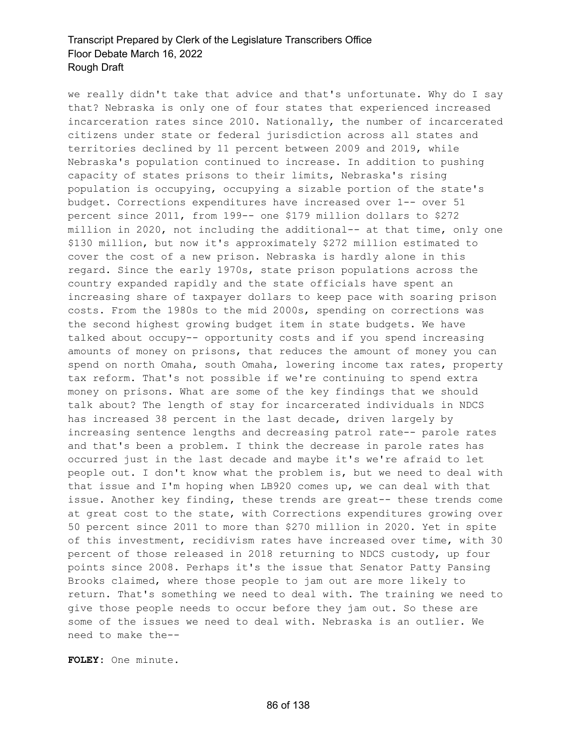we really didn't take that advice and that's unfortunate. Why do I say that? Nebraska is only one of four states that experienced increased incarceration rates since 2010. Nationally, the number of incarcerated citizens under state or federal jurisdiction across all states and territories declined by 11 percent between 2009 and 2019, while Nebraska's population continued to increase. In addition to pushing capacity of states prisons to their limits, Nebraska's rising population is occupying, occupying a sizable portion of the state's budget. Corrections expenditures have increased over 1-- over 51 percent since 2011, from 199-- one \$179 million dollars to \$272 million in 2020, not including the additional-- at that time, only one \$130 million, but now it's approximately \$272 million estimated to cover the cost of a new prison. Nebraska is hardly alone in this regard. Since the early 1970s, state prison populations across the country expanded rapidly and the state officials have spent an increasing share of taxpayer dollars to keep pace with soaring prison costs. From the 1980s to the mid 2000s, spending on corrections was the second highest growing budget item in state budgets. We have talked about occupy-- opportunity costs and if you spend increasing amounts of money on prisons, that reduces the amount of money you can spend on north Omaha, south Omaha, lowering income tax rates, property tax reform. That's not possible if we're continuing to spend extra money on prisons. What are some of the key findings that we should talk about? The length of stay for incarcerated individuals in NDCS has increased 38 percent in the last decade, driven largely by increasing sentence lengths and decreasing patrol rate-- parole rates and that's been a problem. I think the decrease in parole rates has occurred just in the last decade and maybe it's we're afraid to let people out. I don't know what the problem is, but we need to deal with that issue and I'm hoping when LB920 comes up, we can deal with that issue. Another key finding, these trends are great-- these trends come at great cost to the state, with Corrections expenditures growing over 50 percent since 2011 to more than \$270 million in 2020. Yet in spite of this investment, recidivism rates have increased over time, with 30 percent of those released in 2018 returning to NDCS custody, up four points since 2008. Perhaps it's the issue that Senator Patty Pansing Brooks claimed, where those people to jam out are more likely to return. That's something we need to deal with. The training we need to give those people needs to occur before they jam out. So these are some of the issues we need to deal with. Nebraska is an outlier. We need to make the--

**FOLEY:** One minute.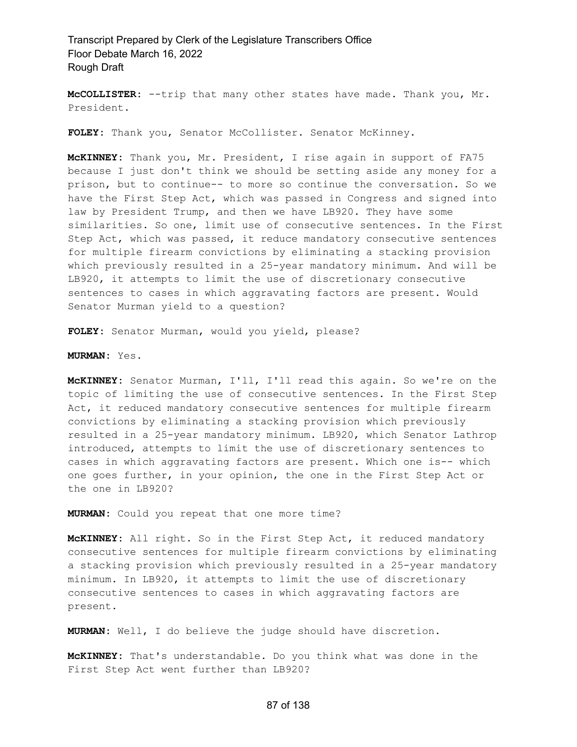**McCOLLISTER:** --trip that many other states have made. Thank you, Mr. President.

**FOLEY:** Thank you, Senator McCollister. Senator McKinney.

**McKINNEY:** Thank you, Mr. President, I rise again in support of FA75 because I just don't think we should be setting aside any money for a prison, but to continue-- to more so continue the conversation. So we have the First Step Act, which was passed in Congress and signed into law by President Trump, and then we have LB920. They have some similarities. So one, limit use of consecutive sentences. In the First Step Act, which was passed, it reduce mandatory consecutive sentences for multiple firearm convictions by eliminating a stacking provision which previously resulted in a 25-year mandatory minimum. And will be LB920, it attempts to limit the use of discretionary consecutive sentences to cases in which aggravating factors are present. Would Senator Murman yield to a question?

**FOLEY:** Senator Murman, would you yield, please?

**MURMAN:** Yes.

**McKINNEY:** Senator Murman, I'll, I'll read this again. So we're on the topic of limiting the use of consecutive sentences. In the First Step Act, it reduced mandatory consecutive sentences for multiple firearm convictions by eliminating a stacking provision which previously resulted in a 25-year mandatory minimum. LB920, which Senator Lathrop introduced, attempts to limit the use of discretionary sentences to cases in which aggravating factors are present. Which one is-- which one goes further, in your opinion, the one in the First Step Act or the one in LB920?

**MURMAN:** Could you repeat that one more time?

**McKINNEY:** All right. So in the First Step Act, it reduced mandatory consecutive sentences for multiple firearm convictions by eliminating a stacking provision which previously resulted in a 25-year mandatory minimum. In LB920, it attempts to limit the use of discretionary consecutive sentences to cases in which aggravating factors are present.

**MURMAN:** Well, I do believe the judge should have discretion.

**McKINNEY:** That's understandable. Do you think what was done in the First Step Act went further than LB920?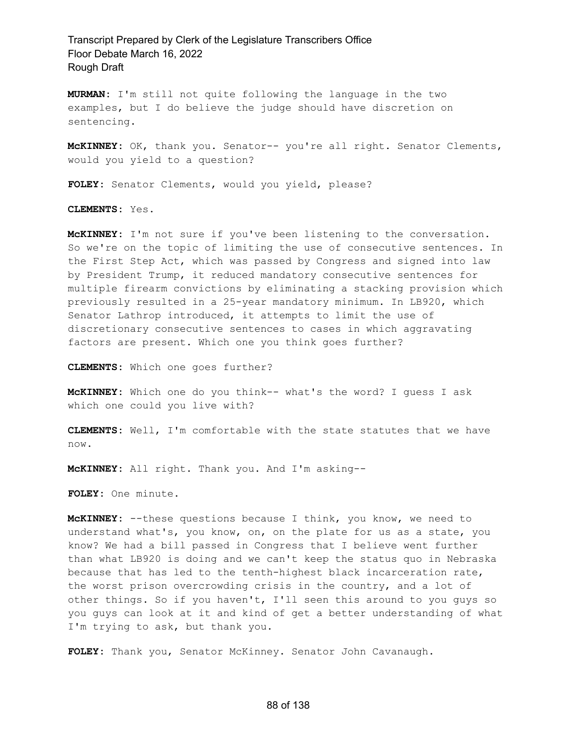**MURMAN:** I'm still not quite following the language in the two examples, but I do believe the judge should have discretion on sentencing.

**McKINNEY:** OK, thank you. Senator-- you're all right. Senator Clements, would you yield to a question?

**FOLEY:** Senator Clements, would you yield, please?

**CLEMENTS:** Yes.

**McKINNEY:** I'm not sure if you've been listening to the conversation. So we're on the topic of limiting the use of consecutive sentences. In the First Step Act, which was passed by Congress and signed into law by President Trump, it reduced mandatory consecutive sentences for multiple firearm convictions by eliminating a stacking provision which previously resulted in a 25-year mandatory minimum. In LB920, which Senator Lathrop introduced, it attempts to limit the use of discretionary consecutive sentences to cases in which aggravating factors are present. Which one you think goes further?

**CLEMENTS:** Which one goes further?

**McKINNEY:** Which one do you think-- what's the word? I guess I ask which one could you live with?

**CLEMENTS:** Well, I'm comfortable with the state statutes that we have now.

**McKINNEY:** All right. Thank you. And I'm asking--

**FOLEY:** One minute.

**McKINNEY:** --these questions because I think, you know, we need to understand what's, you know, on, on the plate for us as a state, you know? We had a bill passed in Congress that I believe went further than what LB920 is doing and we can't keep the status quo in Nebraska because that has led to the tenth-highest black incarceration rate, the worst prison overcrowding crisis in the country, and a lot of other things. So if you haven't, I'll seen this around to you guys so you guys can look at it and kind of get a better understanding of what I'm trying to ask, but thank you.

**FOLEY:** Thank you, Senator McKinney. Senator John Cavanaugh.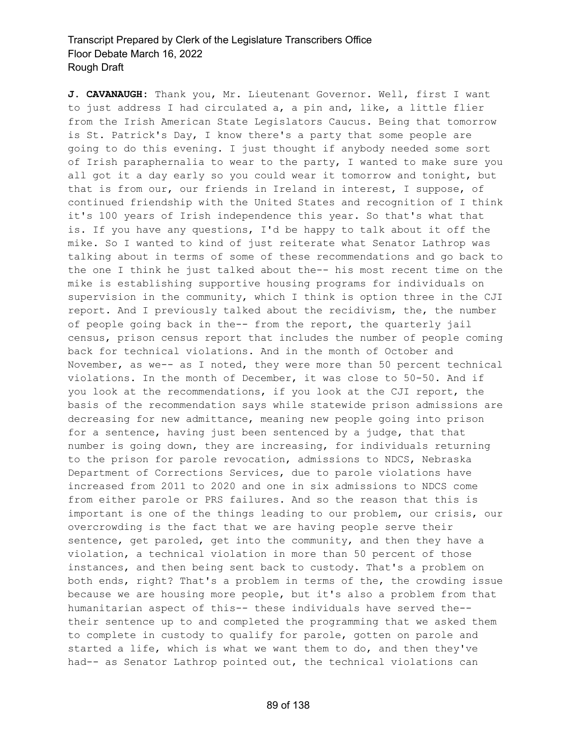**J. CAVANAUGH:** Thank you, Mr. Lieutenant Governor. Well, first I want to just address I had circulated a, a pin and, like, a little flier from the Irish American State Legislators Caucus. Being that tomorrow is St. Patrick's Day, I know there's a party that some people are going to do this evening. I just thought if anybody needed some sort of Irish paraphernalia to wear to the party, I wanted to make sure you all got it a day early so you could wear it tomorrow and tonight, but that is from our, our friends in Ireland in interest, I suppose, of continued friendship with the United States and recognition of I think it's 100 years of Irish independence this year. So that's what that is. If you have any questions, I'd be happy to talk about it off the mike. So I wanted to kind of just reiterate what Senator Lathrop was talking about in terms of some of these recommendations and go back to the one I think he just talked about the-- his most recent time on the mike is establishing supportive housing programs for individuals on supervision in the community, which I think is option three in the CJI report. And I previously talked about the recidivism, the, the number of people going back in the-- from the report, the quarterly jail census, prison census report that includes the number of people coming back for technical violations. And in the month of October and November, as we-- as I noted, they were more than 50 percent technical violations. In the month of December, it was close to 50-50. And if you look at the recommendations, if you look at the CJI report, the basis of the recommendation says while statewide prison admissions are decreasing for new admittance, meaning new people going into prison for a sentence, having just been sentenced by a judge, that that number is going down, they are increasing, for individuals returning to the prison for parole revocation, admissions to NDCS, Nebraska Department of Corrections Services, due to parole violations have increased from 2011 to 2020 and one in six admissions to NDCS come from either parole or PRS failures. And so the reason that this is important is one of the things leading to our problem, our crisis, our overcrowding is the fact that we are having people serve their sentence, get paroled, get into the community, and then they have a violation, a technical violation in more than 50 percent of those instances, and then being sent back to custody. That's a problem on both ends, right? That's a problem in terms of the, the crowding issue because we are housing more people, but it's also a problem from that humanitarian aspect of this-- these individuals have served the- their sentence up to and completed the programming that we asked them to complete in custody to qualify for parole, gotten on parole and started a life, which is what we want them to do, and then they've had-- as Senator Lathrop pointed out, the technical violations can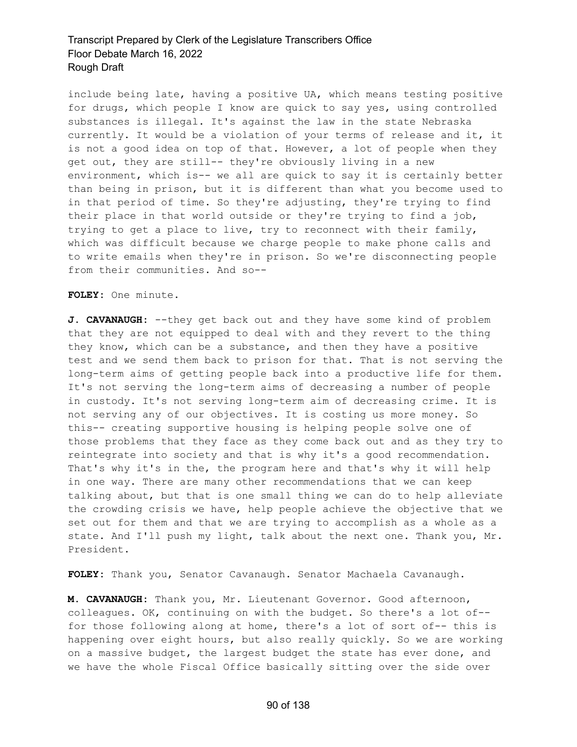include being late, having a positive UA, which means testing positive for drugs, which people I know are quick to say yes, using controlled substances is illegal. It's against the law in the state Nebraska currently. It would be a violation of your terms of release and it, it is not a good idea on top of that. However, a lot of people when they get out, they are still-- they're obviously living in a new environment, which is-- we all are quick to say it is certainly better than being in prison, but it is different than what you become used to in that period of time. So they're adjusting, they're trying to find their place in that world outside or they're trying to find a job, trying to get a place to live, try to reconnect with their family, which was difficult because we charge people to make phone calls and to write emails when they're in prison. So we're disconnecting people from their communities. And so--

**FOLEY:** One minute.

**J. CAVANAUGH:** --they get back out and they have some kind of problem that they are not equipped to deal with and they revert to the thing they know, which can be a substance, and then they have a positive test and we send them back to prison for that. That is not serving the long-term aims of getting people back into a productive life for them. It's not serving the long-term aims of decreasing a number of people in custody. It's not serving long-term aim of decreasing crime. It is not serving any of our objectives. It is costing us more money. So this-- creating supportive housing is helping people solve one of those problems that they face as they come back out and as they try to reintegrate into society and that is why it's a good recommendation. That's why it's in the, the program here and that's why it will help in one way. There are many other recommendations that we can keep talking about, but that is one small thing we can do to help alleviate the crowding crisis we have, help people achieve the objective that we set out for them and that we are trying to accomplish as a whole as a state. And I'll push my light, talk about the next one. Thank you, Mr. President.

**FOLEY:** Thank you, Senator Cavanaugh. Senator Machaela Cavanaugh.

**M. CAVANAUGH:** Thank you, Mr. Lieutenant Governor. Good afternoon, colleagues. OK, continuing on with the budget. So there's a lot of- for those following along at home, there's a lot of sort of-- this is happening over eight hours, but also really quickly. So we are working on a massive budget, the largest budget the state has ever done, and we have the whole Fiscal Office basically sitting over the side over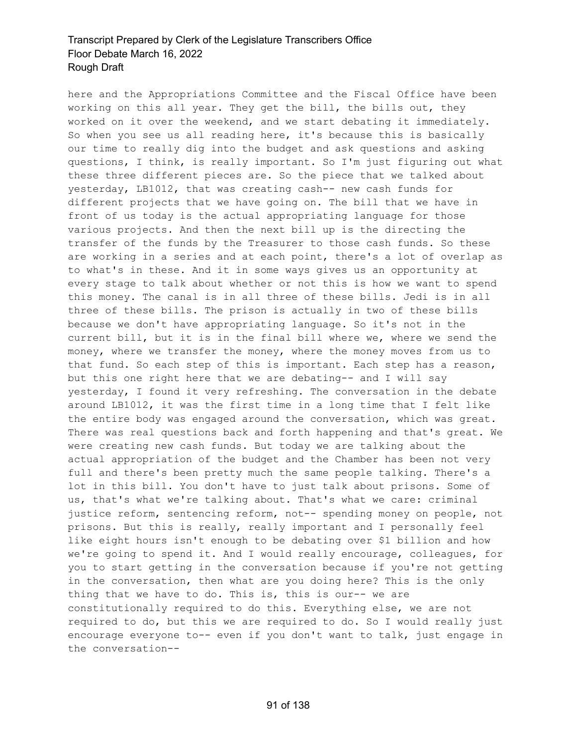here and the Appropriations Committee and the Fiscal Office have been working on this all year. They get the bill, the bills out, they worked on it over the weekend, and we start debating it immediately. So when you see us all reading here, it's because this is basically our time to really dig into the budget and ask questions and asking questions, I think, is really important. So I'm just figuring out what these three different pieces are. So the piece that we talked about yesterday, LB1012, that was creating cash-- new cash funds for different projects that we have going on. The bill that we have in front of us today is the actual appropriating language for those various projects. And then the next bill up is the directing the transfer of the funds by the Treasurer to those cash funds. So these are working in a series and at each point, there's a lot of overlap as to what's in these. And it in some ways gives us an opportunity at every stage to talk about whether or not this is how we want to spend this money. The canal is in all three of these bills. Jedi is in all three of these bills. The prison is actually in two of these bills because we don't have appropriating language. So it's not in the current bill, but it is in the final bill where we, where we send the money, where we transfer the money, where the money moves from us to that fund. So each step of this is important. Each step has a reason, but this one right here that we are debating-- and I will say yesterday, I found it very refreshing. The conversation in the debate around LB1012, it was the first time in a long time that I felt like the entire body was engaged around the conversation, which was great. There was real questions back and forth happening and that's great. We were creating new cash funds. But today we are talking about the actual appropriation of the budget and the Chamber has been not very full and there's been pretty much the same people talking. There's a lot in this bill. You don't have to just talk about prisons. Some of us, that's what we're talking about. That's what we care: criminal justice reform, sentencing reform, not-- spending money on people, not prisons. But this is really, really important and I personally feel like eight hours isn't enough to be debating over \$1 billion and how we're going to spend it. And I would really encourage, colleagues, for you to start getting in the conversation because if you're not getting in the conversation, then what are you doing here? This is the only thing that we have to do. This is, this is our-- we are constitutionally required to do this. Everything else, we are not required to do, but this we are required to do. So I would really just encourage everyone to-- even if you don't want to talk, just engage in the conversation--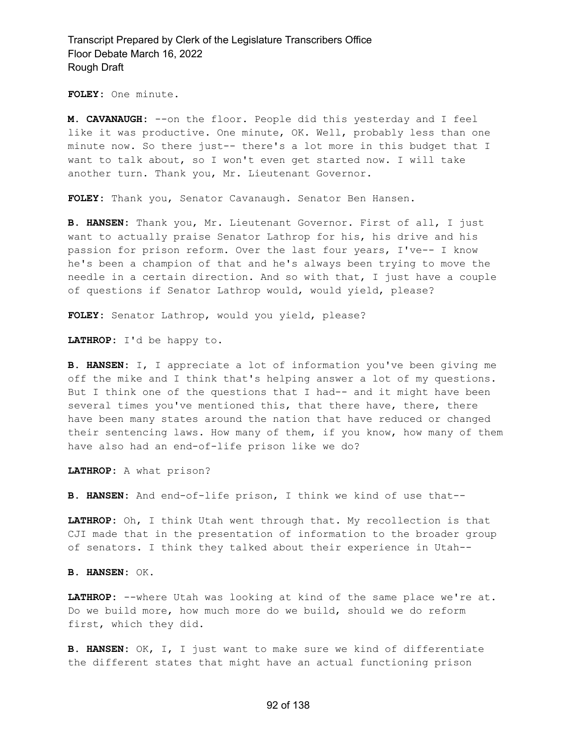**FOLEY:** One minute.

**M. CAVANAUGH:** --on the floor. People did this yesterday and I feel like it was productive. One minute, OK. Well, probably less than one minute now. So there just-- there's a lot more in this budget that I want to talk about, so I won't even get started now. I will take another turn. Thank you, Mr. Lieutenant Governor.

**FOLEY:** Thank you, Senator Cavanaugh. Senator Ben Hansen.

**B. HANSEN:** Thank you, Mr. Lieutenant Governor. First of all, I just want to actually praise Senator Lathrop for his, his drive and his passion for prison reform. Over the last four years, I've-- I know he's been a champion of that and he's always been trying to move the needle in a certain direction. And so with that, I just have a couple of questions if Senator Lathrop would, would yield, please?

**FOLEY:** Senator Lathrop, would you yield, please?

**LATHROP:** I'd be happy to.

**B. HANSEN:** I, I appreciate a lot of information you've been giving me off the mike and I think that's helping answer a lot of my questions. But I think one of the questions that I had-- and it might have been several times you've mentioned this, that there have, there, there have been many states around the nation that have reduced or changed their sentencing laws. How many of them, if you know, how many of them have also had an end-of-life prison like we do?

**LATHROP:** A what prison?

**B. HANSEN:** And end-of-life prison, I think we kind of use that--

**LATHROP:** Oh, I think Utah went through that. My recollection is that CJI made that in the presentation of information to the broader group of senators. I think they talked about their experience in Utah--

**B. HANSEN:** OK.

**LATHROP:** --where Utah was looking at kind of the same place we're at. Do we build more, how much more do we build, should we do reform first, which they did.

**B. HANSEN:** OK, I, I just want to make sure we kind of differentiate the different states that might have an actual functioning prison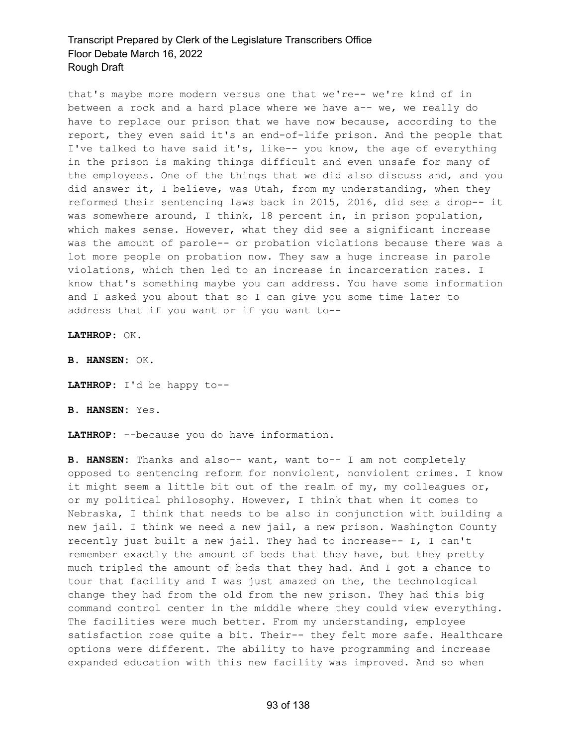that's maybe more modern versus one that we're-- we're kind of in between a rock and a hard place where we have a-- we, we really do have to replace our prison that we have now because, according to the report, they even said it's an end-of-life prison. And the people that I've talked to have said it's, like-- you know, the age of everything in the prison is making things difficult and even unsafe for many of the employees. One of the things that we did also discuss and, and you did answer it, I believe, was Utah, from my understanding, when they reformed their sentencing laws back in 2015, 2016, did see a drop-- it was somewhere around, I think, 18 percent in, in prison population, which makes sense. However, what they did see a significant increase was the amount of parole-- or probation violations because there was a lot more people on probation now. They saw a huge increase in parole violations, which then led to an increase in incarceration rates. I know that's something maybe you can address. You have some information and I asked you about that so I can give you some time later to address that if you want or if you want to--

**LATHROP:** OK.

**B. HANSEN:** OK.

**LATHROP:** I'd be happy to--

**B. HANSEN:** Yes.

**LATHROP:** --because you do have information.

**B. HANSEN:** Thanks and also-- want, want to-- I am not completely opposed to sentencing reform for nonviolent, nonviolent crimes. I know it might seem a little bit out of the realm of my, my colleagues or, or my political philosophy. However, I think that when it comes to Nebraska, I think that needs to be also in conjunction with building a new jail. I think we need a new jail, a new prison. Washington County recently just built a new jail. They had to increase-- I, I can't remember exactly the amount of beds that they have, but they pretty much tripled the amount of beds that they had. And I got a chance to tour that facility and I was just amazed on the, the technological change they had from the old from the new prison. They had this big command control center in the middle where they could view everything. The facilities were much better. From my understanding, employee satisfaction rose quite a bit. Their-- they felt more safe. Healthcare options were different. The ability to have programming and increase expanded education with this new facility was improved. And so when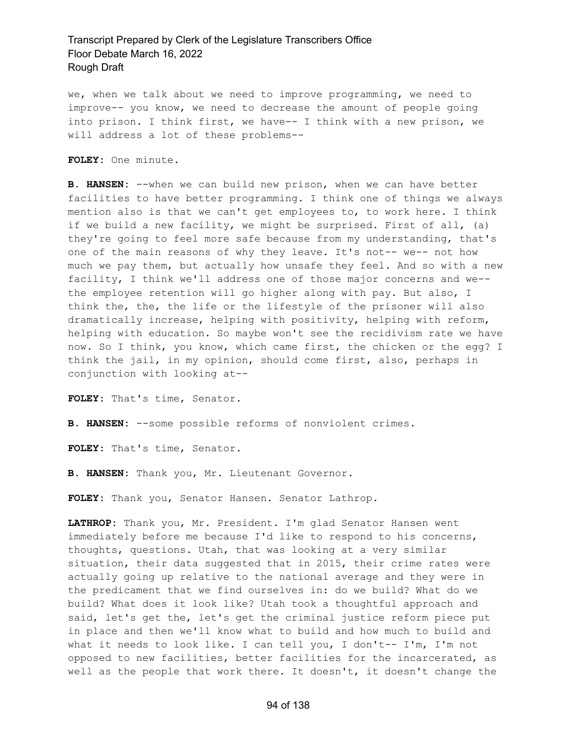we, when we talk about we need to improve programming, we need to improve-- you know, we need to decrease the amount of people going into prison. I think first, we have-- I think with a new prison, we will address a lot of these problems--

**FOLEY:** One minute.

**B. HANSEN:** --when we can build new prison, when we can have better facilities to have better programming. I think one of things we always mention also is that we can't get employees to, to work here. I think if we build a new facility, we might be surprised. First of all, (a) they're going to feel more safe because from my understanding, that's one of the main reasons of why they leave. It's not-- we-- not how much we pay them, but actually how unsafe they feel. And so with a new facility, I think we'll address one of those major concerns and we- the employee retention will go higher along with pay. But also, I think the, the, the life or the lifestyle of the prisoner will also dramatically increase, helping with positivity, helping with reform, helping with education. So maybe won't see the recidivism rate we have now. So I think, you know, which came first, the chicken or the egg? I think the jail, in my opinion, should come first, also, perhaps in conjunction with looking at--

**FOLEY:** That's time, Senator.

**B. HANSEN:** --some possible reforms of nonviolent crimes.

**FOLEY:** That's time, Senator.

**B. HANSEN:** Thank you, Mr. Lieutenant Governor.

**FOLEY:** Thank you, Senator Hansen. Senator Lathrop.

**LATHROP:** Thank you, Mr. President. I'm glad Senator Hansen went immediately before me because I'd like to respond to his concerns, thoughts, questions. Utah, that was looking at a very similar situation, their data suggested that in 2015, their crime rates were actually going up relative to the national average and they were in the predicament that we find ourselves in: do we build? What do we build? What does it look like? Utah took a thoughtful approach and said, let's get the, let's get the criminal justice reform piece put in place and then we'll know what to build and how much to build and what it needs to look like. I can tell you, I don't-- I'm, I'm not opposed to new facilities, better facilities for the incarcerated, as well as the people that work there. It doesn't, it doesn't change the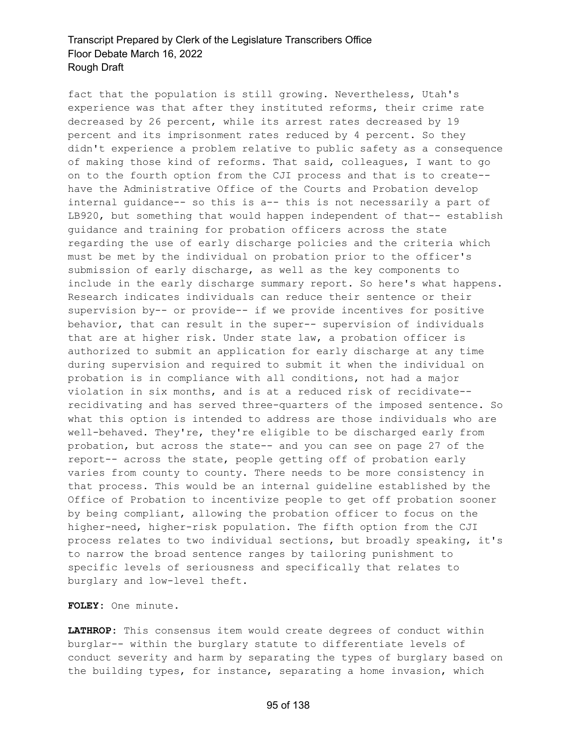fact that the population is still growing. Nevertheless, Utah's experience was that after they instituted reforms, their crime rate decreased by 26 percent, while its arrest rates decreased by 19 percent and its imprisonment rates reduced by 4 percent. So they didn't experience a problem relative to public safety as a consequence of making those kind of reforms. That said, colleagues, I want to go on to the fourth option from the CJI process and that is to create- have the Administrative Office of the Courts and Probation develop internal guidance-- so this is a-- this is not necessarily a part of LB920, but something that would happen independent of that-- establish guidance and training for probation officers across the state regarding the use of early discharge policies and the criteria which must be met by the individual on probation prior to the officer's submission of early discharge, as well as the key components to include in the early discharge summary report. So here's what happens. Research indicates individuals can reduce their sentence or their supervision by-- or provide-- if we provide incentives for positive behavior, that can result in the super-- supervision of individuals that are at higher risk. Under state law, a probation officer is authorized to submit an application for early discharge at any time during supervision and required to submit it when the individual on probation is in compliance with all conditions, not had a major violation in six months, and is at a reduced risk of recidivate- recidivating and has served three-quarters of the imposed sentence. So what this option is intended to address are those individuals who are well-behaved. They're, they're eligible to be discharged early from probation, but across the state-- and you can see on page 27 of the report-- across the state, people getting off of probation early varies from county to county. There needs to be more consistency in that process. This would be an internal guideline established by the Office of Probation to incentivize people to get off probation sooner by being compliant, allowing the probation officer to focus on the higher-need, higher-risk population. The fifth option from the CJI process relates to two individual sections, but broadly speaking, it's to narrow the broad sentence ranges by tailoring punishment to specific levels of seriousness and specifically that relates to burglary and low-level theft.

**FOLEY:** One minute.

**LATHROP:** This consensus item would create degrees of conduct within burglar-- within the burglary statute to differentiate levels of conduct severity and harm by separating the types of burglary based on the building types, for instance, separating a home invasion, which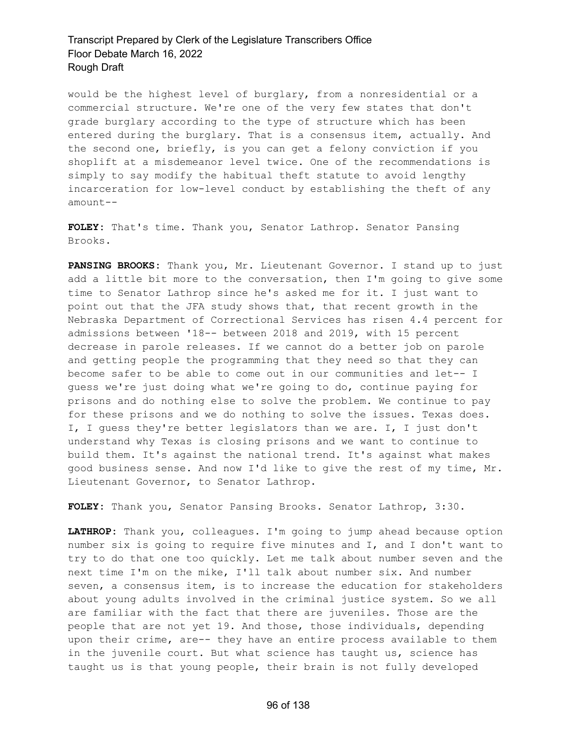would be the highest level of burglary, from a nonresidential or a commercial structure. We're one of the very few states that don't grade burglary according to the type of structure which has been entered during the burglary. That is a consensus item, actually. And the second one, briefly, is you can get a felony conviction if you shoplift at a misdemeanor level twice. One of the recommendations is simply to say modify the habitual theft statute to avoid lengthy incarceration for low-level conduct by establishing the theft of any amount--

**FOLEY:** That's time. Thank you, Senator Lathrop. Senator Pansing Brooks.

**PANSING BROOKS:** Thank you, Mr. Lieutenant Governor. I stand up to just add a little bit more to the conversation, then I'm going to give some time to Senator Lathrop since he's asked me for it. I just want to point out that the JFA study shows that, that recent growth in the Nebraska Department of Correctional Services has risen 4.4 percent for admissions between '18-- between 2018 and 2019, with 15 percent decrease in parole releases. If we cannot do a better job on parole and getting people the programming that they need so that they can become safer to be able to come out in our communities and let-- I guess we're just doing what we're going to do, continue paying for prisons and do nothing else to solve the problem. We continue to pay for these prisons and we do nothing to solve the issues. Texas does. I, I guess they're better legislators than we are. I, I just don't understand why Texas is closing prisons and we want to continue to build them. It's against the national trend. It's against what makes good business sense. And now I'd like to give the rest of my time, Mr. Lieutenant Governor, to Senator Lathrop.

**FOLEY:** Thank you, Senator Pansing Brooks. Senator Lathrop, 3:30.

**LATHROP:** Thank you, colleagues. I'm going to jump ahead because option number six is going to require five minutes and I, and I don't want to try to do that one too quickly. Let me talk about number seven and the next time I'm on the mike, I'll talk about number six. And number seven, a consensus item, is to increase the education for stakeholders about young adults involved in the criminal justice system. So we all are familiar with the fact that there are juveniles. Those are the people that are not yet 19. And those, those individuals, depending upon their crime, are-- they have an entire process available to them in the juvenile court. But what science has taught us, science has taught us is that young people, their brain is not fully developed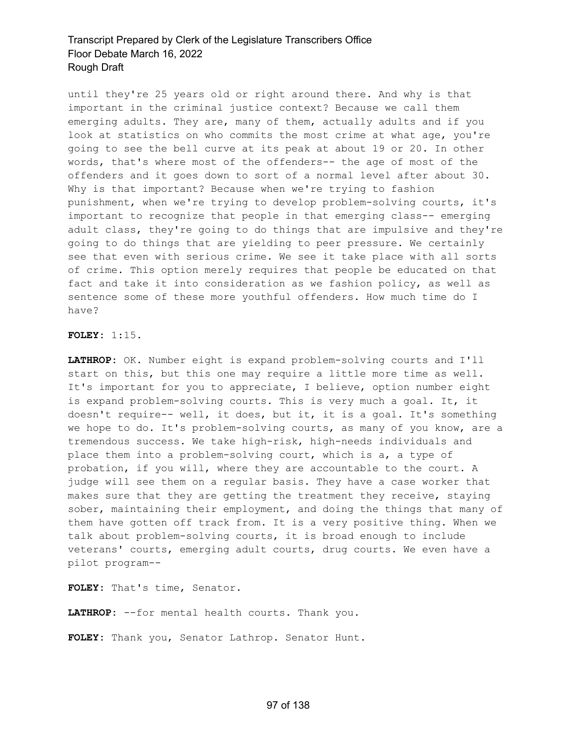until they're 25 years old or right around there. And why is that important in the criminal justice context? Because we call them emerging adults. They are, many of them, actually adults and if you look at statistics on who commits the most crime at what age, you're going to see the bell curve at its peak at about 19 or 20. In other words, that's where most of the offenders-- the age of most of the offenders and it goes down to sort of a normal level after about 30. Why is that important? Because when we're trying to fashion punishment, when we're trying to develop problem-solving courts, it's important to recognize that people in that emerging class-- emerging adult class, they're going to do things that are impulsive and they're going to do things that are yielding to peer pressure. We certainly see that even with serious crime. We see it take place with all sorts of crime. This option merely requires that people be educated on that fact and take it into consideration as we fashion policy, as well as sentence some of these more youthful offenders. How much time do I have?

#### **FOLEY:** 1:15.

**LATHROP:** OK. Number eight is expand problem-solving courts and I'll start on this, but this one may require a little more time as well. It's important for you to appreciate, I believe, option number eight is expand problem-solving courts. This is very much a goal. It, it doesn't require-- well, it does, but it, it is a goal. It's something we hope to do. It's problem-solving courts, as many of you know, are a tremendous success. We take high-risk, high-needs individuals and place them into a problem-solving court, which is a, a type of probation, if you will, where they are accountable to the court. A judge will see them on a regular basis. They have a case worker that makes sure that they are getting the treatment they receive, staying sober, maintaining their employment, and doing the things that many of them have gotten off track from. It is a very positive thing. When we talk about problem-solving courts, it is broad enough to include veterans' courts, emerging adult courts, drug courts. We even have a pilot program--

**FOLEY:** That's time, Senator.

**LATHROP:** --for mental health courts. Thank you.

**FOLEY:** Thank you, Senator Lathrop. Senator Hunt.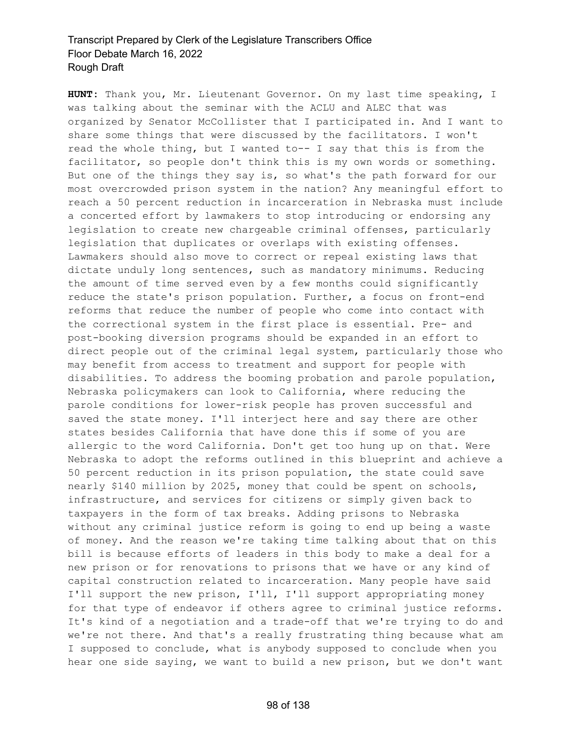**HUNT:** Thank you, Mr. Lieutenant Governor. On my last time speaking, I was talking about the seminar with the ACLU and ALEC that was organized by Senator McCollister that I participated in. And I want to share some things that were discussed by the facilitators. I won't read the whole thing, but I wanted to-- I say that this is from the facilitator, so people don't think this is my own words or something. But one of the things they say is, so what's the path forward for our most overcrowded prison system in the nation? Any meaningful effort to reach a 50 percent reduction in incarceration in Nebraska must include a concerted effort by lawmakers to stop introducing or endorsing any legislation to create new chargeable criminal offenses, particularly legislation that duplicates or overlaps with existing offenses. Lawmakers should also move to correct or repeal existing laws that dictate unduly long sentences, such as mandatory minimums. Reducing the amount of time served even by a few months could significantly reduce the state's prison population. Further, a focus on front-end reforms that reduce the number of people who come into contact with the correctional system in the first place is essential. Pre- and post-booking diversion programs should be expanded in an effort to direct people out of the criminal legal system, particularly those who may benefit from access to treatment and support for people with disabilities. To address the booming probation and parole population, Nebraska policymakers can look to California, where reducing the parole conditions for lower-risk people has proven successful and saved the state money. I'll interject here and say there are other states besides California that have done this if some of you are allergic to the word California. Don't get too hung up on that. Were Nebraska to adopt the reforms outlined in this blueprint and achieve a 50 percent reduction in its prison population, the state could save nearly \$140 million by 2025, money that could be spent on schools, infrastructure, and services for citizens or simply given back to taxpayers in the form of tax breaks. Adding prisons to Nebraska without any criminal justice reform is going to end up being a waste of money. And the reason we're taking time talking about that on this bill is because efforts of leaders in this body to make a deal for a new prison or for renovations to prisons that we have or any kind of capital construction related to incarceration. Many people have said I'll support the new prison, I'll, I'll support appropriating money for that type of endeavor if others agree to criminal justice reforms. It's kind of a negotiation and a trade-off that we're trying to do and we're not there. And that's a really frustrating thing because what am I supposed to conclude, what is anybody supposed to conclude when you hear one side saying, we want to build a new prison, but we don't want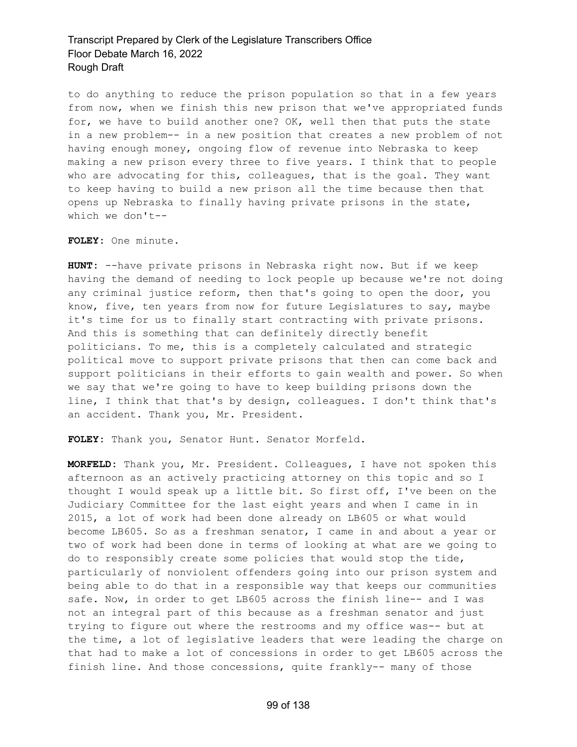to do anything to reduce the prison population so that in a few years from now, when we finish this new prison that we've appropriated funds for, we have to build another one? OK, well then that puts the state in a new problem-- in a new position that creates a new problem of not having enough money, ongoing flow of revenue into Nebraska to keep making a new prison every three to five years. I think that to people who are advocating for this, colleagues, that is the goal. They want to keep having to build a new prison all the time because then that opens up Nebraska to finally having private prisons in the state, which we don't--

**FOLEY:** One minute.

**HUNT:** --have private prisons in Nebraska right now. But if we keep having the demand of needing to lock people up because we're not doing any criminal justice reform, then that's going to open the door, you know, five, ten years from now for future Legislatures to say, maybe it's time for us to finally start contracting with private prisons. And this is something that can definitely directly benefit politicians. To me, this is a completely calculated and strategic political move to support private prisons that then can come back and support politicians in their efforts to gain wealth and power. So when we say that we're going to have to keep building prisons down the line, I think that that's by design, colleagues. I don't think that's an accident. Thank you, Mr. President.

**FOLEY:** Thank you, Senator Hunt. Senator Morfeld.

**MORFELD:** Thank you, Mr. President. Colleagues, I have not spoken this afternoon as an actively practicing attorney on this topic and so I thought I would speak up a little bit. So first off, I've been on the Judiciary Committee for the last eight years and when I came in in 2015, a lot of work had been done already on LB605 or what would become LB605. So as a freshman senator, I came in and about a year or two of work had been done in terms of looking at what are we going to do to responsibly create some policies that would stop the tide, particularly of nonviolent offenders going into our prison system and being able to do that in a responsible way that keeps our communities safe. Now, in order to get LB605 across the finish line-- and I was not an integral part of this because as a freshman senator and just trying to figure out where the restrooms and my office was-- but at the time, a lot of legislative leaders that were leading the charge on that had to make a lot of concessions in order to get LB605 across the finish line. And those concessions, quite frankly-- many of those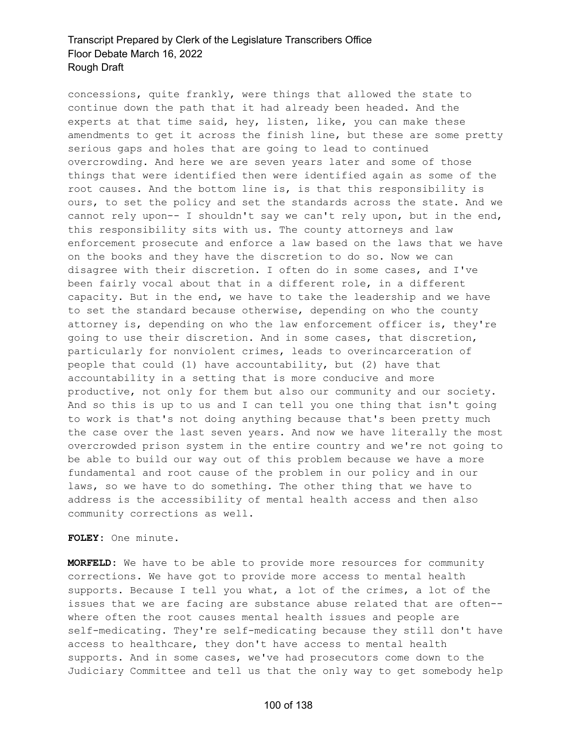concessions, quite frankly, were things that allowed the state to continue down the path that it had already been headed. And the experts at that time said, hey, listen, like, you can make these amendments to get it across the finish line, but these are some pretty serious gaps and holes that are going to lead to continued overcrowding. And here we are seven years later and some of those things that were identified then were identified again as some of the root causes. And the bottom line is, is that this responsibility is ours, to set the policy and set the standards across the state. And we cannot rely upon-- I shouldn't say we can't rely upon, but in the end, this responsibility sits with us. The county attorneys and law enforcement prosecute and enforce a law based on the laws that we have on the books and they have the discretion to do so. Now we can disagree with their discretion. I often do in some cases, and I've been fairly vocal about that in a different role, in a different capacity. But in the end, we have to take the leadership and we have to set the standard because otherwise, depending on who the county attorney is, depending on who the law enforcement officer is, they're going to use their discretion. And in some cases, that discretion, particularly for nonviolent crimes, leads to overincarceration of people that could (1) have accountability, but (2) have that accountability in a setting that is more conducive and more productive, not only for them but also our community and our society. And so this is up to us and I can tell you one thing that isn't going to work is that's not doing anything because that's been pretty much the case over the last seven years. And now we have literally the most overcrowded prison system in the entire country and we're not going to be able to build our way out of this problem because we have a more fundamental and root cause of the problem in our policy and in our laws, so we have to do something. The other thing that we have to address is the accessibility of mental health access and then also community corrections as well.

#### **FOLEY:** One minute.

**MORFELD:** We have to be able to provide more resources for community corrections. We have got to provide more access to mental health supports. Because I tell you what, a lot of the crimes, a lot of the issues that we are facing are substance abuse related that are often- where often the root causes mental health issues and people are self-medicating. They're self-medicating because they still don't have access to healthcare, they don't have access to mental health supports. And in some cases, we've had prosecutors come down to the Judiciary Committee and tell us that the only way to get somebody help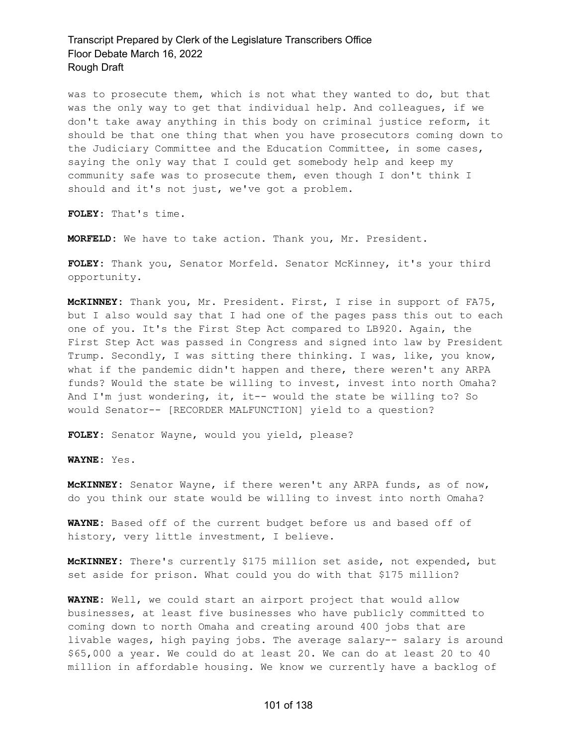was to prosecute them, which is not what they wanted to do, but that was the only way to get that individual help. And colleagues, if we don't take away anything in this body on criminal justice reform, it should be that one thing that when you have prosecutors coming down to the Judiciary Committee and the Education Committee, in some cases, saying the only way that I could get somebody help and keep my community safe was to prosecute them, even though I don't think I should and it's not just, we've got a problem.

**FOLEY:** That's time.

**MORFELD:** We have to take action. Thank you, Mr. President.

**FOLEY:** Thank you, Senator Morfeld. Senator McKinney, it's your third opportunity.

**McKINNEY:** Thank you, Mr. President. First, I rise in support of FA75, but I also would say that I had one of the pages pass this out to each one of you. It's the First Step Act compared to LB920. Again, the First Step Act was passed in Congress and signed into law by President Trump. Secondly, I was sitting there thinking. I was, like, you know, what if the pandemic didn't happen and there, there weren't any ARPA funds? Would the state be willing to invest, invest into north Omaha? And I'm just wondering, it, it-- would the state be willing to? So would Senator-- [RECORDER MALFUNCTION] yield to a question?

**FOLEY:** Senator Wayne, would you yield, please?

**WAYNE:** Yes.

**McKINNEY:** Senator Wayne, if there weren't any ARPA funds, as of now, do you think our state would be willing to invest into north Omaha?

**WAYNE:** Based off of the current budget before us and based off of history, very little investment, I believe.

**McKINNEY:** There's currently \$175 million set aside, not expended, but set aside for prison. What could you do with that \$175 million?

**WAYNE:** Well, we could start an airport project that would allow businesses, at least five businesses who have publicly committed to coming down to north Omaha and creating around 400 jobs that are livable wages, high paying jobs. The average salary-- salary is around \$65,000 a year. We could do at least 20. We can do at least 20 to 40 million in affordable housing. We know we currently have a backlog of

#### 101 of 138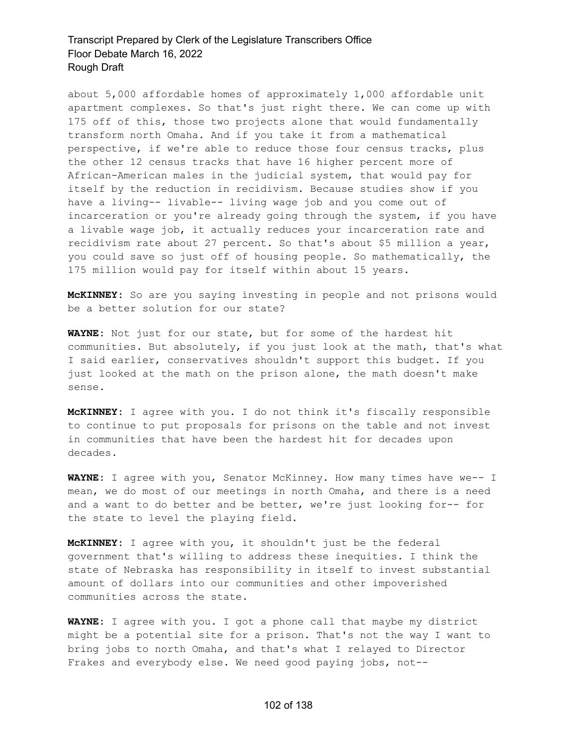about 5,000 affordable homes of approximately 1,000 affordable unit apartment complexes. So that's just right there. We can come up with 175 off of this, those two projects alone that would fundamentally transform north Omaha. And if you take it from a mathematical perspective, if we're able to reduce those four census tracks, plus the other 12 census tracks that have 16 higher percent more of African-American males in the judicial system, that would pay for itself by the reduction in recidivism. Because studies show if you have a living-- livable-- living wage job and you come out of incarceration or you're already going through the system, if you have a livable wage job, it actually reduces your incarceration rate and recidivism rate about 27 percent. So that's about \$5 million a year, you could save so just off of housing people. So mathematically, the 175 million would pay for itself within about 15 years.

**McKINNEY:** So are you saying investing in people and not prisons would be a better solution for our state?

**WAYNE:** Not just for our state, but for some of the hardest hit communities. But absolutely, if you just look at the math, that's what I said earlier, conservatives shouldn't support this budget. If you just looked at the math on the prison alone, the math doesn't make sense.

**McKINNEY:** I agree with you. I do not think it's fiscally responsible to continue to put proposals for prisons on the table and not invest in communities that have been the hardest hit for decades upon decades.

**WAYNE:** I agree with you, Senator McKinney. How many times have we-- I mean, we do most of our meetings in north Omaha, and there is a need and a want to do better and be better, we're just looking for-- for the state to level the playing field.

**McKINNEY:** I agree with you, it shouldn't just be the federal government that's willing to address these inequities. I think the state of Nebraska has responsibility in itself to invest substantial amount of dollars into our communities and other impoverished communities across the state.

**WAYNE:** I agree with you. I got a phone call that maybe my district might be a potential site for a prison. That's not the way I want to bring jobs to north Omaha, and that's what I relayed to Director Frakes and everybody else. We need good paying jobs, not--

#### 102 of 138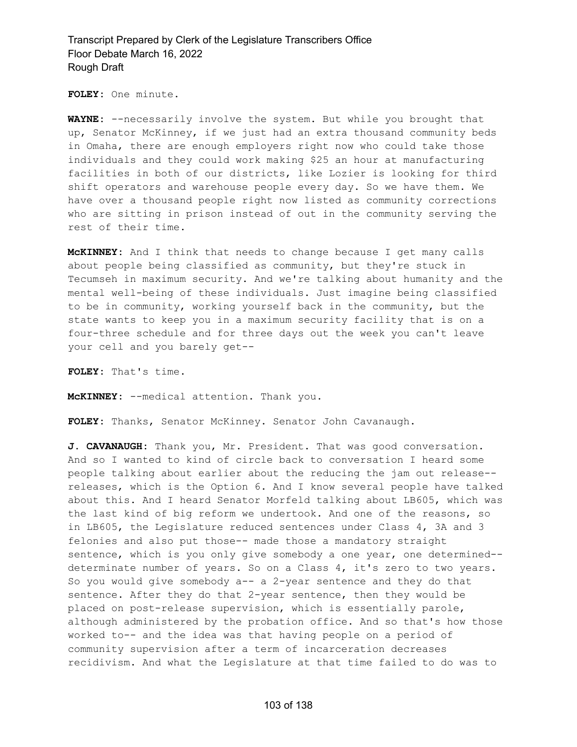**FOLEY:** One minute.

**WAYNE:** --necessarily involve the system. But while you brought that up, Senator McKinney, if we just had an extra thousand community beds in Omaha, there are enough employers right now who could take those individuals and they could work making \$25 an hour at manufacturing facilities in both of our districts, like Lozier is looking for third shift operators and warehouse people every day. So we have them. We have over a thousand people right now listed as community corrections who are sitting in prison instead of out in the community serving the rest of their time.

**McKINNEY:** And I think that needs to change because I get many calls about people being classified as community, but they're stuck in Tecumseh in maximum security. And we're talking about humanity and the mental well-being of these individuals. Just imagine being classified to be in community, working yourself back in the community, but the state wants to keep you in a maximum security facility that is on a four-three schedule and for three days out the week you can't leave your cell and you barely get--

**FOLEY:** That's time.

**McKINNEY:** --medical attention. Thank you.

**FOLEY:** Thanks, Senator McKinney. Senator John Cavanaugh.

**J. CAVANAUGH:** Thank you, Mr. President. That was good conversation. And so I wanted to kind of circle back to conversation I heard some people talking about earlier about the reducing the jam out release- releases, which is the Option 6. And I know several people have talked about this. And I heard Senator Morfeld talking about LB605, which was the last kind of big reform we undertook. And one of the reasons, so in LB605, the Legislature reduced sentences under Class 4, 3A and 3 felonies and also put those-- made those a mandatory straight sentence, which is you only give somebody a one year, one determined- determinate number of years. So on a Class 4, it's zero to two years. So you would give somebody a-- a 2-year sentence and they do that sentence. After they do that 2-year sentence, then they would be placed on post-release supervision, which is essentially parole, although administered by the probation office. And so that's how those worked to-- and the idea was that having people on a period of community supervision after a term of incarceration decreases recidivism. And what the Legislature at that time failed to do was to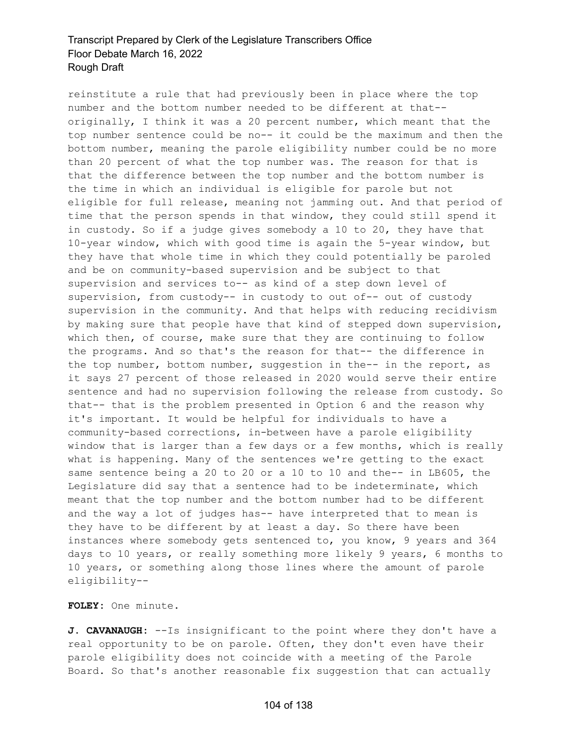reinstitute a rule that had previously been in place where the top number and the bottom number needed to be different at that- originally, I think it was a 20 percent number, which meant that the top number sentence could be no-- it could be the maximum and then the bottom number, meaning the parole eligibility number could be no more than 20 percent of what the top number was. The reason for that is that the difference between the top number and the bottom number is the time in which an individual is eligible for parole but not eligible for full release, meaning not jamming out. And that period of time that the person spends in that window, they could still spend it in custody. So if a judge gives somebody a 10 to 20, they have that 10-year window, which with good time is again the 5-year window, but they have that whole time in which they could potentially be paroled and be on community-based supervision and be subject to that supervision and services to-- as kind of a step down level of supervision, from custody-- in custody to out of-- out of custody supervision in the community. And that helps with reducing recidivism by making sure that people have that kind of stepped down supervision, which then, of course, make sure that they are continuing to follow the programs. And so that's the reason for that-- the difference in the top number, bottom number, suggestion in the-- in the report, as it says 27 percent of those released in 2020 would serve their entire sentence and had no supervision following the release from custody. So that-- that is the problem presented in Option 6 and the reason why it's important. It would be helpful for individuals to have a community-based corrections, in-between have a parole eligibility window that is larger than a few days or a few months, which is really what is happening. Many of the sentences we're getting to the exact same sentence being a 20 to 20 or a 10 to 10 and the-- in LB605, the Legislature did say that a sentence had to be indeterminate, which meant that the top number and the bottom number had to be different and the way a lot of judges has-- have interpreted that to mean is they have to be different by at least a day. So there have been instances where somebody gets sentenced to, you know, 9 years and 364 days to 10 years, or really something more likely 9 years, 6 months to 10 years, or something along those lines where the amount of parole eligibility--

**FOLEY:** One minute.

**J. CAVANAUGH:** --Is insignificant to the point where they don't have a real opportunity to be on parole. Often, they don't even have their parole eligibility does not coincide with a meeting of the Parole Board. So that's another reasonable fix suggestion that can actually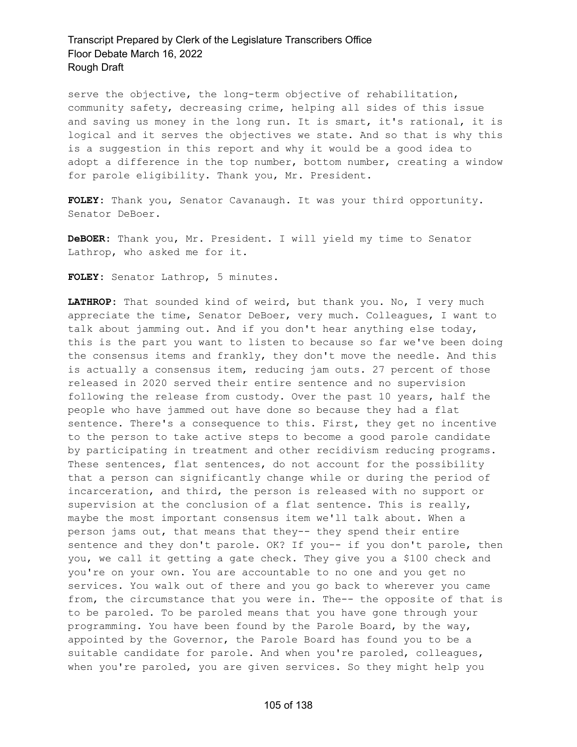serve the objective, the long-term objective of rehabilitation, community safety, decreasing crime, helping all sides of this issue and saving us money in the long run. It is smart, it's rational, it is logical and it serves the objectives we state. And so that is why this is a suggestion in this report and why it would be a good idea to adopt a difference in the top number, bottom number, creating a window for parole eligibility. Thank you, Mr. President.

**FOLEY:** Thank you, Senator Cavanaugh. It was your third opportunity. Senator DeBoer.

**DeBOER:** Thank you, Mr. President. I will yield my time to Senator Lathrop, who asked me for it.

**FOLEY:** Senator Lathrop, 5 minutes.

**LATHROP:** That sounded kind of weird, but thank you. No, I very much appreciate the time, Senator DeBoer, very much. Colleagues, I want to talk about jamming out. And if you don't hear anything else today, this is the part you want to listen to because so far we've been doing the consensus items and frankly, they don't move the needle. And this is actually a consensus item, reducing jam outs. 27 percent of those released in 2020 served their entire sentence and no supervision following the release from custody. Over the past 10 years, half the people who have jammed out have done so because they had a flat sentence. There's a consequence to this. First, they get no incentive to the person to take active steps to become a good parole candidate by participating in treatment and other recidivism reducing programs. These sentences, flat sentences, do not account for the possibility that a person can significantly change while or during the period of incarceration, and third, the person is released with no support or supervision at the conclusion of a flat sentence. This is really, maybe the most important consensus item we'll talk about. When a person jams out, that means that they-- they spend their entire sentence and they don't parole. OK? If you-- if you don't parole, then you, we call it getting a gate check. They give you a \$100 check and you're on your own. You are accountable to no one and you get no services. You walk out of there and you go back to wherever you came from, the circumstance that you were in. The-- the opposite of that is to be paroled. To be paroled means that you have gone through your programming. You have been found by the Parole Board, by the way, appointed by the Governor, the Parole Board has found you to be a suitable candidate for parole. And when you're paroled, colleagues, when you're paroled, you are given services. So they might help you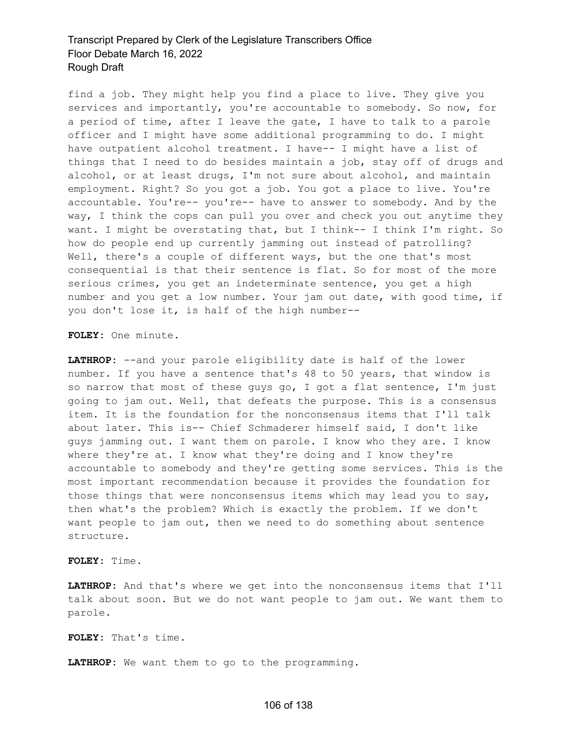find a job. They might help you find a place to live. They give you services and importantly, you're accountable to somebody. So now, for a period of time, after I leave the gate, I have to talk to a parole officer and I might have some additional programming to do. I might have outpatient alcohol treatment. I have-- I might have a list of things that I need to do besides maintain a job, stay off of drugs and alcohol, or at least drugs, I'm not sure about alcohol, and maintain employment. Right? So you got a job. You got a place to live. You're accountable. You're-- you're-- have to answer to somebody. And by the way, I think the cops can pull you over and check you out anytime they want. I might be overstating that, but I think-- I think I'm right. So how do people end up currently jamming out instead of patrolling? Well, there's a couple of different ways, but the one that's most consequential is that their sentence is flat. So for most of the more serious crimes, you get an indeterminate sentence, you get a high number and you get a low number. Your jam out date, with good time, if you don't lose it, is half of the high number--

**FOLEY:** One minute.

**LATHROP:** --and your parole eligibility date is half of the lower number. If you have a sentence that's 48 to 50 years, that window is so narrow that most of these guys go, I got a flat sentence, I'm just going to jam out. Well, that defeats the purpose. This is a consensus item. It is the foundation for the nonconsensus items that I'll talk about later. This is-- Chief Schmaderer himself said, I don't like guys jamming out. I want them on parole. I know who they are. I know where they're at. I know what they're doing and I know they're accountable to somebody and they're getting some services. This is the most important recommendation because it provides the foundation for those things that were nonconsensus items which may lead you to say, then what's the problem? Which is exactly the problem. If we don't want people to jam out, then we need to do something about sentence structure.

**FOLEY:** Time.

**LATHROP:** And that's where we get into the nonconsensus items that I'll talk about soon. But we do not want people to jam out. We want them to parole.

**FOLEY:** That's time.

**LATHROP:** We want them to go to the programming.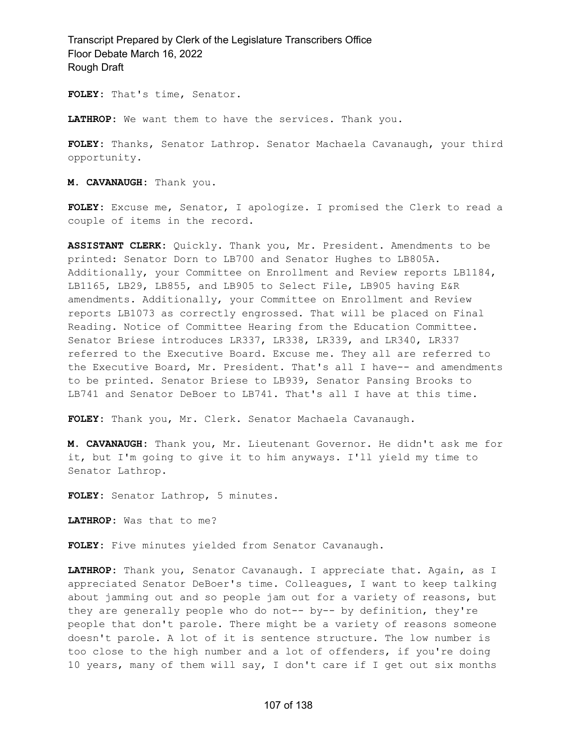**FOLEY:** That's time, Senator.

**LATHROP:** We want them to have the services. Thank you.

**FOLEY:** Thanks, Senator Lathrop. Senator Machaela Cavanaugh, your third opportunity.

**M. CAVANAUGH:** Thank you.

**FOLEY:** Excuse me, Senator, I apologize. I promised the Clerk to read a couple of items in the record.

**ASSISTANT CLERK:** Quickly. Thank you, Mr. President. Amendments to be printed: Senator Dorn to LB700 and Senator Hughes to LB805A. Additionally, your Committee on Enrollment and Review reports LB1184, LB1165, LB29, LB855, and LB905 to Select File, LB905 having E&R amendments. Additionally, your Committee on Enrollment and Review reports LB1073 as correctly engrossed. That will be placed on Final Reading. Notice of Committee Hearing from the Education Committee. Senator Briese introduces LR337, LR338, LR339, and LR340, LR337 referred to the Executive Board. Excuse me. They all are referred to the Executive Board, Mr. President. That's all I have-- and amendments to be printed. Senator Briese to LB939, Senator Pansing Brooks to LB741 and Senator DeBoer to LB741. That's all I have at this time.

**FOLEY:** Thank you, Mr. Clerk. Senator Machaela Cavanaugh.

**M. CAVANAUGH:** Thank you, Mr. Lieutenant Governor. He didn't ask me for it, but I'm going to give it to him anyways. I'll yield my time to Senator Lathrop.

**FOLEY:** Senator Lathrop, 5 minutes.

**LATHROP:** Was that to me?

**FOLEY:** Five minutes yielded from Senator Cavanaugh.

**LATHROP:** Thank you, Senator Cavanaugh. I appreciate that. Again, as I appreciated Senator DeBoer's time. Colleagues, I want to keep talking about jamming out and so people jam out for a variety of reasons, but they are generally people who do not-- by-- by definition, they're people that don't parole. There might be a variety of reasons someone doesn't parole. A lot of it is sentence structure. The low number is too close to the high number and a lot of offenders, if you're doing 10 years, many of them will say, I don't care if I get out six months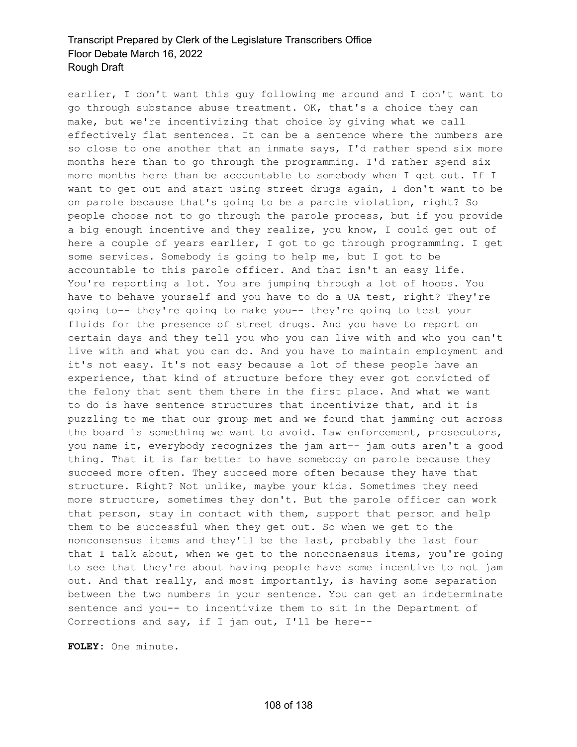earlier, I don't want this guy following me around and I don't want to go through substance abuse treatment. OK, that's a choice they can make, but we're incentivizing that choice by giving what we call effectively flat sentences. It can be a sentence where the numbers are so close to one another that an inmate says, I'd rather spend six more months here than to go through the programming. I'd rather spend six more months here than be accountable to somebody when I get out. If I want to get out and start using street drugs again, I don't want to be on parole because that's going to be a parole violation, right? So people choose not to go through the parole process, but if you provide a big enough incentive and they realize, you know, I could get out of here a couple of years earlier, I got to go through programming. I get some services. Somebody is going to help me, but I got to be accountable to this parole officer. And that isn't an easy life. You're reporting a lot. You are jumping through a lot of hoops. You have to behave yourself and you have to do a UA test, right? They're going to-- they're going to make you-- they're going to test your fluids for the presence of street drugs. And you have to report on certain days and they tell you who you can live with and who you can't live with and what you can do. And you have to maintain employment and it's not easy. It's not easy because a lot of these people have an experience, that kind of structure before they ever got convicted of the felony that sent them there in the first place. And what we want to do is have sentence structures that incentivize that, and it is puzzling to me that our group met and we found that jamming out across the board is something we want to avoid. Law enforcement, prosecutors, you name it, everybody recognizes the jam art-- jam outs aren't a good thing. That it is far better to have somebody on parole because they succeed more often. They succeed more often because they have that structure. Right? Not unlike, maybe your kids. Sometimes they need more structure, sometimes they don't. But the parole officer can work that person, stay in contact with them, support that person and help them to be successful when they get out. So when we get to the nonconsensus items and they'll be the last, probably the last four that I talk about, when we get to the nonconsensus items, you're going to see that they're about having people have some incentive to not jam out. And that really, and most importantly, is having some separation between the two numbers in your sentence. You can get an indeterminate sentence and you-- to incentivize them to sit in the Department of Corrections and say, if I jam out, I'll be here--

**FOLEY:** One minute.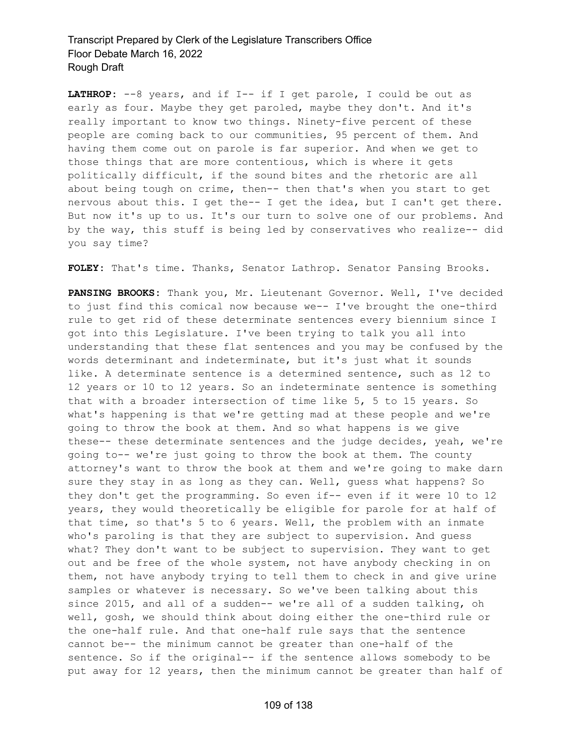**LATHROP:** --8 years, and if I-- if I get parole, I could be out as early as four. Maybe they get paroled, maybe they don't. And it's really important to know two things. Ninety-five percent of these people are coming back to our communities, 95 percent of them. And having them come out on parole is far superior. And when we get to those things that are more contentious, which is where it gets politically difficult, if the sound bites and the rhetoric are all about being tough on crime, then-- then that's when you start to get nervous about this. I get the-- I get the idea, but I can't get there. But now it's up to us. It's our turn to solve one of our problems. And by the way, this stuff is being led by conservatives who realize-- did you say time?

**FOLEY:** That's time. Thanks, Senator Lathrop. Senator Pansing Brooks.

**PANSING BROOKS:** Thank you, Mr. Lieutenant Governor. Well, I've decided to just find this comical now because we-- I've brought the one-third rule to get rid of these determinate sentences every biennium since I got into this Legislature. I've been trying to talk you all into understanding that these flat sentences and you may be confused by the words determinant and indeterminate, but it's just what it sounds like. A determinate sentence is a determined sentence, such as 12 to 12 years or 10 to 12 years. So an indeterminate sentence is something that with a broader intersection of time like 5, 5 to 15 years. So what's happening is that we're getting mad at these people and we're going to throw the book at them. And so what happens is we give these-- these determinate sentences and the judge decides, yeah, we're going to-- we're just going to throw the book at them. The county attorney's want to throw the book at them and we're going to make darn sure they stay in as long as they can. Well, guess what happens? So they don't get the programming. So even if-- even if it were 10 to 12 years, they would theoretically be eligible for parole for at half of that time, so that's 5 to 6 years. Well, the problem with an inmate who's paroling is that they are subject to supervision. And guess what? They don't want to be subject to supervision. They want to get out and be free of the whole system, not have anybody checking in on them, not have anybody trying to tell them to check in and give urine samples or whatever is necessary. So we've been talking about this since 2015, and all of a sudden-- we're all of a sudden talking, oh well, gosh, we should think about doing either the one-third rule or the one-half rule. And that one-half rule says that the sentence cannot be-- the minimum cannot be greater than one-half of the sentence. So if the original-- if the sentence allows somebody to be put away for 12 years, then the minimum cannot be greater than half of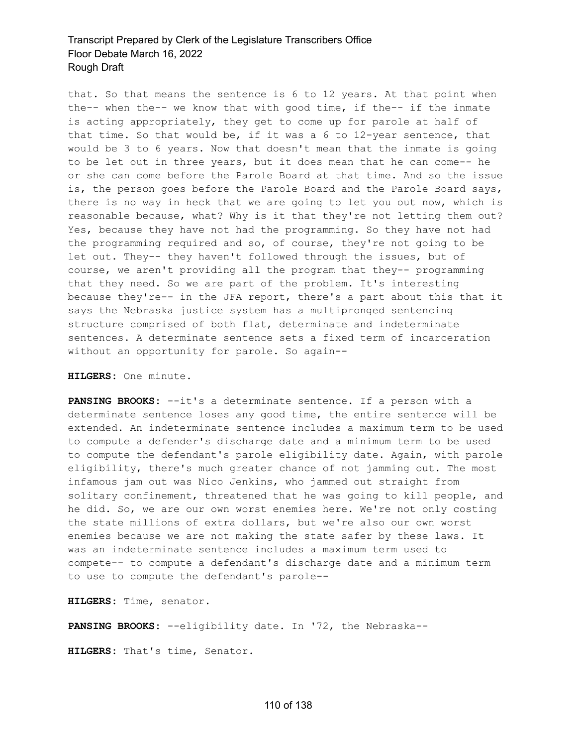that. So that means the sentence is 6 to 12 years. At that point when the-- when the-- we know that with good time, if the-- if the inmate is acting appropriately, they get to come up for parole at half of that time. So that would be, if it was a 6 to 12-year sentence, that would be 3 to 6 years. Now that doesn't mean that the inmate is going to be let out in three years, but it does mean that he can come-- he or she can come before the Parole Board at that time. And so the issue is, the person goes before the Parole Board and the Parole Board says, there is no way in heck that we are going to let you out now, which is reasonable because, what? Why is it that they're not letting them out? Yes, because they have not had the programming. So they have not had the programming required and so, of course, they're not going to be let out. They-- they haven't followed through the issues, but of course, we aren't providing all the program that they-- programming that they need. So we are part of the problem. It's interesting because they're-- in the JFA report, there's a part about this that it says the Nebraska justice system has a multipronged sentencing structure comprised of both flat, determinate and indeterminate sentences. A determinate sentence sets a fixed term of incarceration without an opportunity for parole. So again--

**HILGERS:** One minute.

**PANSING BROOKS:** --it's a determinate sentence. If a person with a determinate sentence loses any good time, the entire sentence will be extended. An indeterminate sentence includes a maximum term to be used to compute a defender's discharge date and a minimum term to be used to compute the defendant's parole eligibility date. Again, with parole eligibility, there's much greater chance of not jamming out. The most infamous jam out was Nico Jenkins, who jammed out straight from solitary confinement, threatened that he was going to kill people, and he did. So, we are our own worst enemies here. We're not only costing the state millions of extra dollars, but we're also our own worst enemies because we are not making the state safer by these laws. It was an indeterminate sentence includes a maximum term used to compete-- to compute a defendant's discharge date and a minimum term to use to compute the defendant's parole--

**HILGERS:** Time, senator.

**PANSING BROOKS:** --eligibility date. In '72, the Nebraska--

**HILGERS:** That's time, Senator.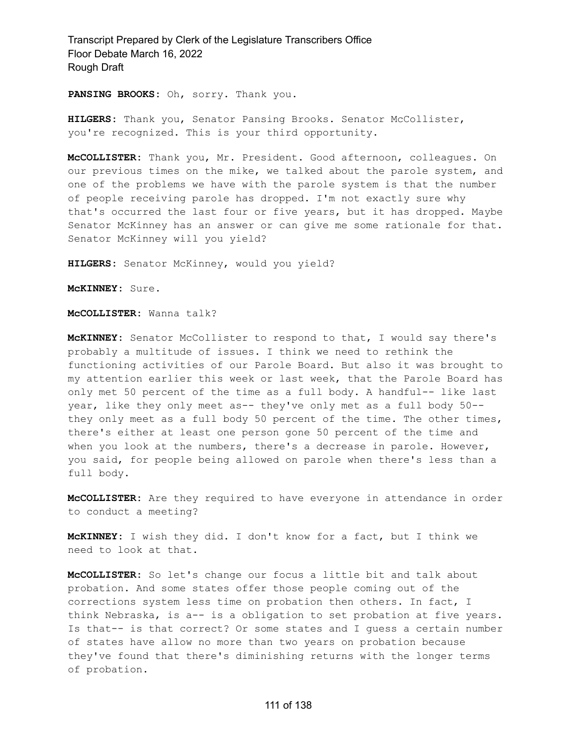**PANSING BROOKS:** Oh, sorry. Thank you.

**HILGERS:** Thank you, Senator Pansing Brooks. Senator McCollister, you're recognized. This is your third opportunity.

**McCOLLISTER:** Thank you, Mr. President. Good afternoon, colleagues. On our previous times on the mike, we talked about the parole system, and one of the problems we have with the parole system is that the number of people receiving parole has dropped. I'm not exactly sure why that's occurred the last four or five years, but it has dropped. Maybe Senator McKinney has an answer or can give me some rationale for that. Senator McKinney will you yield?

**HILGERS:** Senator McKinney, would you yield?

**McKINNEY:** Sure.

**McCOLLISTER:** Wanna talk?

**McKINNEY:** Senator McCollister to respond to that, I would say there's probably a multitude of issues. I think we need to rethink the functioning activities of our Parole Board. But also it was brought to my attention earlier this week or last week, that the Parole Board has only met 50 percent of the time as a full body. A handful-- like last year, like they only meet as-- they've only met as a full body 50- they only meet as a full body 50 percent of the time. The other times, there's either at least one person gone 50 percent of the time and when you look at the numbers, there's a decrease in parole. However, you said, for people being allowed on parole when there's less than a full body.

**McCOLLISTER:** Are they required to have everyone in attendance in order to conduct a meeting?

**McKINNEY:** I wish they did. I don't know for a fact, but I think we need to look at that.

**McCOLLISTER:** So let's change our focus a little bit and talk about probation. And some states offer those people coming out of the corrections system less time on probation then others. In fact, I think Nebraska, is a-- is a obligation to set probation at five years. Is that-- is that correct? Or some states and I guess a certain number of states have allow no more than two years on probation because they've found that there's diminishing returns with the longer terms of probation.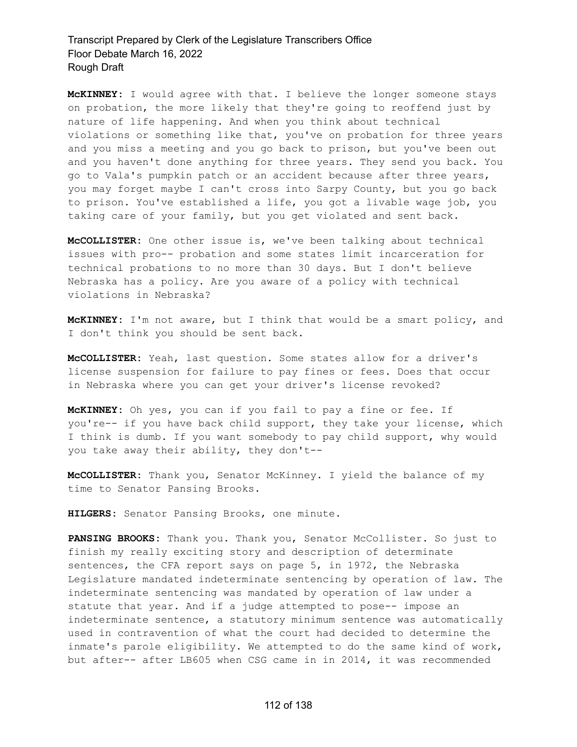**McKINNEY:** I would agree with that. I believe the longer someone stays on probation, the more likely that they're going to reoffend just by nature of life happening. And when you think about technical violations or something like that, you've on probation for three years and you miss a meeting and you go back to prison, but you've been out and you haven't done anything for three years. They send you back. You go to Vala's pumpkin patch or an accident because after three years, you may forget maybe I can't cross into Sarpy County, but you go back to prison. You've established a life, you got a livable wage job, you taking care of your family, but you get violated and sent back.

**McCOLLISTER:** One other issue is, we've been talking about technical issues with pro-- probation and some states limit incarceration for technical probations to no more than 30 days. But I don't believe Nebraska has a policy. Are you aware of a policy with technical violations in Nebraska?

**McKINNEY:** I'm not aware, but I think that would be a smart policy, and I don't think you should be sent back.

**McCOLLISTER:** Yeah, last question. Some states allow for a driver's license suspension for failure to pay fines or fees. Does that occur in Nebraska where you can get your driver's license revoked?

**McKINNEY:** Oh yes, you can if you fail to pay a fine or fee. If you're-- if you have back child support, they take your license, which I think is dumb. If you want somebody to pay child support, why would you take away their ability, they don't--

**McCOLLISTER:** Thank you, Senator McKinney. I yield the balance of my time to Senator Pansing Brooks.

**HILGERS:** Senator Pansing Brooks, one minute.

**PANSING BROOKS:** Thank you. Thank you, Senator McCollister. So just to finish my really exciting story and description of determinate sentences, the CFA report says on page 5, in 1972, the Nebraska Legislature mandated indeterminate sentencing by operation of law. The indeterminate sentencing was mandated by operation of law under a statute that year. And if a judge attempted to pose-- impose an indeterminate sentence, a statutory minimum sentence was automatically used in contravention of what the court had decided to determine the inmate's parole eligibility. We attempted to do the same kind of work, but after-- after LB605 when CSG came in in 2014, it was recommended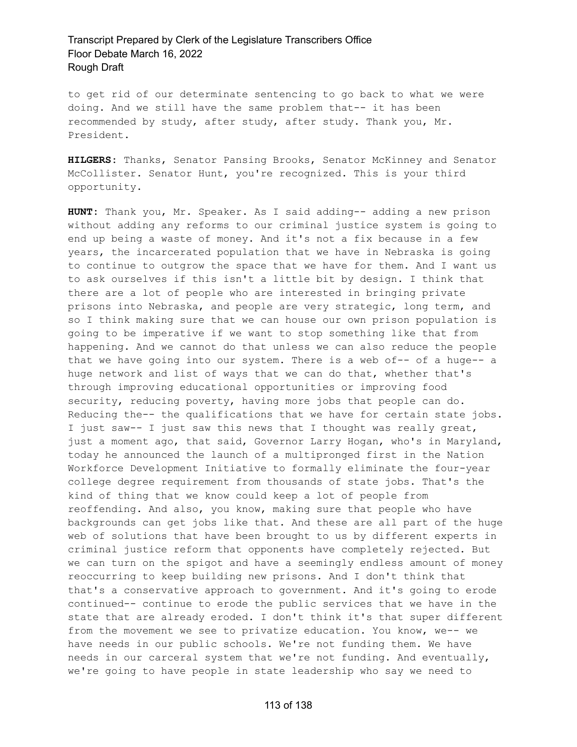to get rid of our determinate sentencing to go back to what we were doing. And we still have the same problem that-- it has been recommended by study, after study, after study. Thank you, Mr. President.

**HILGERS:** Thanks, Senator Pansing Brooks, Senator McKinney and Senator McCollister. Senator Hunt, you're recognized. This is your third opportunity.

**HUNT:** Thank you, Mr. Speaker. As I said adding-- adding a new prison without adding any reforms to our criminal justice system is going to end up being a waste of money. And it's not a fix because in a few years, the incarcerated population that we have in Nebraska is going to continue to outgrow the space that we have for them. And I want us to ask ourselves if this isn't a little bit by design. I think that there are a lot of people who are interested in bringing private prisons into Nebraska, and people are very strategic, long term, and so I think making sure that we can house our own prison population is going to be imperative if we want to stop something like that from happening. And we cannot do that unless we can also reduce the people that we have going into our system. There is a web of-- of a huge-- a huge network and list of ways that we can do that, whether that's through improving educational opportunities or improving food security, reducing poverty, having more jobs that people can do. Reducing the-- the qualifications that we have for certain state jobs. I just saw-- I just saw this news that I thought was really great, just a moment ago, that said, Governor Larry Hogan, who's in Maryland, today he announced the launch of a multipronged first in the Nation Workforce Development Initiative to formally eliminate the four-year college degree requirement from thousands of state jobs. That's the kind of thing that we know could keep a lot of people from reoffending. And also, you know, making sure that people who have backgrounds can get jobs like that. And these are all part of the huge web of solutions that have been brought to us by different experts in criminal justice reform that opponents have completely rejected. But we can turn on the spigot and have a seemingly endless amount of money reoccurring to keep building new prisons. And I don't think that that's a conservative approach to government. And it's going to erode continued-- continue to erode the public services that we have in the state that are already eroded. I don't think it's that super different from the movement we see to privatize education. You know, we-- we have needs in our public schools. We're not funding them. We have needs in our carceral system that we're not funding. And eventually, we're going to have people in state leadership who say we need to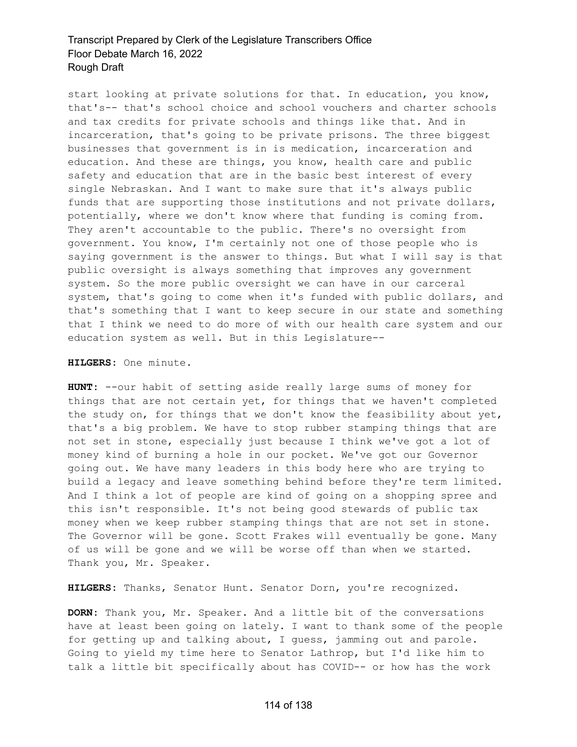start looking at private solutions for that. In education, you know, that's-- that's school choice and school vouchers and charter schools and tax credits for private schools and things like that. And in incarceration, that's going to be private prisons. The three biggest businesses that government is in is medication, incarceration and education. And these are things, you know, health care and public safety and education that are in the basic best interest of every single Nebraskan. And I want to make sure that it's always public funds that are supporting those institutions and not private dollars, potentially, where we don't know where that funding is coming from. They aren't accountable to the public. There's no oversight from government. You know, I'm certainly not one of those people who is saying government is the answer to things. But what I will say is that public oversight is always something that improves any government system. So the more public oversight we can have in our carceral system, that's going to come when it's funded with public dollars, and that's something that I want to keep secure in our state and something that I think we need to do more of with our health care system and our education system as well. But in this Legislature--

#### **HILGERS:** One minute.

**HUNT:** --our habit of setting aside really large sums of money for things that are not certain yet, for things that we haven't completed the study on, for things that we don't know the feasibility about yet, that's a big problem. We have to stop rubber stamping things that are not set in stone, especially just because I think we've got a lot of money kind of burning a hole in our pocket. We've got our Governor going out. We have many leaders in this body here who are trying to build a legacy and leave something behind before they're term limited. And I think a lot of people are kind of going on a shopping spree and this isn't responsible. It's not being good stewards of public tax money when we keep rubber stamping things that are not set in stone. The Governor will be gone. Scott Frakes will eventually be gone. Many of us will be gone and we will be worse off than when we started. Thank you, Mr. Speaker.

**HILGERS:** Thanks, Senator Hunt. Senator Dorn, you're recognized.

**DORN:** Thank you, Mr. Speaker. And a little bit of the conversations have at least been going on lately. I want to thank some of the people for getting up and talking about, I guess, jamming out and parole. Going to yield my time here to Senator Lathrop, but I'd like him to talk a little bit specifically about has COVID-- or how has the work

#### 114 of 138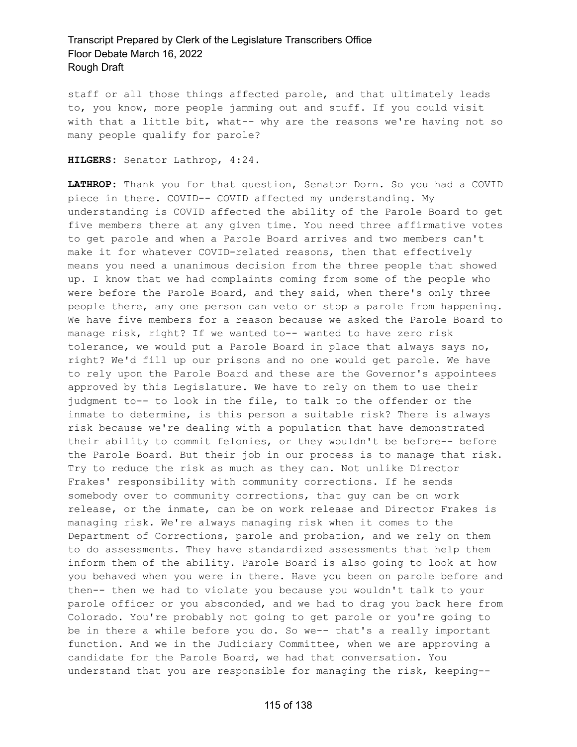staff or all those things affected parole, and that ultimately leads to, you know, more people jamming out and stuff. If you could visit with that a little bit, what-- why are the reasons we're having not so many people qualify for parole?

**HILGERS:** Senator Lathrop, 4:24.

**LATHROP:** Thank you for that question, Senator Dorn. So you had a COVID piece in there. COVID-- COVID affected my understanding. My understanding is COVID affected the ability of the Parole Board to get five members there at any given time. You need three affirmative votes to get parole and when a Parole Board arrives and two members can't make it for whatever COVID-related reasons, then that effectively means you need a unanimous decision from the three people that showed up. I know that we had complaints coming from some of the people who were before the Parole Board, and they said, when there's only three people there, any one person can veto or stop a parole from happening. We have five members for a reason because we asked the Parole Board to manage risk, right? If we wanted to-- wanted to have zero risk tolerance, we would put a Parole Board in place that always says no, right? We'd fill up our prisons and no one would get parole. We have to rely upon the Parole Board and these are the Governor's appointees approved by this Legislature. We have to rely on them to use their judgment to-- to look in the file, to talk to the offender or the inmate to determine, is this person a suitable risk? There is always risk because we're dealing with a population that have demonstrated their ability to commit felonies, or they wouldn't be before-- before the Parole Board. But their job in our process is to manage that risk. Try to reduce the risk as much as they can. Not unlike Director Frakes' responsibility with community corrections. If he sends somebody over to community corrections, that guy can be on work release, or the inmate, can be on work release and Director Frakes is managing risk. We're always managing risk when it comes to the Department of Corrections, parole and probation, and we rely on them to do assessments. They have standardized assessments that help them inform them of the ability. Parole Board is also going to look at how you behaved when you were in there. Have you been on parole before and then-- then we had to violate you because you wouldn't talk to your parole officer or you absconded, and we had to drag you back here from Colorado. You're probably not going to get parole or you're going to be in there a while before you do. So we-- that's a really important function. And we in the Judiciary Committee, when we are approving a candidate for the Parole Board, we had that conversation. You understand that you are responsible for managing the risk, keeping--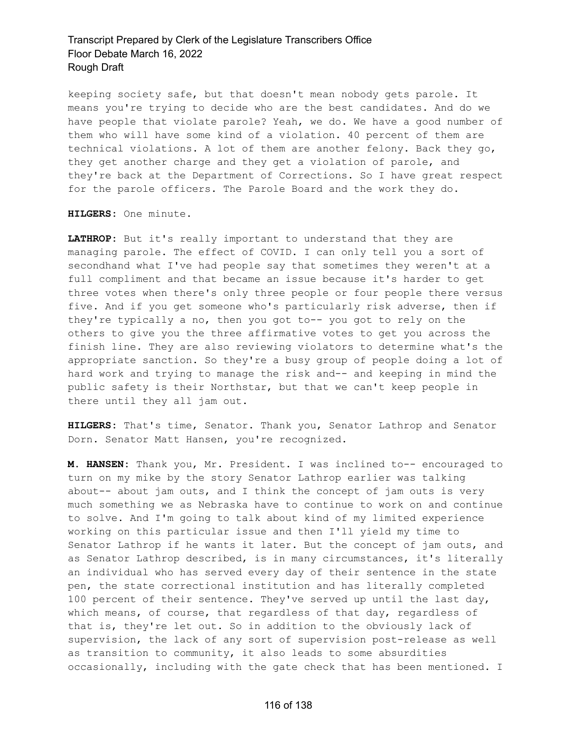keeping society safe, but that doesn't mean nobody gets parole. It means you're trying to decide who are the best candidates. And do we have people that violate parole? Yeah, we do. We have a good number of them who will have some kind of a violation. 40 percent of them are technical violations. A lot of them are another felony. Back they go, they get another charge and they get a violation of parole, and they're back at the Department of Corrections. So I have great respect for the parole officers. The Parole Board and the work they do.

**HILGERS:** One minute.

**LATHROP:** But it's really important to understand that they are managing parole. The effect of COVID. I can only tell you a sort of secondhand what I've had people say that sometimes they weren't at a full compliment and that became an issue because it's harder to get three votes when there's only three people or four people there versus five. And if you get someone who's particularly risk adverse, then if they're typically a no, then you got to-- you got to rely on the others to give you the three affirmative votes to get you across the finish line. They are also reviewing violators to determine what's the appropriate sanction. So they're a busy group of people doing a lot of hard work and trying to manage the risk and-- and keeping in mind the public safety is their Northstar, but that we can't keep people in there until they all jam out.

**HILGERS:** That's time, Senator. Thank you, Senator Lathrop and Senator Dorn. Senator Matt Hansen, you're recognized.

**M. HANSEN:** Thank you, Mr. President. I was inclined to-- encouraged to turn on my mike by the story Senator Lathrop earlier was talking about-- about jam outs, and I think the concept of jam outs is very much something we as Nebraska have to continue to work on and continue to solve. And I'm going to talk about kind of my limited experience working on this particular issue and then I'll yield my time to Senator Lathrop if he wants it later. But the concept of jam outs, and as Senator Lathrop described, is in many circumstances, it's literally an individual who has served every day of their sentence in the state pen, the state correctional institution and has literally completed 100 percent of their sentence. They've served up until the last day, which means, of course, that regardless of that day, regardless of that is, they're let out. So in addition to the obviously lack of supervision, the lack of any sort of supervision post-release as well as transition to community, it also leads to some absurdities occasionally, including with the gate check that has been mentioned. I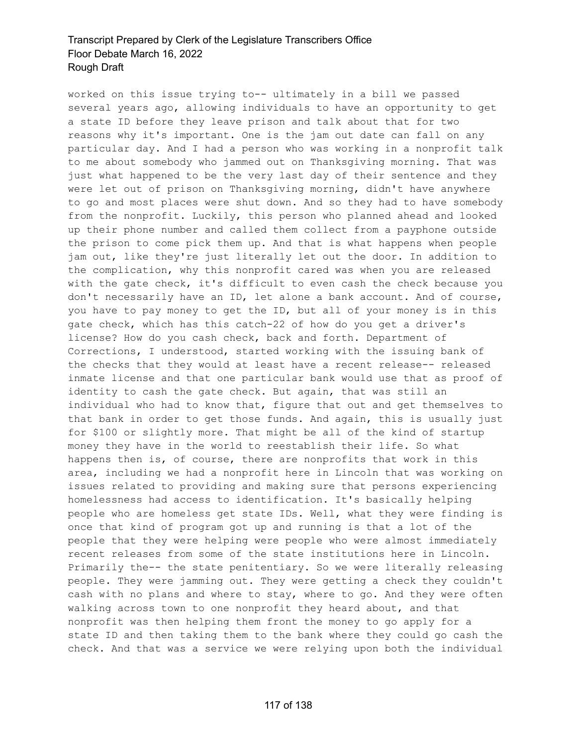worked on this issue trying to-- ultimately in a bill we passed several years ago, allowing individuals to have an opportunity to get a state ID before they leave prison and talk about that for two reasons why it's important. One is the jam out date can fall on any particular day. And I had a person who was working in a nonprofit talk to me about somebody who jammed out on Thanksgiving morning. That was just what happened to be the very last day of their sentence and they were let out of prison on Thanksgiving morning, didn't have anywhere to go and most places were shut down. And so they had to have somebody from the nonprofit. Luckily, this person who planned ahead and looked up their phone number and called them collect from a payphone outside the prison to come pick them up. And that is what happens when people jam out, like they're just literally let out the door. In addition to the complication, why this nonprofit cared was when you are released with the gate check, it's difficult to even cash the check because you don't necessarily have an ID, let alone a bank account. And of course, you have to pay money to get the ID, but all of your money is in this gate check, which has this catch-22 of how do you get a driver's license? How do you cash check, back and forth. Department of Corrections, I understood, started working with the issuing bank of the checks that they would at least have a recent release-- released inmate license and that one particular bank would use that as proof of identity to cash the gate check. But again, that was still an individual who had to know that, figure that out and get themselves to that bank in order to get those funds. And again, this is usually just for \$100 or slightly more. That might be all of the kind of startup money they have in the world to reestablish their life. So what happens then is, of course, there are nonprofits that work in this area, including we had a nonprofit here in Lincoln that was working on issues related to providing and making sure that persons experiencing homelessness had access to identification. It's basically helping people who are homeless get state IDs. Well, what they were finding is once that kind of program got up and running is that a lot of the people that they were helping were people who were almost immediately recent releases from some of the state institutions here in Lincoln. Primarily the-- the state penitentiary. So we were literally releasing people. They were jamming out. They were getting a check they couldn't cash with no plans and where to stay, where to go. And they were often walking across town to one nonprofit they heard about, and that nonprofit was then helping them front the money to go apply for a state ID and then taking them to the bank where they could go cash the check. And that was a service we were relying upon both the individual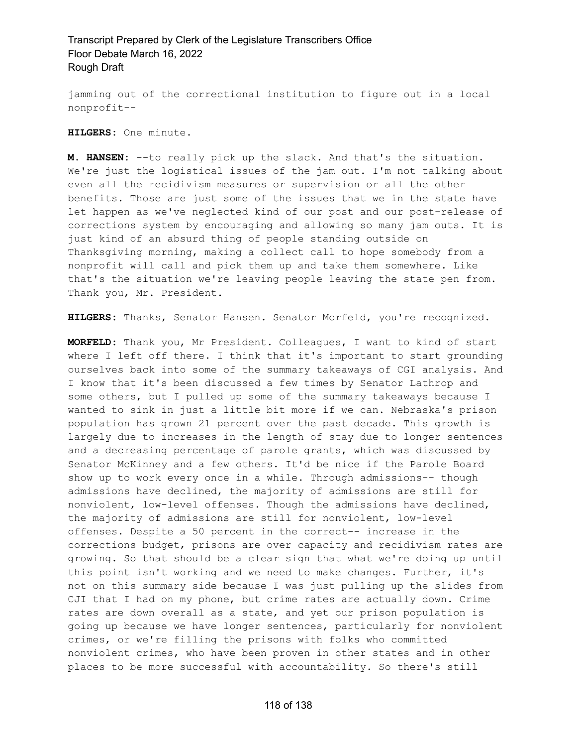jamming out of the correctional institution to figure out in a local nonprofit--

**HILGERS:** One minute.

**M. HANSEN:** --to really pick up the slack. And that's the situation. We're just the logistical issues of the jam out. I'm not talking about even all the recidivism measures or supervision or all the other benefits. Those are just some of the issues that we in the state have let happen as we've neglected kind of our post and our post-release of corrections system by encouraging and allowing so many jam outs. It is just kind of an absurd thing of people standing outside on Thanksgiving morning, making a collect call to hope somebody from a nonprofit will call and pick them up and take them somewhere. Like that's the situation we're leaving people leaving the state pen from. Thank you, Mr. President.

**HILGERS:** Thanks, Senator Hansen. Senator Morfeld, you're recognized.

**MORFELD:** Thank you, Mr President. Colleagues, I want to kind of start where I left off there. I think that it's important to start grounding ourselves back into some of the summary takeaways of CGI analysis. And I know that it's been discussed a few times by Senator Lathrop and some others, but I pulled up some of the summary takeaways because I wanted to sink in just a little bit more if we can. Nebraska's prison population has grown 21 percent over the past decade. This growth is largely due to increases in the length of stay due to longer sentences and a decreasing percentage of parole grants, which was discussed by Senator McKinney and a few others. It'd be nice if the Parole Board show up to work every once in a while. Through admissions-- though admissions have declined, the majority of admissions are still for nonviolent, low-level offenses. Though the admissions have declined, the majority of admissions are still for nonviolent, low-level offenses. Despite a 50 percent in the correct-- increase in the corrections budget, prisons are over capacity and recidivism rates are growing. So that should be a clear sign that what we're doing up until this point isn't working and we need to make changes. Further, it's not on this summary side because I was just pulling up the slides from CJI that I had on my phone, but crime rates are actually down. Crime rates are down overall as a state, and yet our prison population is going up because we have longer sentences, particularly for nonviolent crimes, or we're filling the prisons with folks who committed nonviolent crimes, who have been proven in other states and in other places to be more successful with accountability. So there's still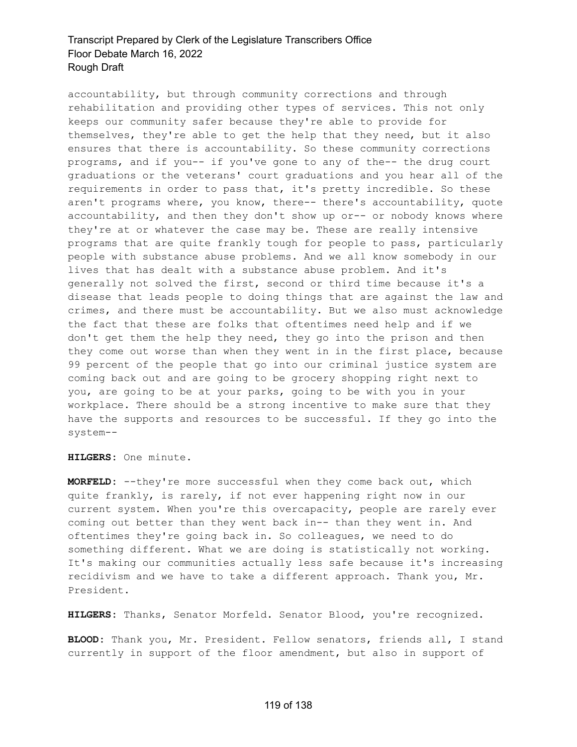accountability, but through community corrections and through rehabilitation and providing other types of services. This not only keeps our community safer because they're able to provide for themselves, they're able to get the help that they need, but it also ensures that there is accountability. So these community corrections programs, and if you-- if you've gone to any of the-- the drug court graduations or the veterans' court graduations and you hear all of the requirements in order to pass that, it's pretty incredible. So these aren't programs where, you know, there-- there's accountability, quote accountability, and then they don't show up or-- or nobody knows where they're at or whatever the case may be. These are really intensive programs that are quite frankly tough for people to pass, particularly people with substance abuse problems. And we all know somebody in our lives that has dealt with a substance abuse problem. And it's generally not solved the first, second or third time because it's a disease that leads people to doing things that are against the law and crimes, and there must be accountability. But we also must acknowledge the fact that these are folks that oftentimes need help and if we don't get them the help they need, they go into the prison and then they come out worse than when they went in in the first place, because 99 percent of the people that go into our criminal justice system are coming back out and are going to be grocery shopping right next to you, are going to be at your parks, going to be with you in your workplace. There should be a strong incentive to make sure that they have the supports and resources to be successful. If they go into the system--

**HILGERS:** One minute.

**MORFELD:** --they're more successful when they come back out, which quite frankly, is rarely, if not ever happening right now in our current system. When you're this overcapacity, people are rarely ever coming out better than they went back in-- than they went in. And oftentimes they're going back in. So colleagues, we need to do something different. What we are doing is statistically not working. It's making our communities actually less safe because it's increasing recidivism and we have to take a different approach. Thank you, Mr. President.

**HILGERS:** Thanks, Senator Morfeld. Senator Blood, you're recognized.

**BLOOD:** Thank you, Mr. President. Fellow senators, friends all, I stand currently in support of the floor amendment, but also in support of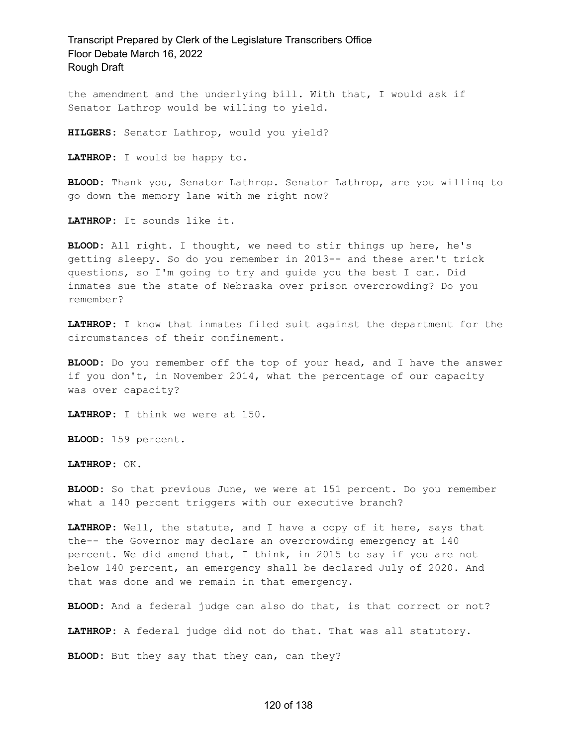the amendment and the underlying bill. With that, I would ask if Senator Lathrop would be willing to yield.

**HILGERS:** Senator Lathrop, would you yield?

**LATHROP:** I would be happy to.

**BLOOD:** Thank you, Senator Lathrop. Senator Lathrop, are you willing to go down the memory lane with me right now?

**LATHROP:** It sounds like it.

**BLOOD:** All right. I thought, we need to stir things up here, he's getting sleepy. So do you remember in 2013-- and these aren't trick questions, so I'm going to try and guide you the best I can. Did inmates sue the state of Nebraska over prison overcrowding? Do you remember?

**LATHROP:** I know that inmates filed suit against the department for the circumstances of their confinement.

**BLOOD:** Do you remember off the top of your head, and I have the answer if you don't, in November 2014, what the percentage of our capacity was over capacity?

**LATHROP:** I think we were at 150.

**BLOOD:** 159 percent.

**LATHROP:** OK.

**BLOOD:** So that previous June, we were at 151 percent. Do you remember what a 140 percent triggers with our executive branch?

**LATHROP:** Well, the statute, and I have a copy of it here, says that the-- the Governor may declare an overcrowding emergency at 140 percent. We did amend that, I think, in 2015 to say if you are not below 140 percent, an emergency shall be declared July of 2020. And that was done and we remain in that emergency.

**BLOOD:** And a federal judge can also do that, is that correct or not?

**LATHROP:** A federal judge did not do that. That was all statutory.

**BLOOD:** But they say that they can, can they?

#### 120 of 138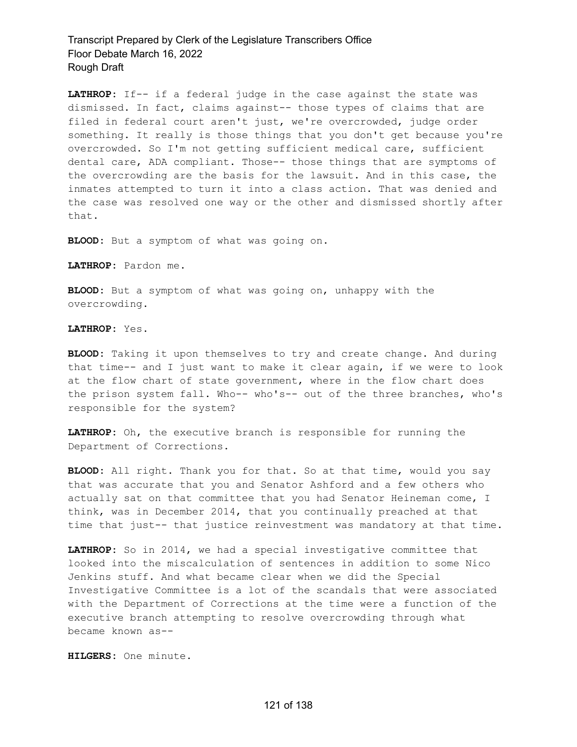**LATHROP:** If-- if a federal judge in the case against the state was dismissed. In fact, claims against-- those types of claims that are filed in federal court aren't just, we're overcrowded, judge order something. It really is those things that you don't get because you're overcrowded. So I'm not getting sufficient medical care, sufficient dental care, ADA compliant. Those-- those things that are symptoms of the overcrowding are the basis for the lawsuit. And in this case, the inmates attempted to turn it into a class action. That was denied and the case was resolved one way or the other and dismissed shortly after that.

**BLOOD:** But a symptom of what was going on.

**LATHROP:** Pardon me.

**BLOOD:** But a symptom of what was going on, unhappy with the overcrowding.

**LATHROP:** Yes.

**BLOOD:** Taking it upon themselves to try and create change. And during that time-- and I just want to make it clear again, if we were to look at the flow chart of state government, where in the flow chart does the prison system fall. Who-- who's-- out of the three branches, who's responsible for the system?

**LATHROP:** Oh, the executive branch is responsible for running the Department of Corrections.

**BLOOD:** All right. Thank you for that. So at that time, would you say that was accurate that you and Senator Ashford and a few others who actually sat on that committee that you had Senator Heineman come, I think, was in December 2014, that you continually preached at that time that just-- that justice reinvestment was mandatory at that time.

**LATHROP:** So in 2014, we had a special investigative committee that looked into the miscalculation of sentences in addition to some Nico Jenkins stuff. And what became clear when we did the Special Investigative Committee is a lot of the scandals that were associated with the Department of Corrections at the time were a function of the executive branch attempting to resolve overcrowding through what became known as--

**HILGERS:** One minute.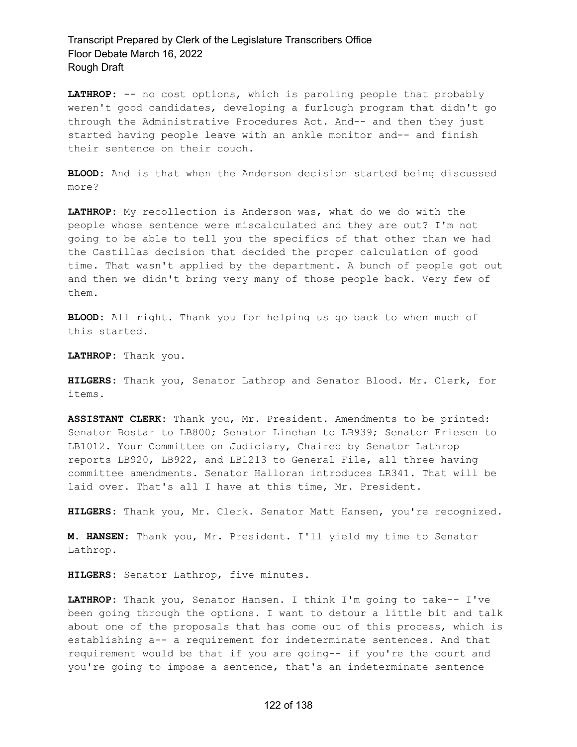LATHROP: -- no cost options, which is paroling people that probably weren't good candidates, developing a furlough program that didn't go through the Administrative Procedures Act. And-- and then they just started having people leave with an ankle monitor and-- and finish their sentence on their couch.

**BLOOD:** And is that when the Anderson decision started being discussed more?

**LATHROP:** My recollection is Anderson was, what do we do with the people whose sentence were miscalculated and they are out? I'm not going to be able to tell you the specifics of that other than we had the Castillas decision that decided the proper calculation of good time. That wasn't applied by the department. A bunch of people got out and then we didn't bring very many of those people back. Very few of them.

**BLOOD:** All right. Thank you for helping us go back to when much of this started.

**LATHROP:** Thank you.

**HILGERS:** Thank you, Senator Lathrop and Senator Blood. Mr. Clerk, for items.

**ASSISTANT CLERK:** Thank you, Mr. President. Amendments to be printed: Senator Bostar to LB800; Senator Linehan to LB939; Senator Friesen to LB1012. Your Committee on Judiciary, Chaired by Senator Lathrop reports LB920, LB922, and LB1213 to General File, all three having committee amendments. Senator Halloran introduces LR341. That will be laid over. That's all I have at this time, Mr. President.

**HILGERS:** Thank you, Mr. Clerk. Senator Matt Hansen, you're recognized.

**M. HANSEN:** Thank you, Mr. President. I'll yield my time to Senator Lathrop.

**HILGERS:** Senator Lathrop, five minutes.

**LATHROP:** Thank you, Senator Hansen. I think I'm going to take-- I've been going through the options. I want to detour a little bit and talk about one of the proposals that has come out of this process, which is establishing a-- a requirement for indeterminate sentences. And that requirement would be that if you are going-- if you're the court and you're going to impose a sentence, that's an indeterminate sentence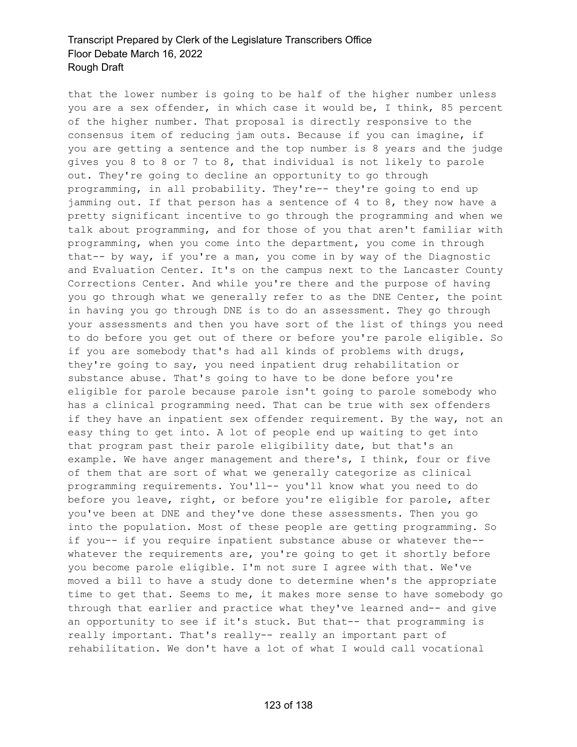that the lower number is going to be half of the higher number unless you are a sex offender, in which case it would be, I think, 85 percent of the higher number. That proposal is directly responsive to the consensus item of reducing jam outs. Because if you can imagine, if you are getting a sentence and the top number is 8 years and the judge gives you 8 to 8 or 7 to 8, that individual is not likely to parole out. They're going to decline an opportunity to go through programming, in all probability. They're-- they're going to end up jamming out. If that person has a sentence of 4 to 8, they now have a pretty significant incentive to go through the programming and when we talk about programming, and for those of you that aren't familiar with programming, when you come into the department, you come in through that-- by way, if you're a man, you come in by way of the Diagnostic and Evaluation Center. It's on the campus next to the Lancaster County Corrections Center. And while you're there and the purpose of having you go through what we generally refer to as the DNE Center, the point in having you go through DNE is to do an assessment. They go through your assessments and then you have sort of the list of things you need to do before you get out of there or before you're parole eligible. So if you are somebody that's had all kinds of problems with drugs, they're going to say, you need inpatient drug rehabilitation or substance abuse. That's going to have to be done before you're eligible for parole because parole isn't going to parole somebody who has a clinical programming need. That can be true with sex offenders if they have an inpatient sex offender requirement. By the way, not an easy thing to get into. A lot of people end up waiting to get into that program past their parole eligibility date, but that's an example. We have anger management and there's, I think, four or five of them that are sort of what we generally categorize as clinical programming requirements. You'll-- you'll know what you need to do before you leave, right, or before you're eligible for parole, after you've been at DNE and they've done these assessments. Then you go into the population. Most of these people are getting programming. So if you-- if you require inpatient substance abuse or whatever the- whatever the requirements are, you're going to get it shortly before you become parole eligible. I'm not sure I agree with that. We've moved a bill to have a study done to determine when's the appropriate time to get that. Seems to me, it makes more sense to have somebody go through that earlier and practice what they've learned and-- and give an opportunity to see if it's stuck. But that-- that programming is really important. That's really-- really an important part of rehabilitation. We don't have a lot of what I would call vocational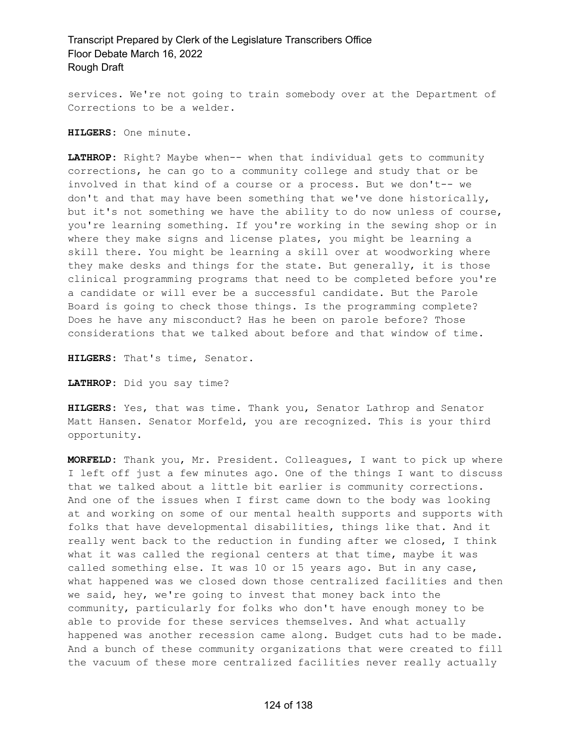services. We're not going to train somebody over at the Department of Corrections to be a welder.

**HILGERS:** One minute.

**LATHROP:** Right? Maybe when-- when that individual gets to community corrections, he can go to a community college and study that or be involved in that kind of a course or a process. But we don't-- we don't and that may have been something that we've done historically, but it's not something we have the ability to do now unless of course, you're learning something. If you're working in the sewing shop or in where they make signs and license plates, you might be learning a skill there. You might be learning a skill over at woodworking where they make desks and things for the state. But generally, it is those clinical programming programs that need to be completed before you're a candidate or will ever be a successful candidate. But the Parole Board is going to check those things. Is the programming complete? Does he have any misconduct? Has he been on parole before? Those considerations that we talked about before and that window of time.

**HILGERS:** That's time, Senator.

**LATHROP:** Did you say time?

**HILGERS:** Yes, that was time. Thank you, Senator Lathrop and Senator Matt Hansen. Senator Morfeld, you are recognized. This is your third opportunity.

**MORFELD:** Thank you, Mr. President. Colleagues, I want to pick up where I left off just a few minutes ago. One of the things I want to discuss that we talked about a little bit earlier is community corrections. And one of the issues when I first came down to the body was looking at and working on some of our mental health supports and supports with folks that have developmental disabilities, things like that. And it really went back to the reduction in funding after we closed, I think what it was called the regional centers at that time, maybe it was called something else. It was 10 or 15 years ago. But in any case, what happened was we closed down those centralized facilities and then we said, hey, we're going to invest that money back into the community, particularly for folks who don't have enough money to be able to provide for these services themselves. And what actually happened was another recession came along. Budget cuts had to be made. And a bunch of these community organizations that were created to fill the vacuum of these more centralized facilities never really actually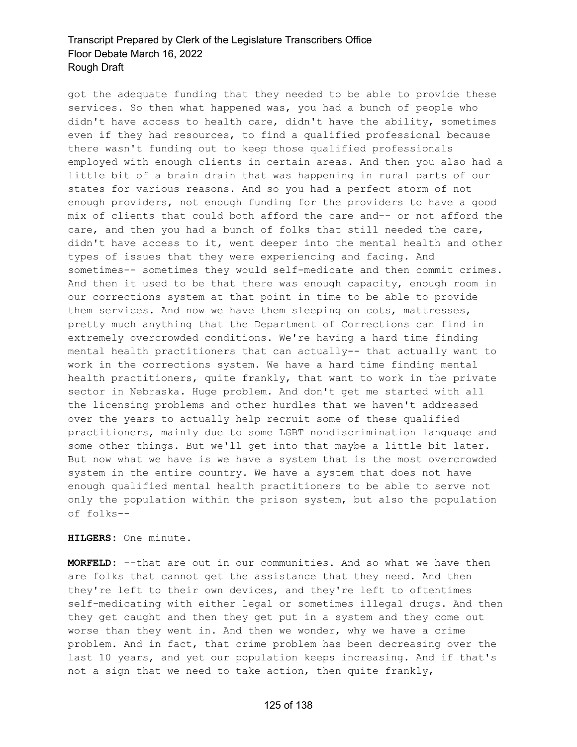got the adequate funding that they needed to be able to provide these services. So then what happened was, you had a bunch of people who didn't have access to health care, didn't have the ability, sometimes even if they had resources, to find a qualified professional because there wasn't funding out to keep those qualified professionals employed with enough clients in certain areas. And then you also had a little bit of a brain drain that was happening in rural parts of our states for various reasons. And so you had a perfect storm of not enough providers, not enough funding for the providers to have a good mix of clients that could both afford the care and-- or not afford the care, and then you had a bunch of folks that still needed the care, didn't have access to it, went deeper into the mental health and other types of issues that they were experiencing and facing. And sometimes-- sometimes they would self-medicate and then commit crimes. And then it used to be that there was enough capacity, enough room in our corrections system at that point in time to be able to provide them services. And now we have them sleeping on cots, mattresses, pretty much anything that the Department of Corrections can find in extremely overcrowded conditions. We're having a hard time finding mental health practitioners that can actually-- that actually want to work in the corrections system. We have a hard time finding mental health practitioners, quite frankly, that want to work in the private sector in Nebraska. Huge problem. And don't get me started with all the licensing problems and other hurdles that we haven't addressed over the years to actually help recruit some of these qualified practitioners, mainly due to some LGBT nondiscrimination language and some other things. But we'll get into that maybe a little bit later. But now what we have is we have a system that is the most overcrowded system in the entire country. We have a system that does not have enough qualified mental health practitioners to be able to serve not only the population within the prison system, but also the population of folks--

**HILGERS:** One minute.

**MORFELD:** --that are out in our communities. And so what we have then are folks that cannot get the assistance that they need. And then they're left to their own devices, and they're left to oftentimes self-medicating with either legal or sometimes illegal drugs. And then they get caught and then they get put in a system and they come out worse than they went in. And then we wonder, why we have a crime problem. And in fact, that crime problem has been decreasing over the last 10 years, and yet our population keeps increasing. And if that's not a sign that we need to take action, then quite frankly,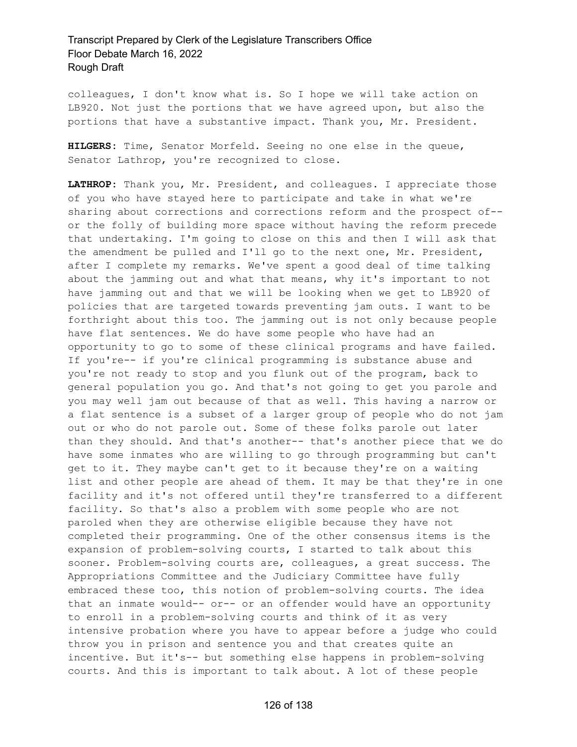colleagues, I don't know what is. So I hope we will take action on LB920. Not just the portions that we have agreed upon, but also the portions that have a substantive impact. Thank you, Mr. President.

**HILGERS:** Time, Senator Morfeld. Seeing no one else in the queue, Senator Lathrop, you're recognized to close.

**LATHROP:** Thank you, Mr. President, and colleagues. I appreciate those of you who have stayed here to participate and take in what we're sharing about corrections and corrections reform and the prospect of- or the folly of building more space without having the reform precede that undertaking. I'm going to close on this and then I will ask that the amendment be pulled and I'll go to the next one, Mr. President, after I complete my remarks. We've spent a good deal of time talking about the jamming out and what that means, why it's important to not have jamming out and that we will be looking when we get to LB920 of policies that are targeted towards preventing jam outs. I want to be forthright about this too. The jamming out is not only because people have flat sentences. We do have some people who have had an opportunity to go to some of these clinical programs and have failed. If you're-- if you're clinical programming is substance abuse and you're not ready to stop and you flunk out of the program, back to general population you go. And that's not going to get you parole and you may well jam out because of that as well. This having a narrow or a flat sentence is a subset of a larger group of people who do not jam out or who do not parole out. Some of these folks parole out later than they should. And that's another-- that's another piece that we do have some inmates who are willing to go through programming but can't get to it. They maybe can't get to it because they're on a waiting list and other people are ahead of them. It may be that they're in one facility and it's not offered until they're transferred to a different facility. So that's also a problem with some people who are not paroled when they are otherwise eligible because they have not completed their programming. One of the other consensus items is the expansion of problem-solving courts, I started to talk about this sooner. Problem-solving courts are, colleagues, a great success. The Appropriations Committee and the Judiciary Committee have fully embraced these too, this notion of problem-solving courts. The idea that an inmate would-- or-- or an offender would have an opportunity to enroll in a problem-solving courts and think of it as very intensive probation where you have to appear before a judge who could throw you in prison and sentence you and that creates quite an incentive. But it's-- but something else happens in problem-solving courts. And this is important to talk about. A lot of these people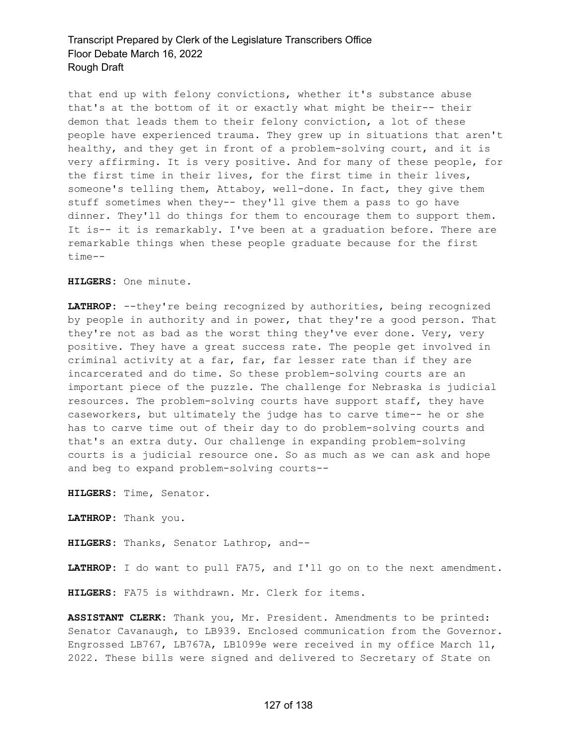that end up with felony convictions, whether it's substance abuse that's at the bottom of it or exactly what might be their-- their demon that leads them to their felony conviction, a lot of these people have experienced trauma. They grew up in situations that aren't healthy, and they get in front of a problem-solving court, and it is very affirming. It is very positive. And for many of these people, for the first time in their lives, for the first time in their lives, someone's telling them, Attaboy, well-done. In fact, they give them stuff sometimes when they-- they'll give them a pass to go have dinner. They'll do things for them to encourage them to support them. It is-- it is remarkably. I've been at a graduation before. There are remarkable things when these people graduate because for the first time--

**HILGERS:** One minute.

**LATHROP:** --they're being recognized by authorities, being recognized by people in authority and in power, that they're a good person. That they're not as bad as the worst thing they've ever done. Very, very positive. They have a great success rate. The people get involved in criminal activity at a far, far, far lesser rate than if they are incarcerated and do time. So these problem-solving courts are an important piece of the puzzle. The challenge for Nebraska is judicial resources. The problem-solving courts have support staff, they have caseworkers, but ultimately the judge has to carve time-- he or she has to carve time out of their day to do problem-solving courts and that's an extra duty. Our challenge in expanding problem-solving courts is a judicial resource one. So as much as we can ask and hope and beg to expand problem-solving courts--

**HILGERS:** Time, Senator.

**LATHROP:** Thank you.

**HILGERS:** Thanks, Senator Lathrop, and--

**LATHROP:** I do want to pull FA75, and I'll go on to the next amendment.

**HILGERS:** FA75 is withdrawn. Mr. Clerk for items.

**ASSISTANT CLERK:** Thank you, Mr. President. Amendments to be printed: Senator Cavanaugh, to LB939. Enclosed communication from the Governor. Engrossed LB767, LB767A, LB1099e were received in my office March 11, 2022. These bills were signed and delivered to Secretary of State on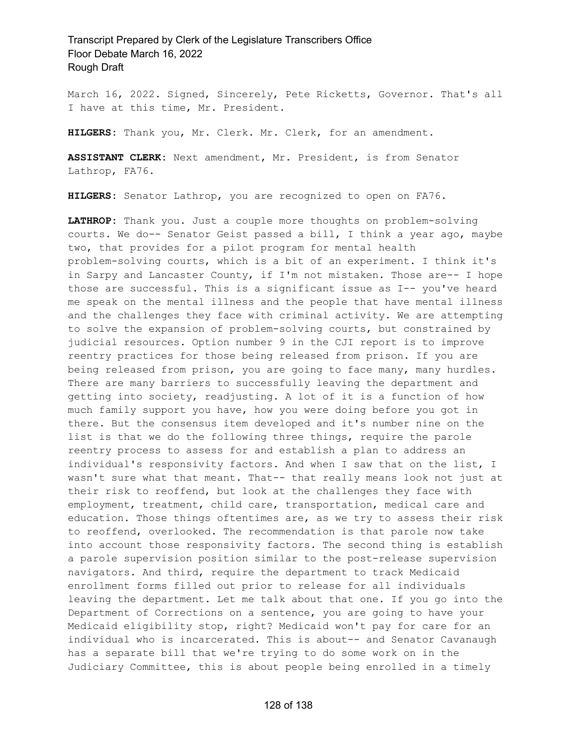March 16, 2022. Signed, Sincerely, Pete Ricketts, Governor. That's all I have at this time, Mr. President.

**HILGERS:** Thank you, Mr. Clerk. Mr. Clerk, for an amendment.

**ASSISTANT CLERK:** Next amendment, Mr. President, is from Senator Lathrop, FA76.

**HILGERS:** Senator Lathrop, you are recognized to open on FA76.

**LATHROP:** Thank you. Just a couple more thoughts on problem-solving courts. We do-- Senator Geist passed a bill, I think a year ago, maybe two, that provides for a pilot program for mental health problem-solving courts, which is a bit of an experiment. I think it's in Sarpy and Lancaster County, if I'm not mistaken. Those are-- I hope those are successful. This is a significant issue as I-- you've heard me speak on the mental illness and the people that have mental illness and the challenges they face with criminal activity. We are attempting to solve the expansion of problem-solving courts, but constrained by judicial resources. Option number 9 in the CJI report is to improve reentry practices for those being released from prison. If you are being released from prison, you are going to face many, many hurdles. There are many barriers to successfully leaving the department and getting into society, readjusting. A lot of it is a function of how much family support you have, how you were doing before you got in there. But the consensus item developed and it's number nine on the list is that we do the following three things, require the parole reentry process to assess for and establish a plan to address an individual's responsivity factors. And when I saw that on the list, I wasn't sure what that meant. That-- that really means look not just at their risk to reoffend, but look at the challenges they face with employment, treatment, child care, transportation, medical care and education. Those things oftentimes are, as we try to assess their risk to reoffend, overlooked. The recommendation is that parole now take into account those responsivity factors. The second thing is establish a parole supervision position similar to the post-release supervision navigators. And third, require the department to track Medicaid enrollment forms filled out prior to release for all individuals leaving the department. Let me talk about that one. If you go into the Department of Corrections on a sentence, you are going to have your Medicaid eligibility stop, right? Medicaid won't pay for care for an individual who is incarcerated. This is about-- and Senator Cavanaugh has a separate bill that we're trying to do some work on in the Judiciary Committee, this is about people being enrolled in a timely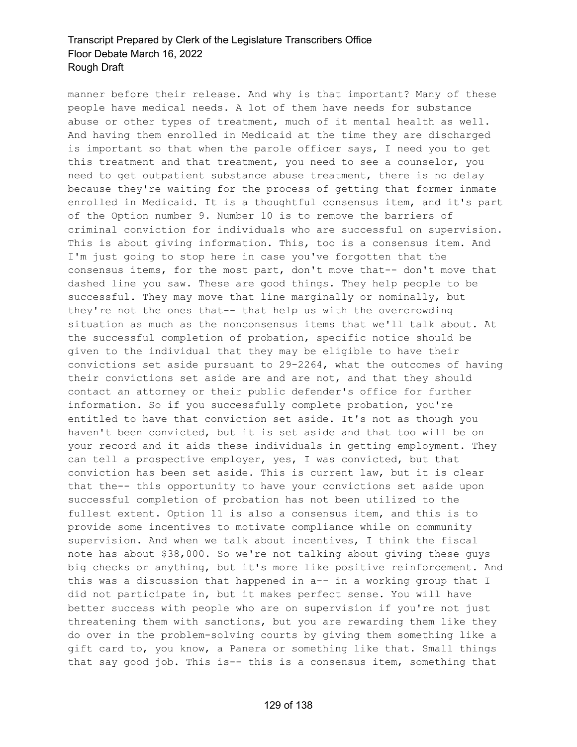manner before their release. And why is that important? Many of these people have medical needs. A lot of them have needs for substance abuse or other types of treatment, much of it mental health as well. And having them enrolled in Medicaid at the time they are discharged is important so that when the parole officer says, I need you to get this treatment and that treatment, you need to see a counselor, you need to get outpatient substance abuse treatment, there is no delay because they're waiting for the process of getting that former inmate enrolled in Medicaid. It is a thoughtful consensus item, and it's part of the Option number 9. Number 10 is to remove the barriers of criminal conviction for individuals who are successful on supervision. This is about giving information. This, too is a consensus item. And I'm just going to stop here in case you've forgotten that the consensus items, for the most part, don't move that-- don't move that dashed line you saw. These are good things. They help people to be successful. They may move that line marginally or nominally, but they're not the ones that-- that help us with the overcrowding situation as much as the nonconsensus items that we'll talk about. At the successful completion of probation, specific notice should be given to the individual that they may be eligible to have their convictions set aside pursuant to 29-2264, what the outcomes of having their convictions set aside are and are not, and that they should contact an attorney or their public defender's office for further information. So if you successfully complete probation, you're entitled to have that conviction set aside. It's not as though you haven't been convicted, but it is set aside and that too will be on your record and it aids these individuals in getting employment. They can tell a prospective employer, yes, I was convicted, but that conviction has been set aside. This is current law, but it is clear that the-- this opportunity to have your convictions set aside upon successful completion of probation has not been utilized to the fullest extent. Option 11 is also a consensus item, and this is to provide some incentives to motivate compliance while on community supervision. And when we talk about incentives, I think the fiscal note has about \$38,000. So we're not talking about giving these guys big checks or anything, but it's more like positive reinforcement. And this was a discussion that happened in a-- in a working group that I did not participate in, but it makes perfect sense. You will have better success with people who are on supervision if you're not just threatening them with sanctions, but you are rewarding them like they do over in the problem-solving courts by giving them something like a gift card to, you know, a Panera or something like that. Small things that say good job. This is-- this is a consensus item, something that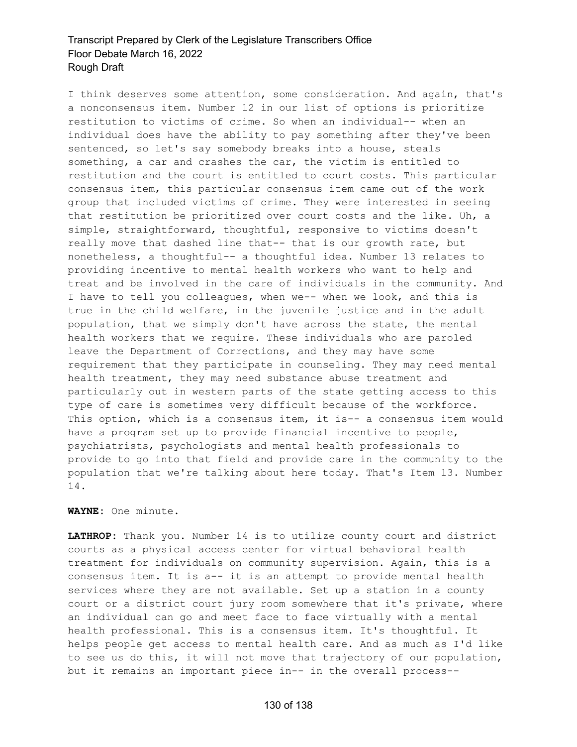I think deserves some attention, some consideration. And again, that's a nonconsensus item. Number 12 in our list of options is prioritize restitution to victims of crime. So when an individual-- when an individual does have the ability to pay something after they've been sentenced, so let's say somebody breaks into a house, steals something, a car and crashes the car, the victim is entitled to restitution and the court is entitled to court costs. This particular consensus item, this particular consensus item came out of the work group that included victims of crime. They were interested in seeing that restitution be prioritized over court costs and the like. Uh, a simple, straightforward, thoughtful, responsive to victims doesn't really move that dashed line that-- that is our growth rate, but nonetheless, a thoughtful-- a thoughtful idea. Number 13 relates to providing incentive to mental health workers who want to help and treat and be involved in the care of individuals in the community. And I have to tell you colleagues, when we-- when we look, and this is true in the child welfare, in the juvenile justice and in the adult population, that we simply don't have across the state, the mental health workers that we require. These individuals who are paroled leave the Department of Corrections, and they may have some requirement that they participate in counseling. They may need mental health treatment, they may need substance abuse treatment and particularly out in western parts of the state getting access to this type of care is sometimes very difficult because of the workforce. This option, which is a consensus item, it is-- a consensus item would have a program set up to provide financial incentive to people, psychiatrists, psychologists and mental health professionals to provide to go into that field and provide care in the community to the population that we're talking about here today. That's Item 13. Number 14.

#### **WAYNE:** One minute.

**LATHROP:** Thank you. Number 14 is to utilize county court and district courts as a physical access center for virtual behavioral health treatment for individuals on community supervision. Again, this is a consensus item. It is a-- it is an attempt to provide mental health services where they are not available. Set up a station in a county court or a district court jury room somewhere that it's private, where an individual can go and meet face to face virtually with a mental health professional. This is a consensus item. It's thoughtful. It helps people get access to mental health care. And as much as I'd like to see us do this, it will not move that trajectory of our population, but it remains an important piece in-- in the overall process--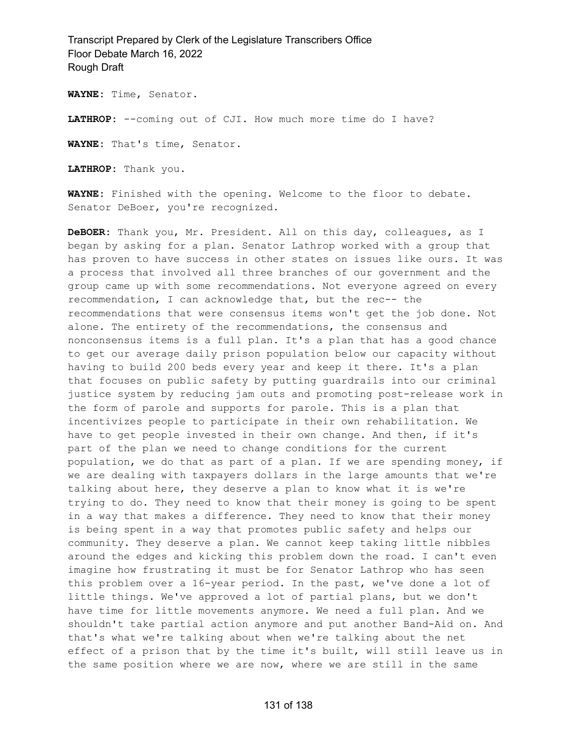**WAYNE:** Time, Senator.

LATHROP: --coming out of CJI. How much more time do I have?

**WAYNE:** That's time, Senator.

**LATHROP:** Thank you.

**WAYNE:** Finished with the opening. Welcome to the floor to debate. Senator DeBoer, you're recognized.

**DeBOER:** Thank you, Mr. President. All on this day, colleagues, as I began by asking for a plan. Senator Lathrop worked with a group that has proven to have success in other states on issues like ours. It was a process that involved all three branches of our government and the group came up with some recommendations. Not everyone agreed on every recommendation, I can acknowledge that, but the rec-- the recommendations that were consensus items won't get the job done. Not alone. The entirety of the recommendations, the consensus and nonconsensus items is a full plan. It's a plan that has a good chance to get our average daily prison population below our capacity without having to build 200 beds every year and keep it there. It's a plan that focuses on public safety by putting guardrails into our criminal justice system by reducing jam outs and promoting post-release work in the form of parole and supports for parole. This is a plan that incentivizes people to participate in their own rehabilitation. We have to get people invested in their own change. And then, if it's part of the plan we need to change conditions for the current population, we do that as part of a plan. If we are spending money, if we are dealing with taxpayers dollars in the large amounts that we're talking about here, they deserve a plan to know what it is we're trying to do. They need to know that their money is going to be spent in a way that makes a difference. They need to know that their money is being spent in a way that promotes public safety and helps our community. They deserve a plan. We cannot keep taking little nibbles around the edges and kicking this problem down the road. I can't even imagine how frustrating it must be for Senator Lathrop who has seen this problem over a 16-year period. In the past, we've done a lot of little things. We've approved a lot of partial plans, but we don't have time for little movements anymore. We need a full plan. And we shouldn't take partial action anymore and put another Band-Aid on. And that's what we're talking about when we're talking about the net effect of a prison that by the time it's built, will still leave us in the same position where we are now, where we are still in the same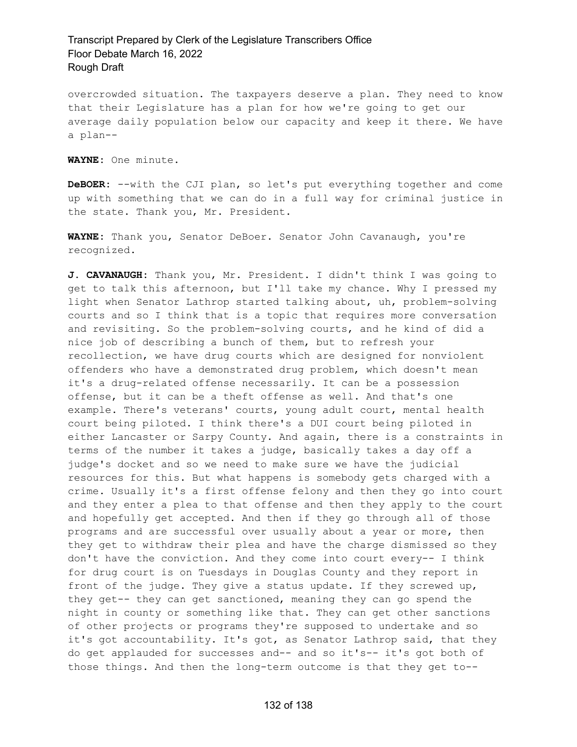overcrowded situation. The taxpayers deserve a plan. They need to know that their Legislature has a plan for how we're going to get our average daily population below our capacity and keep it there. We have a plan--

**WAYNE:** One minute.

**DeBOER:** --with the CJI plan, so let's put everything together and come up with something that we can do in a full way for criminal justice in the state. Thank you, Mr. President.

**WAYNE:** Thank you, Senator DeBoer. Senator John Cavanaugh, you're recognized.

**J. CAVANAUGH:** Thank you, Mr. President. I didn't think I was going to get to talk this afternoon, but I'll take my chance. Why I pressed my light when Senator Lathrop started talking about, uh, problem-solving courts and so I think that is a topic that requires more conversation and revisiting. So the problem-solving courts, and he kind of did a nice job of describing a bunch of them, but to refresh your recollection, we have drug courts which are designed for nonviolent offenders who have a demonstrated drug problem, which doesn't mean it's a drug-related offense necessarily. It can be a possession offense, but it can be a theft offense as well. And that's one example. There's veterans' courts, young adult court, mental health court being piloted. I think there's a DUI court being piloted in either Lancaster or Sarpy County. And again, there is a constraints in terms of the number it takes a judge, basically takes a day off a judge's docket and so we need to make sure we have the judicial resources for this. But what happens is somebody gets charged with a crime. Usually it's a first offense felony and then they go into court and they enter a plea to that offense and then they apply to the court and hopefully get accepted. And then if they go through all of those programs and are successful over usually about a year or more, then they get to withdraw their plea and have the charge dismissed so they don't have the conviction. And they come into court every-- I think for drug court is on Tuesdays in Douglas County and they report in front of the judge. They give a status update. If they screwed up, they get-- they can get sanctioned, meaning they can go spend the night in county or something like that. They can get other sanctions of other projects or programs they're supposed to undertake and so it's got accountability. It's got, as Senator Lathrop said, that they do get applauded for successes and-- and so it's-- it's got both of those things. And then the long-term outcome is that they get to--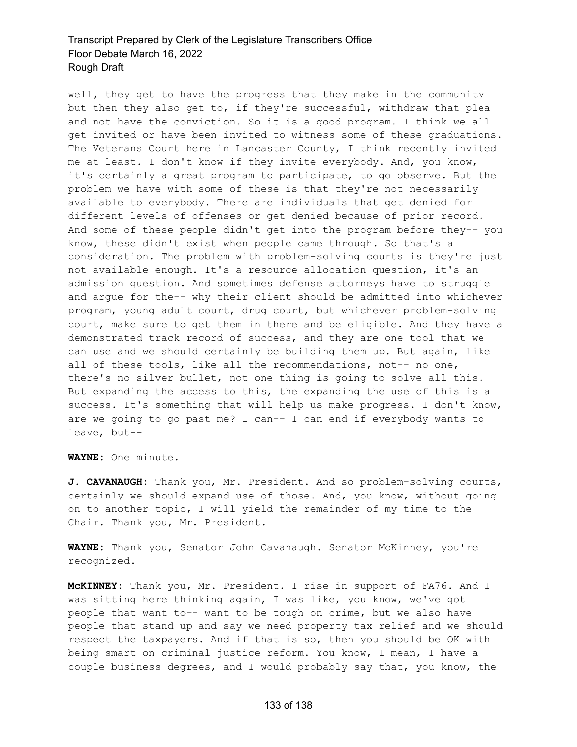well, they get to have the progress that they make in the community but then they also get to, if they're successful, withdraw that plea and not have the conviction. So it is a good program. I think we all get invited or have been invited to witness some of these graduations. The Veterans Court here in Lancaster County, I think recently invited me at least. I don't know if they invite everybody. And, you know, it's certainly a great program to participate, to go observe. But the problem we have with some of these is that they're not necessarily available to everybody. There are individuals that get denied for different levels of offenses or get denied because of prior record. And some of these people didn't get into the program before they-- you know, these didn't exist when people came through. So that's a consideration. The problem with problem-solving courts is they're just not available enough. It's a resource allocation question, it's an admission question. And sometimes defense attorneys have to struggle and argue for the-- why their client should be admitted into whichever program, young adult court, drug court, but whichever problem-solving court, make sure to get them in there and be eligible. And they have a demonstrated track record of success, and they are one tool that we can use and we should certainly be building them up. But again, like all of these tools, like all the recommendations, not-- no one, there's no silver bullet, not one thing is going to solve all this. But expanding the access to this, the expanding the use of this is a success. It's something that will help us make progress. I don't know, are we going to go past me? I can-- I can end if everybody wants to leave, but--

**WAYNE:** One minute.

**J. CAVANAUGH:** Thank you, Mr. President. And so problem-solving courts, certainly we should expand use of those. And, you know, without going on to another topic, I will yield the remainder of my time to the Chair. Thank you, Mr. President.

**WAYNE:** Thank you, Senator John Cavanaugh. Senator McKinney, you're recognized.

**McKINNEY:** Thank you, Mr. President. I rise in support of FA76. And I was sitting here thinking again, I was like, you know, we've got people that want to-- want to be tough on crime, but we also have people that stand up and say we need property tax relief and we should respect the taxpayers. And if that is so, then you should be OK with being smart on criminal justice reform. You know, I mean, I have a couple business degrees, and I would probably say that, you know, the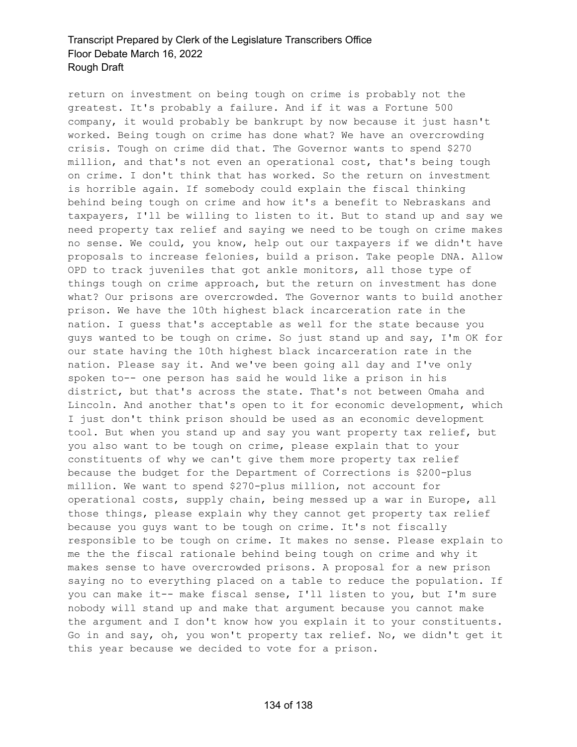return on investment on being tough on crime is probably not the greatest. It's probably a failure. And if it was a Fortune 500 company, it would probably be bankrupt by now because it just hasn't worked. Being tough on crime has done what? We have an overcrowding crisis. Tough on crime did that. The Governor wants to spend \$270 million, and that's not even an operational cost, that's being tough on crime. I don't think that has worked. So the return on investment is horrible again. If somebody could explain the fiscal thinking behind being tough on crime and how it's a benefit to Nebraskans and taxpayers, I'll be willing to listen to it. But to stand up and say we need property tax relief and saying we need to be tough on crime makes no sense. We could, you know, help out our taxpayers if we didn't have proposals to increase felonies, build a prison. Take people DNA. Allow OPD to track juveniles that got ankle monitors, all those type of things tough on crime approach, but the return on investment has done what? Our prisons are overcrowded. The Governor wants to build another prison. We have the 10th highest black incarceration rate in the nation. I guess that's acceptable as well for the state because you guys wanted to be tough on crime. So just stand up and say, I'm OK for our state having the 10th highest black incarceration rate in the nation. Please say it. And we've been going all day and I've only spoken to-- one person has said he would like a prison in his district, but that's across the state. That's not between Omaha and Lincoln. And another that's open to it for economic development, which I just don't think prison should be used as an economic development tool. But when you stand up and say you want property tax relief, but you also want to be tough on crime, please explain that to your constituents of why we can't give them more property tax relief because the budget for the Department of Corrections is \$200-plus million. We want to spend \$270-plus million, not account for operational costs, supply chain, being messed up a war in Europe, all those things, please explain why they cannot get property tax relief because you guys want to be tough on crime. It's not fiscally responsible to be tough on crime. It makes no sense. Please explain to me the the fiscal rationale behind being tough on crime and why it makes sense to have overcrowded prisons. A proposal for a new prison saying no to everything placed on a table to reduce the population. If you can make it-- make fiscal sense, I'll listen to you, but I'm sure nobody will stand up and make that argument because you cannot make the argument and I don't know how you explain it to your constituents. Go in and say, oh, you won't property tax relief. No, we didn't get it this year because we decided to vote for a prison.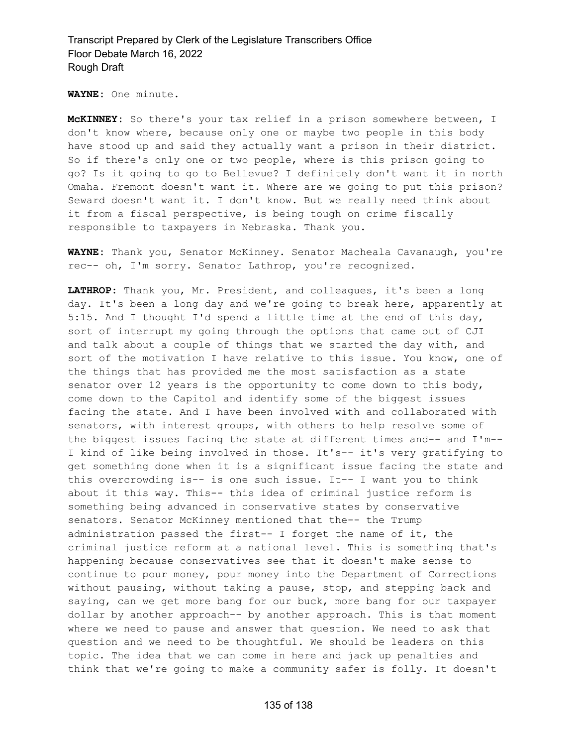**WAYNE:** One minute.

**McKINNEY:** So there's your tax relief in a prison somewhere between, I don't know where, because only one or maybe two people in this body have stood up and said they actually want a prison in their district. So if there's only one or two people, where is this prison going to go? Is it going to go to Bellevue? I definitely don't want it in north Omaha. Fremont doesn't want it. Where are we going to put this prison? Seward doesn't want it. I don't know. But we really need think about it from a fiscal perspective, is being tough on crime fiscally responsible to taxpayers in Nebraska. Thank you.

**WAYNE:** Thank you, Senator McKinney. Senator Macheala Cavanaugh, you're rec-- oh, I'm sorry. Senator Lathrop, you're recognized.

**LATHROP:** Thank you, Mr. President, and colleagues, it's been a long day. It's been a long day and we're going to break here, apparently at 5:15. And I thought I'd spend a little time at the end of this day, sort of interrupt my going through the options that came out of CJI and talk about a couple of things that we started the day with, and sort of the motivation I have relative to this issue. You know, one of the things that has provided me the most satisfaction as a state senator over 12 years is the opportunity to come down to this body, come down to the Capitol and identify some of the biggest issues facing the state. And I have been involved with and collaborated with senators, with interest groups, with others to help resolve some of the biggest issues facing the state at different times and-- and I'm-- I kind of like being involved in those. It's-- it's very gratifying to get something done when it is a significant issue facing the state and this overcrowding is-- is one such issue. It-- I want you to think about it this way. This-- this idea of criminal justice reform is something being advanced in conservative states by conservative senators. Senator McKinney mentioned that the-- the Trump administration passed the first-- I forget the name of it, the criminal justice reform at a national level. This is something that's happening because conservatives see that it doesn't make sense to continue to pour money, pour money into the Department of Corrections without pausing, without taking a pause, stop, and stepping back and saying, can we get more bang for our buck, more bang for our taxpayer dollar by another approach-- by another approach. This is that moment where we need to pause and answer that question. We need to ask that question and we need to be thoughtful. We should be leaders on this topic. The idea that we can come in here and jack up penalties and think that we're going to make a community safer is folly. It doesn't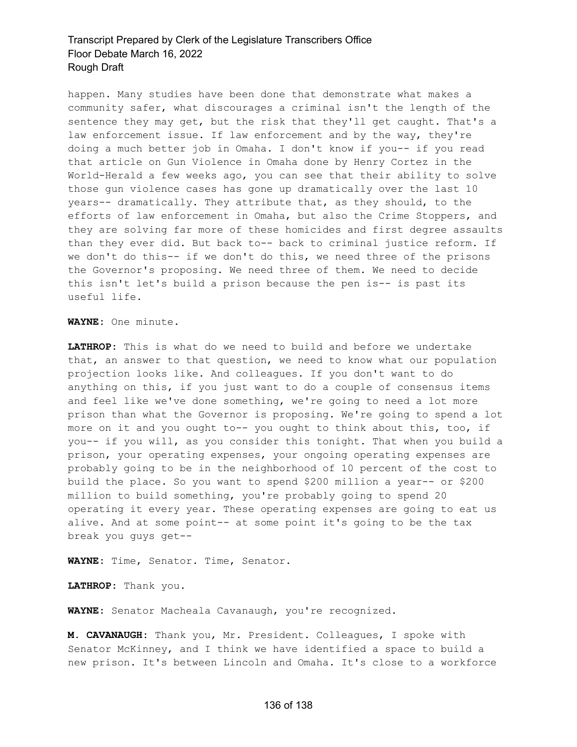happen. Many studies have been done that demonstrate what makes a community safer, what discourages a criminal isn't the length of the sentence they may get, but the risk that they'll get caught. That's a law enforcement issue. If law enforcement and by the way, they're doing a much better job in Omaha. I don't know if you-- if you read that article on Gun Violence in Omaha done by Henry Cortez in the World-Herald a few weeks ago, you can see that their ability to solve those gun violence cases has gone up dramatically over the last 10 years-- dramatically. They attribute that, as they should, to the efforts of law enforcement in Omaha, but also the Crime Stoppers, and they are solving far more of these homicides and first degree assaults than they ever did. But back to-- back to criminal justice reform. If we don't do this-- if we don't do this, we need three of the prisons the Governor's proposing. We need three of them. We need to decide this isn't let's build a prison because the pen is-- is past its useful life.

**WAYNE:** One minute.

**LATHROP:** This is what do we need to build and before we undertake that, an answer to that question, we need to know what our population projection looks like. And colleagues. If you don't want to do anything on this, if you just want to do a couple of consensus items and feel like we've done something, we're going to need a lot more prison than what the Governor is proposing. We're going to spend a lot more on it and you ought to-- you ought to think about this, too, if you-- if you will, as you consider this tonight. That when you build a prison, your operating expenses, your ongoing operating expenses are probably going to be in the neighborhood of 10 percent of the cost to build the place. So you want to spend \$200 million a year-- or \$200 million to build something, you're probably going to spend 20 operating it every year. These operating expenses are going to eat us alive. And at some point-- at some point it's going to be the tax break you guys get--

**WAYNE:** Time, Senator. Time, Senator.

**LATHROP:** Thank you.

**WAYNE:** Senator Macheala Cavanaugh, you're recognized.

**M. CAVANAUGH:** Thank you, Mr. President. Colleagues, I spoke with Senator McKinney, and I think we have identified a space to build a new prison. It's between Lincoln and Omaha. It's close to a workforce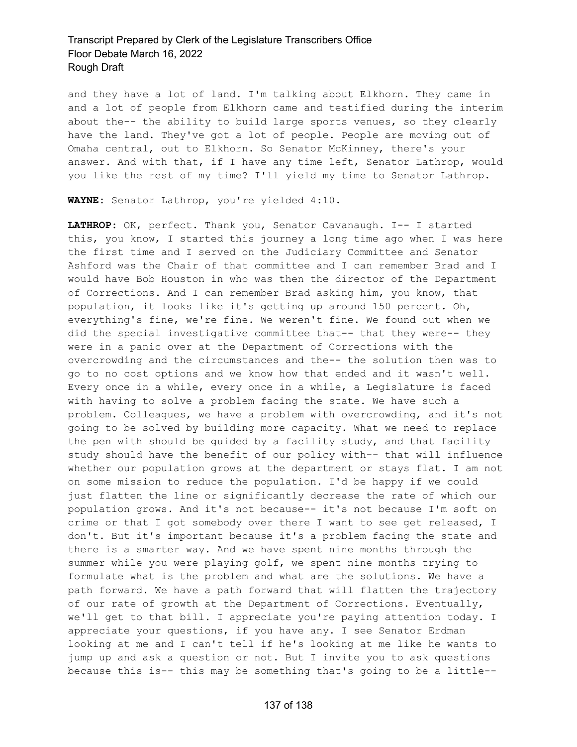and they have a lot of land. I'm talking about Elkhorn. They came in and a lot of people from Elkhorn came and testified during the interim about the-- the ability to build large sports venues, so they clearly have the land. They've got a lot of people. People are moving out of Omaha central, out to Elkhorn. So Senator McKinney, there's your answer. And with that, if I have any time left, Senator Lathrop, would you like the rest of my time? I'll yield my time to Senator Lathrop.

**WAYNE:** Senator Lathrop, you're yielded 4:10.

**LATHROP:** OK, perfect. Thank you, Senator Cavanaugh. I-- I started this, you know, I started this journey a long time ago when I was here the first time and I served on the Judiciary Committee and Senator Ashford was the Chair of that committee and I can remember Brad and I would have Bob Houston in who was then the director of the Department of Corrections. And I can remember Brad asking him, you know, that population, it looks like it's getting up around 150 percent. Oh, everything's fine, we're fine. We weren't fine. We found out when we did the special investigative committee that-- that they were-- they were in a panic over at the Department of Corrections with the overcrowding and the circumstances and the-- the solution then was to go to no cost options and we know how that ended and it wasn't well. Every once in a while, every once in a while, a Legislature is faced with having to solve a problem facing the state. We have such a problem. Colleagues, we have a problem with overcrowding, and it's not going to be solved by building more capacity. What we need to replace the pen with should be guided by a facility study, and that facility study should have the benefit of our policy with-- that will influence whether our population grows at the department or stays flat. I am not on some mission to reduce the population. I'd be happy if we could just flatten the line or significantly decrease the rate of which our population grows. And it's not because-- it's not because I'm soft on crime or that I got somebody over there I want to see get released, I don't. But it's important because it's a problem facing the state and there is a smarter way. And we have spent nine months through the summer while you were playing golf, we spent nine months trying to formulate what is the problem and what are the solutions. We have a path forward. We have a path forward that will flatten the trajectory of our rate of growth at the Department of Corrections. Eventually, we'll get to that bill. I appreciate you're paying attention today. I appreciate your questions, if you have any. I see Senator Erdman looking at me and I can't tell if he's looking at me like he wants to jump up and ask a question or not. But I invite you to ask questions because this is-- this may be something that's going to be a little--